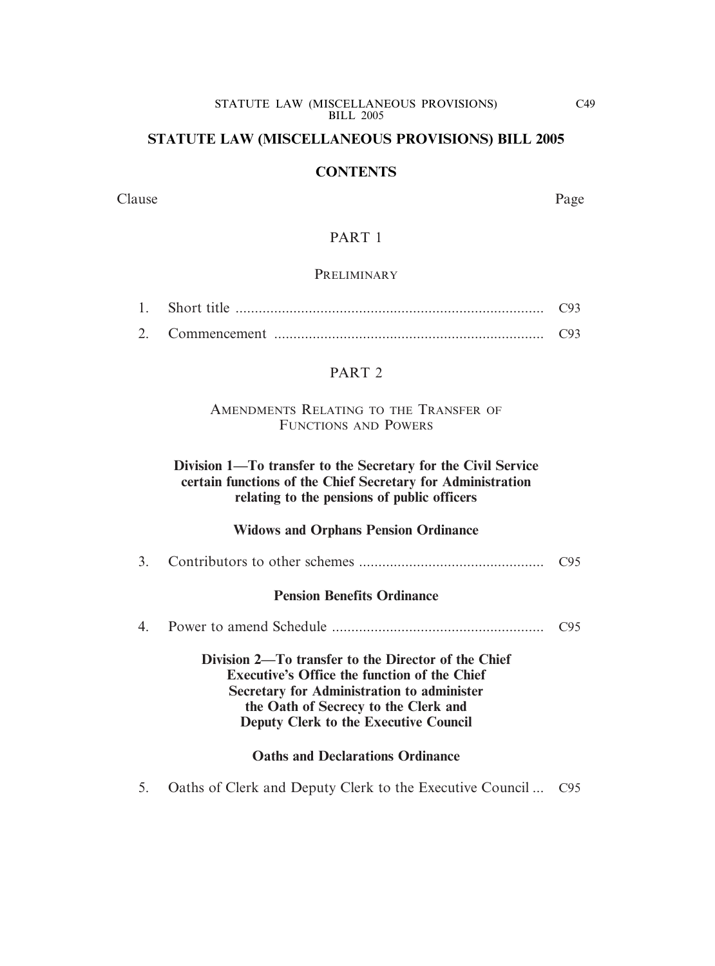#### **STATUTE LAW (MISCELLANEOUS PROVISIONS) BILL 2005**

#### **CONTENTS**

Clause Page

#### PART 1

#### **PRELIMINARY**

| 1. Short title |  |
|----------------|--|
|                |  |

#### PART<sub>2</sub>

#### AMENDMENTS RELATING TO THE TRANSFER OF FUNCTIONS AND POWERS

#### **Division 1—To transfer to the Secretary for the Civil Service certain functions of the Chief Secretary for Administration relating to the pensions of public officers**

#### **Widows and Orphans Pension Ordinance**

|  |  | C95 |
|--|--|-----|
|--|--|-----|

#### **Pension Benefits Ordinance**

4. Power to amend Schedule ....................................................... C95

**Division 2—To transfer to the Director of the Chief Executive's Office the function of the Chief Secretary for Administration to administer the Oath of Secrecy to the Clerk and Deputy Clerk to the Executive Council** 

#### **Oaths and Declarations Ordinance**

5. Oaths of Clerk and Deputy Clerk to the Executive Council ... C95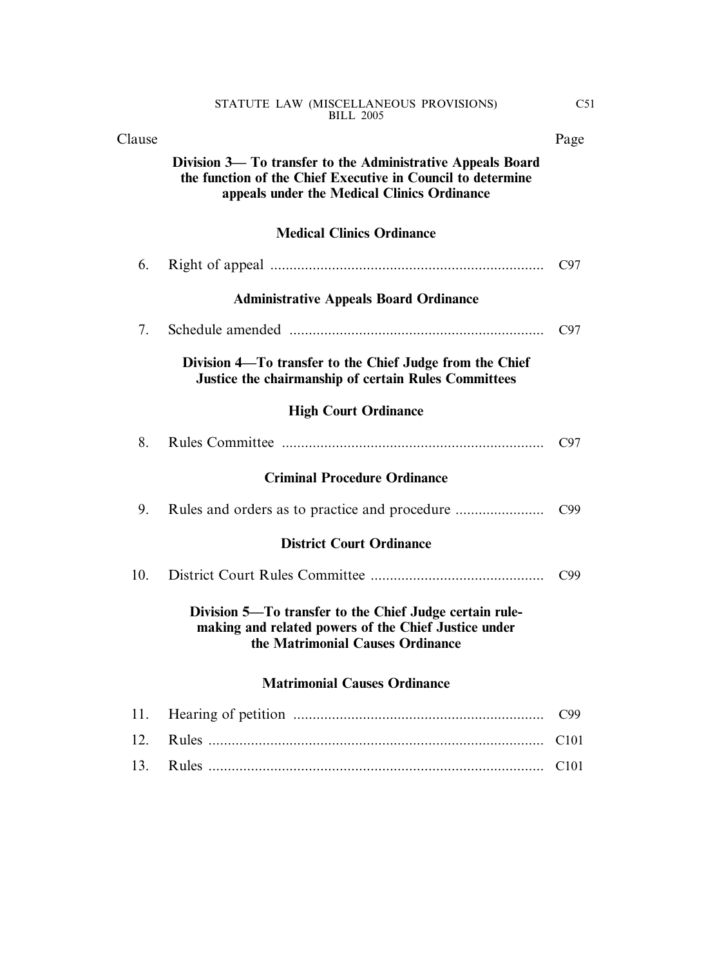| Clause |                                                                                                                                                                           | Page             |
|--------|---------------------------------------------------------------------------------------------------------------------------------------------------------------------------|------------------|
|        | Division 3— To transfer to the Administrative Appeals Board<br>the function of the Chief Executive in Council to determine<br>appeals under the Medical Clinics Ordinance |                  |
|        | <b>Medical Clinics Ordinance</b>                                                                                                                                          |                  |
| 6.     |                                                                                                                                                                           | C97              |
|        | <b>Administrative Appeals Board Ordinance</b>                                                                                                                             |                  |
| 7.     |                                                                                                                                                                           | C97              |
|        | Division 4—To transfer to the Chief Judge from the Chief<br>Justice the chairmanship of certain Rules Committees                                                          |                  |
|        | <b>High Court Ordinance</b>                                                                                                                                               |                  |
| 8.     |                                                                                                                                                                           | C97              |
|        | <b>Criminal Procedure Ordinance</b>                                                                                                                                       |                  |
| 9.     |                                                                                                                                                                           | C99              |
|        | <b>District Court Ordinance</b>                                                                                                                                           |                  |
| 10.    |                                                                                                                                                                           | C99              |
|        | Division 5—To transfer to the Chief Judge certain rule-<br>making and related powers of the Chief Justice under<br>the Matrimonial Causes Ordinance                       |                  |
|        | <b>Matrimonial Causes Ordinance</b>                                                                                                                                       |                  |
| 11.    |                                                                                                                                                                           | C99              |
| 12.    |                                                                                                                                                                           | C <sub>101</sub> |
| 13.    |                                                                                                                                                                           | C101             |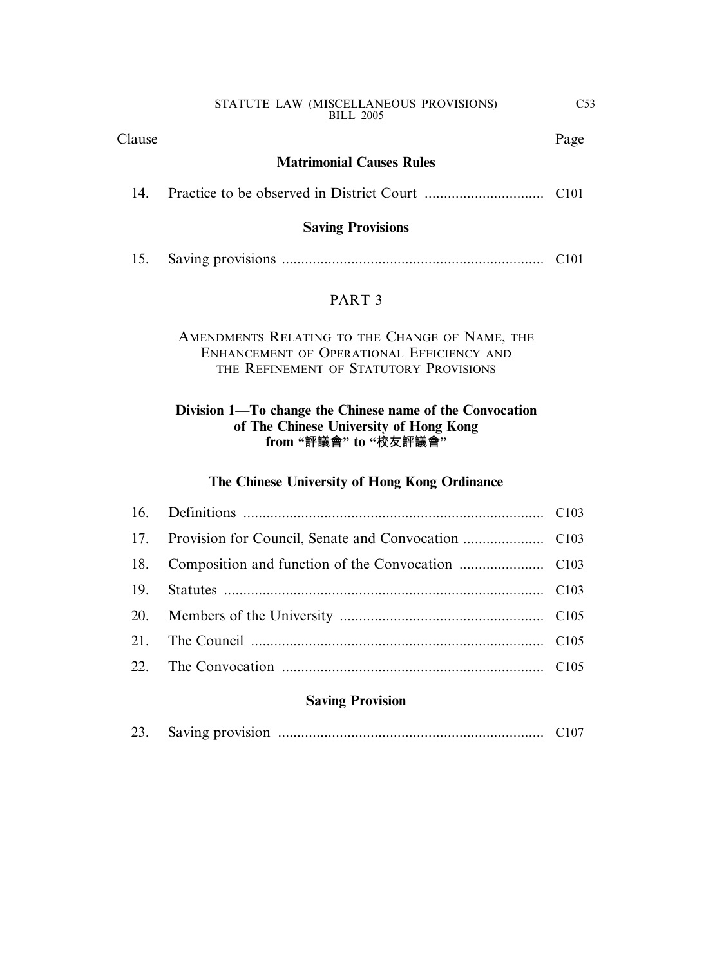Clause Page

#### **Matrimonial Causes Rules**

|--|--|--|--|--|--|--|

#### **Saving Provisions**

| 15. |  |  |  |
|-----|--|--|--|
|-----|--|--|--|

#### PART 3

#### AMENDMENTS RELATING TO THE CHANGE OF NAME, THE ENHANCEMENT OF OPERATIONAL EFFICIENCY AND THE REFINEMENT OF STATUTORY PROVISIONS

#### **Division 1—To change the Chinese name of the Convocation of The Chinese University of Hong Kong from "評議會" to "校友評議會"**

#### **The Chinese University of Hong Kong Ordinance**

#### **Saving Provision**

|--|--|--|--|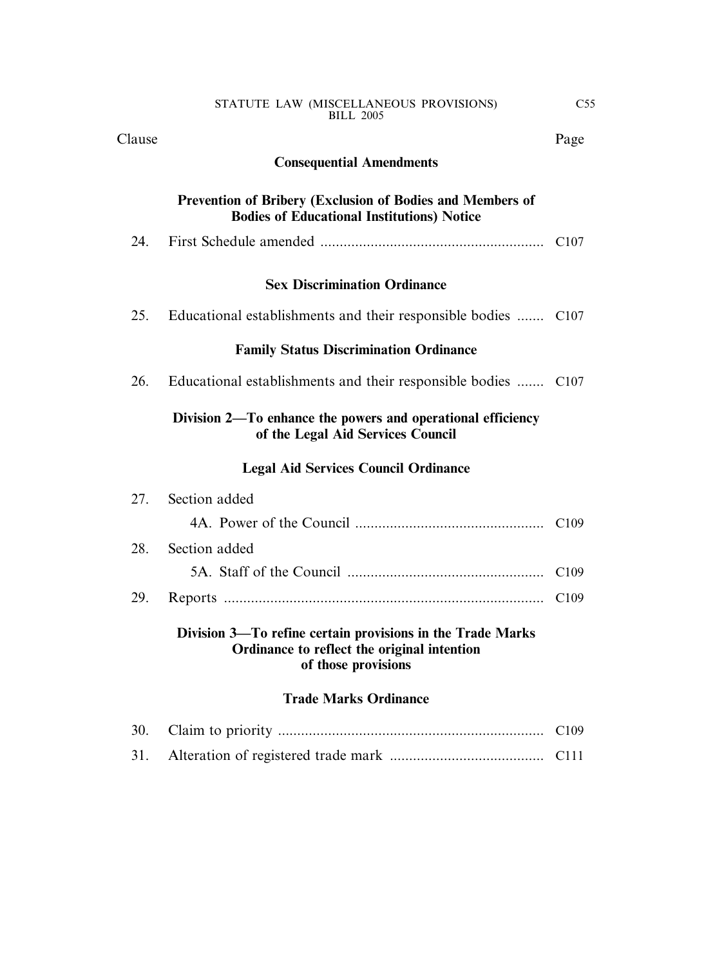| Clause | Page |
|--------|------|
|--------|------|

#### **Consequential Amendments**

#### **Prevention of Bribery (Exclusion of Bodies and Members of Bodies of Educational Institutions) Notice**

| 24. |  |  |  |
|-----|--|--|--|
|-----|--|--|--|

#### **Sex Discrimination Ordinance**

| 25. |  | Educational establishments and their responsible bodies  C107 |  |  |  |  |  |  |
|-----|--|---------------------------------------------------------------|--|--|--|--|--|--|
|-----|--|---------------------------------------------------------------|--|--|--|--|--|--|

#### **Family Status Discrimination Ordinance**

| 26. |  | Educational establishments and their responsible bodies  C107 |  |  |  |  |  |  |
|-----|--|---------------------------------------------------------------|--|--|--|--|--|--|
|-----|--|---------------------------------------------------------------|--|--|--|--|--|--|

#### **Division 2—To enhance the powers and operational efficiency of the Legal Aid Services Council**

#### **Legal Aid Services Council Ordinance**

|     | Division 3-To refine certain provisions in the Trade Marks<br>Ordinance to reflect the original intention<br>of those provisions |                  |
|-----|----------------------------------------------------------------------------------------------------------------------------------|------------------|
| 29. |                                                                                                                                  | C <sub>109</sub> |
|     |                                                                                                                                  |                  |
|     | 28. Section added                                                                                                                |                  |
|     |                                                                                                                                  |                  |
|     | 27. Section added                                                                                                                |                  |

#### **Trade Marks Ordinance**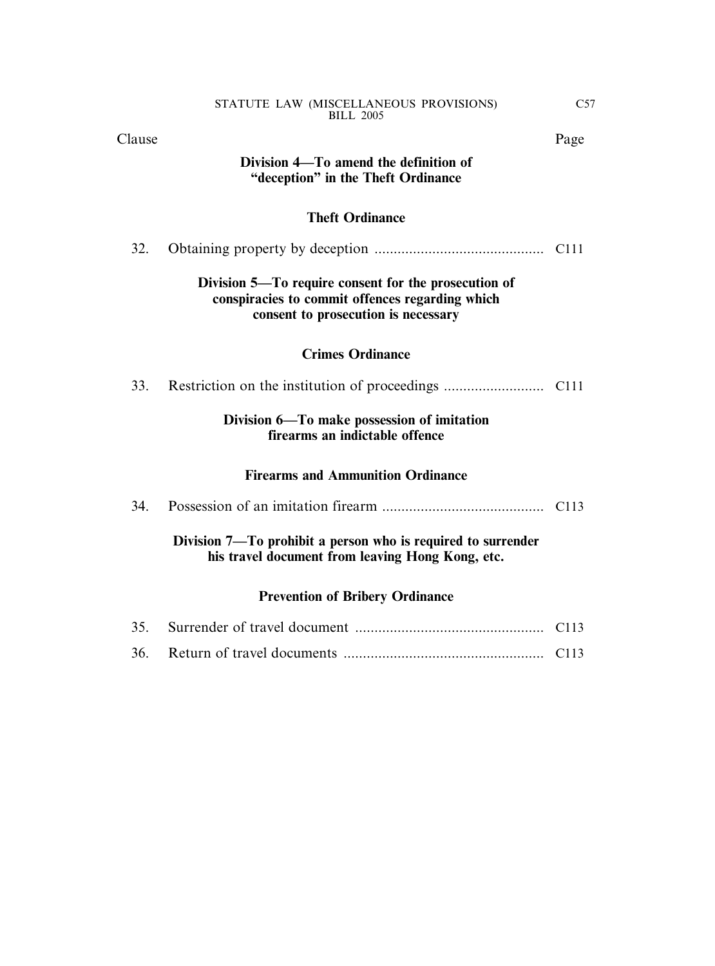Clause Page

#### **Division 4—To amend the definition of "deception" in the Theft Ordinance**

#### **Theft Ordinance**

| 32. |                                                                                                                                                |                  |
|-----|------------------------------------------------------------------------------------------------------------------------------------------------|------------------|
|     | Division 5—To require consent for the prosecution of<br>conspiracies to commit offences regarding which<br>consent to prosecution is necessary |                  |
|     | <b>Crimes Ordinance</b>                                                                                                                        |                  |
| 33. |                                                                                                                                                |                  |
|     | Division 6—To make possession of imitation<br>firearms an indictable offence                                                                   |                  |
|     | <b>Firearms and Ammunition Ordinance</b>                                                                                                       |                  |
| 34. |                                                                                                                                                | C <sub>113</sub> |
|     | Division 7—To prohibit a person who is required to surrender                                                                                   |                  |

**his travel document from leaving Hong Kong, etc.**

### **Prevention of Bribery Ordinance**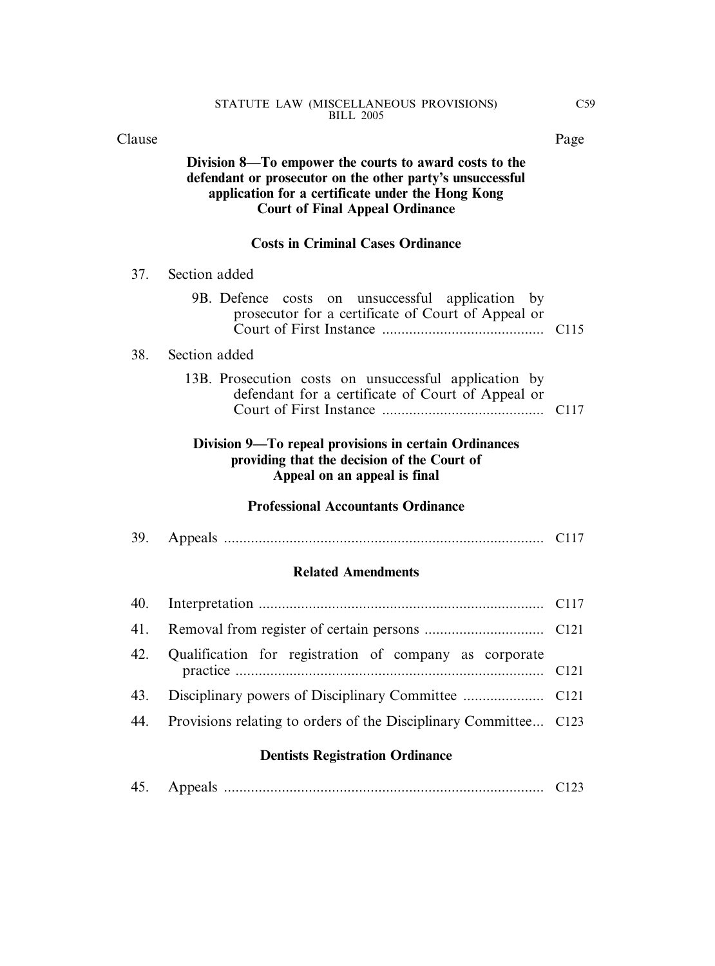38.

#### **Division 8—To empower the courts to award costs to the defendant or prosecutor on the other party's unsuccessful application for a certificate under the Hong Kong Court of Final Appeal Ordinance**

#### **Costs in Criminal Cases Ordinance**

| 37.<br>Section added |
|----------------------|
|                      |

| 9B. Defence costs on unsuccessful application by<br>prosecutor for a certificate of Court of Appeal or     |  |
|------------------------------------------------------------------------------------------------------------|--|
| Section added                                                                                              |  |
| 13B. Prosecution costs on unsuccessful application by<br>defendant for a certificate of Court of Appeal or |  |
| Division 9—To repeal provisions in certain Ordinances                                                      |  |

#### **Division 9—To repeal provisions in certain Ordinances providing that the decision of the Court of Appeal on an appeal is final**

#### **Professional Accountants Ordinance**

39. Appeals ................................................................................... C117

#### **Related Amendments**

| 42. Qualification for registration of company as corporate           |  |
|----------------------------------------------------------------------|--|
|                                                                      |  |
| 44. Provisions relating to orders of the Disciplinary Committee C123 |  |
|                                                                      |  |

#### **Dentists Registration Ordinance**

| 45. |  |  |  |
|-----|--|--|--|
|-----|--|--|--|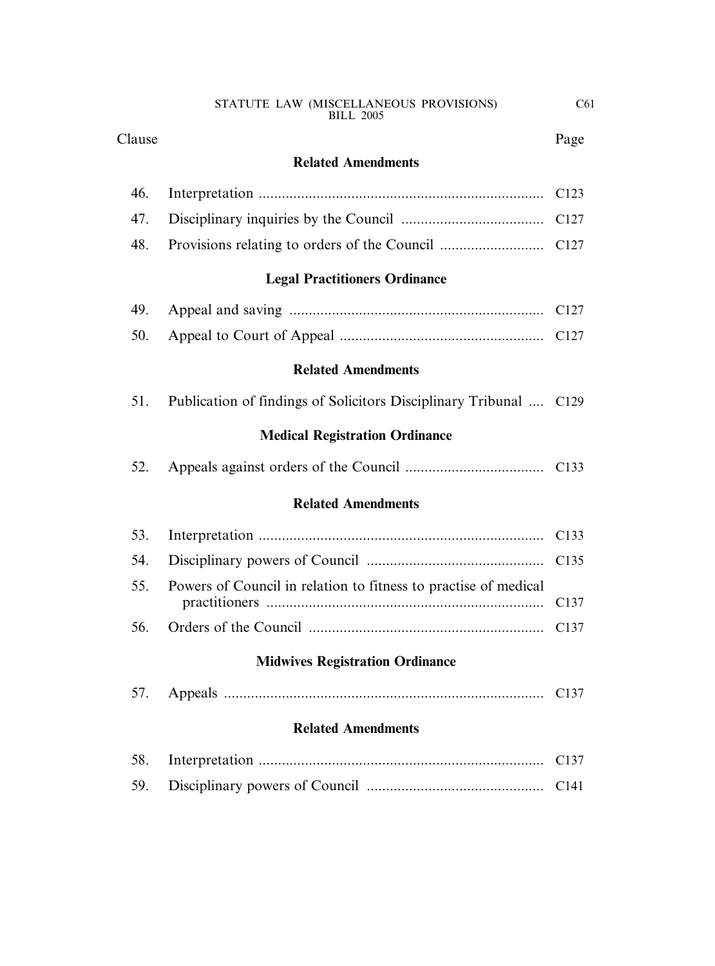#### Clause Page

#### **Related Amendments**

### **Legal Practitioners Ordinance**

| ___ |  |  |  |  |
|-----|--|--|--|--|

|--|--|--|--|--|

#### **Related Amendments**

| 51. |  |  | Publication of findings of Solicitors Disciplinary Tribunal  C129 |  |
|-----|--|--|-------------------------------------------------------------------|--|
|     |  |  |                                                                   |  |

### **Medical Registration Ordinance**

#### **Related Amendments**

| 55. Powers of Council in relation to fitness to practise of medical |  |
|---------------------------------------------------------------------|--|
|                                                                     |  |

#### **Midwives Registration Ordinance**

| 57. |  |  |  |
|-----|--|--|--|
|-----|--|--|--|

#### **Related Amendments**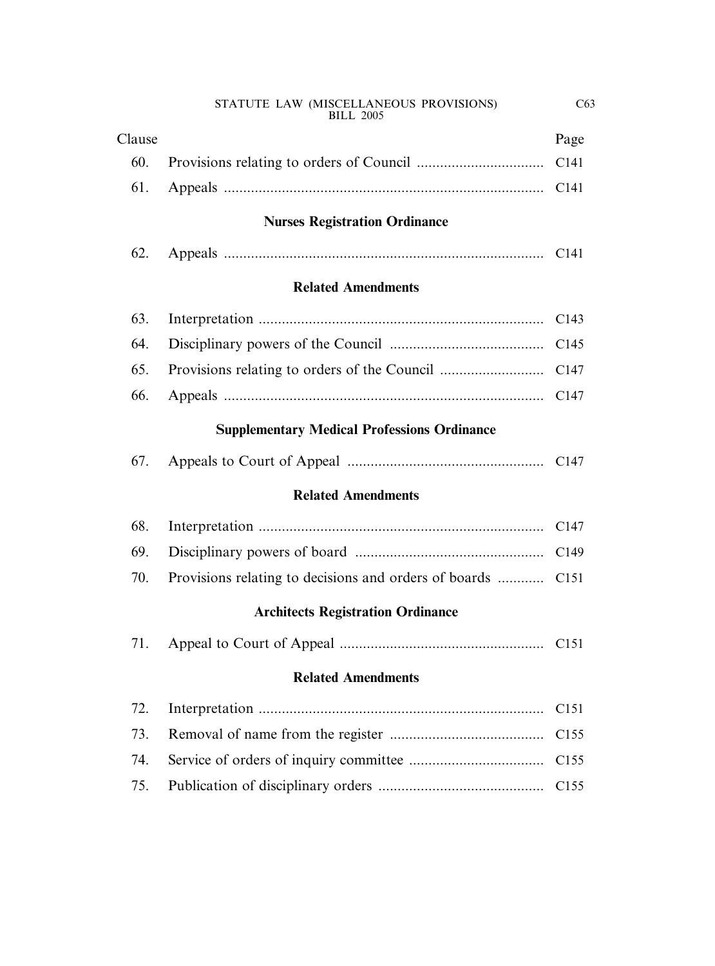|                                                    | <b>BILL 2005</b>                         |                  |  |  |
|----------------------------------------------------|------------------------------------------|------------------|--|--|
| Clause                                             |                                          | Page             |  |  |
| 60.                                                |                                          |                  |  |  |
| 61.                                                |                                          | C <sub>141</sub> |  |  |
|                                                    | <b>Nurses Registration Ordinance</b>     |                  |  |  |
| 62.                                                |                                          |                  |  |  |
|                                                    | <b>Related Amendments</b>                |                  |  |  |
| 63.                                                |                                          | C <sub>143</sub> |  |  |
| 64.                                                |                                          | C145             |  |  |
| 65.                                                |                                          | C <sub>147</sub> |  |  |
| 66.                                                |                                          | C <sub>147</sub> |  |  |
| <b>Supplementary Medical Professions Ordinance</b> |                                          |                  |  |  |
| 67.                                                |                                          |                  |  |  |
|                                                    | <b>Related Amendments</b>                |                  |  |  |
| 68.                                                |                                          | C <sub>147</sub> |  |  |
| 69.                                                |                                          | C <sub>149</sub> |  |  |
| 70.                                                |                                          |                  |  |  |
|                                                    | <b>Architects Registration Ordinance</b> |                  |  |  |
| 71.                                                |                                          |                  |  |  |
|                                                    | <b>Related Amendments</b>                |                  |  |  |
| 72.                                                |                                          | C <sub>151</sub> |  |  |
| 73.                                                |                                          | C <sub>155</sub> |  |  |
| 74.                                                |                                          | C <sub>155</sub> |  |  |
| 75.                                                |                                          | C <sub>155</sub> |  |  |
|                                                    |                                          |                  |  |  |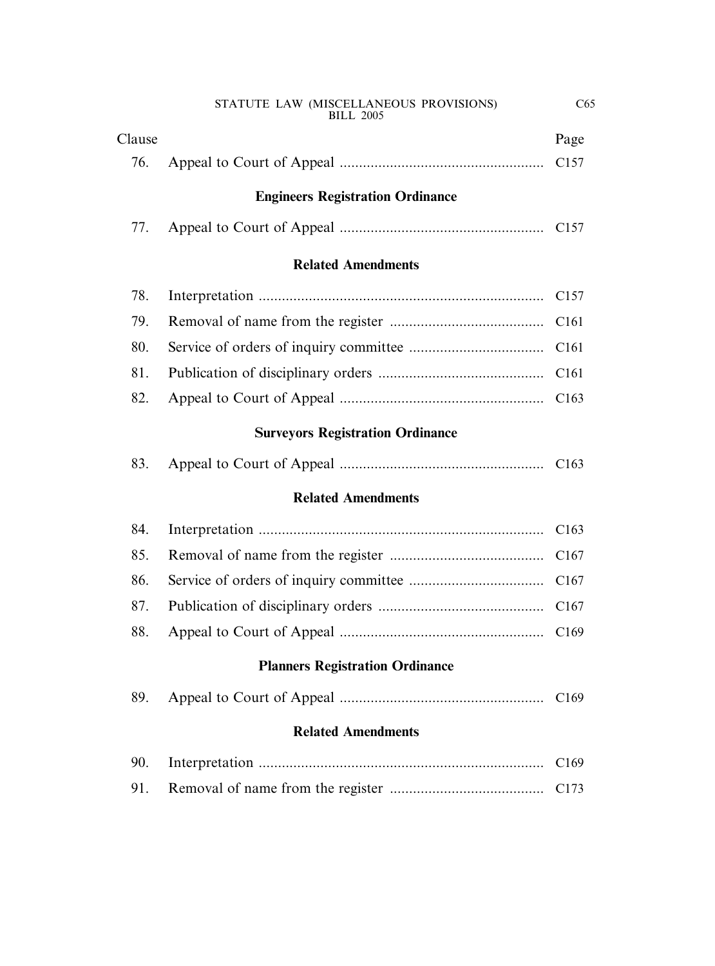|        | STATUTE LAW (MISCELLANEOUS PROVISIONS)<br><b>BILL 2005</b> | C65              |  |  |  |  |
|--------|------------------------------------------------------------|------------------|--|--|--|--|
| Clause |                                                            | Page             |  |  |  |  |
| 76.    |                                                            | C <sub>157</sub> |  |  |  |  |
|        | <b>Engineers Registration Ordinance</b>                    |                  |  |  |  |  |
| 77.    |                                                            | C <sub>157</sub> |  |  |  |  |
|        | <b>Related Amendments</b>                                  |                  |  |  |  |  |
| 78.    |                                                            | C <sub>157</sub> |  |  |  |  |
| 79.    |                                                            | C <sub>161</sub> |  |  |  |  |
| 80.    |                                                            | C <sub>161</sub> |  |  |  |  |
| 81.    |                                                            | C <sub>161</sub> |  |  |  |  |
| 82.    |                                                            | C <sub>163</sub> |  |  |  |  |
|        | <b>Surveyors Registration Ordinance</b>                    |                  |  |  |  |  |
| 83.    |                                                            |                  |  |  |  |  |
|        | <b>Related Amendments</b>                                  |                  |  |  |  |  |
| 84.    |                                                            | C <sub>163</sub> |  |  |  |  |
| 85.    |                                                            |                  |  |  |  |  |
| 86.    |                                                            | C <sub>167</sub> |  |  |  |  |
| 87.    |                                                            | C <sub>167</sub> |  |  |  |  |
| 88.    |                                                            | C <sub>169</sub> |  |  |  |  |
|        | <b>Planners Registration Ordinance</b>                     |                  |  |  |  |  |
| 89.    |                                                            | C <sub>169</sub> |  |  |  |  |
|        | <b>Related Amendments</b>                                  |                  |  |  |  |  |
| 90.    |                                                            | C <sub>169</sub> |  |  |  |  |
| 91.    |                                                            | C <sub>173</sub> |  |  |  |  |
|        |                                                            |                  |  |  |  |  |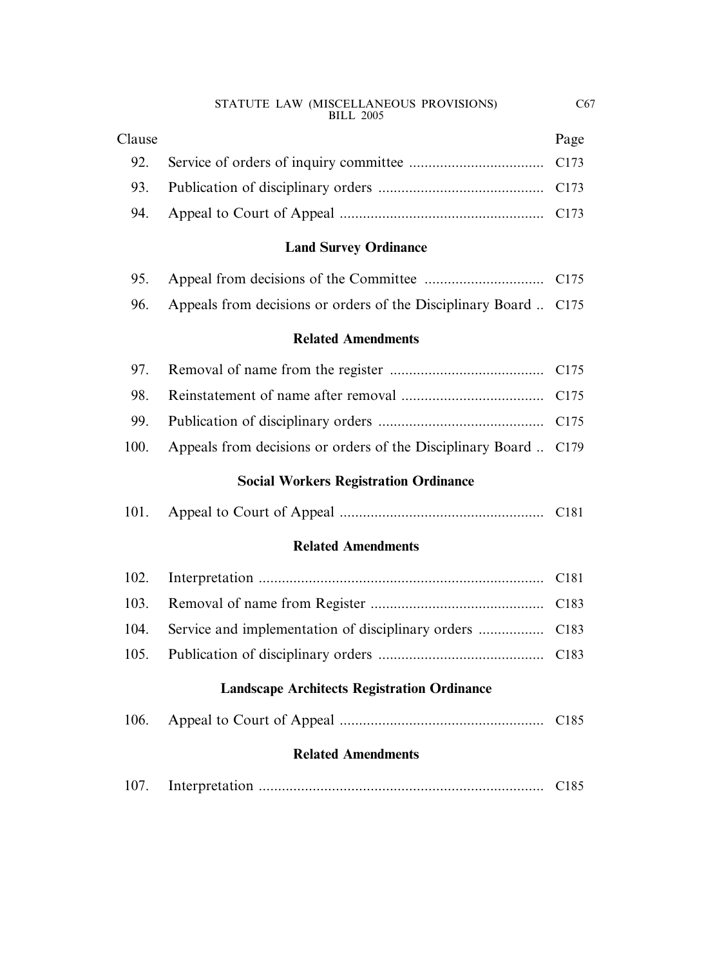| Clause | Page |
|--------|------|
|        |      |
|        |      |
|        |      |

#### **Land Survey Ordinance**

| 96. Appeals from decisions or orders of the Disciplinary Board  C175 |  |
|----------------------------------------------------------------------|--|

#### **Related Amendments**

| 100. Appeals from decisions or orders of the Disciplinary Board  C179 |  |
|-----------------------------------------------------------------------|--|

#### **Social Workers Registration Ordinance**

#### **Related Amendments**

#### **Landscape Architects Registration Ordinance**

| 106. |  |  |  | C185 |
|------|--|--|--|------|
|------|--|--|--|------|

#### **Related Amendments**

| 107. |  |  |
|------|--|--|
|------|--|--|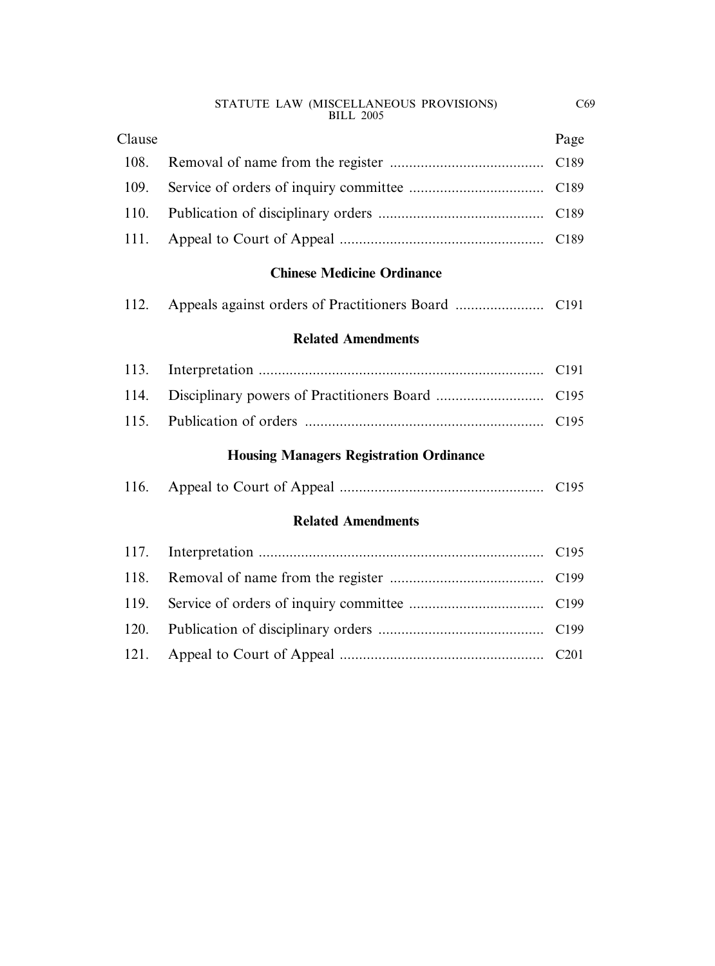| STATUTE LAW (MISCELLANEOUS PROVISIONS) |  |
|----------------------------------------|--|
| <b>BILL 2005</b>                       |  |

| Clause | Page |
|--------|------|
|        |      |
|        |      |
|        |      |
|        |      |

#### **Chinese Medicine Ordinance**

|--|--|--|--|--|--|--|--|--|--|

#### **Related Amendments**

## **Housing Managers Registration Ordinance**

|--|--|--|--|--|

#### **Related Amendments**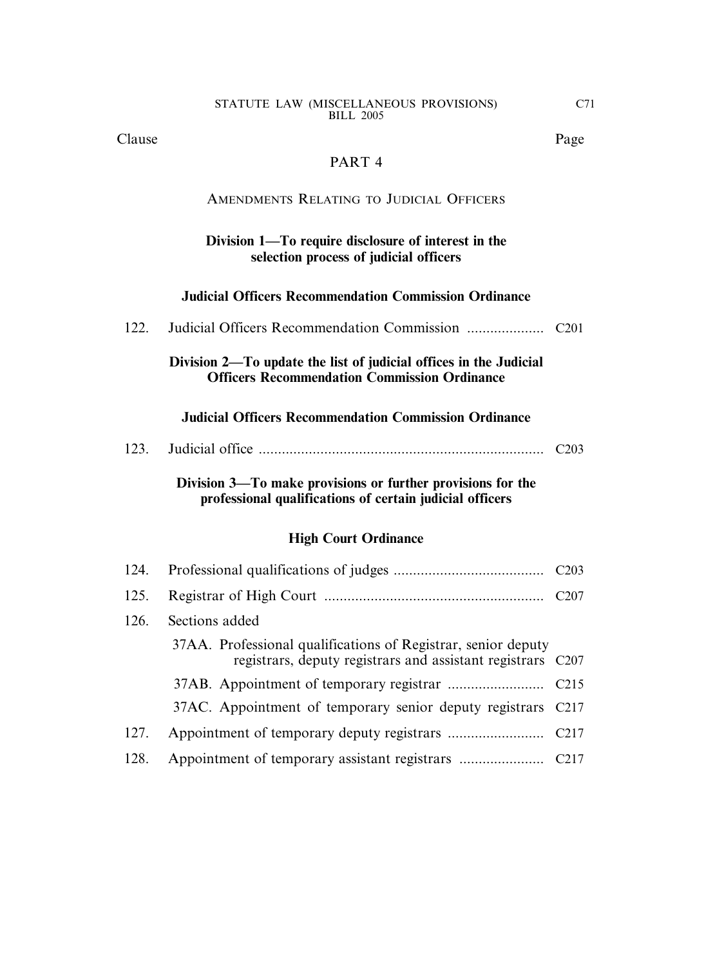Clause Page

#### PART 4

#### AMENDMENTS RELATING TO JUDICIAL OFFICERS

#### **Division 1—To require disclosure of interest in the selection process of judicial officers**

#### **Judicial Officers Recommendation Commission Ordinance**

| 122. |                                                                                                                          |                   |
|------|--------------------------------------------------------------------------------------------------------------------------|-------------------|
|      | Division 2—To update the list of judicial offices in the Judicial<br><b>Officers Recommendation Commission Ordinance</b> |                   |
|      | <b>Judicial Officers Recommendation Commission Ordinance</b>                                                             |                   |
| 123. |                                                                                                                          | C <sub>20</sub> 3 |
|      | Division 3—To make provisions or further provisions for the<br>professional qualifications of certain judicial officers  |                   |
|      | <b>High Court Ordinance</b>                                                                                              |                   |
| 124. |                                                                                                                          |                   |
| 125. |                                                                                                                          |                   |
| 126. | Sections added                                                                                                           |                   |

|      | 37AA. Professional qualifications of Registrar, senior deputy<br>registrars, deputy registrars and assistant registrars C207 |  |
|------|------------------------------------------------------------------------------------------------------------------------------|--|
|      |                                                                                                                              |  |
|      | 37AC. Appointment of temporary senior deputy registrars C217                                                                 |  |
| 127. |                                                                                                                              |  |
| 128. |                                                                                                                              |  |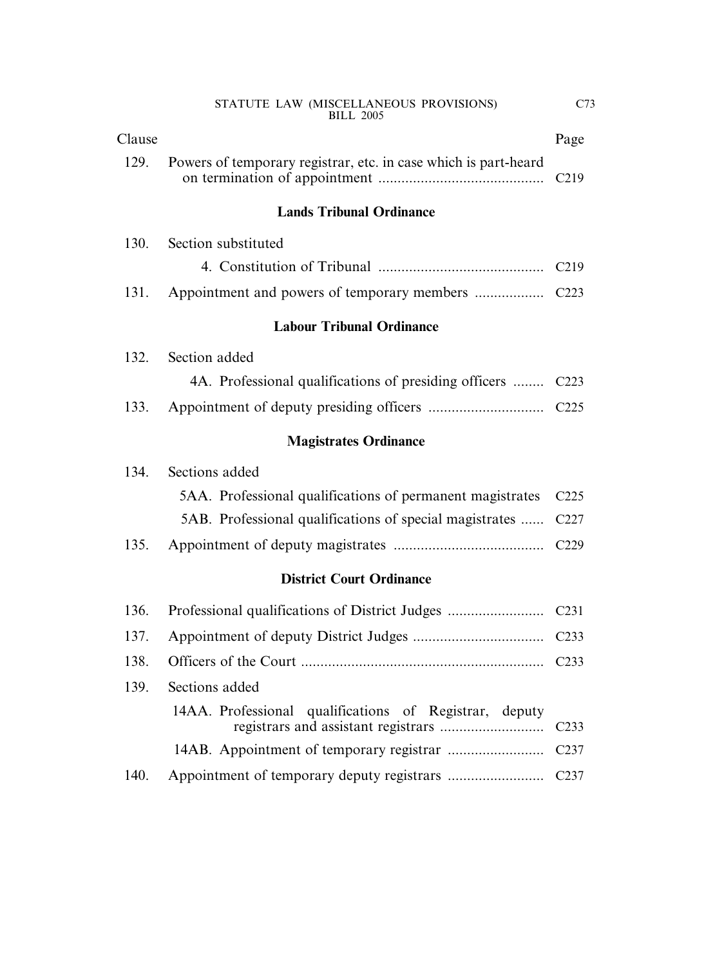| STATUTE LAW (MISCELLANEOUS PROVISIONS) |  |
|----------------------------------------|--|
| <b>BILL 2005</b>                       |  |

| Clause |                                                                 | Page              |
|--------|-----------------------------------------------------------------|-------------------|
| 129.   | Powers of temporary registrar, etc. in case which is part-heard | C <sub>219</sub>  |
|        | <b>Lands Tribunal Ordinance</b>                                 |                   |
| 130.   | Section substituted                                             |                   |
|        |                                                                 | C <sub>2</sub> 19 |
| 131.   |                                                                 |                   |
|        | <b>Labour Tribunal Ordinance</b>                                |                   |
| 132.   | Section added                                                   |                   |
|        | 4A. Professional qualifications of presiding officers           | C <sub>223</sub>  |
| 133.   |                                                                 |                   |
|        | <b>Magistrates Ordinance</b>                                    |                   |
| 134.   | Sections added                                                  |                   |
|        | 5AA. Professional qualifications of permanent magistrates       | C225              |
|        | 5AB. Professional qualifications of special magistrates         | C <sub>227</sub>  |
| 135.   |                                                                 | C229              |
|        | <b>District Court Ordinance</b>                                 |                   |
| 136.   | Professional qualifications of District Judges                  | C <sub>231</sub>  |
| 137.   |                                                                 | C <sub>233</sub>  |
| 138.   |                                                                 | C <sub>233</sub>  |
| 139.   | Sections added                                                  |                   |
|        | 14AA. Professional qualifications of Registrar, deputy          | C <sub>233</sub>  |
|        |                                                                 | C <sub>237</sub>  |
| 140.   |                                                                 | C <sub>237</sub>  |
|        |                                                                 |                   |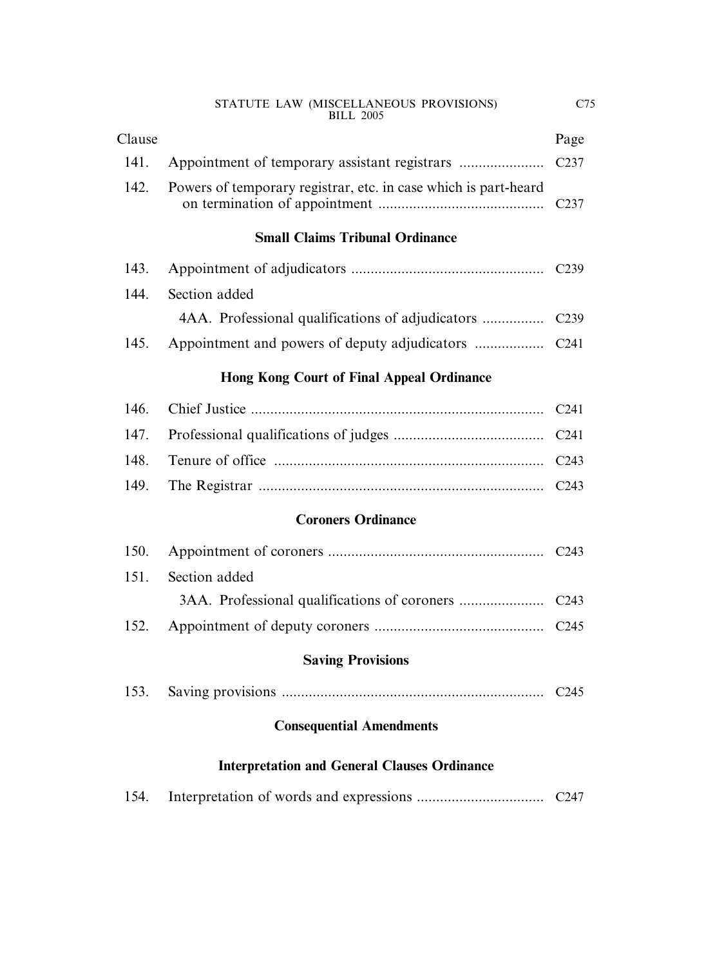| STATUTE LAW (MISCELLANEOUS PROVISIONS) |  |
|----------------------------------------|--|
| <b>BILL 2005</b>                       |  |

| Clause |                                                                 | Page             |
|--------|-----------------------------------------------------------------|------------------|
| 141.   |                                                                 | C <sub>237</sub> |
| 142.   | Powers of temporary registrar, etc. in case which is part-heard | C <sub>237</sub> |
|        | <b>Small Claims Tribunal Ordinance</b>                          |                  |
| 143.   |                                                                 |                  |
| 144.   | Section added                                                   |                  |
|        |                                                                 | C <sub>239</sub> |
| 145.   |                                                                 | C <sub>241</sub> |
|        | <b>Hong Kong Court of Final Appeal Ordinance</b>                |                  |
| 146.   |                                                                 | C <sub>241</sub> |
| 147.   |                                                                 | C <sub>241</sub> |
| 148.   |                                                                 | C <sub>243</sub> |
| 149.   |                                                                 | C <sub>243</sub> |
|        | <b>Coroners Ordinance</b>                                       |                  |
| 150.   |                                                                 |                  |
| 151.   | Section added                                                   |                  |
|        |                                                                 | C <sub>243</sub> |
| 152.   |                                                                 | C <sub>245</sub> |
|        | <b>Saving Provisions</b>                                        |                  |
| 153.   |                                                                 | C <sub>245</sub> |
|        | <b>Consequential Amendments</b>                                 |                  |
|        | <b>Interpretation and General Clauses Ordinance</b>             |                  |

| 154. |  |  |
|------|--|--|
|------|--|--|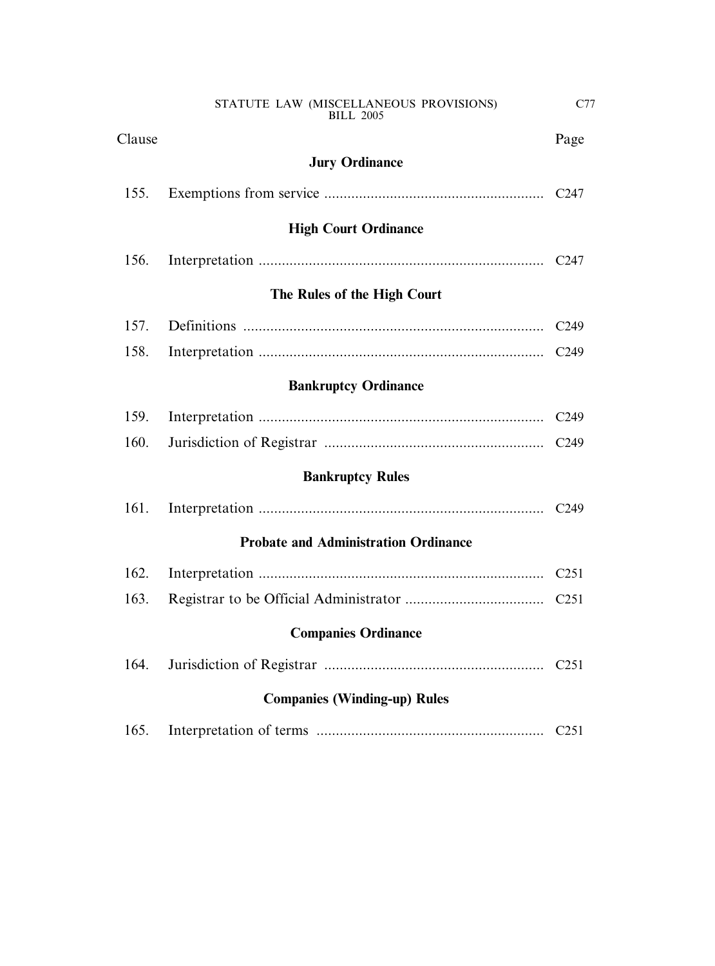| Clause                              |                                             | Page             |
|-------------------------------------|---------------------------------------------|------------------|
|                                     | <b>Jury Ordinance</b>                       |                  |
| 155.                                |                                             | C <sub>247</sub> |
|                                     | <b>High Court Ordinance</b>                 |                  |
| 156.                                |                                             | C <sub>247</sub> |
|                                     | The Rules of the High Court                 |                  |
| 157.                                |                                             | C <sub>249</sub> |
| 158.                                |                                             | C <sub>249</sub> |
|                                     | <b>Bankruptcy Ordinance</b>                 |                  |
| 159.                                |                                             | C <sub>249</sub> |
| 160.                                |                                             | C <sub>249</sub> |
|                                     | <b>Bankruptcy Rules</b>                     |                  |
| 161.                                |                                             |                  |
|                                     | <b>Probate and Administration Ordinance</b> |                  |
| 162.                                |                                             | C <sub>251</sub> |
| 163.                                |                                             |                  |
| <b>Companies Ordinance</b>          |                                             |                  |
| 164.                                |                                             | C <sub>251</sub> |
| <b>Companies (Winding-up) Rules</b> |                                             |                  |
| 165.                                |                                             | C <sub>251</sub> |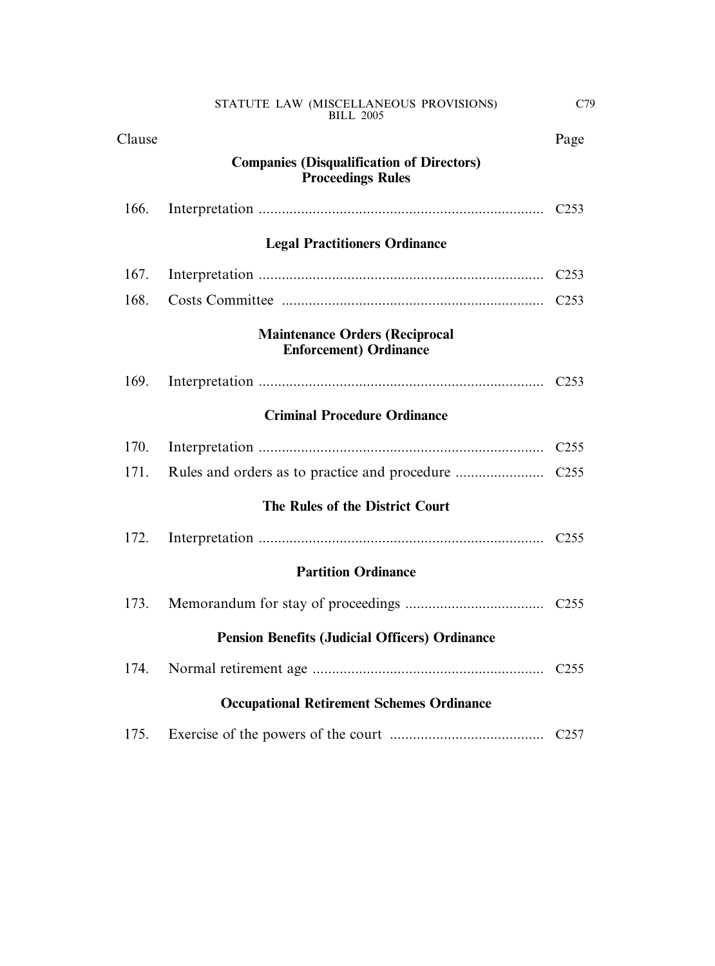| Clause                                           |                                                                              | Page             |  |
|--------------------------------------------------|------------------------------------------------------------------------------|------------------|--|
|                                                  | <b>Companies (Disqualification of Directors)</b><br><b>Proceedings Rules</b> |                  |  |
| 166.                                             |                                                                              | C <sub>253</sub> |  |
|                                                  | <b>Legal Practitioners Ordinance</b>                                         |                  |  |
| 167.                                             |                                                                              | C <sub>253</sub> |  |
| 168.                                             |                                                                              | C <sub>253</sub> |  |
|                                                  | <b>Maintenance Orders (Reciprocal</b><br><b>Enforcement) Ordinance</b>       |                  |  |
| 169.                                             |                                                                              |                  |  |
|                                                  | <b>Criminal Procedure Ordinance</b>                                          |                  |  |
| 170.                                             |                                                                              | C <sub>255</sub> |  |
| 171.                                             |                                                                              |                  |  |
|                                                  | The Rules of the District Court                                              |                  |  |
| 172.                                             |                                                                              |                  |  |
|                                                  | <b>Partition Ordinance</b>                                                   |                  |  |
| 173.                                             |                                                                              |                  |  |
|                                                  | <b>Pension Benefits (Judicial Officers) Ordinance</b>                        |                  |  |
| 174.                                             |                                                                              |                  |  |
| <b>Occupational Retirement Schemes Ordinance</b> |                                                                              |                  |  |
| 175.                                             |                                                                              | C <sub>257</sub> |  |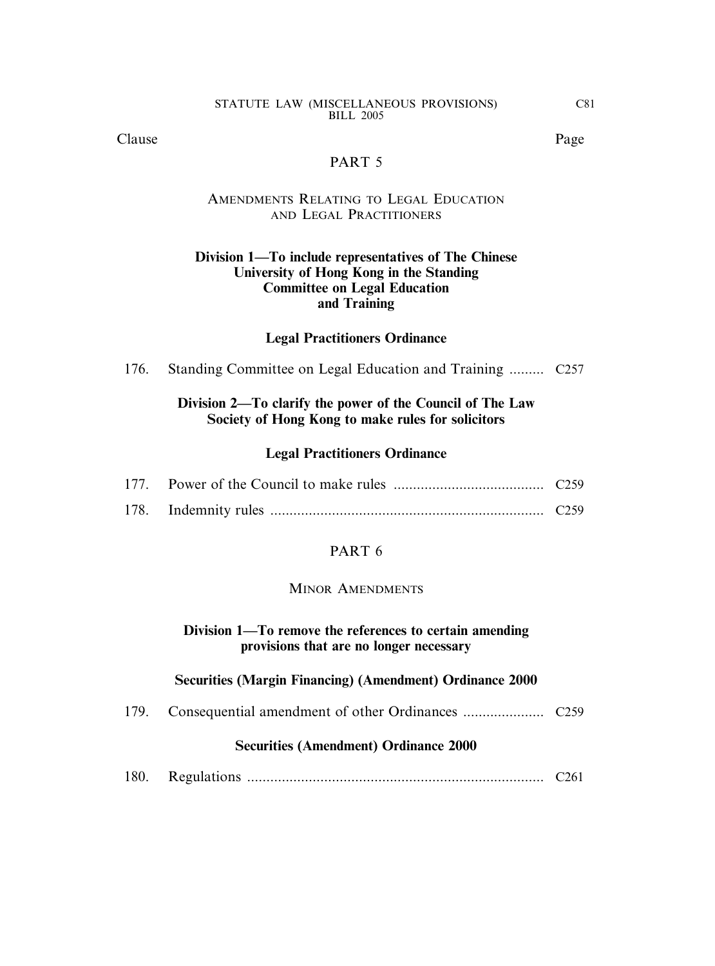Clause Page

#### PART 5

#### AMENDMENTS RELATING TO LEGAL EDUCATION AND LEGAL PRACTITIONERS

#### **Division 1—To include representatives of The Chinese University of Hong Kong in the Standing Committee on Legal Education and Training**

#### **Legal Practitioners Ordinance**

176. Standing Committee on Legal Education and Training ......... C257

#### **Division 2—To clarify the power of the Council of The Law Society of Hong Kong to make rules for solicitors**

#### **Legal Practitioners Ordinance**

#### PART 6

#### MINOR AMENDMENTS

#### **Division 1—To remove the references to certain amending provisions that are no longer necessary**

#### **Securities (Margin Financing) (Amendment) Ordinance 2000**

179. Consequential amendment of other Ordinances ..................... C259

#### **Securities (Amendment) Ordinance 2000**

180. Regulations ............................................................................. C261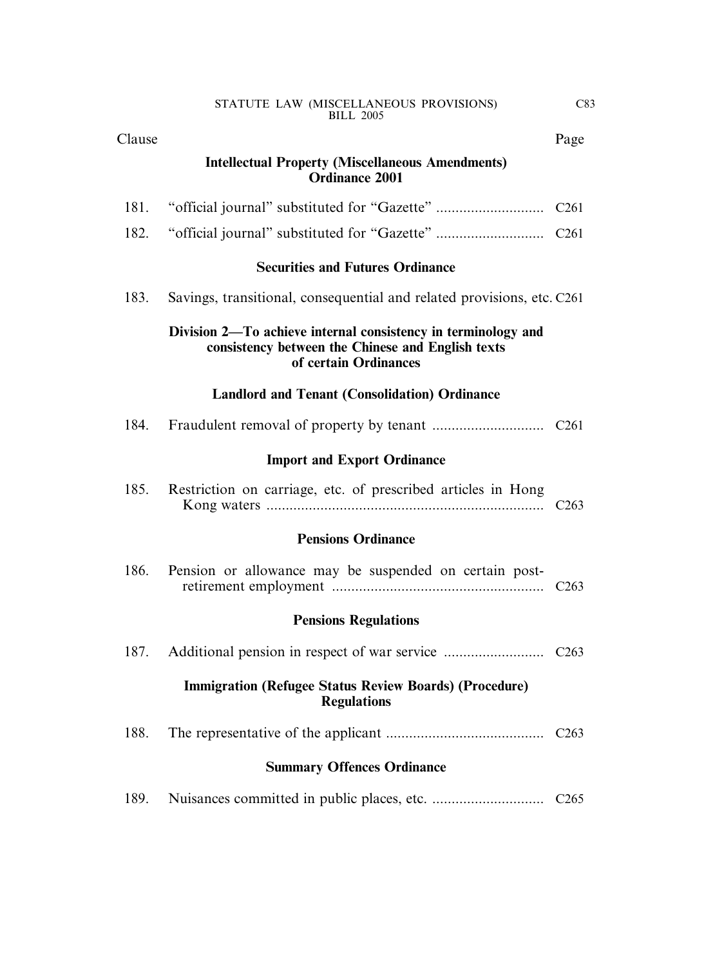| Clause |                                                                                                                                             | Page             |
|--------|---------------------------------------------------------------------------------------------------------------------------------------------|------------------|
|        | <b>Intellectual Property (Miscellaneous Amendments)</b><br><b>Ordinance 2001</b>                                                            |                  |
| 181.   |                                                                                                                                             | C <sub>261</sub> |
| 182.   |                                                                                                                                             |                  |
|        | <b>Securities and Futures Ordinance</b>                                                                                                     |                  |
| 183.   | Savings, transitional, consequential and related provisions, etc. C261                                                                      |                  |
|        | Division 2—To achieve internal consistency in terminology and<br>consistency between the Chinese and English texts<br>of certain Ordinances |                  |
|        | <b>Landlord and Tenant (Consolidation) Ordinance</b>                                                                                        |                  |
| 184.   |                                                                                                                                             | C <sub>261</sub> |
|        | <b>Import and Export Ordinance</b>                                                                                                          |                  |
| 185.   | Restriction on carriage, etc. of prescribed articles in Hong                                                                                | C <sub>263</sub> |
|        | <b>Pensions Ordinance</b>                                                                                                                   |                  |
| 186.   | Pension or allowance may be suspended on certain post-                                                                                      | C <sub>263</sub> |
|        | <b>Pensions Regulations</b>                                                                                                                 |                  |
| 187.   |                                                                                                                                             |                  |
|        | <b>Immigration (Refugee Status Review Boards) (Procedure)</b><br><b>Regulations</b>                                                         |                  |
| 188.   |                                                                                                                                             |                  |
|        | <b>Summary Offences Ordinance</b>                                                                                                           |                  |
| 189.   |                                                                                                                                             | C <sub>265</sub> |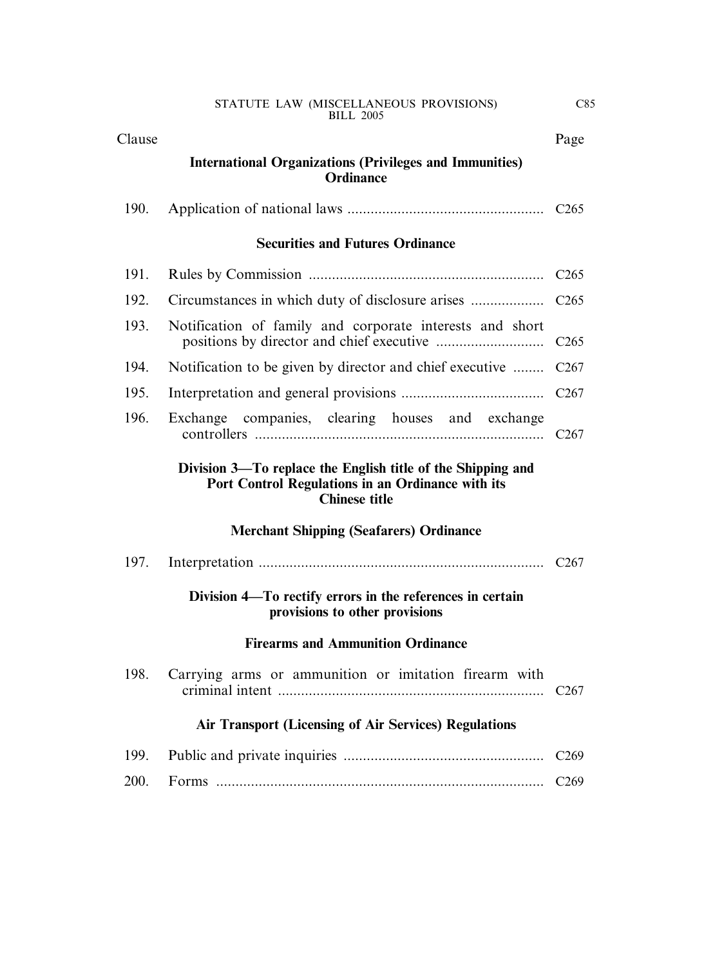| Clause |                                                                                                                                          | Page             |
|--------|------------------------------------------------------------------------------------------------------------------------------------------|------------------|
|        | <b>International Organizations (Privileges and Immunities)</b><br><b>Ordinance</b>                                                       |                  |
| 190.   |                                                                                                                                          |                  |
|        | <b>Securities and Futures Ordinance</b>                                                                                                  |                  |
| 191.   |                                                                                                                                          | C <sub>265</sub> |
| 192.   |                                                                                                                                          |                  |
| 193.   | Notification of family and corporate interests and short                                                                                 | C <sub>265</sub> |
| 194.   | Notification to be given by director and chief executive                                                                                 | C <sub>267</sub> |
| 195.   |                                                                                                                                          | C <sub>267</sub> |
| 196.   | Exchange companies, clearing houses and exchange                                                                                         | C <sub>267</sub> |
|        | Division 3—To replace the English title of the Shipping and<br>Port Control Regulations in an Ordinance with its<br><b>Chinese title</b> |                  |
|        | <b>Merchant Shipping (Seafarers) Ordinance</b>                                                                                           |                  |
| 197.   |                                                                                                                                          | C <sub>267</sub> |
|        | Division 4-To rectify errors in the references in certain<br>provisions to other provisions                                              |                  |
|        | <b>Firearms and Ammunition Ordinance</b>                                                                                                 |                  |
| 198.   | Carrying arms or ammunition or imitation firearm with                                                                                    | C <sub>267</sub> |
|        | <b>Air Transport (Licensing of Air Services) Regulations</b>                                                                             |                  |
| 199.   |                                                                                                                                          | C <sub>269</sub> |
| 200.   |                                                                                                                                          | C <sub>269</sub> |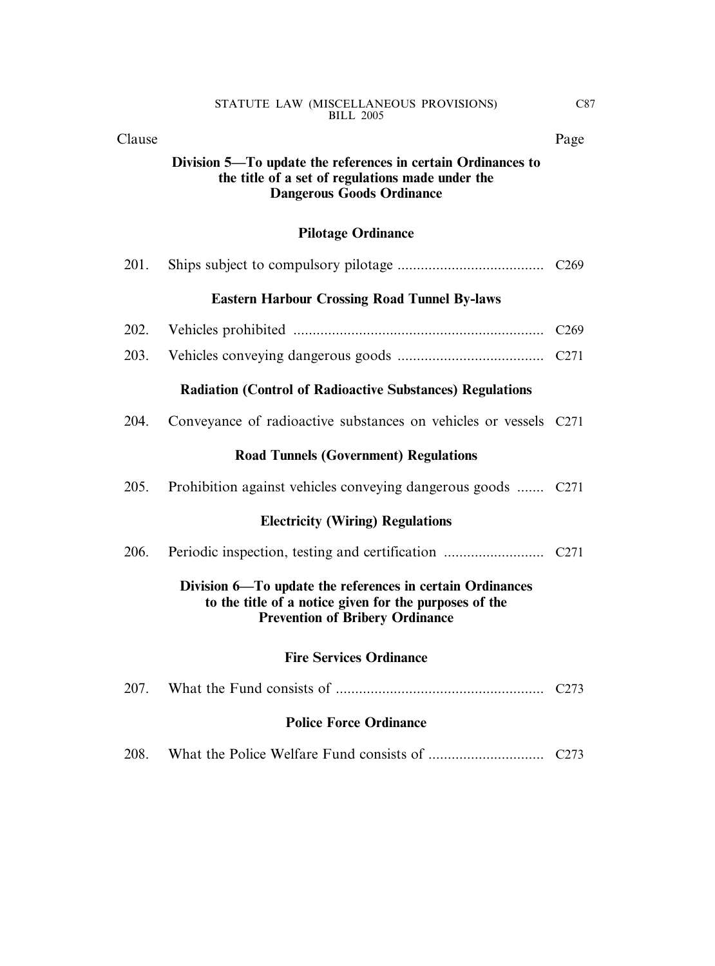| STATUTE LAW (MISCELLANEOUS PROVISIONS) |  |
|----------------------------------------|--|
| <b>BILL 2005</b>                       |  |

| Clause                                                           |                                                                                                                                                               | Page             |  |
|------------------------------------------------------------------|---------------------------------------------------------------------------------------------------------------------------------------------------------------|------------------|--|
|                                                                  | Division 5—To update the references in certain Ordinances to<br>the title of a set of regulations made under the<br><b>Dangerous Goods Ordinance</b>          |                  |  |
|                                                                  | <b>Pilotage Ordinance</b>                                                                                                                                     |                  |  |
| 201.                                                             |                                                                                                                                                               |                  |  |
|                                                                  | <b>Eastern Harbour Crossing Road Tunnel By-laws</b>                                                                                                           |                  |  |
| 202.                                                             |                                                                                                                                                               | C <sub>269</sub> |  |
| 203.                                                             |                                                                                                                                                               | C <sub>271</sub> |  |
| <b>Radiation (Control of Radioactive Substances) Regulations</b> |                                                                                                                                                               |                  |  |
| 204.                                                             | Conveyance of radioactive substances on vehicles or vessels C271                                                                                              |                  |  |
| <b>Road Tunnels (Government) Regulations</b>                     |                                                                                                                                                               |                  |  |
| 205.                                                             | Prohibition against vehicles conveying dangerous goods  C271                                                                                                  |                  |  |
|                                                                  | <b>Electricity (Wiring) Regulations</b>                                                                                                                       |                  |  |
| 206.                                                             |                                                                                                                                                               |                  |  |
|                                                                  | Division 6-To update the references in certain Ordinances<br>to the title of a notice given for the purposes of the<br><b>Prevention of Bribery Ordinance</b> |                  |  |
|                                                                  | <b>Fire Services Ordinance</b>                                                                                                                                |                  |  |
| 207.                                                             |                                                                                                                                                               | C <sub>273</sub> |  |
| <b>Police Force Ordinance</b>                                    |                                                                                                                                                               |                  |  |
| 208.                                                             |                                                                                                                                                               | C <sub>273</sub> |  |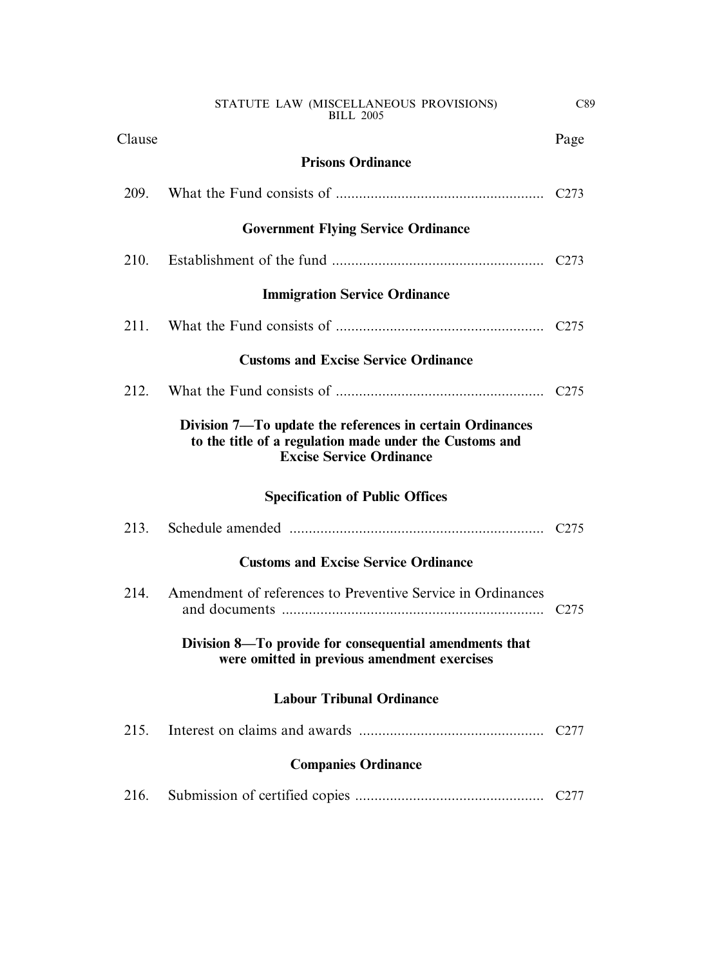C89

Clause Page

| <b>Government Flying Service Ordinance</b>                                                                                                              |                  |  |  |
|---------------------------------------------------------------------------------------------------------------------------------------------------------|------------------|--|--|
|                                                                                                                                                         |                  |  |  |
| <b>Immigration Service Ordinance</b>                                                                                                                    |                  |  |  |
|                                                                                                                                                         |                  |  |  |
| <b>Customs and Excise Service Ordinance</b>                                                                                                             |                  |  |  |
|                                                                                                                                                         |                  |  |  |
| Division 7—To update the references in certain Ordinances<br>to the title of a regulation made under the Customs and<br><b>Excise Service Ordinance</b> |                  |  |  |
| <b>Specification of Public Offices</b>                                                                                                                  |                  |  |  |
|                                                                                                                                                         | C <sub>275</sub> |  |  |
| <b>Customs and Excise Service Ordinance</b>                                                                                                             |                  |  |  |
| Amendment of references to Preventive Service in Ordinances                                                                                             | C <sub>275</sub> |  |  |
| Division 8—To provide for consequential amendments that<br>were omitted in previous amendment exercises                                                 |                  |  |  |
| <b>Labour Tribunal Ordinance</b>                                                                                                                        |                  |  |  |
|                                                                                                                                                         | C <sub>277</sub> |  |  |
| <b>Companies Ordinance</b>                                                                                                                              |                  |  |  |
|                                                                                                                                                         | C <sub>277</sub> |  |  |
|                                                                                                                                                         |                  |  |  |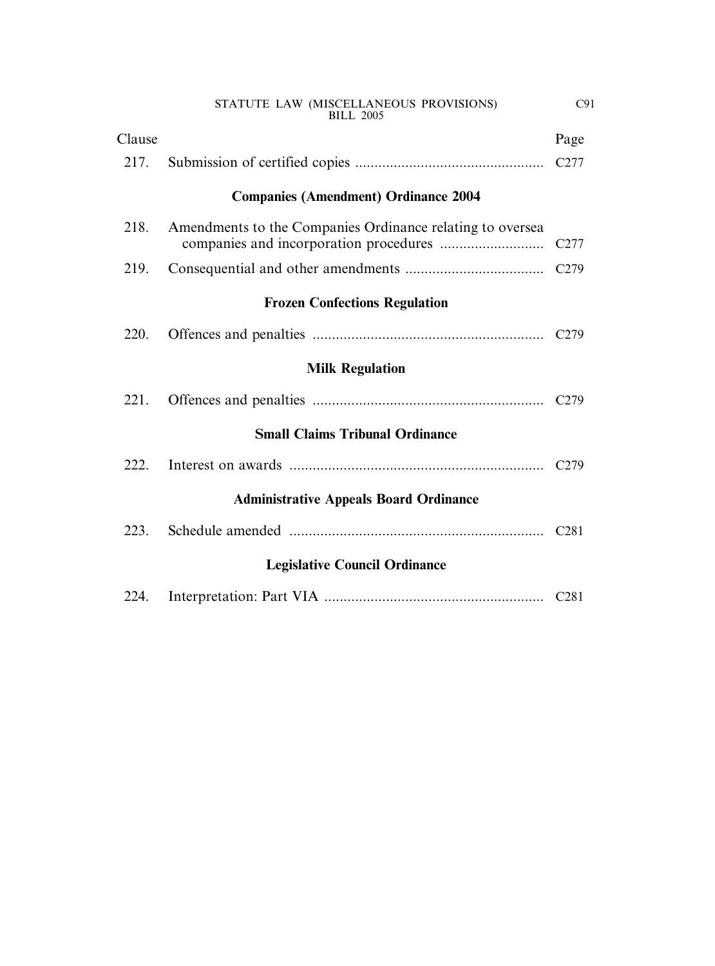|                                      | STATUTE LAW (MISCELLANEOUS PROVISIONS)<br><b>BILL 2005</b> | C91              |  |  |
|--------------------------------------|------------------------------------------------------------|------------------|--|--|
| Clause                               |                                                            | Page             |  |  |
| 217.                                 |                                                            | C <sub>277</sub> |  |  |
|                                      | <b>Companies (Amendment) Ordinance 2004</b>                |                  |  |  |
| 218.                                 | Amendments to the Companies Ordinance relating to oversea  | C <sub>277</sub> |  |  |
| 219.                                 |                                                            | C <sub>279</sub> |  |  |
|                                      | <b>Frozen Confections Regulation</b>                       |                  |  |  |
| 220.                                 |                                                            |                  |  |  |
|                                      | <b>Milk Regulation</b>                                     |                  |  |  |
| 221.                                 |                                                            |                  |  |  |
|                                      | <b>Small Claims Tribunal Ordinance</b>                     |                  |  |  |
| 222.                                 |                                                            |                  |  |  |
|                                      | <b>Administrative Appeals Board Ordinance</b>              |                  |  |  |
| 223.                                 |                                                            | C <sub>281</sub> |  |  |
| <b>Legislative Council Ordinance</b> |                                                            |                  |  |  |
| 224.                                 |                                                            |                  |  |  |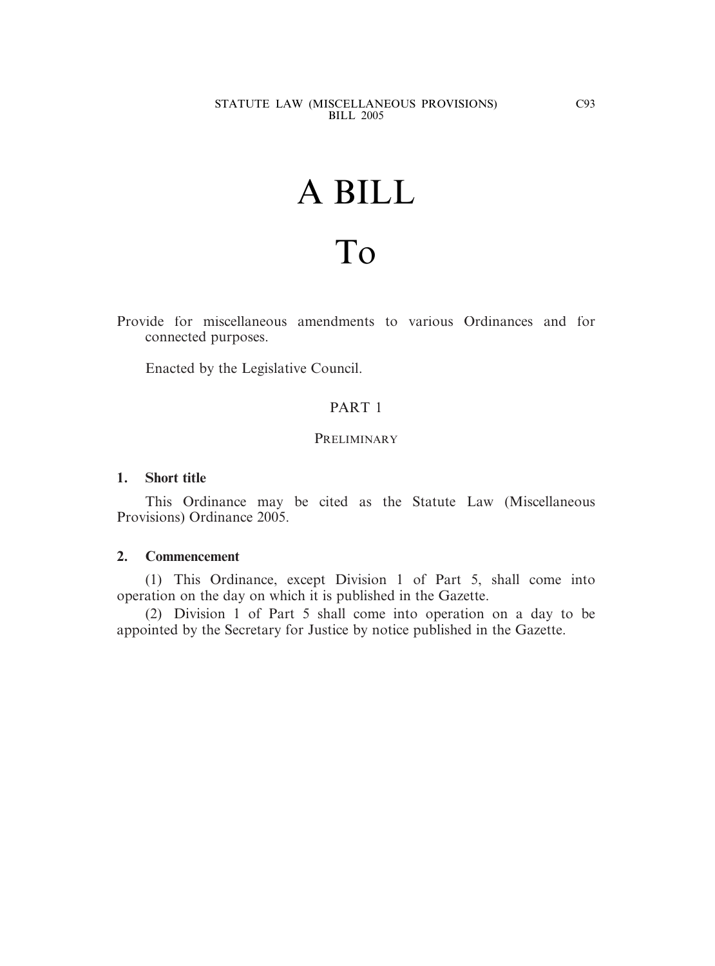# A BILL

## To

Provide for miscellaneous amendments to various Ordinances and for connected purposes.

Enacted by the Legislative Council.

#### PART 1

#### **PRELIMINARY**

#### **1. Short title**

This Ordinance may be cited as the Statute Law (Miscellaneous Provisions) Ordinance 2005.

#### **2. Commencement**

(1) This Ordinance, except Division 1 of Part 5, shall come into operation on the day on which it is published in the Gazette.

(2) Division 1 of Part 5 shall come into operation on a day to be appointed by the Secretary for Justice by notice published in the Gazette.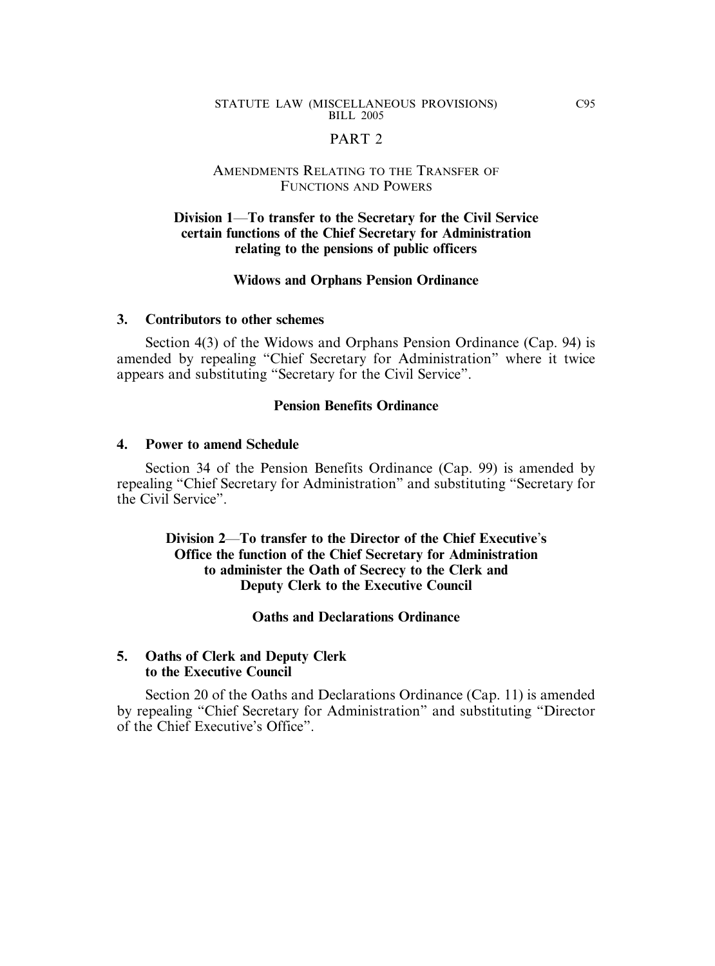#### PART<sub>2</sub>

#### AMENDMENTS RELATING TO THE TRANSFER OF FUNCTIONS AND POWERS

#### **Division 1**—**To transfer to the Secretary for the Civil Service certain functions of the Chief Secretary for Administration relating to the pensions of public officers**

#### **Widows and Orphans Pension Ordinance**

#### **3. Contributors to other schemes**

Section 4(3) of the Widows and Orphans Pension Ordinance (Cap. 94) is amended by repealing "Chief Secretary for Administration" where it twice appears and substituting "Secretary for the Civil Service".

#### **Pension Benefits Ordinance**

#### **4. Power to amend Schedule**

Section 34 of the Pension Benefits Ordinance (Cap. 99) is amended by repealing "Chief Secretary for Administration" and substituting "Secretary for the Civil Service".

> **Division 2**—**To transfer to the Director of the Chief Executive**'**s Office the function of the Chief Secretary for Administration to administer the Oath of Secrecy to the Clerk and Deputy Clerk to the Executive Council**

> > **Oaths and Declarations Ordinance**

#### **5. Oaths of Clerk and Deputy Clerk to the Executive Council**

Section 20 of the Oaths and Declarations Ordinance (Cap. 11) is amended by repealing "Chief Secretary for Administration" and substituting "Director of the Chief Executive's Office".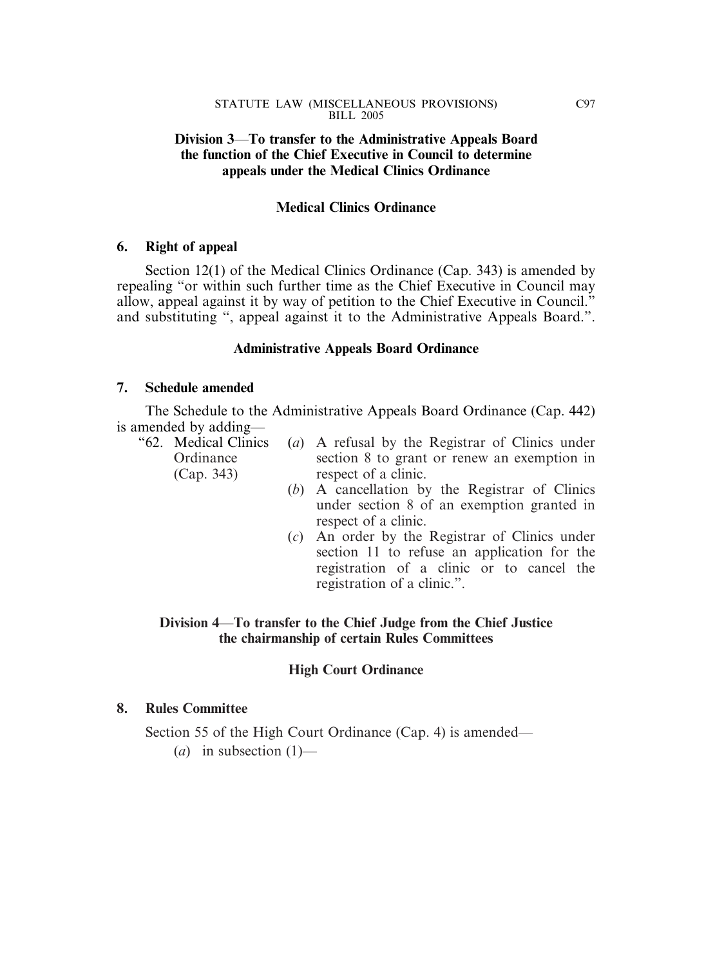#### **Division 3**—**To transfer to the Administrative Appeals Board the function of the Chief Executive in Council to determine appeals under the Medical Clinics Ordinance**

#### **Medical Clinics Ordinance**

#### **6. Right of appeal**

Section 12(1) of the Medical Clinics Ordinance (Cap. 343) is amended by repealing "or within such further time as the Chief Executive in Council may allow, appeal against it by way of petition to the Chief Executive in Council." and substituting ", appeal against it to the Administrative Appeals Board.".

#### **Administrative Appeals Board Ordinance**

#### **7. Schedule amended**

The Schedule to the Administrative Appeals Board Ordinance (Cap. 442) is amended by adding—

- "62. Medical Clinics (*a*) A refusal by the Registrar of Clinics under Ordinance section 8 to grant or renew an exemption in (Cap. 343) respect of a clinic.
	- (*b*) A cancellation by the Registrar of Clinics under section 8 of an exemption granted in respect of a clinic.
	- (*c*) An order by the Registrar of Clinics under section 11 to refuse an application for the registration of a clinic or to cancel the registration of a clinic.".

#### **Division 4**—**To transfer to the Chief Judge from the Chief Justice the chairmanship of certain Rules Committees**

#### **High Court Ordinance**

#### **8. Rules Committee**

Section 55 of the High Court Ordinance (Cap. 4) is amended—

 $(a)$  in subsection  $(1)$ —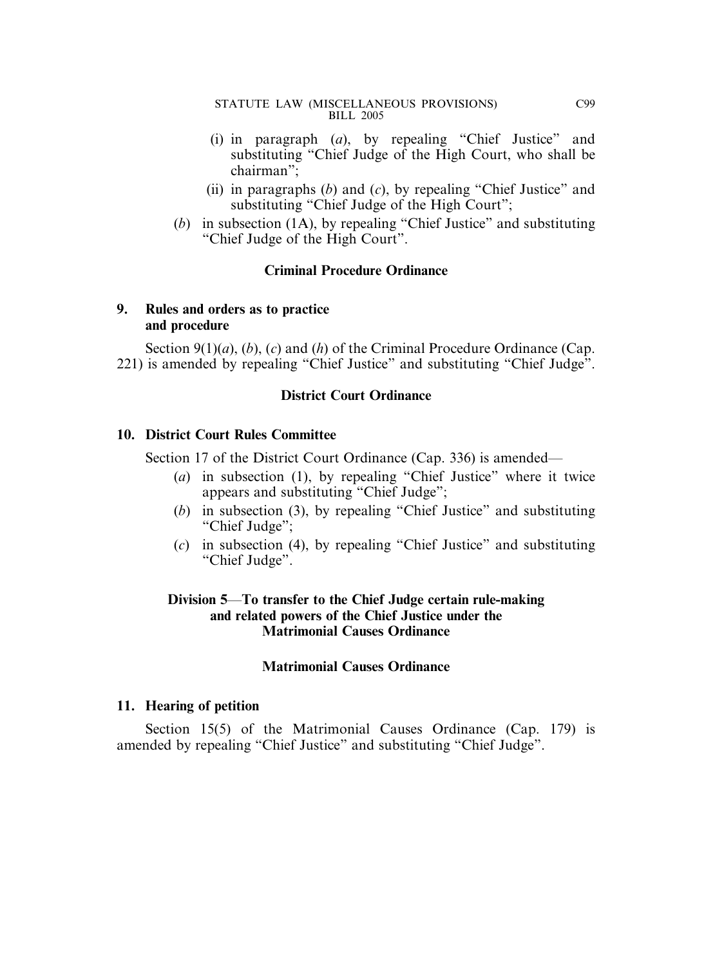- (i) in paragraph (*a*), by repealing "Chief Justice" and substituting "Chief Judge of the High Court, who shall be chairman";
- (ii) in paragraphs (*b*) and (*c*), by repealing "Chief Justice" and substituting "Chief Judge of the High Court";
- (*b*) in subsection (1A), by repealing "Chief Justice" and substituting "Chief Judge of the High Court".

#### **Criminal Procedure Ordinance**

#### **9. Rules and orders as to practice and procedure**

Section 9(1)(*a*), (*b*), (*c*) and (*h*) of the Criminal Procedure Ordinance (Cap. 221) is amended by repealing "Chief Justice" and substituting "Chief Judge".

#### **District Court Ordinance**

#### **10. District Court Rules Committee**

Section 17 of the District Court Ordinance (Cap. 336) is amended—

- (*a*) in subsection (1), by repealing "Chief Justice" where it twice appears and substituting "Chief Judge";
- (*b*) in subsection (3), by repealing "Chief Justice" and substituting "Chief Judge";
- (*c*) in subsection (4), by repealing "Chief Justice" and substituting "Chief Judge".

#### **Division 5**—**To transfer to the Chief Judge certain rule-making and related powers of the Chief Justice under the Matrimonial Causes Ordinance**

#### **Matrimonial Causes Ordinance**

#### **11. Hearing of petition**

Section 15(5) of the Matrimonial Causes Ordinance (Cap. 179) is amended by repealing "Chief Justice" and substituting "Chief Judge".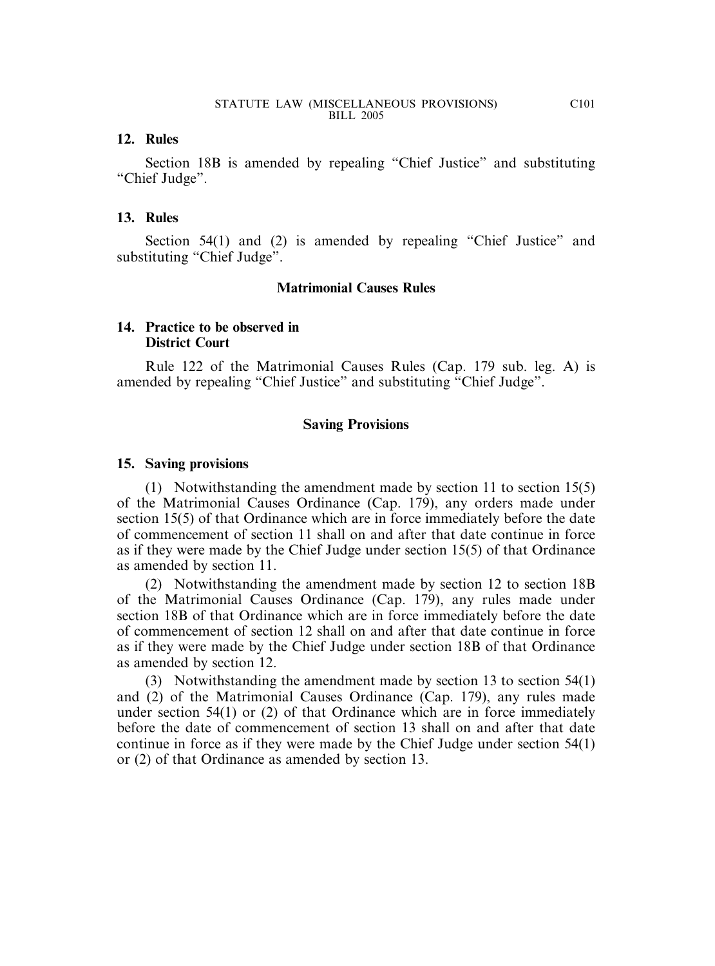#### **12. Rules**

Section 18B is amended by repealing "Chief Justice" and substituting "Chief Judge".

#### **13. Rules**

Section 54(1) and (2) is amended by repealing "Chief Justice" and substituting "Chief Judge".

#### **Matrimonial Causes Rules**

#### **14. Practice to be observed in District Court**

Rule 122 of the Matrimonial Causes Rules (Cap. 179 sub. leg. A) is amended by repealing "Chief Justice" and substituting "Chief Judge".

#### **Saving Provisions**

#### **15. Saving provisions**

(1) Notwithstanding the amendment made by section 11 to section 15(5) of the Matrimonial Causes Ordinance (Cap. 179), any orders made under section 15(5) of that Ordinance which are in force immediately before the date of commencement of section 11 shall on and after that date continue in force as if they were made by the Chief Judge under section 15(5) of that Ordinance as amended by section 11.

(2) Notwithstanding the amendment made by section 12 to section 18B of the Matrimonial Causes Ordinance (Cap. 179), any rules made under section 18B of that Ordinance which are in force immediately before the date of commencement of section 12 shall on and after that date continue in force as if they were made by the Chief Judge under section 18B of that Ordinance as amended by section 12.

(3) Notwithstanding the amendment made by section 13 to section 54(1) and (2) of the Matrimonial Causes Ordinance (Cap. 179), any rules made under section 54(1) or (2) of that Ordinance which are in force immediately before the date of commencement of section 13 shall on and after that date continue in force as if they were made by the Chief Judge under section 54(1) or (2) of that Ordinance as amended by section 13.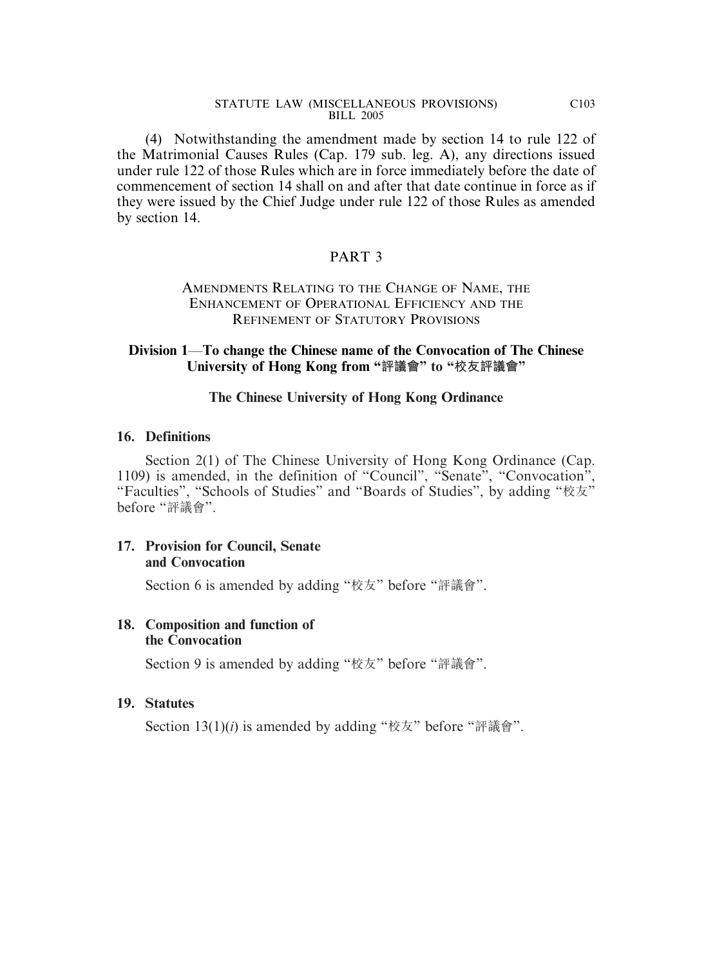(4) Notwithstanding the amendment made by section 14 to rule 122 of the Matrimonial Causes Rules (Cap. 179 sub. leg. A), any directions issued under rule 122 of those Rules which are in force immediately before the date of commencement of section 14 shall on and after that date continue in force as if they were issued by the Chief Judge under rule 122 of those Rules as amended by section 14.

#### PART 3

#### AMENDMENTS RELATING TO THE CHANGE OF NAME, THE ENHANCEMENT OF OPERATIONAL EFFICIENCY AND THE REFINEMENT OF STATUTORY PROVISIONS

#### **Division 1**—**To change the Chinese name of the Convocation of The Chinese University of Hong Kong from "評議會" to "校友評議會"**

#### **The Chinese University of Hong Kong Ordinance**

#### **16. Definitions**

Section 2(1) of The Chinese University of Hong Kong Ordinance (Cap. 1109) is amended, in the definition of "Council", "Senate", "Convocation", "Faculties", "Schools of Studies" and "Boards of Studies", by adding "校友" before "評議會".

#### **17. Provision for Council, Senate and Convocation**

Section 6 is amended by adding "校友" before "評議會".

#### **18. Composition and function of the Convocation**

Section 9 is amended by adding "校友" before "評議會".

#### **19. Statutes**

Section 13(1)(*i*) is amended by adding "校友" before "評議會".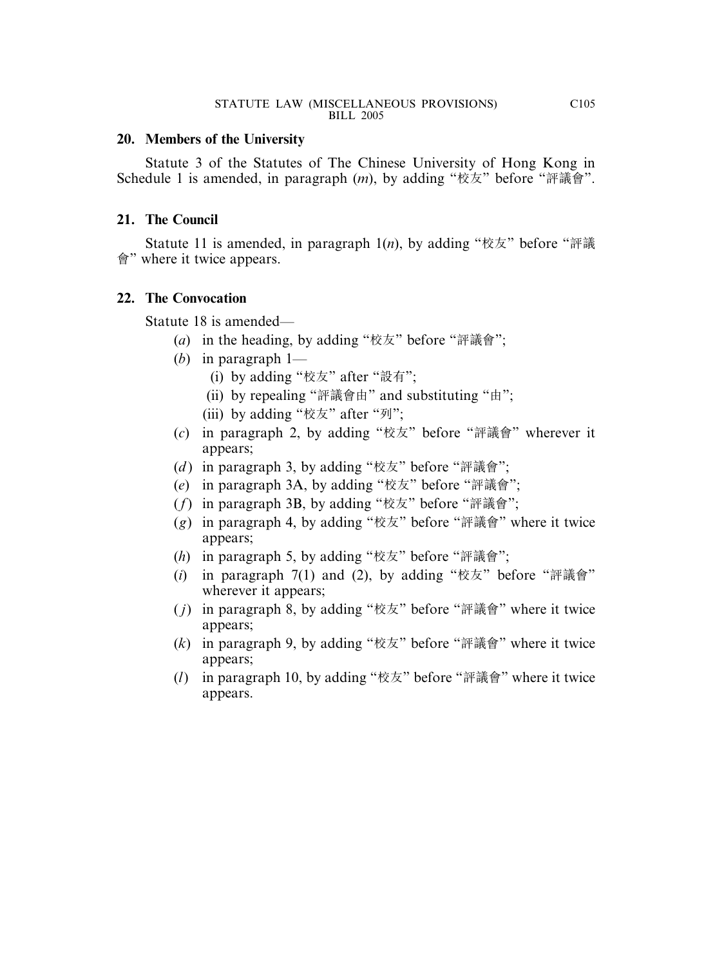#### **20. Members of the University**

Statute 3 of the Statutes of The Chinese University of Hong Kong in Schedule 1 is amended, in paragraph (*m*), by adding "校友" before "評議會".

#### **21. The Council**

Statute 11 is amended, in paragraph 1(*n*), by adding "校友" before "評議 會" where it twice appears.

#### **22. The Convocation**

Statute 18 is amended—

- (*a*) in the heading, by adding "校友" before "評議會";
- (*b*) in paragraph 1—
	- (i) by adding "校友" after "設有";
	- (ii) by repealing "評議會由" and substituting "由";
	- (iii) by adding "校友" after "列";
- (*c*) in paragraph 2, by adding "校友" before "評議會" wherever it appears;
- (*d* ) in paragraph 3, by adding "校友" before "評議會";
- (*e*) in paragraph 3A, by adding "校友" before "評議會";
- (*f*) in paragraph 3B, by adding "校友" before "評議會";
- (*g*) in paragraph 4, by adding "校友" before "評議會" where it twice appears;
- (*h*) in paragraph 5, by adding "校友" before "評議會";
- $(i)$  in paragraph  $7(1)$  and  $(2)$ , by adding "校友" before "評議會" wherever it appears;
- ( *j*) in paragraph 8, by adding "校友" before "評議會" where it twice appears;
- (*k*) in paragraph 9, by adding "校友" before "評議會" where it twice appears;
- (*l*) in paragraph 10, by adding "校友" before "評議會" where it twice appears.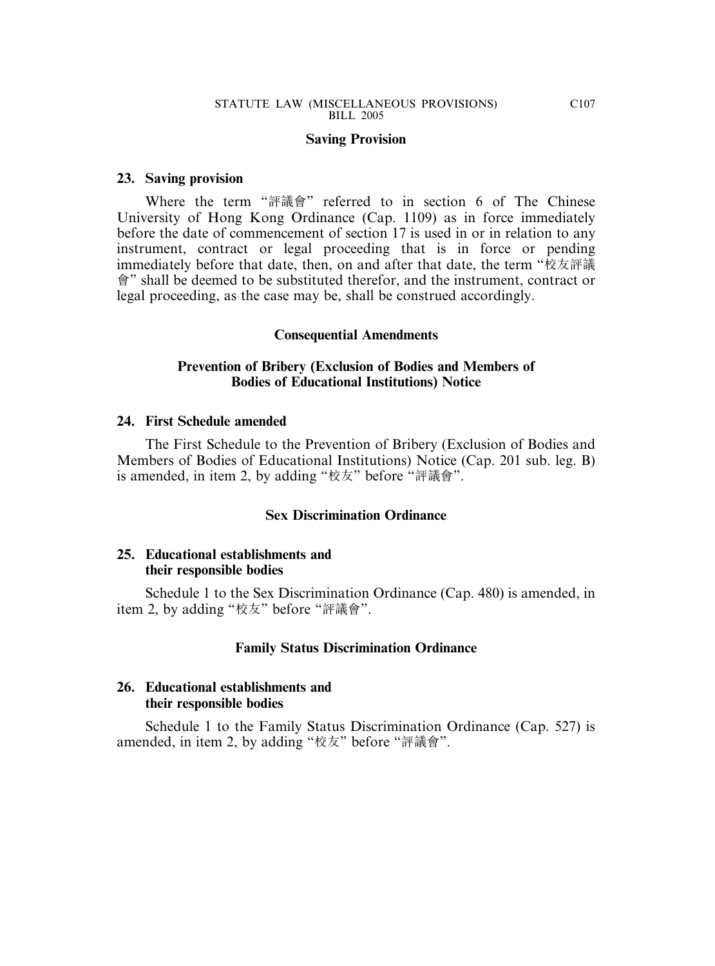#### **Saving Provision**

#### **23. Saving provision**

Where the term "評議會" referred to in section 6 of The Chinese University of Hong Kong Ordinance (Cap. 1109) as in force immediately before the date of commencement of section 17 is used in or in relation to any instrument, contract or legal proceeding that is in force or pending immediately before that date, then, on and after that date, the term "校友評議 會" shall be deemed to be substituted therefor, and the instrument, contract or legal proceeding, as the case may be, shall be construed accordingly.

#### **Consequential Amendments**

#### **Prevention of Bribery (Exclusion of Bodies and Members of Bodies of Educational Institutions) Notice**

#### **24. First Schedule amended**

The First Schedule to the Prevention of Bribery (Exclusion of Bodies and Members of Bodies of Educational Institutions) Notice (Cap. 201 sub. leg. B) is amended, in item 2, by adding "校友" before "評議會".

#### **Sex Discrimination Ordinance**

#### **25. Educational establishments and their responsible bodies**

Schedule 1 to the Sex Discrimination Ordinance (Cap. 480) is amended, in item 2, by adding "校友" before "評議會".

#### **Family Status Discrimination Ordinance**

#### **26. Educational establishments and their responsible bodies**

Schedule 1 to the Family Status Discrimination Ordinance (Cap. 527) is amended, in item 2, by adding "校友" before "評議會".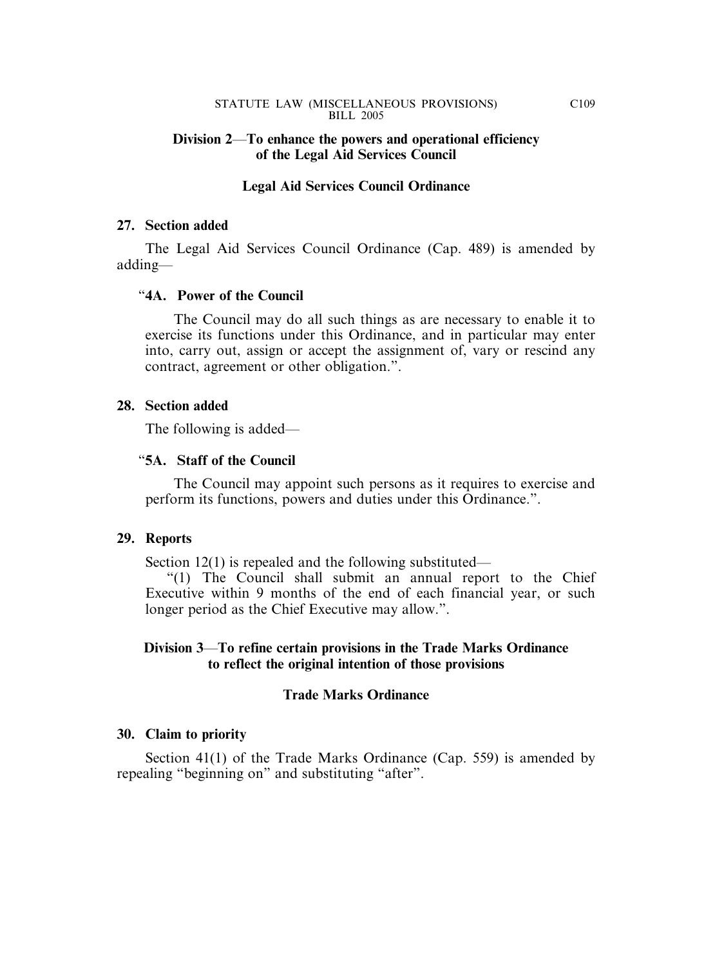#### **Division 2**—**To enhance the powers and operational efficiency of the Legal Aid Services Council**

#### **Legal Aid Services Council Ordinance**

#### **27. Section added**

The Legal Aid Services Council Ordinance (Cap. 489) is amended by adding—

#### "**4A. Power of the Council**

The Council may do all such things as are necessary to enable it to exercise its functions under this Ordinance, and in particular may enter into, carry out, assign or accept the assignment of, vary or rescind any contract, agreement or other obligation.".

#### **28. Section added**

The following is added—

#### "**5A. Staff of the Council**

The Council may appoint such persons as it requires to exercise and perform its functions, powers and duties under this Ordinance.".

#### **29. Reports**

Section 12(1) is repealed and the following substituted—

"(1) The Council shall submit an annual report to the Chief Executive within 9 months of the end of each financial year, or such longer period as the Chief Executive may allow.".

#### **Division 3**—**To refine certain provisions in the Trade Marks Ordinance to reflect the original intention of those provisions**

#### **Trade Marks Ordinance**

#### **30. Claim to priority**

Section 41(1) of the Trade Marks Ordinance (Cap. 559) is amended by repealing "beginning on" and substituting "after".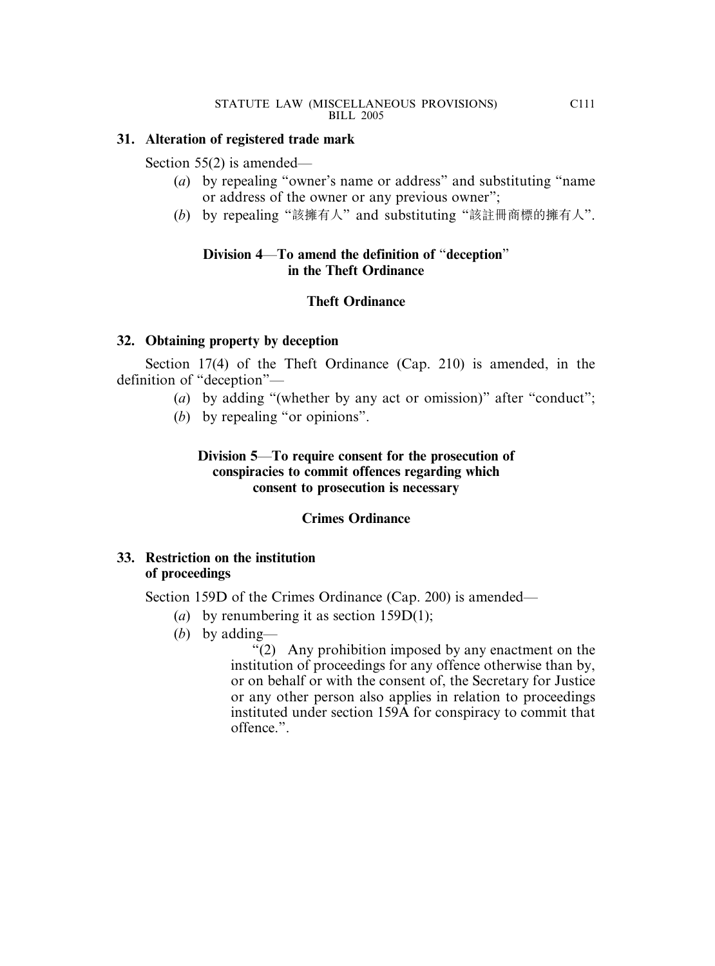#### **31. Alteration of registered trade mark**

Section 55(2) is amended—

- (*a*) by repealing "owner's name or address" and substituting "name or address of the owner or any previous owner";
- (*b*) by repealing "該擁有人" and substituting "該註冊商標的擁有人".

#### **Division 4**—**To amend the definition of** "**deception**" **in the Theft Ordinance**

#### **Theft Ordinance**

#### **32. Obtaining property by deception**

Section 17(4) of the Theft Ordinance (Cap. 210) is amended, in the definition of "deception"—

- (*a*) by adding "(whether by any act or omission)" after "conduct";
- (*b*) by repealing "or opinions".

#### **Division 5**—**To require consent for the prosecution of conspiracies to commit offences regarding which consent to prosecution is necessary**

#### **Crimes Ordinance**

#### **33. Restriction on the institution of proceedings**

Section 159D of the Crimes Ordinance (Cap. 200) is amended—

- (*a*) by renumbering it as section 159D(1);
- (*b*) by adding—

"(2) Any prohibition imposed by any enactment on the institution of proceedings for any offence otherwise than by, or on behalf or with the consent of, the Secretary for Justice or any other person also applies in relation to proceedings instituted under section 159A for conspiracy to commit that offence.".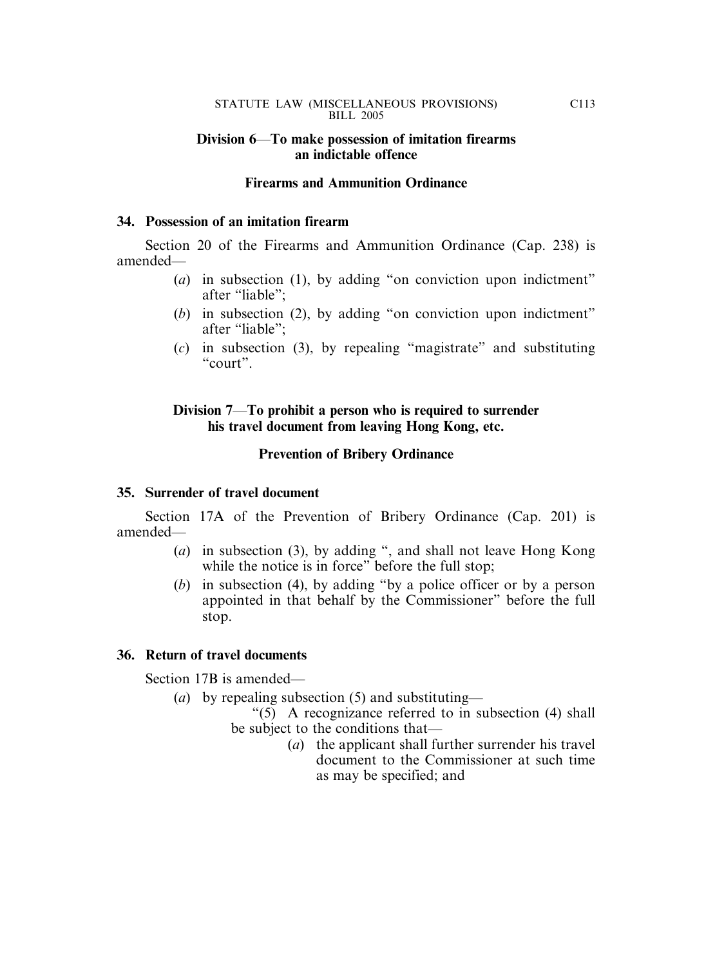#### **Division 6**—**To make possession of imitation firearms an indictable offence**

#### **Firearms and Ammunition Ordinance**

#### **34. Possession of an imitation firearm**

Section 20 of the Firearms and Ammunition Ordinance (Cap. 238) is amended—

- (*a*) in subsection (1), by adding "on conviction upon indictment" after "liable";
- (*b*) in subsection (2), by adding "on conviction upon indictment" after "liable";
- (*c*) in subsection (3), by repealing "magistrate" and substituting "court".

#### **Division 7**—**To prohibit a person who is required to surrender his travel document from leaving Hong Kong, etc.**

#### **Prevention of Bribery Ordinance**

#### **35. Surrender of travel document**

Section 17A of the Prevention of Bribery Ordinance (Cap. 201) is amended—

- (*a*) in subsection (3), by adding ", and shall not leave Hong Kong while the notice is in force" before the full stop;
- (*b*) in subsection (4), by adding "by a police officer or by a person appointed in that behalf by the Commissioner" before the full stop.

#### **36. Return of travel documents**

Section 17B is amended—

(*a*) by repealing subsection (5) and substituting—

"(5) A recognizance referred to in subsection (4) shall be subject to the conditions that—

(*a*) the applicant shall further surrender his travel document to the Commissioner at such time as may be specified; and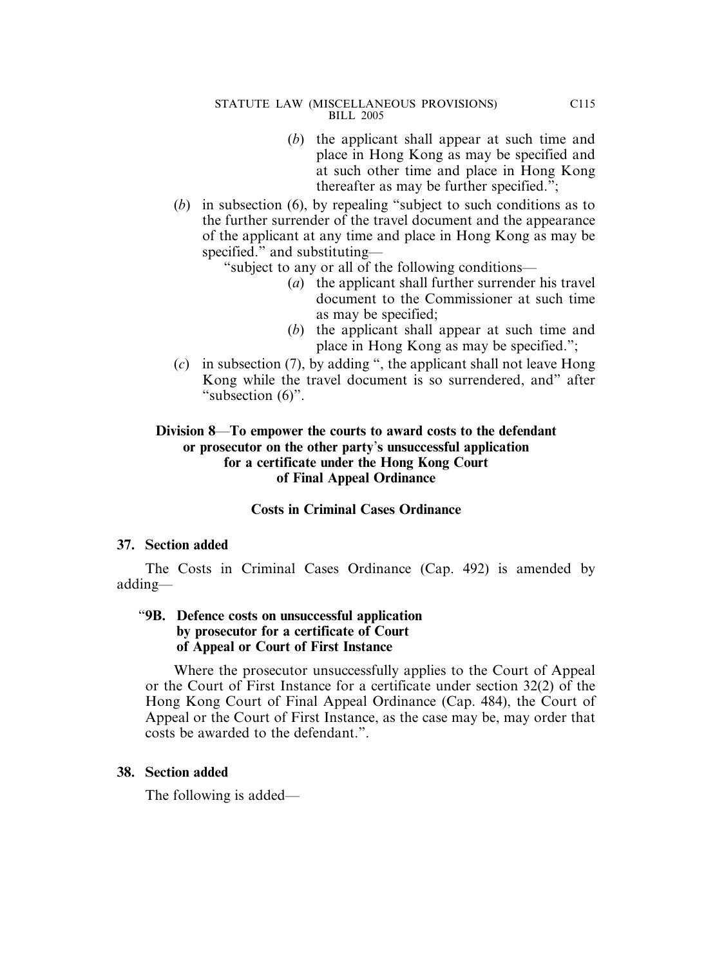- (*b*) the applicant shall appear at such time and place in Hong Kong as may be specified and at such other time and place in Hong Kong thereafter as may be further specified.";
- (*b*) in subsection (6), by repealing "subject to such conditions as to the further surrender of the travel document and the appearance of the applicant at any time and place in Hong Kong as may be specified." and substituting—

"subject to any or all of the following conditions—

- (*a*) the applicant shall further surrender his travel document to the Commissioner at such time as may be specified;
- (*b*) the applicant shall appear at such time and place in Hong Kong as may be specified.";
- (*c*) in subsection (7), by adding ", the applicant shall not leave Hong Kong while the travel document is so surrendered, and" after "subsection  $(6)$ ".

#### **Division 8**—**To empower the courts to award costs to the defendant or prosecutor on the other party**'**s unsuccessful application for a certificate under the Hong Kong Court of Final Appeal Ordinance**

#### **Costs in Criminal Cases Ordinance**

#### **37. Section added**

The Costs in Criminal Cases Ordinance (Cap. 492) is amended by adding—

#### "**9B. Defence costs on unsuccessful application by prosecutor for a certificate of Court of Appeal or Court of First Instance**

Where the prosecutor unsuccessfully applies to the Court of Appeal or the Court of First Instance for a certificate under section 32(2) of the Hong Kong Court of Final Appeal Ordinance (Cap. 484), the Court of Appeal or the Court of First Instance, as the case may be, may order that costs be awarded to the defendant.".

#### **38. Section added**

The following is added—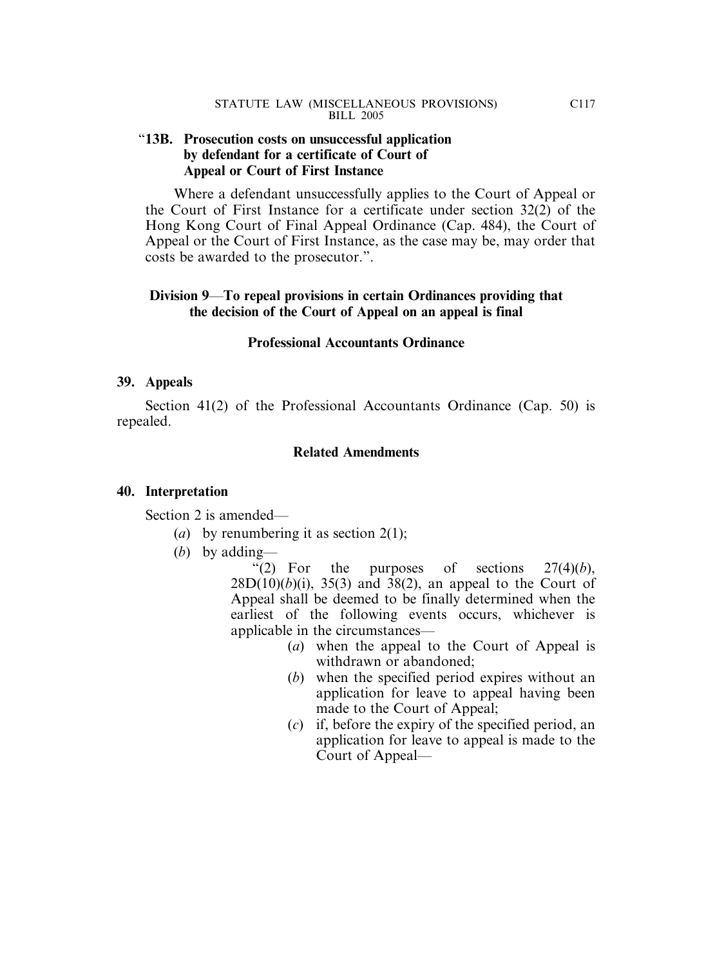#### "**13B. Prosecution costs on unsuccessful application by defendant for a certificate of Court of Appeal or Court of First Instance**

Where a defendant unsuccessfully applies to the Court of Appeal or the Court of First Instance for a certificate under section 32(2) of the Hong Kong Court of Final Appeal Ordinance (Cap. 484), the Court of Appeal or the Court of First Instance, as the case may be, may order that costs be awarded to the prosecutor.".

#### **Division 9**—**To repeal provisions in certain Ordinances providing that the decision of the Court of Appeal on an appeal is final**

#### **Professional Accountants Ordinance**

#### **39. Appeals**

Section 41(2) of the Professional Accountants Ordinance (Cap. 50) is repealed.

#### **Related Amendments**

#### **40. Interpretation**

Section 2 is amended—

- (*a*) by renumbering it as section 2(1);
- (*b*) by adding—

"(2) For the purposes of sections  $27(4)(b)$ ,  $28D(10)(b)(i)$ ,  $35(3)$  and  $38(2)$ , an appeal to the Court of Appeal shall be deemed to be finally determined when the earliest of the following events occurs, whichever is applicable in the circumstances—

- (*a*) when the appeal to the Court of Appeal is withdrawn or abandoned;
- (*b*) when the specified period expires without an application for leave to appeal having been made to the Court of Appeal;
- (*c*) if, before the expiry of the specified period, an application for leave to appeal is made to the Court of Appeal—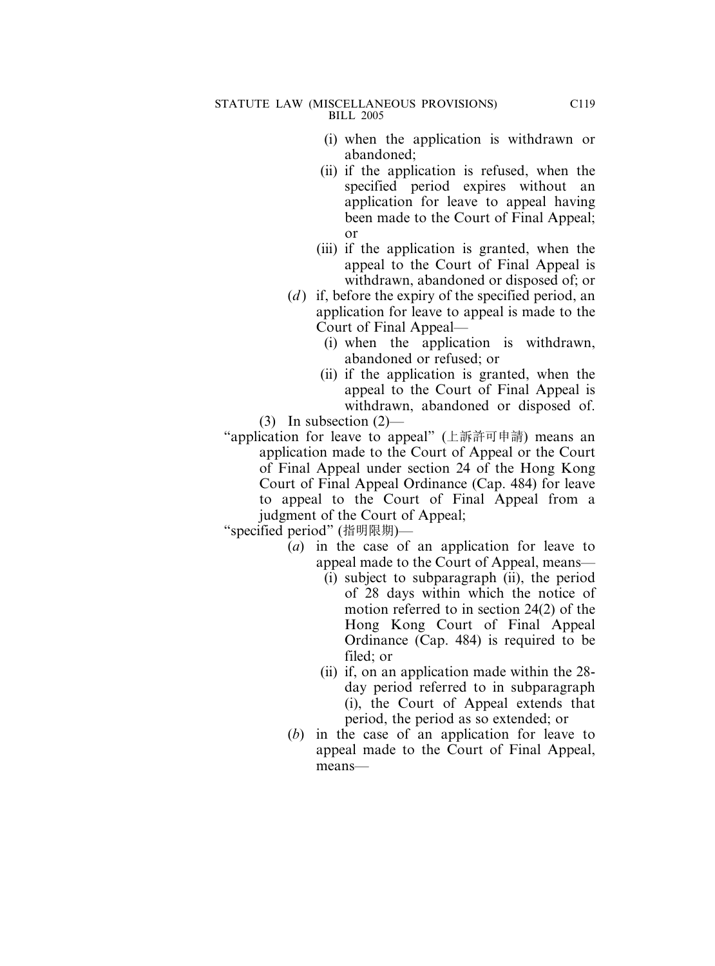- (i) when the application is withdrawn or abandoned;
- (ii) if the application is refused, when the specified period expires without an application for leave to appeal having been made to the Court of Final Appeal; or
- (iii) if the application is granted, when the appeal to the Court of Final Appeal is withdrawn, abandoned or disposed of; or
- (*d*) if, before the expiry of the specified period, an application for leave to appeal is made to the Court of Final Appeal—
	- (i) when the application is withdrawn, abandoned or refused; or
	- (ii) if the application is granted, when the appeal to the Court of Final Appeal is withdrawn, abandoned or disposed of.

(3) In subsection (2)—

"application for leave to appeal" (上訴許可申請) means an application made to the Court of Appeal or the Court of Final Appeal under section 24 of the Hong Kong Court of Final Appeal Ordinance (Cap. 484) for leave to appeal to the Court of Final Appeal from a judgment of the Court of Appeal;

"specified period" (指明限期)—

- (*a*) in the case of an application for leave to appeal made to the Court of Appeal, means—
	- (i) subject to subparagraph (ii), the period of 28 days within which the notice of motion referred to in section 24(2) of the Hong Kong Court of Final Appeal Ordinance (Cap. 484) is required to be filed; or
	- (ii) if, on an application made within the 28 day period referred to in subparagraph (i), the Court of Appeal extends that period, the period as so extended; or
- (*b*) in the case of an application for leave to appeal made to the Court of Final Appeal, means—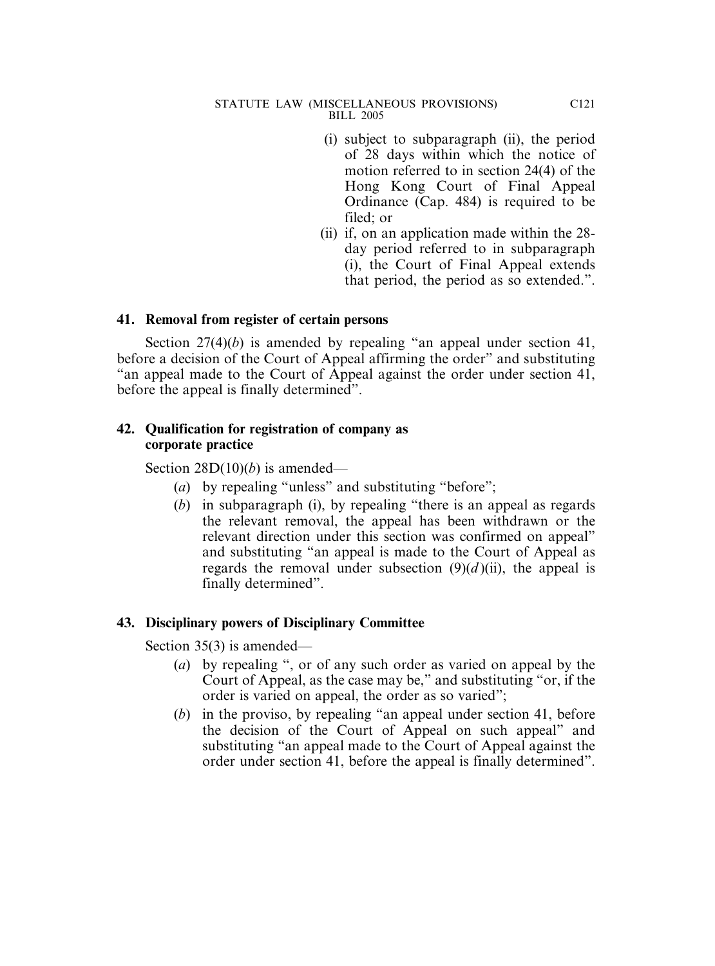- (i) subject to subparagraph (ii), the period of 28 days within which the notice of motion referred to in section 24(4) of the Hong Kong Court of Final Appeal Ordinance (Cap. 484) is required to be filed; or
- (ii) if, on an application made within the 28 day period referred to in subparagraph (i), the Court of Final Appeal extends that period, the period as so extended.".

## **41. Removal from register of certain persons**

Section 27(4)(*b*) is amended by repealing "an appeal under section 41, before a decision of the Court of Appeal affirming the order" and substituting "an appeal made to the Court of Appeal against the order under section 41, before the appeal is finally determined".

## **42. Qualification for registration of company as corporate practice**

Section 28D(10)(*b*) is amended—

- (*a*) by repealing "unless" and substituting "before";
- (*b*) in subparagraph (i), by repealing "there is an appeal as regards the relevant removal, the appeal has been withdrawn or the relevant direction under this section was confirmed on appeal" and substituting "an appeal is made to the Court of Appeal as regards the removal under subsection  $(9)(d)$ (ii), the appeal is finally determined".

## **43. Disciplinary powers of Disciplinary Committee**

Section 35(3) is amended—

- (*a*) by repealing ", or of any such order as varied on appeal by the Court of Appeal, as the case may be," and substituting "or, if the order is varied on appeal, the order as so varied";
- (*b*) in the proviso, by repealing "an appeal under section 41, before the decision of the Court of Appeal on such appeal" and substituting "an appeal made to the Court of Appeal against the order under section 41, before the appeal is finally determined".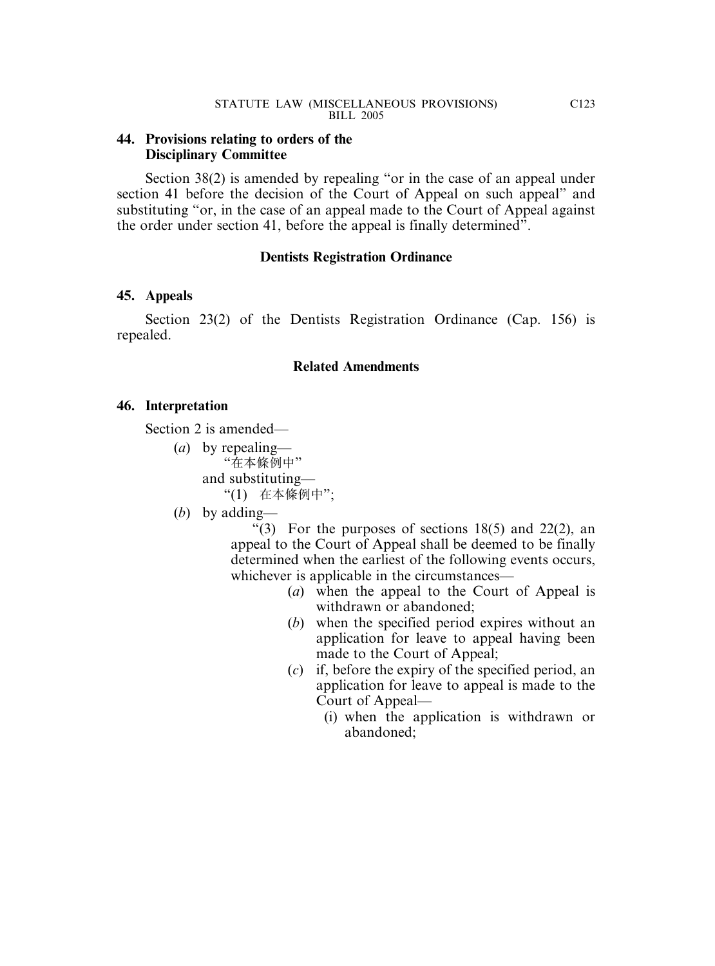### **44. Provisions relating to orders of the Disciplinary Committee**

Section 38(2) is amended by repealing "or in the case of an appeal under section 41 before the decision of the Court of Appeal on such appeal" and substituting "or, in the case of an appeal made to the Court of Appeal against the order under section 41, before the appeal is finally determined".

### **Dentists Registration Ordinance**

## **45. Appeals**

Section 23(2) of the Dentists Registration Ordinance (Cap. 156) is repealed.

### **Related Amendments**

### **46. Interpretation**

Section 2 is amended—

- (*a*) by repealing— "在本條例中" and substituting— "(1) 在本條例中";
- (*b*) by adding—

"(3) For the purposes of sections  $18(5)$  and  $22(2)$ , an appeal to the Court of Appeal shall be deemed to be finally determined when the earliest of the following events occurs, whichever is applicable in the circumstances—

- (*a*) when the appeal to the Court of Appeal is withdrawn or abandoned;
- (*b*) when the specified period expires without an application for leave to appeal having been made to the Court of Appeal;
- (*c*) if, before the expiry of the specified period, an application for leave to appeal is made to the Court of Appeal—
	- (i) when the application is withdrawn or abandoned;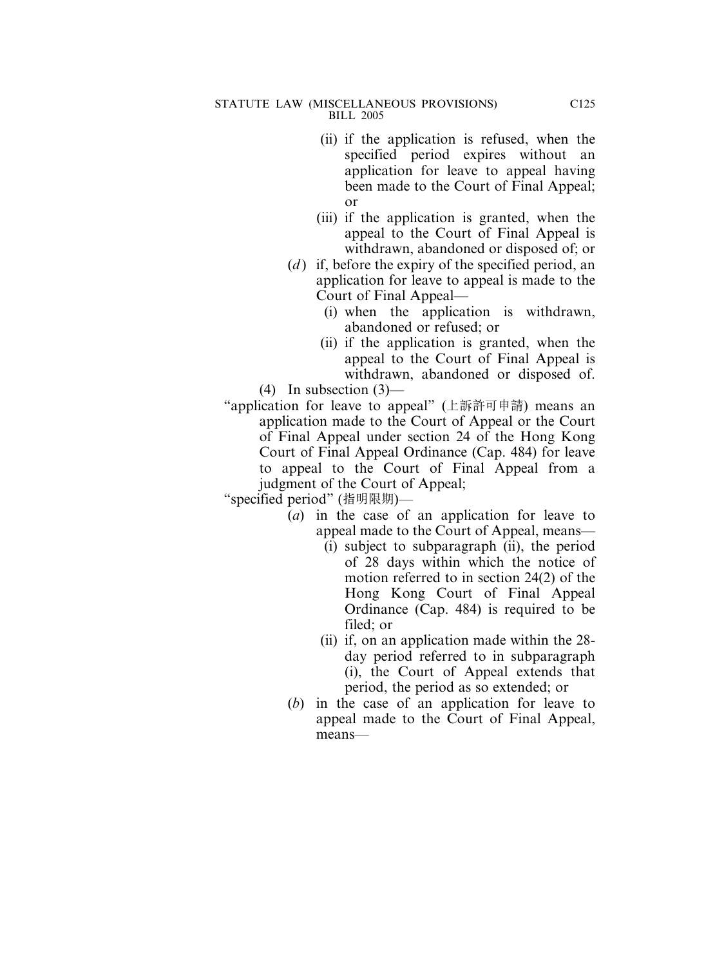- (ii) if the application is refused, when the specified period expires without an application for leave to appeal having been made to the Court of Final Appeal; or
- (iii) if the application is granted, when the appeal to the Court of Final Appeal is withdrawn, abandoned or disposed of; or
- (*d*) if, before the expiry of the specified period, an application for leave to appeal is made to the Court of Final Appeal—
	- (i) when the application is withdrawn, abandoned or refused; or
	- (ii) if the application is granted, when the appeal to the Court of Final Appeal is withdrawn, abandoned or disposed of.

 $(4)$  In subsection  $(3)$ —

"application for leave to appeal" (上訴許可申請) means an application made to the Court of Appeal or the Court of Final Appeal under section 24 of the Hong Kong Court of Final Appeal Ordinance (Cap. 484) for leave to appeal to the Court of Final Appeal from a judgment of the Court of Appeal;

- (*a*) in the case of an application for leave to appeal made to the Court of Appeal, means—
	- (i) subject to subparagraph (ii), the period of 28 days within which the notice of motion referred to in section 24(2) of the Hong Kong Court of Final Appeal Ordinance (Cap. 484) is required to be filed; or
	- (ii) if, on an application made within the 28 day period referred to in subparagraph (i), the Court of Appeal extends that period, the period as so extended; or
- (*b*) in the case of an application for leave to appeal made to the Court of Final Appeal, means—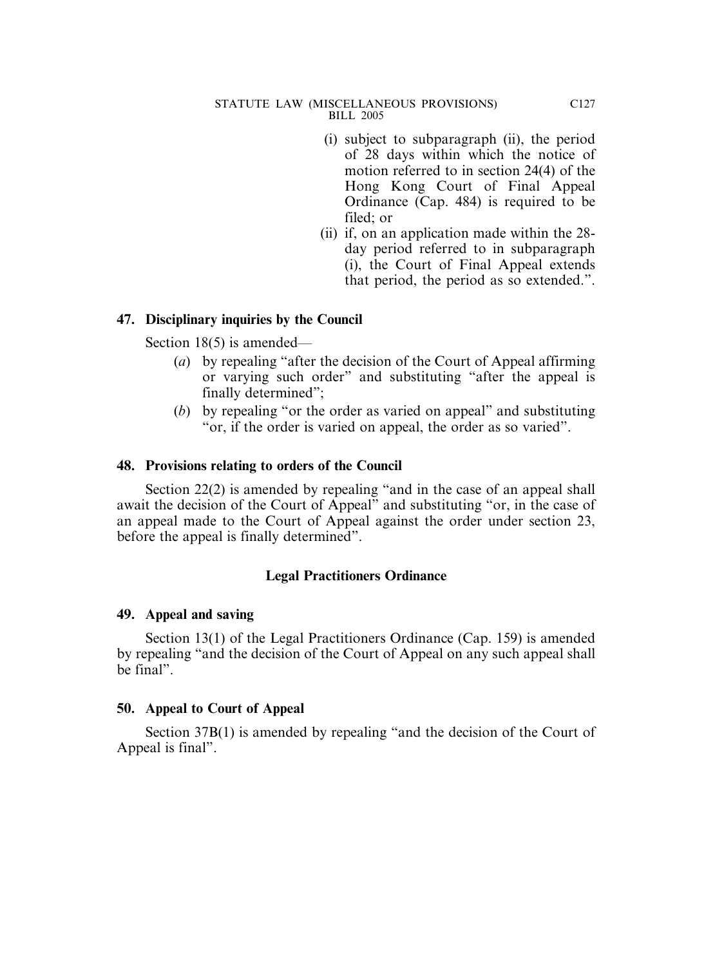- (i) subject to subparagraph (ii), the period of 28 days within which the notice of motion referred to in section 24(4) of the Hong Kong Court of Final Appeal Ordinance (Cap. 484) is required to be filed; or
- (ii) if, on an application made within the 28 day period referred to in subparagraph (i), the Court of Final Appeal extends that period, the period as so extended.".

## **47. Disciplinary inquiries by the Council**

Section 18(5) is amended—

- (*a*) by repealing "after the decision of the Court of Appeal affirming or varying such order" and substituting "after the appeal is finally determined";
- (*b*) by repealing "or the order as varied on appeal" and substituting "or, if the order is varied on appeal, the order as so varied".

## **48. Provisions relating to orders of the Council**

Section 22(2) is amended by repealing "and in the case of an appeal shall await the decision of the Court of Appeal" and substituting "or, in the case of an appeal made to the Court of Appeal against the order under section 23, before the appeal is finally determined".

# **Legal Practitioners Ordinance**

## **49. Appeal and saving**

Section 13(1) of the Legal Practitioners Ordinance (Cap. 159) is amended by repealing "and the decision of the Court of Appeal on any such appeal shall be final".

## **50. Appeal to Court of Appeal**

Section 37B(1) is amended by repealing "and the decision of the Court of Appeal is final".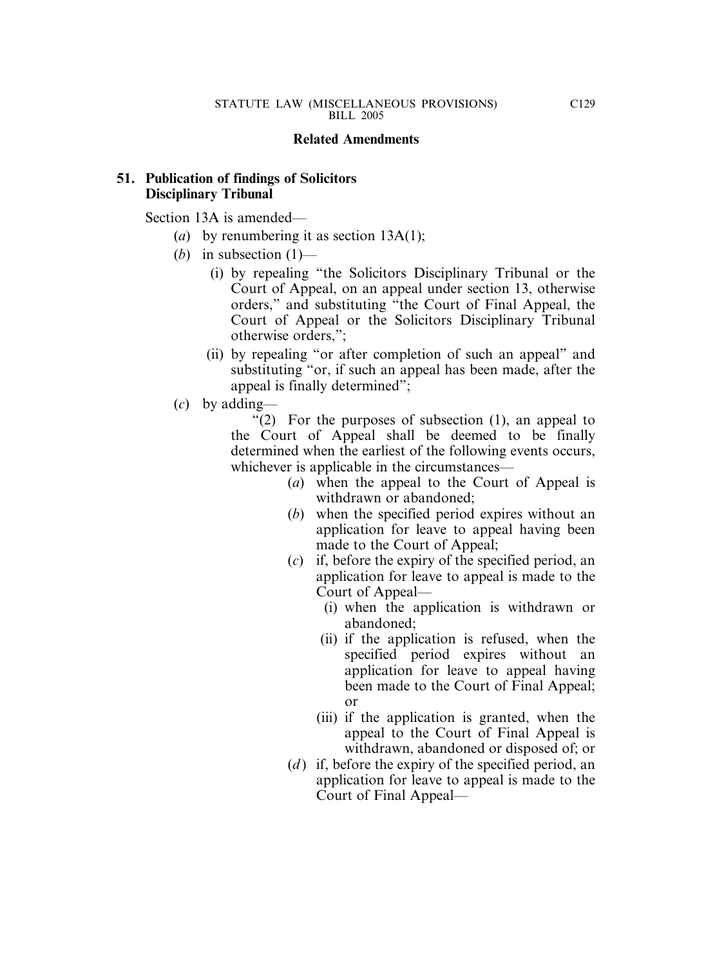### **Related Amendments**

## **51. Publication of findings of Solicitors Disciplinary Tribunal**

Section 13A is amended—

- (*a*) by renumbering it as section 13A(1);
- (*b*) in subsection (1)—
	- (i) by repealing "the Solicitors Disciplinary Tribunal or the Court of Appeal, on an appeal under section 13, otherwise orders," and substituting "the Court of Final Appeal, the Court of Appeal or the Solicitors Disciplinary Tribunal otherwise orders,";
	- (ii) by repealing "or after completion of such an appeal" and substituting "or, if such an appeal has been made, after the appeal is finally determined";
- (*c*) by adding—

" $(2)$  For the purposes of subsection  $(1)$ , an appeal to the Court of Appeal shall be deemed to be finally determined when the earliest of the following events occurs, whichever is applicable in the circumstances—

- (*a*) when the appeal to the Court of Appeal is withdrawn or abandoned;
- (*b*) when the specified period expires without an application for leave to appeal having been made to the Court of Appeal;
- (*c*) if, before the expiry of the specified period, an application for leave to appeal is made to the Court of Appeal—
	- (i) when the application is withdrawn or abandoned;
	- (ii) if the application is refused, when the specified period expires without an application for leave to appeal having been made to the Court of Final Appeal; or
	- (iii) if the application is granted, when the appeal to the Court of Final Appeal is withdrawn, abandoned or disposed of; or
- (*d*) if, before the expiry of the specified period, an application for leave to appeal is made to the Court of Final Appeal—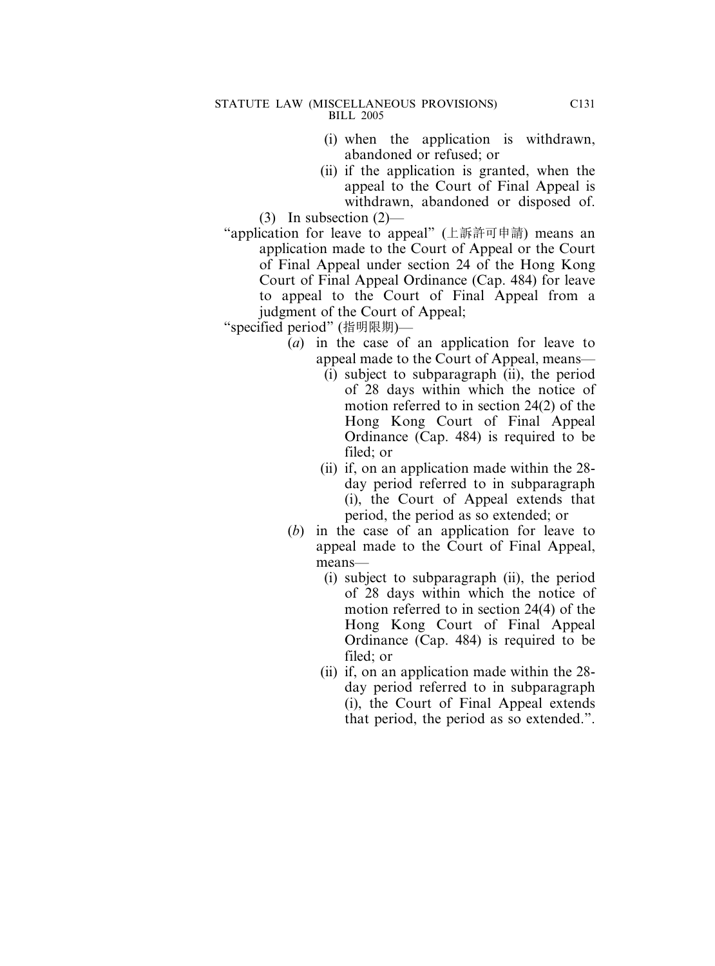- (i) when the application is withdrawn, abandoned or refused; or
- (ii) if the application is granted, when the appeal to the Court of Final Appeal is withdrawn, abandoned or disposed of.

(3) In subsection (2)—

"application for leave to appeal" (上訴許可申請) means an application made to the Court of Appeal or the Court of Final Appeal under section 24 of the Hong Kong Court of Final Appeal Ordinance (Cap. 484) for leave to appeal to the Court of Final Appeal from a judgment of the Court of Appeal;

- (*a*) in the case of an application for leave to appeal made to the Court of Appeal, means—
	- (i) subject to subparagraph (ii), the period of 28 days within which the notice of motion referred to in section 24(2) of the Hong Kong Court of Final Appeal Ordinance (Cap. 484) is required to be filed; or
	- (ii) if, on an application made within the 28 day period referred to in subparagraph (i), the Court of Appeal extends that period, the period as so extended; or
- (*b*) in the case of an application for leave to appeal made to the Court of Final Appeal, means—
	- (i) subject to subparagraph (ii), the period of 28 days within which the notice of motion referred to in section 24(4) of the Hong Kong Court of Final Appeal Ordinance (Cap. 484) is required to be filed; or
	- (ii) if, on an application made within the 28 day period referred to in subparagraph (i), the Court of Final Appeal extends that period, the period as so extended.".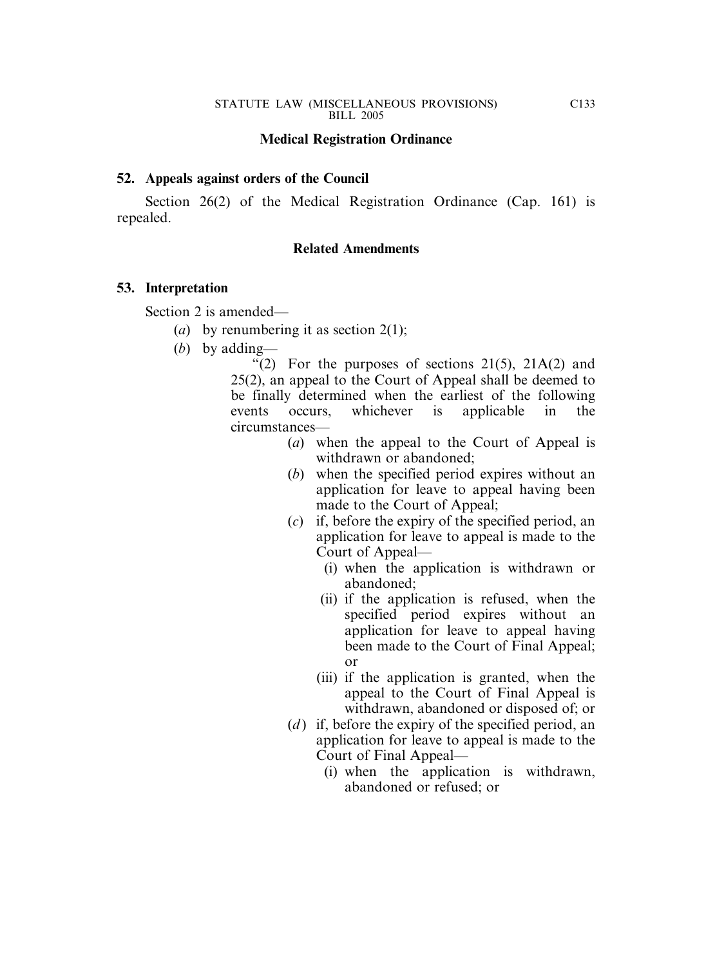### **Medical Registration Ordinance**

### **52. Appeals against orders of the Council**

Section 26(2) of the Medical Registration Ordinance (Cap. 161) is repealed.

### **Related Amendments**

### **53. Interpretation**

Section 2 is amended—

- (*a*) by renumbering it as section 2(1);
- (*b*) by adding—

"(2) For the purposes of sections  $21(5)$ ,  $21A(2)$  and 25(2), an appeal to the Court of Appeal shall be deemed to be finally determined when the earliest of the following events occurs, whichever is applicable in the circumstances—

- (*a*) when the appeal to the Court of Appeal is withdrawn or abandoned;
- (*b*) when the specified period expires without an application for leave to appeal having been made to the Court of Appeal;
- (*c*) if, before the expiry of the specified period, an application for leave to appeal is made to the Court of Appeal—
	- (i) when the application is withdrawn or abandoned;
	- (ii) if the application is refused, when the specified period expires without an application for leave to appeal having been made to the Court of Final Appeal; or
	- (iii) if the application is granted, when the appeal to the Court of Final Appeal is withdrawn, abandoned or disposed of; or
- (*d*) if, before the expiry of the specified period, an application for leave to appeal is made to the Court of Final Appeal—
	- (i) when the application is withdrawn, abandoned or refused; or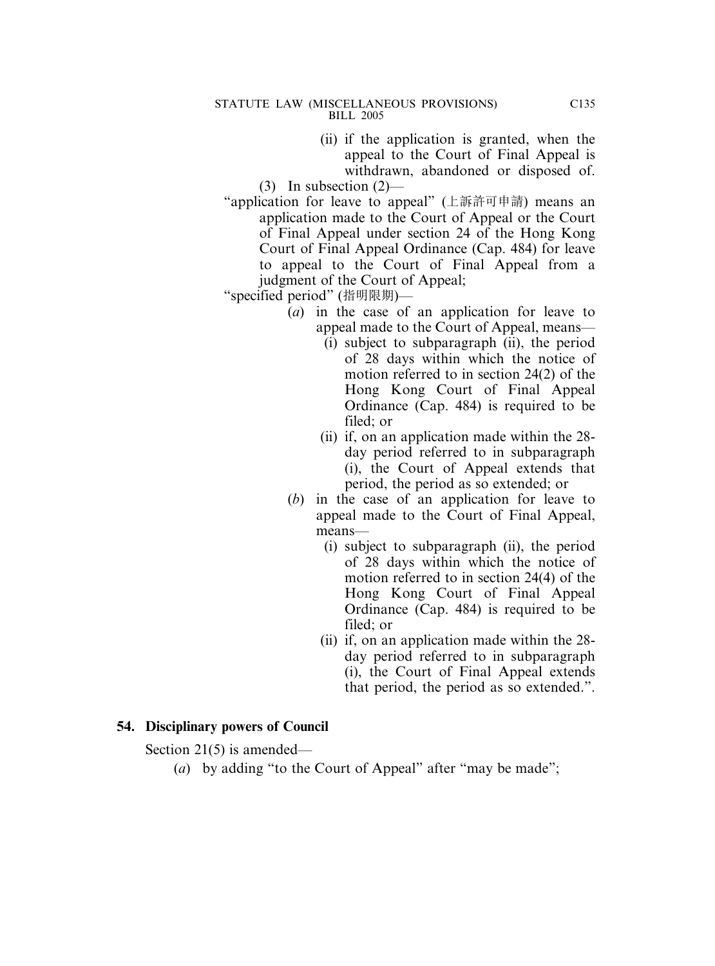- (ii) if the application is granted, when the appeal to the Court of Final Appeal is withdrawn, abandoned or disposed of.
- (3) In subsection (2)—
- "application for leave to appeal" (上訴許可申請) means an application made to the Court of Appeal or the Court of Final Appeal under section 24 of the Hong Kong Court of Final Appeal Ordinance (Cap. 484) for leave to appeal to the Court of Final Appeal from a judgment of the Court of Appeal;
- "specified period" (指明限期)—
	- (*a*) in the case of an application for leave to appeal made to the Court of Appeal, means—
		- (i) subject to subparagraph (ii), the period of 28 days within which the notice of motion referred to in section 24(2) of the Hong Kong Court of Final Appeal Ordinance (Cap. 484) is required to be filed; or
		- (ii) if, on an application made within the 28 day period referred to in subparagraph (i), the Court of Appeal extends that period, the period as so extended; or
	- (*b*) in the case of an application for leave to appeal made to the Court of Final Appeal, means—
		- (i) subject to subparagraph (ii), the period of 28 days within which the notice of motion referred to in section 24(4) of the Hong Kong Court of Final Appeal Ordinance (Cap. 484) is required to be filed; or
		- (ii) if, on an application made within the 28 day period referred to in subparagraph (i), the Court of Final Appeal extends that period, the period as so extended.".

## **54. Disciplinary powers of Council**

Section 21(5) is amended—

(*a*) by adding "to the Court of Appeal" after "may be made";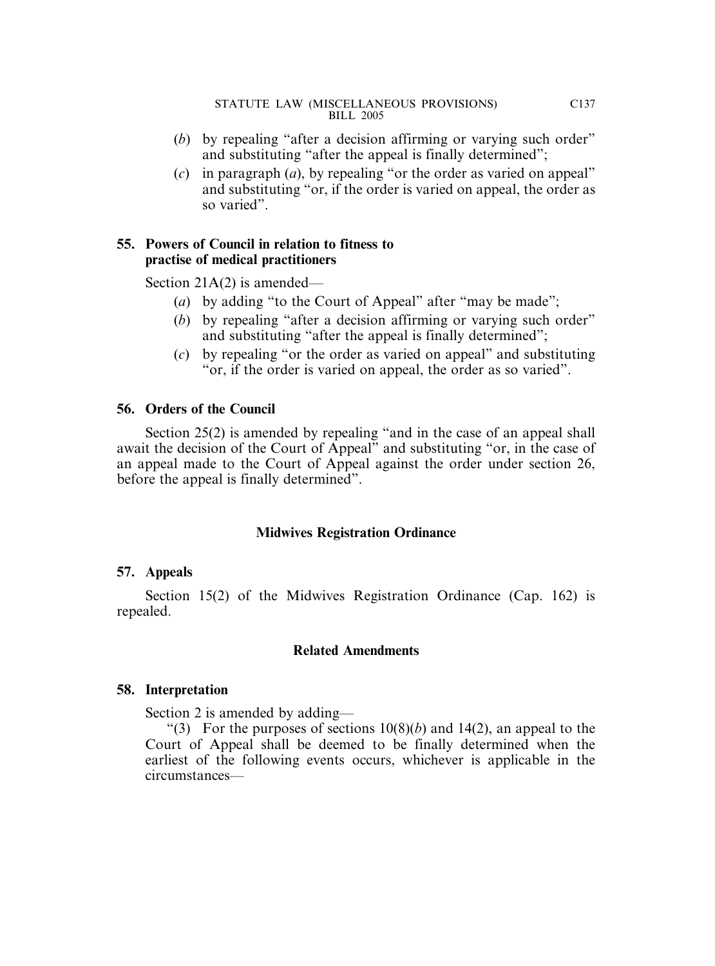- (*b*) by repealing "after a decision affirming or varying such order" and substituting "after the appeal is finally determined";
- (*c*) in paragraph (*a*), by repealing "or the order as varied on appeal" and substituting "or, if the order is varied on appeal, the order as so varied".

# **55. Powers of Council in relation to fitness to practise of medical practitioners**

Section 21A(2) is amended—

- (*a*) by adding "to the Court of Appeal" after "may be made";
- (*b*) by repealing "after a decision affirming or varying such order" and substituting "after the appeal is finally determined";
- (*c*) by repealing "or the order as varied on appeal" and substituting "or, if the order is varied on appeal, the order as so varied".

# **56. Orders of the Council**

Section 25(2) is amended by repealing "and in the case of an appeal shall await the decision of the Court of Appeal" and substituting "or, in the case of an appeal made to the Court of Appeal against the order under section 26, before the appeal is finally determined".

## **Midwives Registration Ordinance**

## **57. Appeals**

Section 15(2) of the Midwives Registration Ordinance (Cap. 162) is repealed.

## **Related Amendments**

## **58. Interpretation**

Section 2 is amended by adding—

"(3) For the purposes of sections  $10(8)(b)$  and  $14(2)$ , an appeal to the Court of Appeal shall be deemed to be finally determined when the earliest of the following events occurs, whichever is applicable in the circumstances—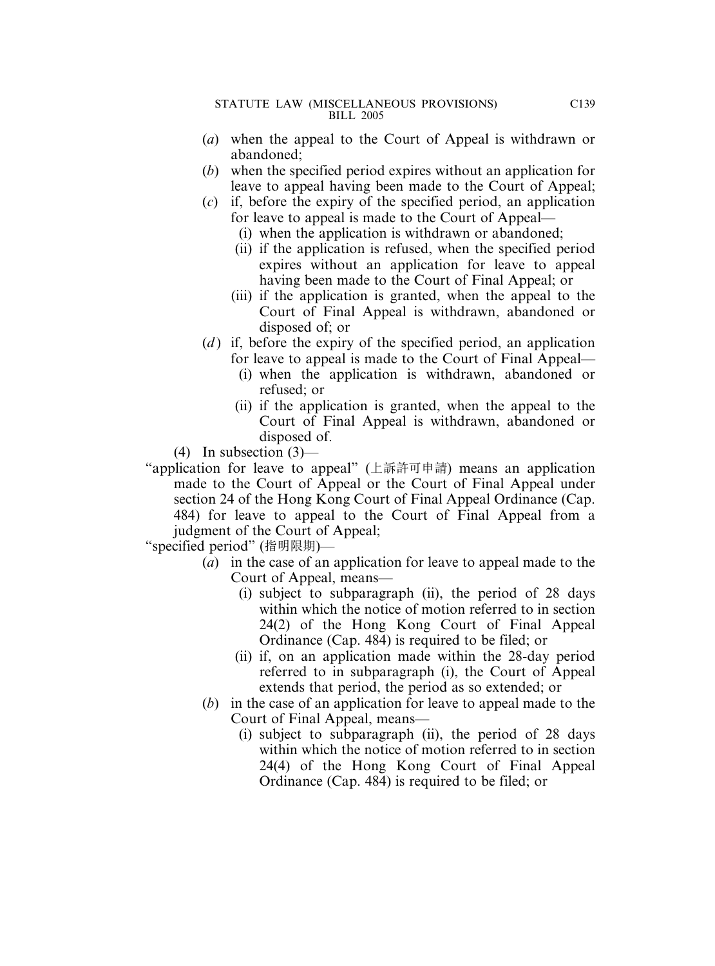- (*a*) when the appeal to the Court of Appeal is withdrawn or abandoned;
- (*b*) when the specified period expires without an application for leave to appeal having been made to the Court of Appeal;
- (*c*) if, before the expiry of the specified period, an application for leave to appeal is made to the Court of Appeal—
	- (i) when the application is withdrawn or abandoned;
	- (ii) if the application is refused, when the specified period expires without an application for leave to appeal having been made to the Court of Final Appeal; or
	- (iii) if the application is granted, when the appeal to the Court of Final Appeal is withdrawn, abandoned or disposed of; or
- (*d*) if, before the expiry of the specified period, an application for leave to appeal is made to the Court of Final Appeal—
	- (i) when the application is withdrawn, abandoned or refused; or
	- (ii) if the application is granted, when the appeal to the Court of Final Appeal is withdrawn, abandoned or disposed of.
- (4) In subsection  $(3)$ —
- "application for leave to appeal" (上訴許可申請) means an application made to the Court of Appeal or the Court of Final Appeal under section 24 of the Hong Kong Court of Final Appeal Ordinance (Cap. 484) for leave to appeal to the Court of Final Appeal from a judgment of the Court of Appeal;

- (*a*) in the case of an application for leave to appeal made to the Court of Appeal, means—
	- (i) subject to subparagraph (ii), the period of 28 days within which the notice of motion referred to in section 24(2) of the Hong Kong Court of Final Appeal Ordinance (Cap. 484) is required to be filed; or
	- (ii) if, on an application made within the 28-day period referred to in subparagraph (i), the Court of Appeal extends that period, the period as so extended; or
- (*b*) in the case of an application for leave to appeal made to the Court of Final Appeal, means—
	- (i) subject to subparagraph (ii), the period of 28 days within which the notice of motion referred to in section 24(4) of the Hong Kong Court of Final Appeal Ordinance (Cap. 484) is required to be filed; or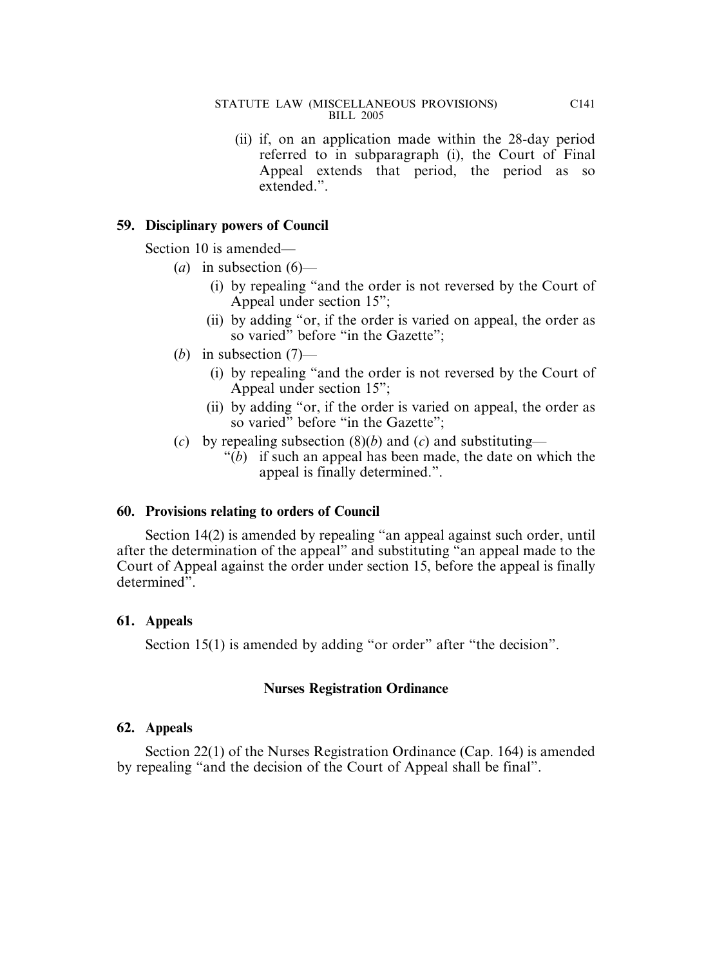(ii) if, on an application made within the 28-day period referred to in subparagraph (i), the Court of Final Appeal extends that period, the period as so extended.".

# **59. Disciplinary powers of Council**

Section 10 is amended—

- $(a)$  in subsection  $(6)$ 
	- (i) by repealing "and the order is not reversed by the Court of Appeal under section 15";
	- (ii) by adding "or, if the order is varied on appeal, the order as so varied" before "in the Gazette";
- (*b*) in subsection (7)—
	- (i) by repealing "and the order is not reversed by the Court of Appeal under section 15";
	- (ii) by adding "or, if the order is varied on appeal, the order as so varied" before "in the Gazette":
- (*c*) by repealing subsection  $(8)(b)$  and  $(c)$  and substituting—
	- "(*b*) if such an appeal has been made, the date on which the appeal is finally determined.".

# **60. Provisions relating to orders of Council**

Section 14(2) is amended by repealing "an appeal against such order, until after the determination of the appeal" and substituting "an appeal made to the Court of Appeal against the order under section 15, before the appeal is finally determined".

## **61. Appeals**

Section 15(1) is amended by adding "or order" after "the decision".

## **Nurses Registration Ordinance**

## **62. Appeals**

Section 22(1) of the Nurses Registration Ordinance (Cap. 164) is amended by repealing "and the decision of the Court of Appeal shall be final".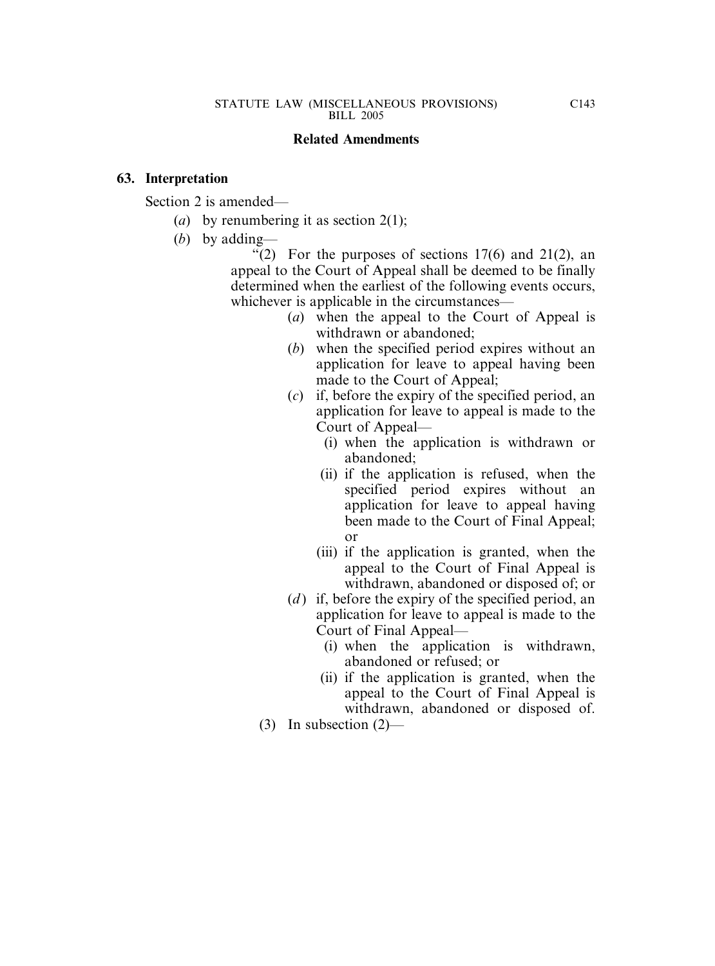### **Related Amendments**

### **63. Interpretation**

Section 2 is amended—

- (*a*) by renumbering it as section 2(1);
- (*b*) by adding—

"(2) For the purposes of sections  $17(6)$  and  $21(2)$ , an appeal to the Court of Appeal shall be deemed to be finally determined when the earliest of the following events occurs, whichever is applicable in the circumstances—

- (*a*) when the appeal to the Court of Appeal is withdrawn or abandoned;
- (*b*) when the specified period expires without an application for leave to appeal having been made to the Court of Appeal;
- (*c*) if, before the expiry of the specified period, an application for leave to appeal is made to the Court of Appeal—
	- (i) when the application is withdrawn or abandoned;
	- (ii) if the application is refused, when the specified period expires without an application for leave to appeal having been made to the Court of Final Appeal; or
	- (iii) if the application is granted, when the appeal to the Court of Final Appeal is withdrawn, abandoned or disposed of; or
- (*d*) if, before the expiry of the specified period, an application for leave to appeal is made to the Court of Final Appeal—
	- (i) when the application is withdrawn, abandoned or refused; or
	- (ii) if the application is granted, when the appeal to the Court of Final Appeal is withdrawn, abandoned or disposed of.
- (3) In subsection (2)—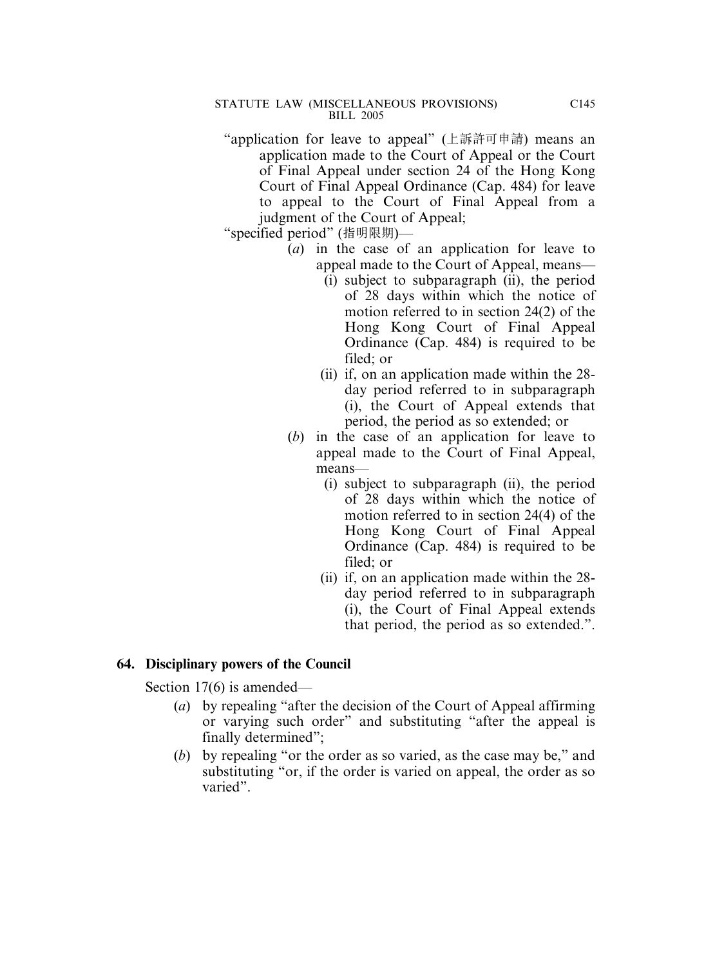- "application for leave to appeal" (上訴許可申請) means an application made to the Court of Appeal or the Court of Final Appeal under section 24 of the Hong Kong Court of Final Appeal Ordinance (Cap. 484) for leave to appeal to the Court of Final Appeal from a judgment of the Court of Appeal;
- "specified period" (指明限期)—
	- (*a*) in the case of an application for leave to appeal made to the Court of Appeal, means—
		- (i) subject to subparagraph (ii), the period of 28 days within which the notice of motion referred to in section 24(2) of the Hong Kong Court of Final Appeal Ordinance (Cap. 484) is required to be filed; or
		- (ii) if, on an application made within the 28 day period referred to in subparagraph (i), the Court of Appeal extends that period, the period as so extended; or
	- (*b*) in the case of an application for leave to appeal made to the Court of Final Appeal, means—
		- (i) subject to subparagraph (ii), the period of 28 days within which the notice of motion referred to in section 24(4) of the Hong Kong Court of Final Appeal Ordinance (Cap. 484) is required to be filed; or
		- (ii) if, on an application made within the 28 day period referred to in subparagraph (i), the Court of Final Appeal extends that period, the period as so extended.".

## **64. Disciplinary powers of the Council**

Section 17(6) is amended—

- (*a*) by repealing "after the decision of the Court of Appeal affirming or varying such order" and substituting "after the appeal is finally determined";
- (*b*) by repealing "or the order as so varied, as the case may be," and substituting "or, if the order is varied on appeal, the order as so varied".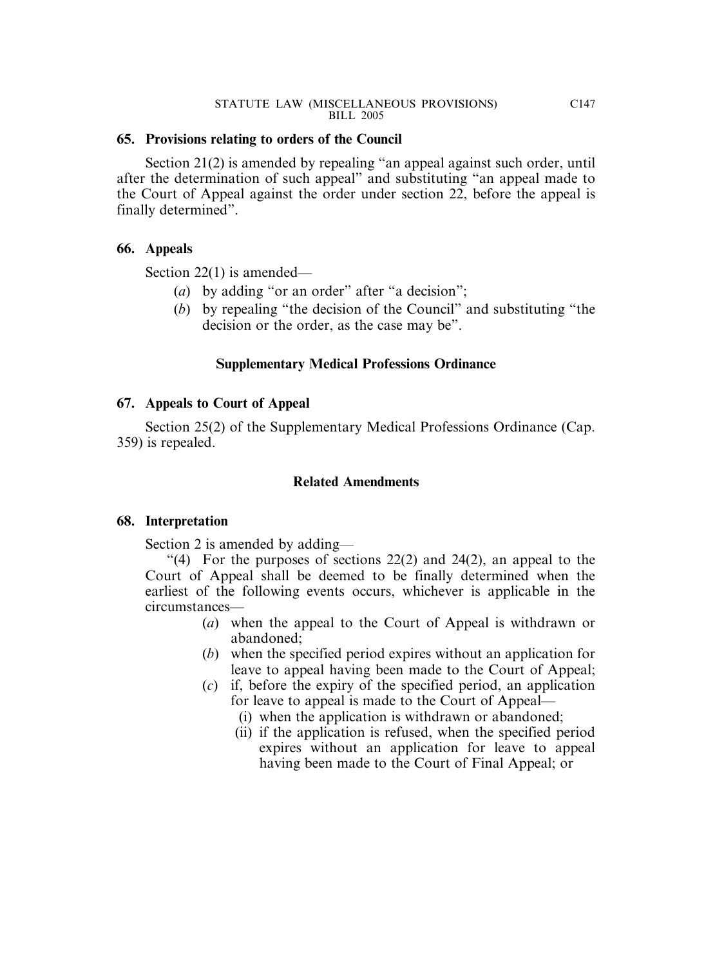## **65. Provisions relating to orders of the Council**

Section 21(2) is amended by repealing "an appeal against such order, until after the determination of such appeal" and substituting "an appeal made to the Court of Appeal against the order under section 22, before the appeal is finally determined".

# **66. Appeals**

Section 22(1) is amended—

- (*a*) by adding "or an order" after "a decision";
- (*b*) by repealing "the decision of the Council" and substituting "the decision or the order, as the case may be".

# **Supplementary Medical Professions Ordinance**

# **67. Appeals to Court of Appeal**

Section 25(2) of the Supplementary Medical Professions Ordinance (Cap. 359) is repealed.

# **Related Amendments**

# **68. Interpretation**

Section 2 is amended by adding—

"(4) For the purposes of sections  $22(2)$  and  $24(2)$ , an appeal to the Court of Appeal shall be deemed to be finally determined when the earliest of the following events occurs, whichever is applicable in the circumstances—

- (*a*) when the appeal to the Court of Appeal is withdrawn or abandoned;
- (*b*) when the specified period expires without an application for leave to appeal having been made to the Court of Appeal;
- (*c*) if, before the expiry of the specified period, an application for leave to appeal is made to the Court of Appeal—
	- (i) when the application is withdrawn or abandoned;
	- (ii) if the application is refused, when the specified period expires without an application for leave to appeal having been made to the Court of Final Appeal; or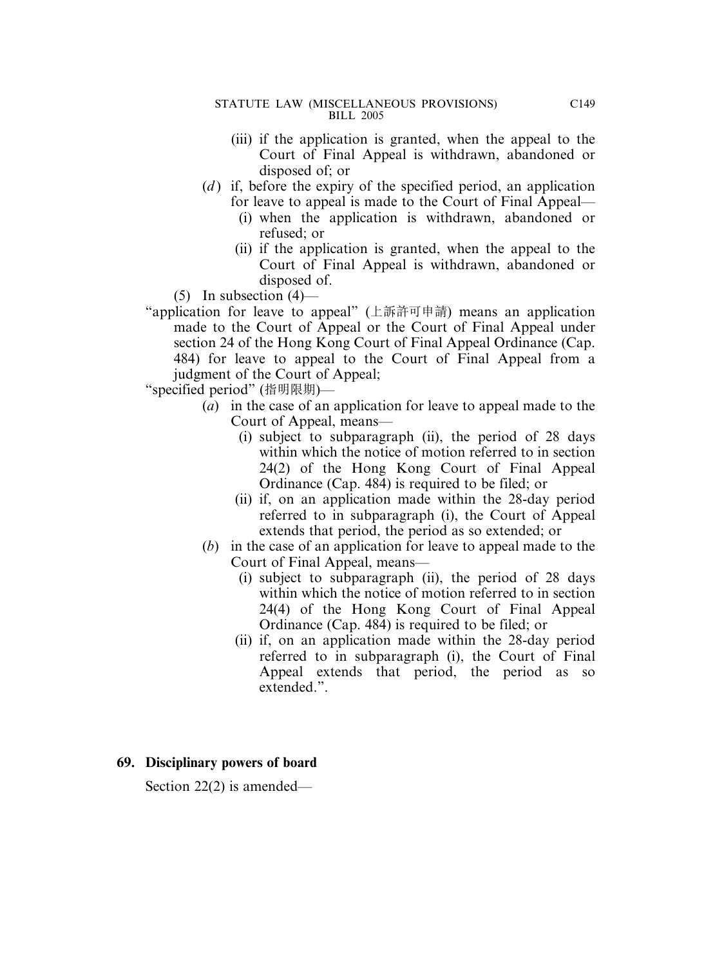- (iii) if the application is granted, when the appeal to the Court of Final Appeal is withdrawn, abandoned or disposed of; or
- (*d*) if, before the expiry of the specified period, an application for leave to appeal is made to the Court of Final Appeal—
	- (i) when the application is withdrawn, abandoned or refused; or
	- (ii) if the application is granted, when the appeal to the Court of Final Appeal is withdrawn, abandoned or disposed of.
- $(5)$  In subsection  $(4)$ —
- "application for leave to appeal" (上訴許可申請) means an application made to the Court of Appeal or the Court of Final Appeal under section 24 of the Hong Kong Court of Final Appeal Ordinance (Cap. 484) for leave to appeal to the Court of Final Appeal from a judgment of the Court of Appeal;
- "specified period" (指明限期)—
	- (*a*) in the case of an application for leave to appeal made to the Court of Appeal, means—
		- (i) subject to subparagraph (ii), the period of 28 days within which the notice of motion referred to in section 24(2) of the Hong Kong Court of Final Appeal Ordinance (Cap. 484) is required to be filed; or
		- (ii) if, on an application made within the 28-day period referred to in subparagraph (i), the Court of Appeal extends that period, the period as so extended; or
	- (*b*) in the case of an application for leave to appeal made to the Court of Final Appeal, means—
		- (i) subject to subparagraph (ii), the period of 28 days within which the notice of motion referred to in section 24(4) of the Hong Kong Court of Final Appeal Ordinance (Cap. 484) is required to be filed; or
		- (ii) if, on an application made within the 28-day period referred to in subparagraph (i), the Court of Final Appeal extends that period, the period as so extended.".

## **69. Disciplinary powers of board**

Section 22(2) is amended—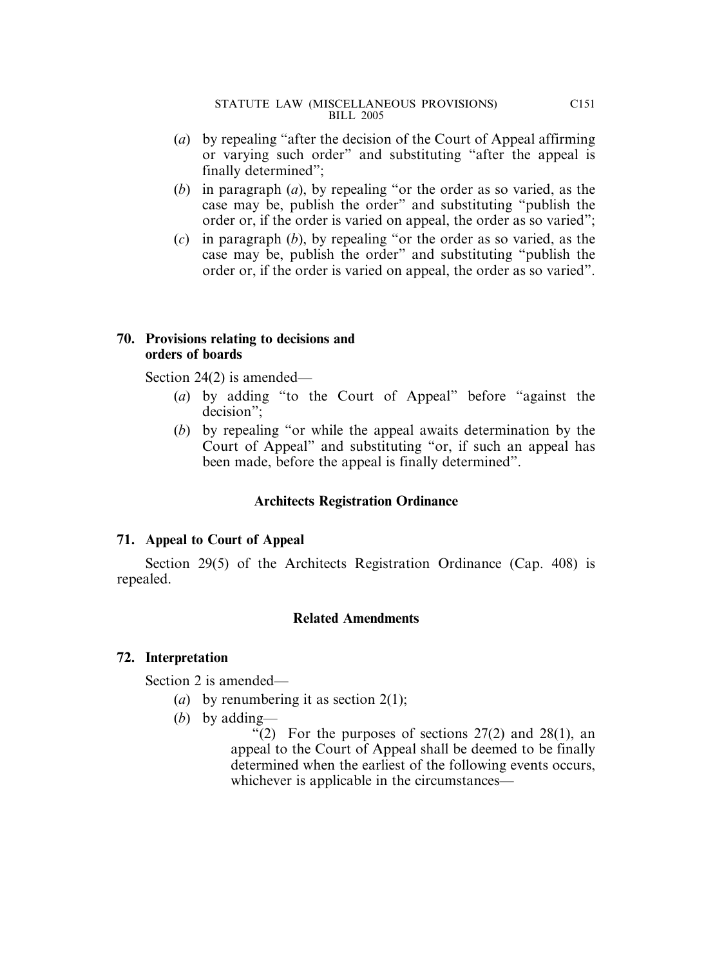- (*a*) by repealing "after the decision of the Court of Appeal affirming or varying such order" and substituting "after the appeal is finally determined";
- (*b*) in paragraph (*a*), by repealing "or the order as so varied, as the case may be, publish the order" and substituting "publish the order or, if the order is varied on appeal, the order as so varied";
- (*c*) in paragraph (*b*), by repealing "or the order as so varied, as the case may be, publish the order" and substituting "publish the order or, if the order is varied on appeal, the order as so varied".

## **70. Provisions relating to decisions and orders of boards**

Section 24(2) is amended—

- (*a*) by adding "to the Court of Appeal" before "against the decision";
- (*b*) by repealing "or while the appeal awaits determination by the Court of Appeal" and substituting "or, if such an appeal has been made, before the appeal is finally determined".

# **Architects Registration Ordinance**

# **71. Appeal to Court of Appeal**

Section 29(5) of the Architects Registration Ordinance (Cap. 408) is repealed.

# **Related Amendments**

# **72. Interpretation**

Section 2 is amended—

- (*a*) by renumbering it as section 2(1);
- (*b*) by adding—

"(2) For the purposes of sections  $27(2)$  and  $28(1)$ , an appeal to the Court of Appeal shall be deemed to be finally determined when the earliest of the following events occurs, whichever is applicable in the circumstances—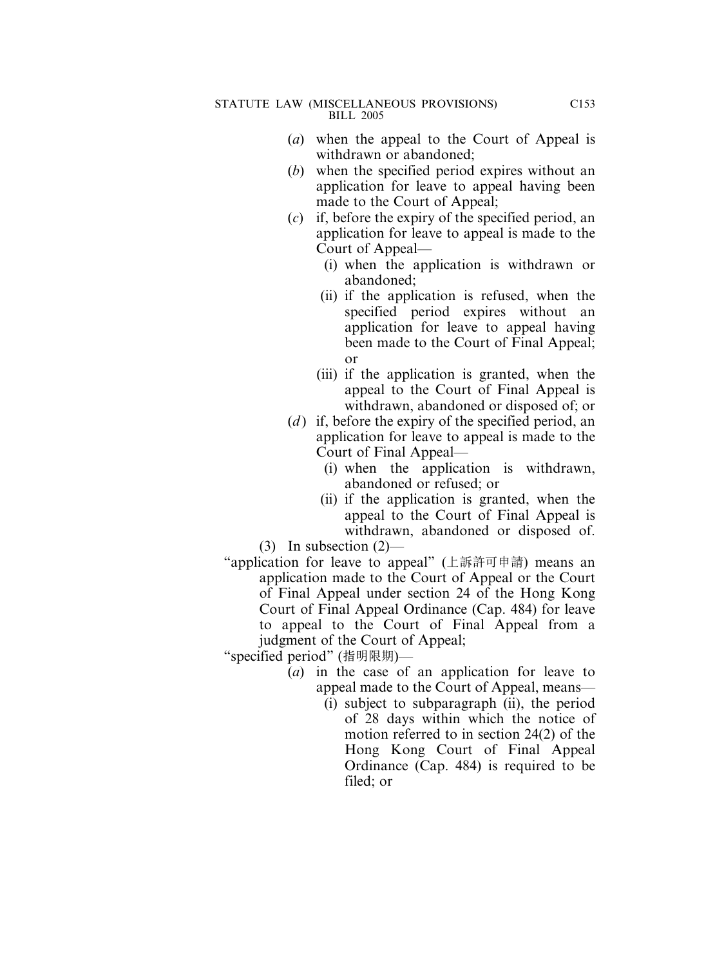- (*a*) when the appeal to the Court of Appeal is withdrawn or abandoned;
- (*b*) when the specified period expires without an application for leave to appeal having been made to the Court of Appeal;
- (*c*) if, before the expiry of the specified period, an application for leave to appeal is made to the Court of Appeal—
	- (i) when the application is withdrawn or abandoned;
	- (ii) if the application is refused, when the specified period expires without an application for leave to appeal having been made to the Court of Final Appeal; or
	- (iii) if the application is granted, when the appeal to the Court of Final Appeal is withdrawn, abandoned or disposed of; or
- (*d*) if, before the expiry of the specified period, an application for leave to appeal is made to the Court of Final Appeal—
	- (i) when the application is withdrawn, abandoned or refused; or
	- (ii) if the application is granted, when the appeal to the Court of Final Appeal is withdrawn, abandoned or disposed of.

(3) In subsection (2)—

"application for leave to appeal" (上訴許可申請) means an application made to the Court of Appeal or the Court of Final Appeal under section 24 of the Hong Kong Court of Final Appeal Ordinance (Cap. 484) for leave to appeal to the Court of Final Appeal from a judgment of the Court of Appeal;

- (*a*) in the case of an application for leave to appeal made to the Court of Appeal, means—
	- (i) subject to subparagraph (ii), the period of 28 days within which the notice of motion referred to in section 24(2) of the Hong Kong Court of Final Appeal Ordinance (Cap. 484) is required to be filed; or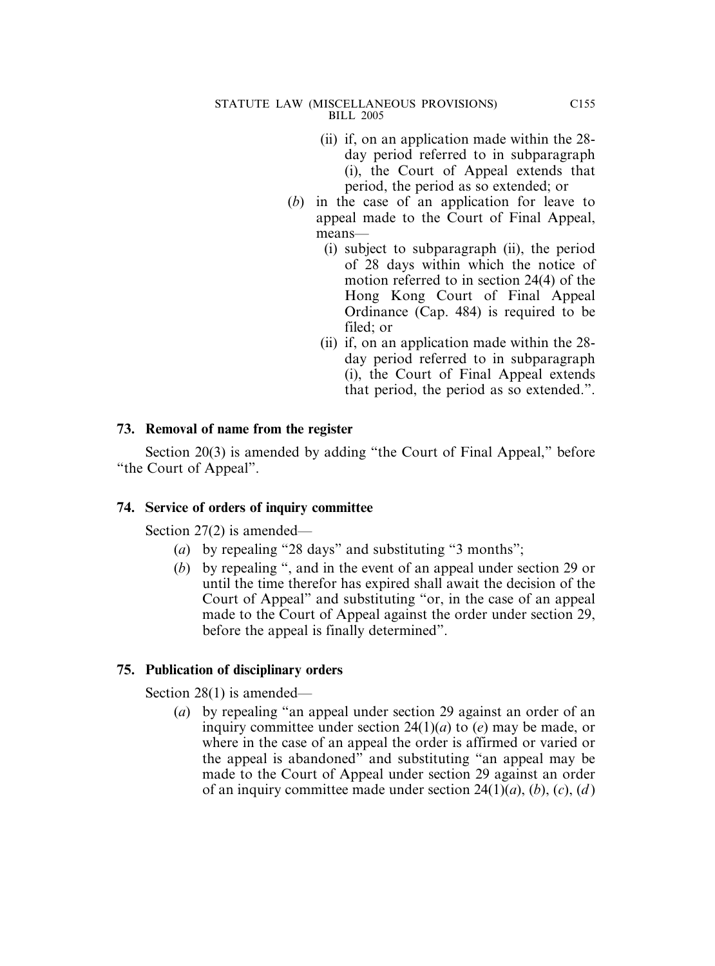- (ii) if, on an application made within the 28 day period referred to in subparagraph (i), the Court of Appeal extends that period, the period as so extended; or
- (*b*) in the case of an application for leave to appeal made to the Court of Final Appeal, means—
	- (i) subject to subparagraph (ii), the period of 28 days within which the notice of motion referred to in section 24(4) of the Hong Kong Court of Final Appeal Ordinance (Cap. 484) is required to be filed; or
	- (ii) if, on an application made within the 28 day period referred to in subparagraph (i), the Court of Final Appeal extends that period, the period as so extended.".

## **73. Removal of name from the register**

Section 20(3) is amended by adding "the Court of Final Appeal," before "the Court of Appeal".

## **74. Service of orders of inquiry committee**

Section 27(2) is amended—

- (*a*) by repealing "28 days" and substituting "3 months";
- (*b*) by repealing ", and in the event of an appeal under section 29 or until the time therefor has expired shall await the decision of the Court of Appeal" and substituting "or, in the case of an appeal made to the Court of Appeal against the order under section 29, before the appeal is finally determined".

# **75. Publication of disciplinary orders**

Section 28(1) is amended—

(*a*) by repealing "an appeal under section 29 against an order of an inquiry committee under section 24(1)(*a*) to (*e*) may be made, or where in the case of an appeal the order is affirmed or varied or the appeal is abandoned" and substituting "an appeal may be made to the Court of Appeal under section 29 against an order of an inquiry committee made under section 24(1)(*a*), (*b*), (*c*), (*d* )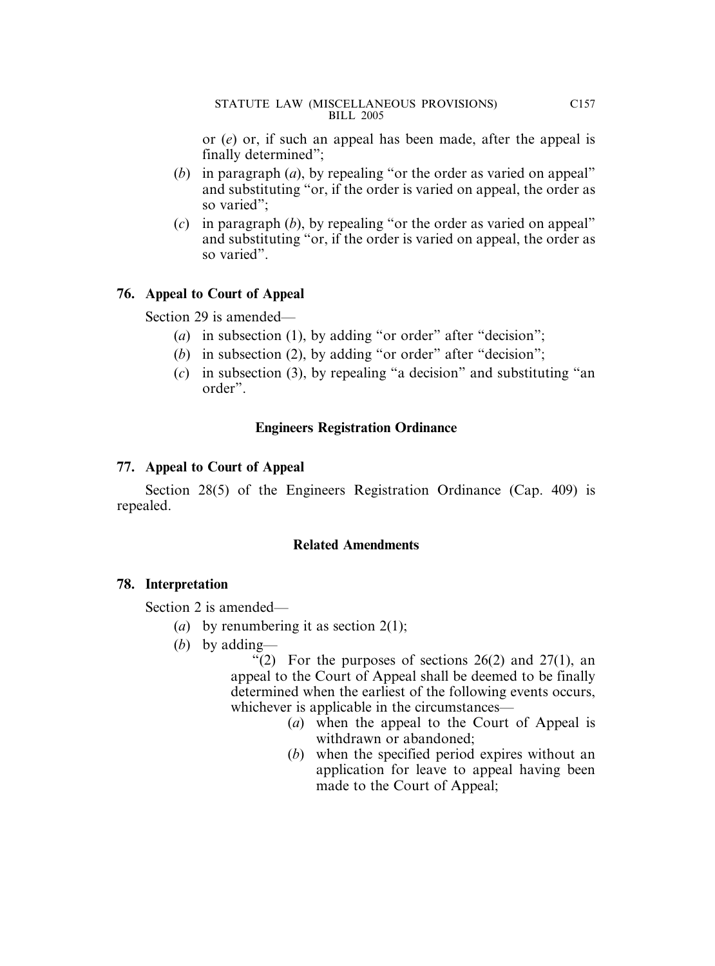or (*e*) or, if such an appeal has been made, after the appeal is finally determined";

- (*b*) in paragraph (*a*), by repealing "or the order as varied on appeal" and substituting "or, if the order is varied on appeal, the order as so varied";
- (*c*) in paragraph (*b*), by repealing "or the order as varied on appeal" and substituting "or, if the order is varied on appeal, the order as so varied".

# **76. Appeal to Court of Appeal**

Section 29 is amended—

- (*a*) in subsection (1), by adding "or order" after "decision";
- (*b*) in subsection (2), by adding "or order" after "decision";
- (*c*) in subsection (3), by repealing "a decision" and substituting "an order".

# **Engineers Registration Ordinance**

# **77. Appeal to Court of Appeal**

Section 28(5) of the Engineers Registration Ordinance (Cap. 409) is repealed.

# **Related Amendments**

# **78. Interpretation**

Section 2 is amended—

- (*a*) by renumbering it as section 2(1);
- (*b*) by adding—

"(2) For the purposes of sections  $26(2)$  and  $27(1)$ , an appeal to the Court of Appeal shall be deemed to be finally determined when the earliest of the following events occurs, whichever is applicable in the circumstances—

- (*a*) when the appeal to the Court of Appeal is withdrawn or abandoned;
- (*b*) when the specified period expires without an application for leave to appeal having been made to the Court of Appeal;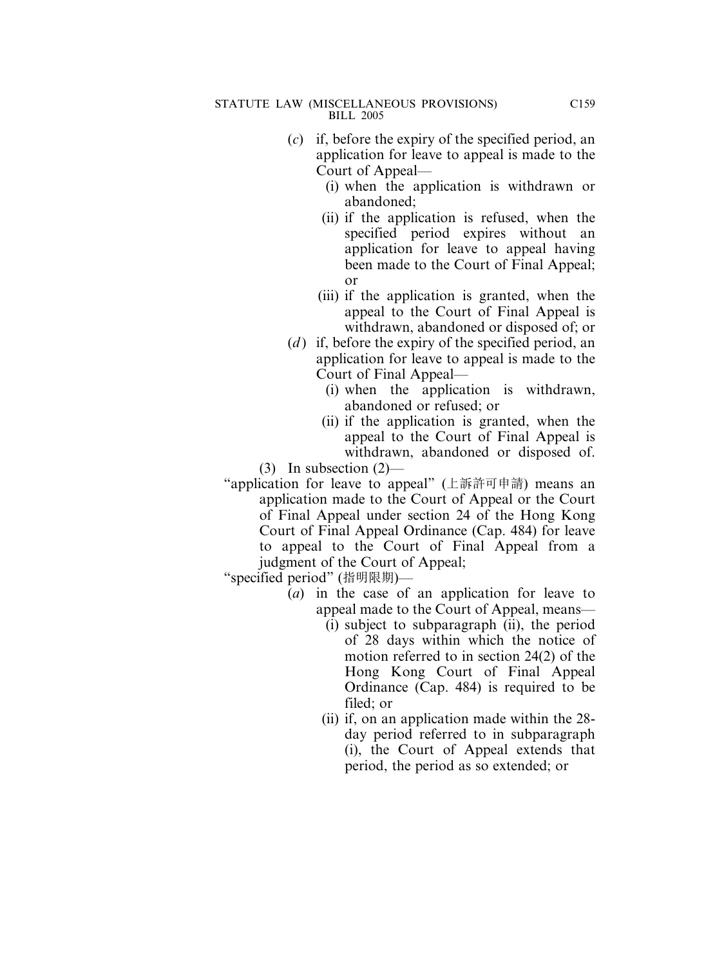- (*c*) if, before the expiry of the specified period, an application for leave to appeal is made to the Court of Appeal—
	- (i) when the application is withdrawn or abandoned;
	- (ii) if the application is refused, when the specified period expires without an application for leave to appeal having been made to the Court of Final Appeal; or
	- (iii) if the application is granted, when the appeal to the Court of Final Appeal is withdrawn, abandoned or disposed of; or
- (*d*) if, before the expiry of the specified period, an application for leave to appeal is made to the Court of Final Appeal—
	- (i) when the application is withdrawn, abandoned or refused; or
	- (ii) if the application is granted, when the appeal to the Court of Final Appeal is withdrawn, abandoned or disposed of.

(3) In subsection (2)—

"application for leave to appeal" (上訴許可申請) means an application made to the Court of Appeal or the Court of Final Appeal under section 24 of the Hong Kong Court of Final Appeal Ordinance (Cap. 484) for leave to appeal to the Court of Final Appeal from a judgment of the Court of Appeal;

- (*a*) in the case of an application for leave to appeal made to the Court of Appeal, means—
	- (i) subject to subparagraph (ii), the period of 28 days within which the notice of motion referred to in section 24(2) of the Hong Kong Court of Final Appeal Ordinance (Cap. 484) is required to be filed; or
	- (ii) if, on an application made within the 28 day period referred to in subparagraph (i), the Court of Appeal extends that period, the period as so extended; or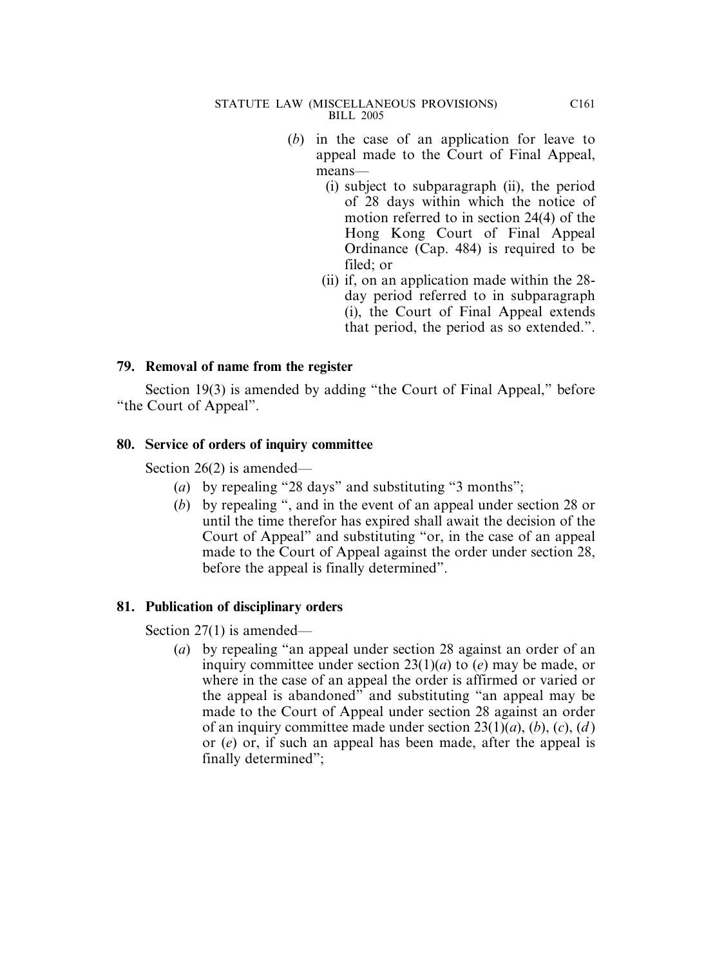- (*b*) in the case of an application for leave to appeal made to the Court of Final Appeal, means—
	- (i) subject to subparagraph (ii), the period of 28 days within which the notice of motion referred to in section 24(4) of the Hong Kong Court of Final Appeal Ordinance (Cap. 484) is required to be filed; or
	- (ii) if, on an application made within the 28 day period referred to in subparagraph (i), the Court of Final Appeal extends that period, the period as so extended.".

## **79. Removal of name from the register**

Section 19(3) is amended by adding "the Court of Final Appeal," before "the Court of Appeal".

### **80. Service of orders of inquiry committee**

Section 26(2) is amended—

- (*a*) by repealing "28 days" and substituting "3 months";
- (*b*) by repealing ", and in the event of an appeal under section 28 or until the time therefor has expired shall await the decision of the Court of Appeal" and substituting "or, in the case of an appeal made to the Court of Appeal against the order under section 28, before the appeal is finally determined".

## **81. Publication of disciplinary orders**

Section 27(1) is amended—

(*a*) by repealing "an appeal under section 28 against an order of an inquiry committee under section 23(1)(*a*) to (*e*) may be made, or where in the case of an appeal the order is affirmed or varied or the appeal is abandoned" and substituting "an appeal may be made to the Court of Appeal under section 28 against an order of an inquiry committee made under section 23(1)(*a*), (*b*), (*c*), (*d* ) or (*e*) or, if such an appeal has been made, after the appeal is finally determined";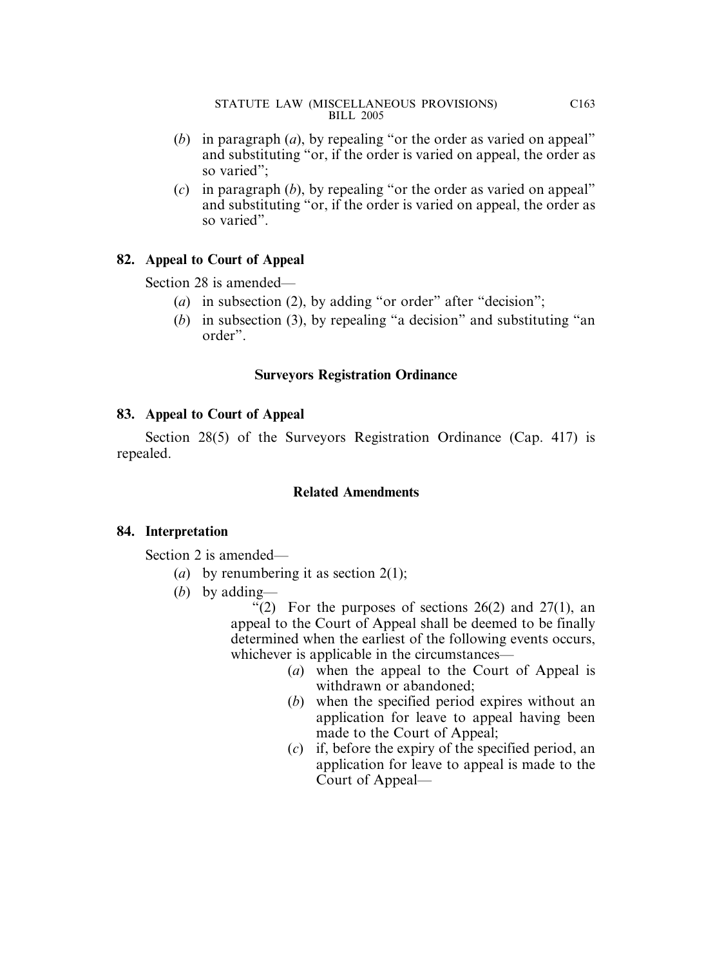- (*b*) in paragraph (*a*), by repealing "or the order as varied on appeal" and substituting "or, if the order is varied on appeal, the order as so varied";
- (*c*) in paragraph (*b*), by repealing "or the order as varied on appeal" and substituting "or, if the order is varied on appeal, the order as so varied".

# **82. Appeal to Court of Appeal**

Section 28 is amended—

- (*a*) in subsection (2), by adding "or order" after "decision";
- (*b*) in subsection (3), by repealing "a decision" and substituting "an order".

# **Surveyors Registration Ordinance**

## **83. Appeal to Court of Appeal**

Section 28(5) of the Surveyors Registration Ordinance (Cap. 417) is repealed.

# **Related Amendments**

## **84. Interpretation**

Section 2 is amended—

- (*a*) by renumbering it as section 2(1);
- (*b*) by adding—

"(2) For the purposes of sections  $26(2)$  and  $27(1)$ , an appeal to the Court of Appeal shall be deemed to be finally determined when the earliest of the following events occurs, whichever is applicable in the circumstances—

- (*a*) when the appeal to the Court of Appeal is withdrawn or abandoned;
- (*b*) when the specified period expires without an application for leave to appeal having been made to the Court of Appeal;
- (*c*) if, before the expiry of the specified period, an application for leave to appeal is made to the Court of Appeal—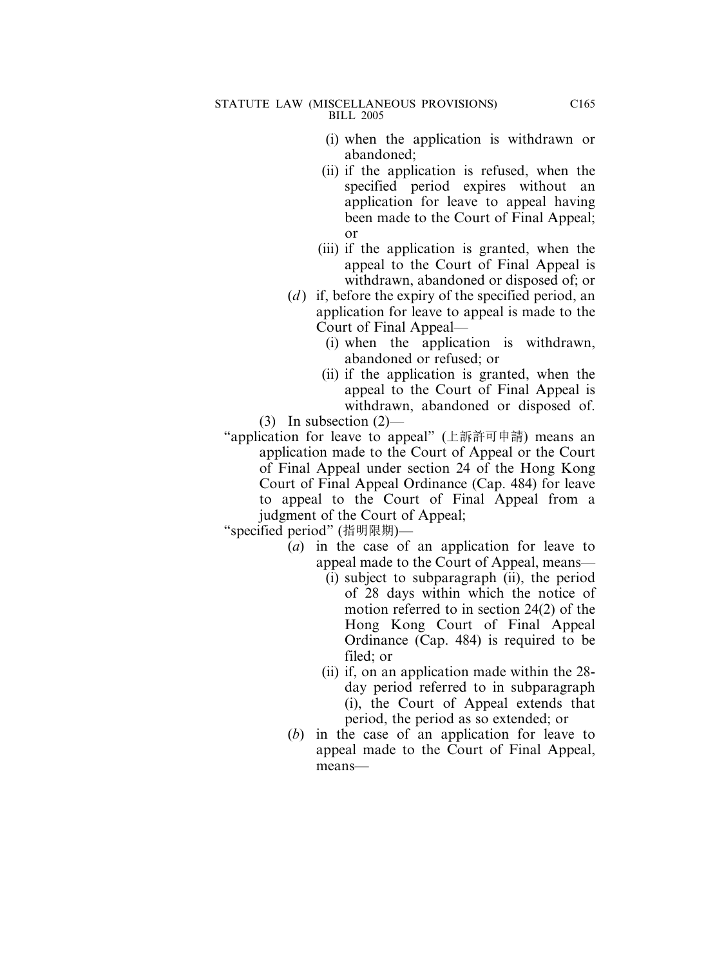- (i) when the application is withdrawn or abandoned;
- (ii) if the application is refused, when the specified period expires without an application for leave to appeal having been made to the Court of Final Appeal; or
- (iii) if the application is granted, when the appeal to the Court of Final Appeal is withdrawn, abandoned or disposed of; or
- (*d*) if, before the expiry of the specified period, an application for leave to appeal is made to the Court of Final Appeal—
	- (i) when the application is withdrawn, abandoned or refused; or
	- (ii) if the application is granted, when the appeal to the Court of Final Appeal is withdrawn, abandoned or disposed of.

(3) In subsection (2)—

"application for leave to appeal" (上訴許可申請) means an application made to the Court of Appeal or the Court of Final Appeal under section 24 of the Hong Kong Court of Final Appeal Ordinance (Cap. 484) for leave to appeal to the Court of Final Appeal from a judgment of the Court of Appeal;

- (*a*) in the case of an application for leave to appeal made to the Court of Appeal, means—
	- (i) subject to subparagraph (ii), the period of 28 days within which the notice of motion referred to in section 24(2) of the Hong Kong Court of Final Appeal Ordinance (Cap. 484) is required to be filed; or
	- (ii) if, on an application made within the 28 day period referred to in subparagraph (i), the Court of Appeal extends that period, the period as so extended; or
- (*b*) in the case of an application for leave to appeal made to the Court of Final Appeal, means—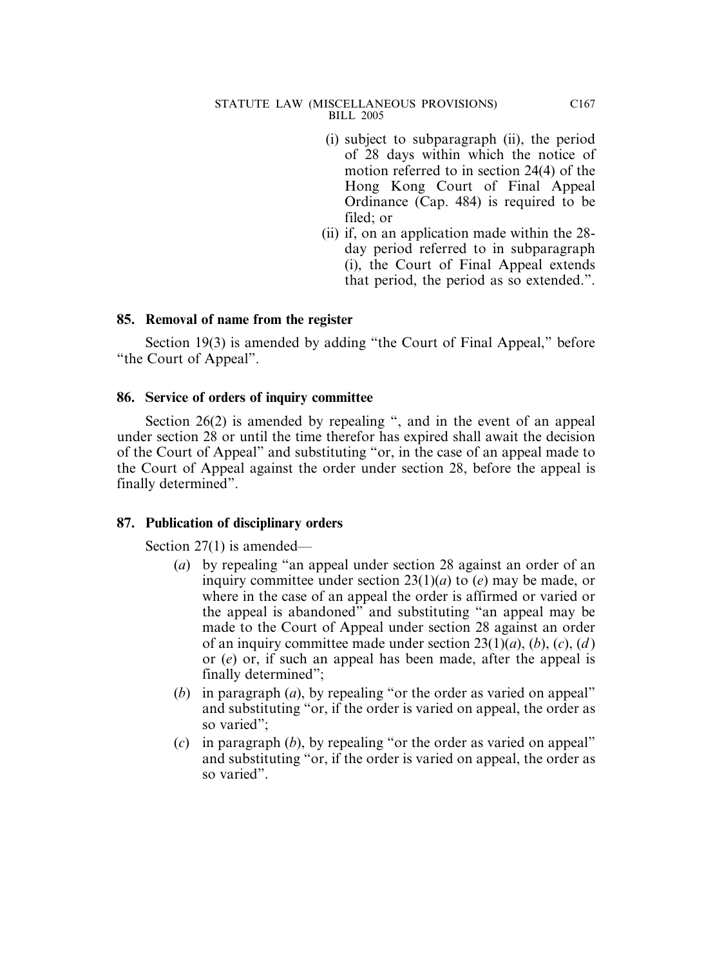- (i) subject to subparagraph (ii), the period of 28 days within which the notice of motion referred to in section 24(4) of the Hong Kong Court of Final Appeal Ordinance (Cap. 484) is required to be filed; or
- (ii) if, on an application made within the 28 day period referred to in subparagraph (i), the Court of Final Appeal extends that period, the period as so extended.".

## **85. Removal of name from the register**

Section 19(3) is amended by adding "the Court of Final Appeal," before "the Court of Appeal".

### **86. Service of orders of inquiry committee**

Section 26(2) is amended by repealing ", and in the event of an appeal under section 28 or until the time therefor has expired shall await the decision of the Court of Appeal" and substituting "or, in the case of an appeal made to the Court of Appeal against the order under section 28, before the appeal is finally determined".

## **87. Publication of disciplinary orders**

Section 27(1) is amended—

- (*a*) by repealing "an appeal under section 28 against an order of an inquiry committee under section 23(1)(*a*) to (*e*) may be made, or where in the case of an appeal the order is affirmed or varied or the appeal is abandoned" and substituting "an appeal may be made to the Court of Appeal under section 28 against an order of an inquiry committee made under section 23(1)(*a*), (*b*), (*c*), (*d* ) or (*e*) or, if such an appeal has been made, after the appeal is finally determined";
- (*b*) in paragraph (*a*), by repealing "or the order as varied on appeal" and substituting "or, if the order is varied on appeal, the order as so varied";
- (*c*) in paragraph (*b*), by repealing "or the order as varied on appeal" and substituting "or, if the order is varied on appeal, the order as so varied".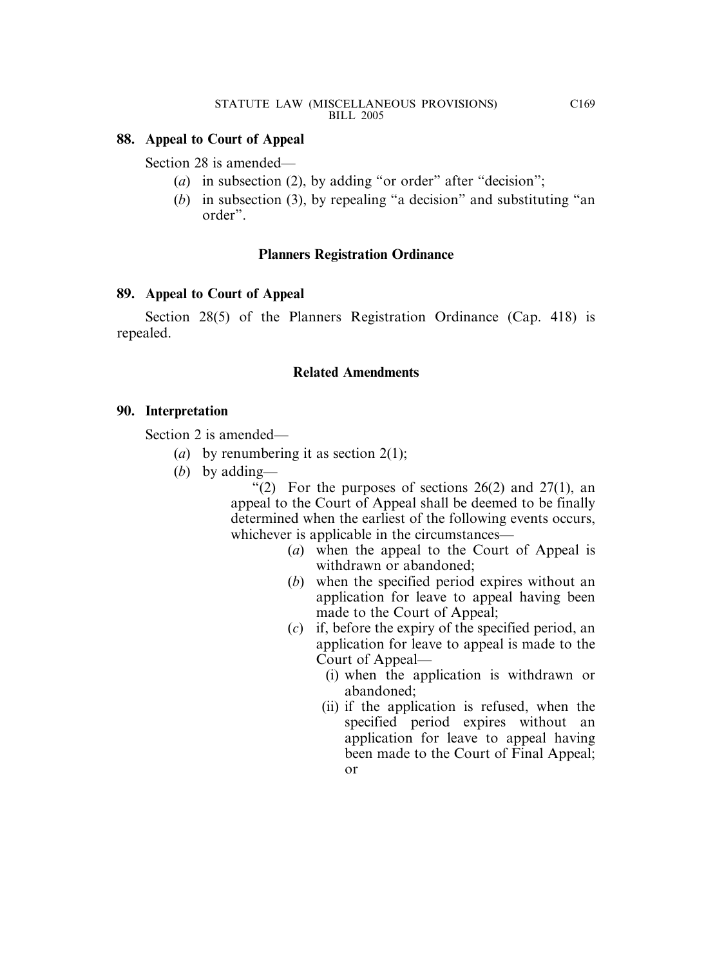### **88. Appeal to Court of Appeal**

Section 28 is amended—

- (*a*) in subsection (2), by adding "or order" after "decision";
- (*b*) in subsection (3), by repealing "a decision" and substituting "an order".

### **Planners Registration Ordinance**

### **89. Appeal to Court of Appeal**

Section 28(5) of the Planners Registration Ordinance (Cap. 418) is repealed.

### **Related Amendments**

### **90. Interpretation**

Section 2 is amended—

- (*a*) by renumbering it as section 2(1);
- (*b*) by adding—

"(2) For the purposes of sections  $26(2)$  and  $27(1)$ , an appeal to the Court of Appeal shall be deemed to be finally determined when the earliest of the following events occurs, whichever is applicable in the circumstances—

- (*a*) when the appeal to the Court of Appeal is withdrawn or abandoned;
- (*b*) when the specified period expires without an application for leave to appeal having been made to the Court of Appeal;
- (*c*) if, before the expiry of the specified period, an application for leave to appeal is made to the Court of Appeal—
	- (i) when the application is withdrawn or abandoned;
	- (ii) if the application is refused, when the specified period expires without an application for leave to appeal having been made to the Court of Final Appeal; or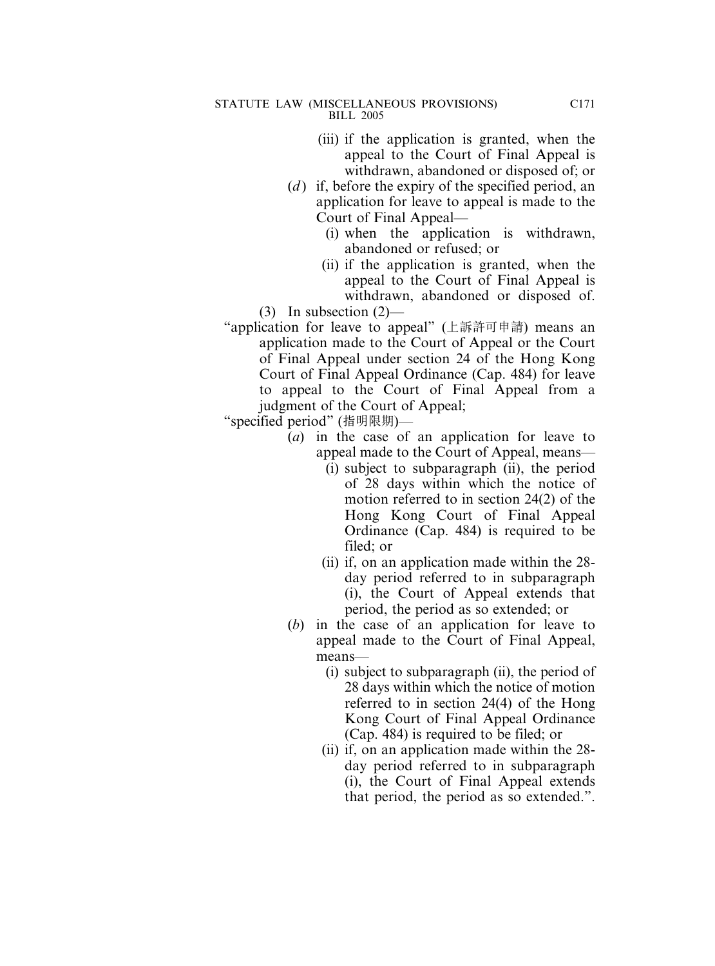- (iii) if the application is granted, when the appeal to the Court of Final Appeal is withdrawn, abandoned or disposed of; or
- (*d*) if, before the expiry of the specified period, an application for leave to appeal is made to the Court of Final Appeal—
	- (i) when the application is withdrawn, abandoned or refused; or
	- (ii) if the application is granted, when the appeal to the Court of Final Appeal is withdrawn, abandoned or disposed of.
- (3) In subsection (2)—
- "application for leave to appeal" (上訴許可申請) means an application made to the Court of Appeal or the Court of Final Appeal under section 24 of the Hong Kong Court of Final Appeal Ordinance (Cap. 484) for leave to appeal to the Court of Final Appeal from a judgment of the Court of Appeal;

- (*a*) in the case of an application for leave to appeal made to the Court of Appeal, means—
	- (i) subject to subparagraph (ii), the period of 28 days within which the notice of motion referred to in section 24(2) of the Hong Kong Court of Final Appeal Ordinance (Cap. 484) is required to be filed; or
	- (ii) if, on an application made within the 28 day period referred to in subparagraph (i), the Court of Appeal extends that period, the period as so extended; or
- (*b*) in the case of an application for leave to appeal made to the Court of Final Appeal, means—
	- (i) subject to subparagraph (ii), the period of 28 days within which the notice of motion referred to in section 24(4) of the Hong Kong Court of Final Appeal Ordinance (Cap. 484) is required to be filed; or
	- (ii) if, on an application made within the 28 day period referred to in subparagraph (i), the Court of Final Appeal extends that period, the period as so extended.".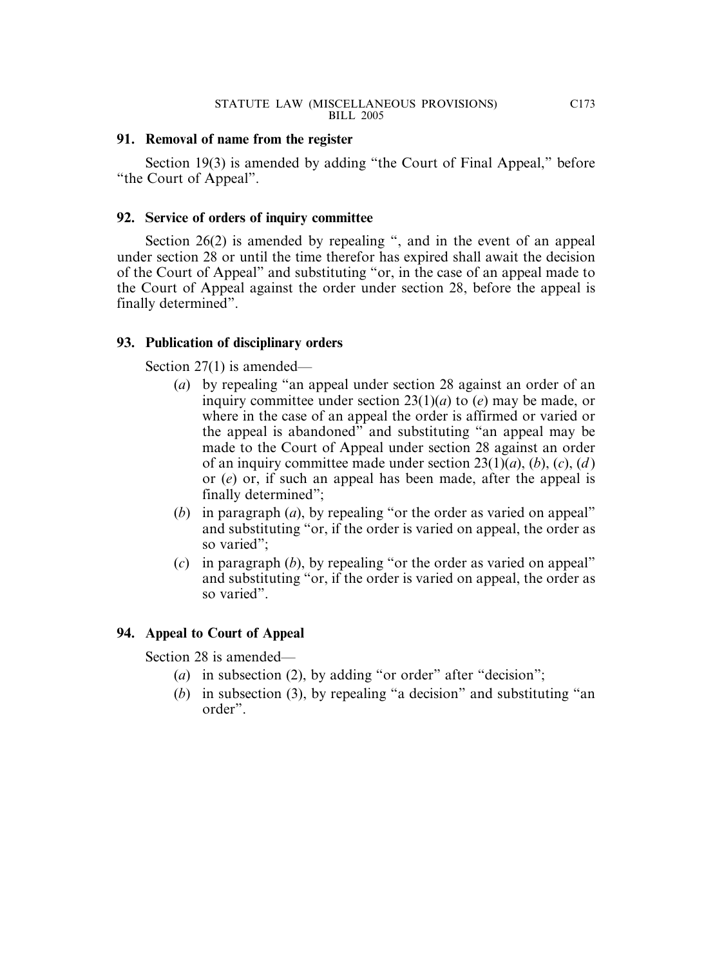### **91. Removal of name from the register**

Section 19(3) is amended by adding "the Court of Final Appeal," before "the Court of Appeal".

## **92. Service of orders of inquiry committee**

Section 26(2) is amended by repealing ", and in the event of an appeal under section 28 or until the time therefor has expired shall await the decision of the Court of Appeal" and substituting "or, in the case of an appeal made to the Court of Appeal against the order under section 28, before the appeal is finally determined".

## **93. Publication of disciplinary orders**

Section 27(1) is amended—

- (*a*) by repealing "an appeal under section 28 against an order of an inquiry committee under section 23(1)(*a*) to (*e*) may be made, or where in the case of an appeal the order is affirmed or varied or the appeal is abandoned" and substituting "an appeal may be made to the Court of Appeal under section 28 against an order of an inquiry committee made under section 23(1)(*a*), (*b*), (*c*), (*d* ) or (*e*) or, if such an appeal has been made, after the appeal is finally determined";
- (*b*) in paragraph (*a*), by repealing "or the order as varied on appeal" and substituting "or, if the order is varied on appeal, the order as so varied";
- (*c*) in paragraph (*b*), by repealing "or the order as varied on appeal" and substituting "or, if the order is varied on appeal, the order as so varied".

# **94. Appeal to Court of Appeal**

Section 28 is amended—

- (*a*) in subsection (2), by adding "or order" after "decision";
- (*b*) in subsection (3), by repealing "a decision" and substituting "an order".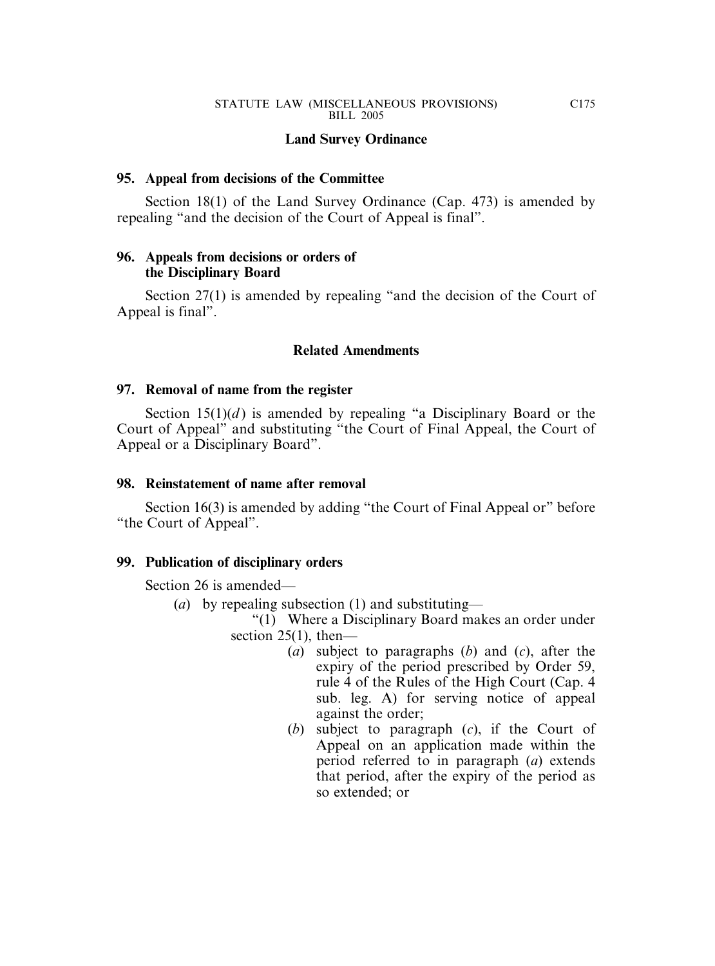### **Land Survey Ordinance**

### **95. Appeal from decisions of the Committee**

Section 18(1) of the Land Survey Ordinance (Cap. 473) is amended by repealing "and the decision of the Court of Appeal is final".

### **96. Appeals from decisions or orders of the Disciplinary Board**

Section 27(1) is amended by repealing "and the decision of the Court of Appeal is final".

### **Related Amendments**

### **97. Removal of name from the register**

Section  $15(1)(d)$  is amended by repealing "a Disciplinary Board or the Court of Appeal" and substituting "the Court of Final Appeal, the Court of Appeal or a Disciplinary Board".

### **98. Reinstatement of name after removal**

Section 16(3) is amended by adding "the Court of Final Appeal or" before "the Court of Appeal".

### **99. Publication of disciplinary orders**

Section 26 is amended—

- (*a*) by repealing subsection (1) and substituting—
	- "(1) Where a Disciplinary Board makes an order under section  $25(1)$ , then—
		- (*a*) subject to paragraphs (*b*) and (*c*), after the expiry of the period prescribed by Order 59, rule 4 of the Rules of the High Court (Cap. 4 sub. leg. A) for serving notice of appeal against the order;
		- (*b*) subject to paragraph (*c*), if the Court of Appeal on an application made within the period referred to in paragraph (*a*) extends that period, after the expiry of the period as so extended; or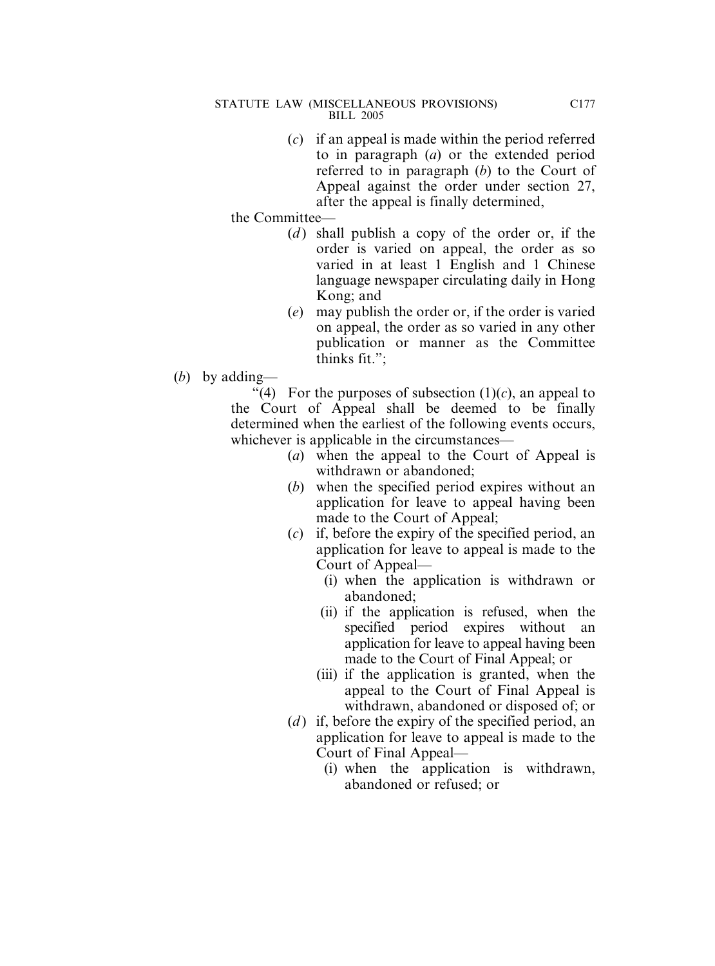(*c*) if an appeal is made within the period referred to in paragraph (*a*) or the extended period referred to in paragraph (*b*) to the Court of Appeal against the order under section 27, after the appeal is finally determined,

the Committee—

- (*d*) shall publish a copy of the order or, if the order is varied on appeal, the order as so varied in at least 1 English and 1 Chinese language newspaper circulating daily in Hong Kong; and
- (*e*) may publish the order or, if the order is varied on appeal, the order as so varied in any other publication or manner as the Committee thinks fit.";
- (*b*) by adding—

"(4) For the purposes of subsection  $(1)(c)$ , an appeal to the Court of Appeal shall be deemed to be finally determined when the earliest of the following events occurs, whichever is applicable in the circumstances—

- (*a*) when the appeal to the Court of Appeal is withdrawn or abandoned;
- (*b*) when the specified period expires without an application for leave to appeal having been made to the Court of Appeal;
- (*c*) if, before the expiry of the specified period, an application for leave to appeal is made to the Court of Appeal—
	- (i) when the application is withdrawn or abandoned;
	- (ii) if the application is refused, when the specified period expires without an application for leave to appeal having been made to the Court of Final Appeal; or
	- (iii) if the application is granted, when the appeal to the Court of Final Appeal is withdrawn, abandoned or disposed of; or
- (*d*) if, before the expiry of the specified period, an application for leave to appeal is made to the Court of Final Appeal—
	- (i) when the application is withdrawn, abandoned or refused; or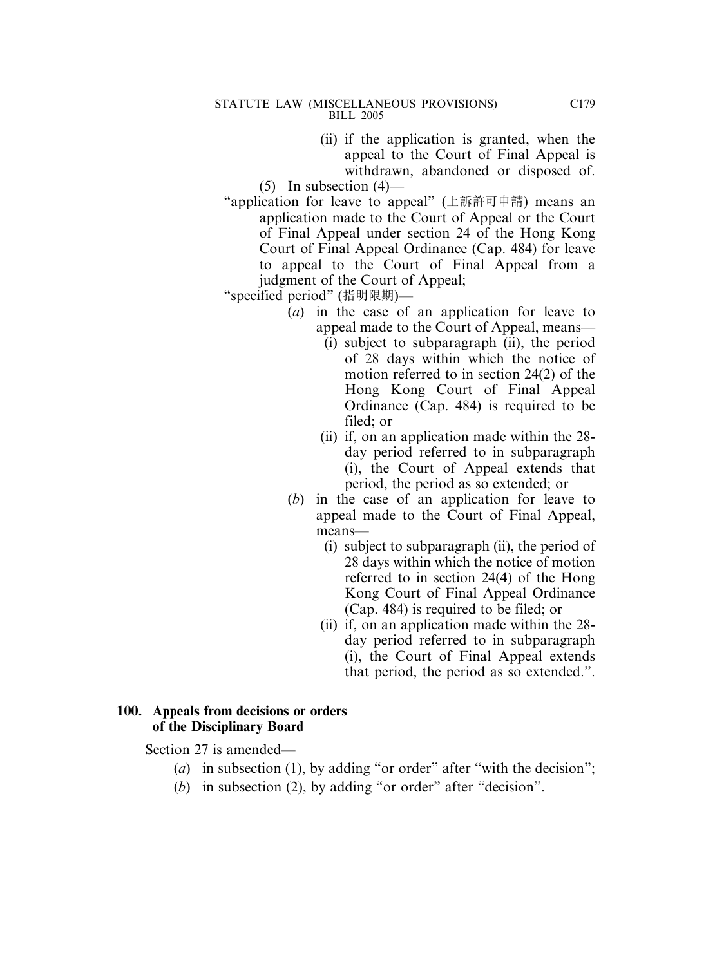- (ii) if the application is granted, when the appeal to the Court of Final Appeal is withdrawn, abandoned or disposed of.
- $(5)$  In subsection  $(4)$ —
- "application for leave to appeal" (上訴許可申請) means an application made to the Court of Appeal or the Court of Final Appeal under section 24 of the Hong Kong Court of Final Appeal Ordinance (Cap. 484) for leave to appeal to the Court of Final Appeal from a judgment of the Court of Appeal;
- "specified period" (指明限期)—
	- (*a*) in the case of an application for leave to appeal made to the Court of Appeal, means—
		- (i) subject to subparagraph (ii), the period of 28 days within which the notice of motion referred to in section 24(2) of the Hong Kong Court of Final Appeal Ordinance (Cap. 484) is required to be filed; or
		- (ii) if, on an application made within the 28 day period referred to in subparagraph (i), the Court of Appeal extends that period, the period as so extended; or
	- (*b*) in the case of an application for leave to appeal made to the Court of Final Appeal, means—
		- (i) subject to subparagraph (ii), the period of 28 days within which the notice of motion referred to in section 24(4) of the Hong Kong Court of Final Appeal Ordinance (Cap. 484) is required to be filed; or
		- (ii) if, on an application made within the 28 day period referred to in subparagraph (i), the Court of Final Appeal extends that period, the period as so extended.".

### **100. Appeals from decisions or orders of the Disciplinary Board**

Section 27 is amended—

- (*a*) in subsection (1), by adding "or order" after "with the decision";
- (*b*) in subsection (2), by adding "or order" after "decision".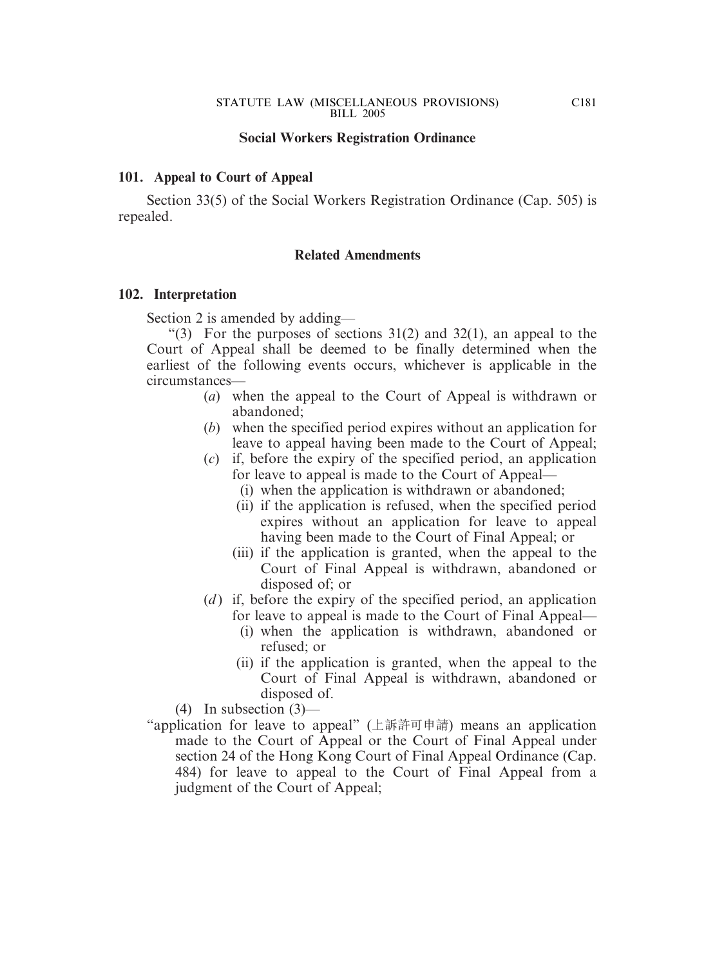## **Social Workers Registration Ordinance**

### **101. Appeal to Court of Appeal**

Section 33(5) of the Social Workers Registration Ordinance (Cap. 505) is repealed.

### **Related Amendments**

### **102. Interpretation**

Section 2 is amended by adding—

"(3) For the purposes of sections  $31(2)$  and  $32(1)$ , an appeal to the Court of Appeal shall be deemed to be finally determined when the earliest of the following events occurs, whichever is applicable in the circumstances—

- (*a*) when the appeal to the Court of Appeal is withdrawn or abandoned;
- (*b*) when the specified period expires without an application for leave to appeal having been made to the Court of Appeal;
- (*c*) if, before the expiry of the specified period, an application for leave to appeal is made to the Court of Appeal—
	- (i) when the application is withdrawn or abandoned;
	- (ii) if the application is refused, when the specified period expires without an application for leave to appeal having been made to the Court of Final Appeal; or
	- (iii) if the application is granted, when the appeal to the Court of Final Appeal is withdrawn, abandoned or disposed of; or
- (*d*) if, before the expiry of the specified period, an application for leave to appeal is made to the Court of Final Appeal—
	- (i) when the application is withdrawn, abandoned or refused; or
	- (ii) if the application is granted, when the appeal to the Court of Final Appeal is withdrawn, abandoned or disposed of.

(4) In subsection (3)—

"application for leave to appeal" (上訴許可申請) means an application made to the Court of Appeal or the Court of Final Appeal under section 24 of the Hong Kong Court of Final Appeal Ordinance (Cap. 484) for leave to appeal to the Court of Final Appeal from a judgment of the Court of Appeal;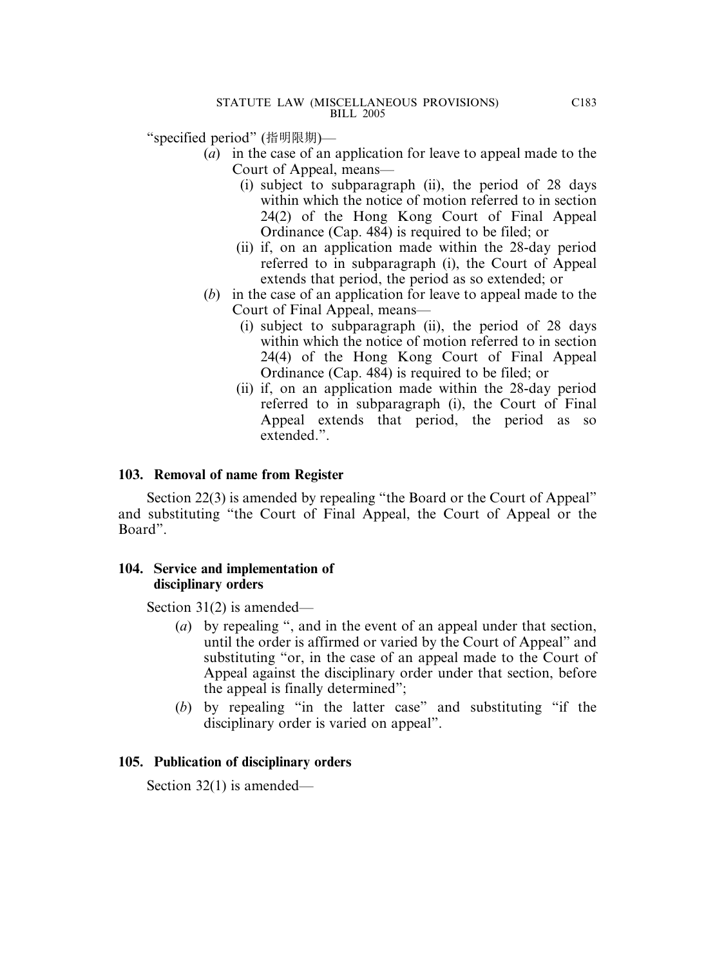"specified period" (指明限期)—

- (*a*) in the case of an application for leave to appeal made to the Court of Appeal, means—
	- (i) subject to subparagraph (ii), the period of 28 days within which the notice of motion referred to in section 24(2) of the Hong Kong Court of Final Appeal Ordinance (Cap. 484) is required to be filed; or
	- (ii) if, on an application made within the 28-day period referred to in subparagraph (i), the Court of Appeal extends that period, the period as so extended; or
- (*b*) in the case of an application for leave to appeal made to the Court of Final Appeal, means—
	- (i) subject to subparagraph (ii), the period of 28 days within which the notice of motion referred to in section 24(4) of the Hong Kong Court of Final Appeal Ordinance (Cap. 484) is required to be filed; or
	- (ii) if, on an application made within the 28-day period referred to in subparagraph (i), the Court of Final Appeal extends that period, the period as so extended."

# **103. Removal of name from Register**

Section 22(3) is amended by repealing "the Board or the Court of Appeal" and substituting "the Court of Final Appeal, the Court of Appeal or the Board".

## **104. Service and implementation of disciplinary orders**

Section 31(2) is amended—

- (*a*) by repealing ", and in the event of an appeal under that section, until the order is affirmed or varied by the Court of Appeal" and substituting "or, in the case of an appeal made to the Court of Appeal against the disciplinary order under that section, before the appeal is finally determined";
- (*b*) by repealing "in the latter case" and substituting "if the disciplinary order is varied on appeal".

# **105. Publication of disciplinary orders**

Section 32(1) is amended—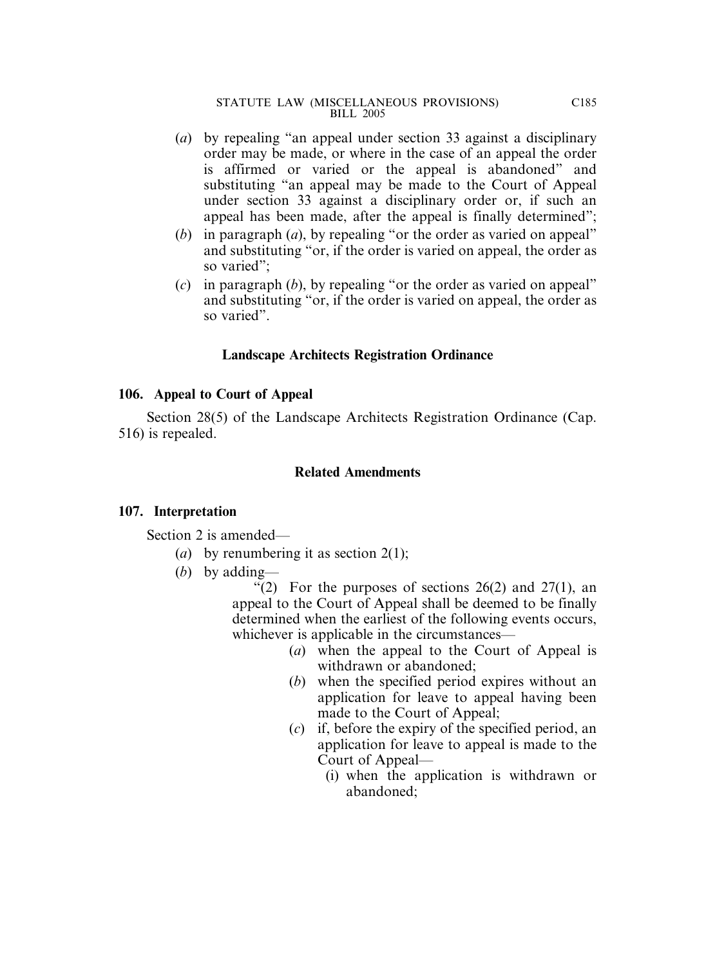- (*a*) by repealing "an appeal under section 33 against a disciplinary order may be made, or where in the case of an appeal the order is affirmed or varied or the appeal is abandoned" and substituting "an appeal may be made to the Court of Appeal under section 33 against a disciplinary order or, if such an appeal has been made, after the appeal is finally determined";
- (*b*) in paragraph (*a*), by repealing "or the order as varied on appeal" and substituting "or, if the order is varied on appeal, the order as so varied";
- (*c*) in paragraph (*b*), by repealing "or the order as varied on appeal" and substituting "or, if the order is varied on appeal, the order as so varied".

## **Landscape Architects Registration Ordinance**

## **106. Appeal to Court of Appeal**

Section 28(5) of the Landscape Architects Registration Ordinance (Cap. 516) is repealed.

## **Related Amendments**

## **107. Interpretation**

Section 2 is amended—

- (*a*) by renumbering it as section 2(1);
- (*b*) by adding—

"(2) For the purposes of sections  $26(2)$  and  $27(1)$ , an appeal to the Court of Appeal shall be deemed to be finally determined when the earliest of the following events occurs, whichever is applicable in the circumstances—

- (*a*) when the appeal to the Court of Appeal is withdrawn or abandoned;
- (*b*) when the specified period expires without an application for leave to appeal having been made to the Court of Appeal;
- (*c*) if, before the expiry of the specified period, an application for leave to appeal is made to the Court of Appeal—
	- (i) when the application is withdrawn or abandoned;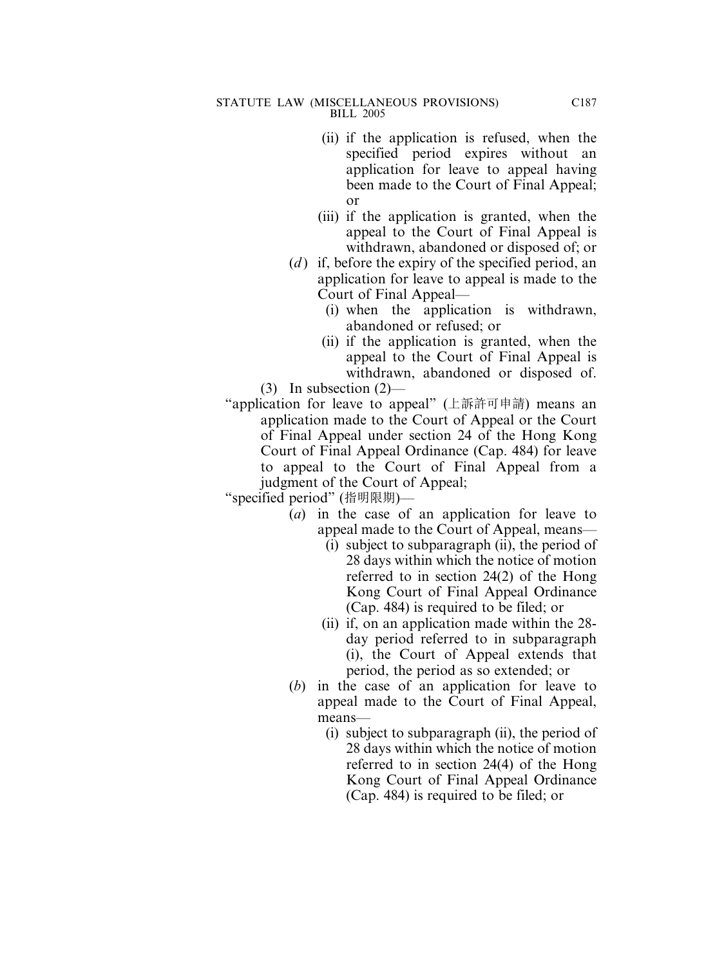- (ii) if the application is refused, when the specified period expires without an application for leave to appeal having been made to the Court of Final Appeal; or
- (iii) if the application is granted, when the appeal to the Court of Final Appeal is withdrawn, abandoned or disposed of; or
- (*d*) if, before the expiry of the specified period, an application for leave to appeal is made to the Court of Final Appeal—
	- (i) when the application is withdrawn, abandoned or refused; or
- (ii) if the application is granted, when the appeal to the Court of Final Appeal is withdrawn, abandoned or disposed of. (3) In subsection (2)—
- "application for leave to appeal" (上訴許可申請) means an application made to the Court of Appeal or the Court of Final Appeal under section 24 of the Hong Kong Court of Final Appeal Ordinance (Cap. 484) for leave to appeal to the Court of Final Appeal from a judgment of the Court of Appeal;

- (*a*) in the case of an application for leave to appeal made to the Court of Appeal, means—
	- (i) subject to subparagraph (ii), the period of 28 days within which the notice of motion referred to in section 24(2) of the Hong Kong Court of Final Appeal Ordinance (Cap. 484) is required to be filed; or
	- (ii) if, on an application made within the 28 day period referred to in subparagraph (i), the Court of Appeal extends that period, the period as so extended; or
- (*b*) in the case of an application for leave to appeal made to the Court of Final Appeal, means—
	- (i) subject to subparagraph (ii), the period of 28 days within which the notice of motion referred to in section 24(4) of the Hong Kong Court of Final Appeal Ordinance (Cap. 484) is required to be filed; or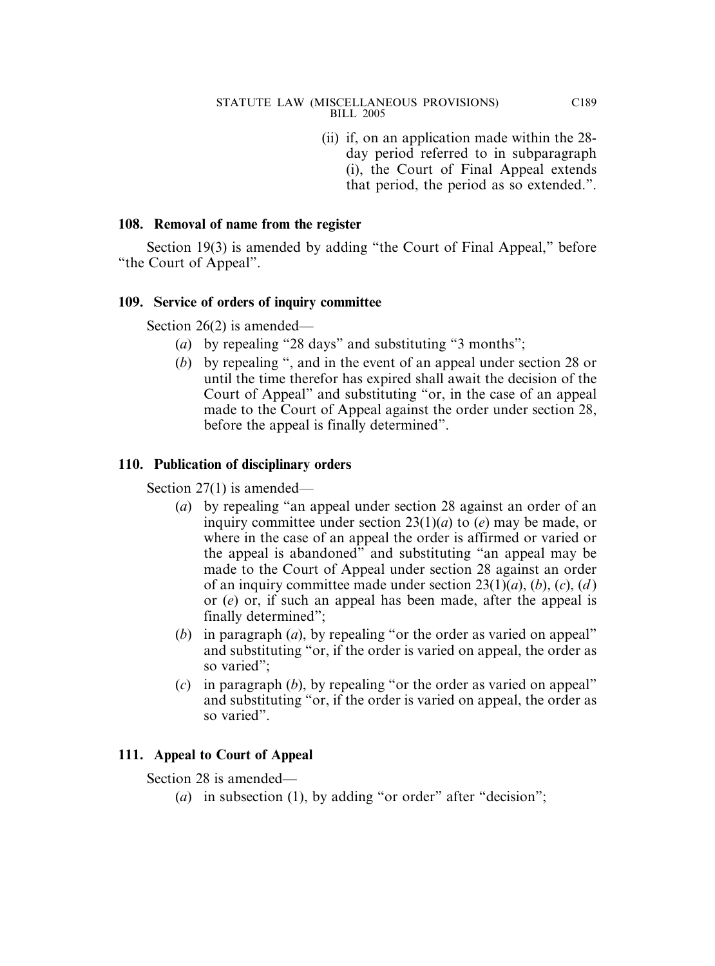(ii) if, on an application made within the 28 day period referred to in subparagraph (i), the Court of Final Appeal extends that period, the period as so extended.".

# **108. Removal of name from the register**

Section 19(3) is amended by adding "the Court of Final Appeal," before "the Court of Appeal".

## **109. Service of orders of inquiry committee**

Section 26(2) is amended—

- (*a*) by repealing "28 days" and substituting "3 months";
- (*b*) by repealing ", and in the event of an appeal under section 28 or until the time therefor has expired shall await the decision of the Court of Appeal" and substituting "or, in the case of an appeal made to the Court of Appeal against the order under section 28, before the appeal is finally determined".

## **110. Publication of disciplinary orders**

Section 27(1) is amended—

- (*a*) by repealing "an appeal under section 28 against an order of an inquiry committee under section 23(1)(*a*) to (*e*) may be made, or where in the case of an appeal the order is affirmed or varied or the appeal is abandoned" and substituting "an appeal may be made to the Court of Appeal under section 28 against an order of an inquiry committee made under section 23(1)(*a*), (*b*), (*c*), (*d* ) or (*e*) or, if such an appeal has been made, after the appeal is finally determined";
- (*b*) in paragraph (*a*), by repealing "or the order as varied on appeal" and substituting "or, if the order is varied on appeal, the order as so varied";
- (*c*) in paragraph (*b*), by repealing "or the order as varied on appeal" and substituting "or, if the order is varied on appeal, the order as so varied".

# **111. Appeal to Court of Appeal**

Section 28 is amended—

(*a*) in subsection (1), by adding "or order" after "decision";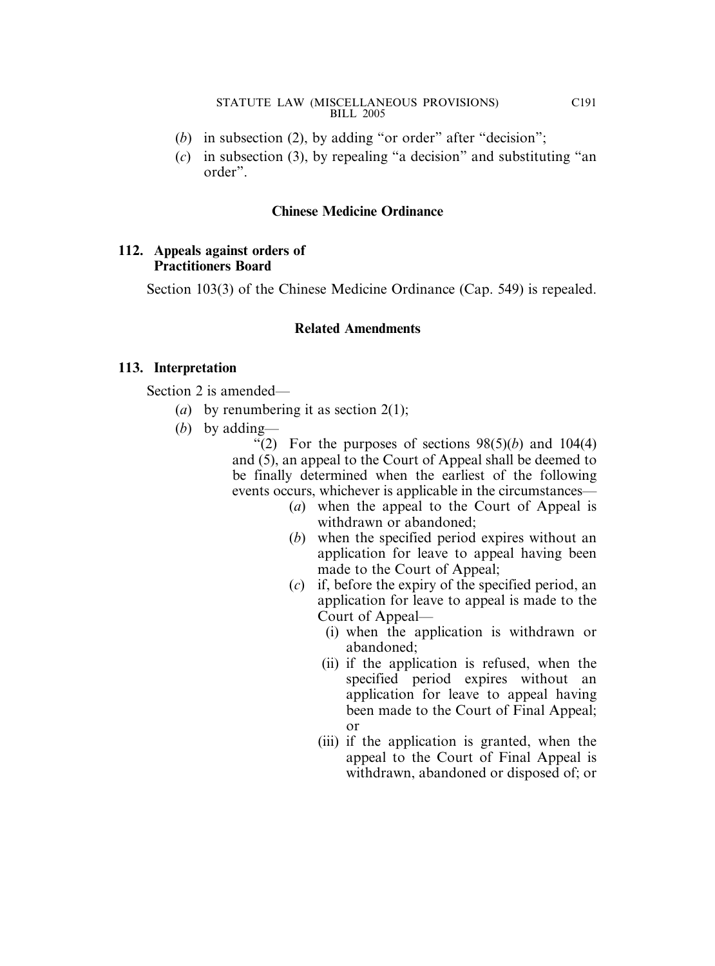- (*b*) in subsection (2), by adding "or order" after "decision";
- (*c*) in subsection (3), by repealing "a decision" and substituting "an order".

## **Chinese Medicine Ordinance**

## **112. Appeals against orders of Practitioners Board**

Section 103(3) of the Chinese Medicine Ordinance (Cap. 549) is repealed.

# **Related Amendments**

## **113. Interpretation**

Section 2 is amended—

- (*a*) by renumbering it as section 2(1);
- (*b*) by adding—

"(2) For the purposes of sections  $98(5)(b)$  and  $104(4)$ and (5), an appeal to the Court of Appeal shall be deemed to be finally determined when the earliest of the following events occurs, whichever is applicable in the circumstances—

- (*a*) when the appeal to the Court of Appeal is withdrawn or abandoned;
- (*b*) when the specified period expires without an application for leave to appeal having been made to the Court of Appeal;
- (*c*) if, before the expiry of the specified period, an application for leave to appeal is made to the Court of Appeal—
	- (i) when the application is withdrawn or abandoned;
	- (ii) if the application is refused, when the specified period expires without an application for leave to appeal having been made to the Court of Final Appeal; or
	- (iii) if the application is granted, when the appeal to the Court of Final Appeal is withdrawn, abandoned or disposed of; or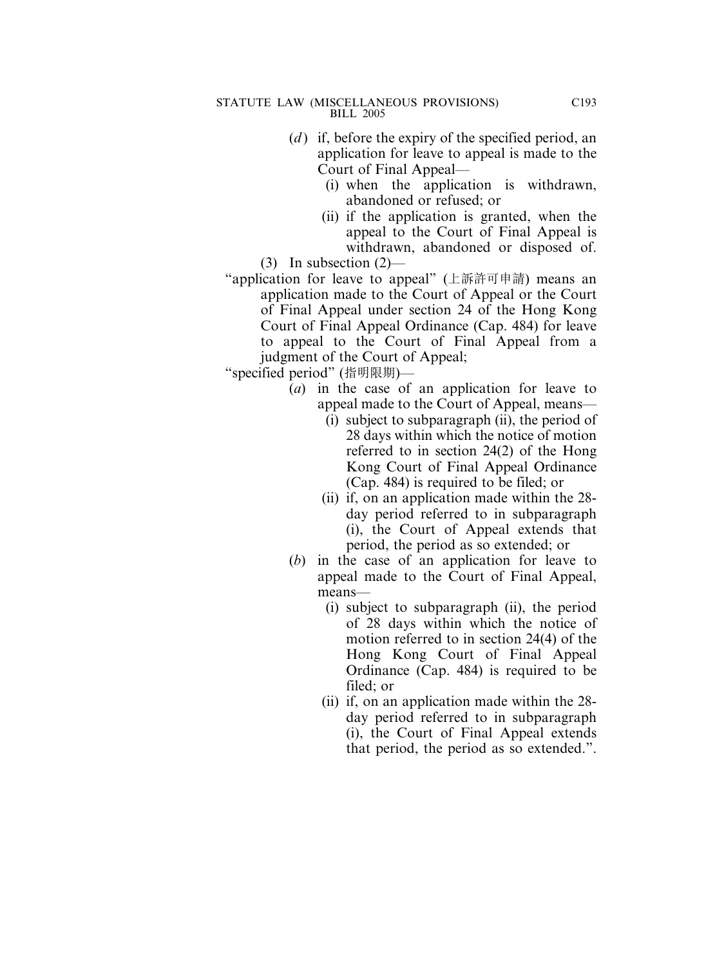- (*d*) if, before the expiry of the specified period, an application for leave to appeal is made to the Court of Final Appeal—
	- (i) when the application is withdrawn, abandoned or refused; or
- (ii) if the application is granted, when the appeal to the Court of Final Appeal is withdrawn, abandoned or disposed of. (3) In subsection (2)—
- "application for leave to appeal" (上訴許可申請) means an application made to the Court of Appeal or the Court of Final Appeal under section 24 of the Hong Kong Court of Final Appeal Ordinance (Cap. 484) for leave to appeal to the Court of Final Appeal from a judgment of the Court of Appeal;

"specified period" (指明限期)—

- (*a*) in the case of an application for leave to appeal made to the Court of Appeal, means—
	- (i) subject to subparagraph (ii), the period of 28 days within which the notice of motion referred to in section 24(2) of the Hong Kong Court of Final Appeal Ordinance (Cap. 484) is required to be filed; or
	- (ii) if, on an application made within the 28 day period referred to in subparagraph (i), the Court of Appeal extends that period, the period as so extended; or
- (*b*) in the case of an application for leave to appeal made to the Court of Final Appeal, means—
	- (i) subject to subparagraph (ii), the period of 28 days within which the notice of motion referred to in section 24(4) of the Hong Kong Court of Final Appeal Ordinance (Cap. 484) is required to be filed; or
	- (ii) if, on an application made within the 28 day period referred to in subparagraph (i), the Court of Final Appeal extends that period, the period as so extended.".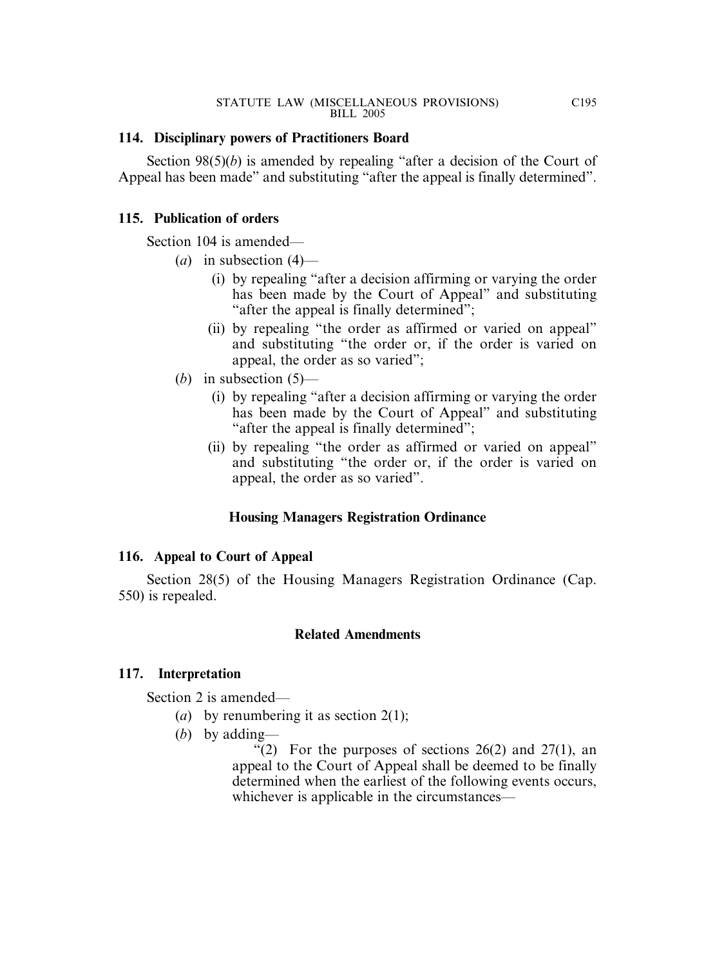### **114. Disciplinary powers of Practitioners Board**

Section 98(5)(*b*) is amended by repealing "after a decision of the Court of Appeal has been made" and substituting "after the appeal is finally determined".

### **115. Publication of orders**

Section 104 is amended—

- (*a*) in subsection (4)—
	- (i) by repealing "after a decision affirming or varying the order has been made by the Court of Appeal" and substituting "after the appeal is finally determined";
	- (ii) by repealing "the order as affirmed or varied on appeal" and substituting "the order or, if the order is varied on appeal, the order as so varied";
- (*b*) in subsection (5)—
	- (i) by repealing "after a decision affirming or varying the order has been made by the Court of Appeal" and substituting "after the appeal is finally determined";
	- (ii) by repealing "the order as affirmed or varied on appeal" and substituting "the order or, if the order is varied on appeal, the order as so varied".

### **Housing Managers Registration Ordinance**

### **116. Appeal to Court of Appeal**

Section 28(5) of the Housing Managers Registration Ordinance (Cap. 550) is repealed.

### **Related Amendments**

### **117. Interpretation**

Section 2 is amended—

- (*a*) by renumbering it as section 2(1);
- (*b*) by adding—

"(2) For the purposes of sections  $26(2)$  and  $27(1)$ , an appeal to the Court of Appeal shall be deemed to be finally determined when the earliest of the following events occurs, whichever is applicable in the circumstances—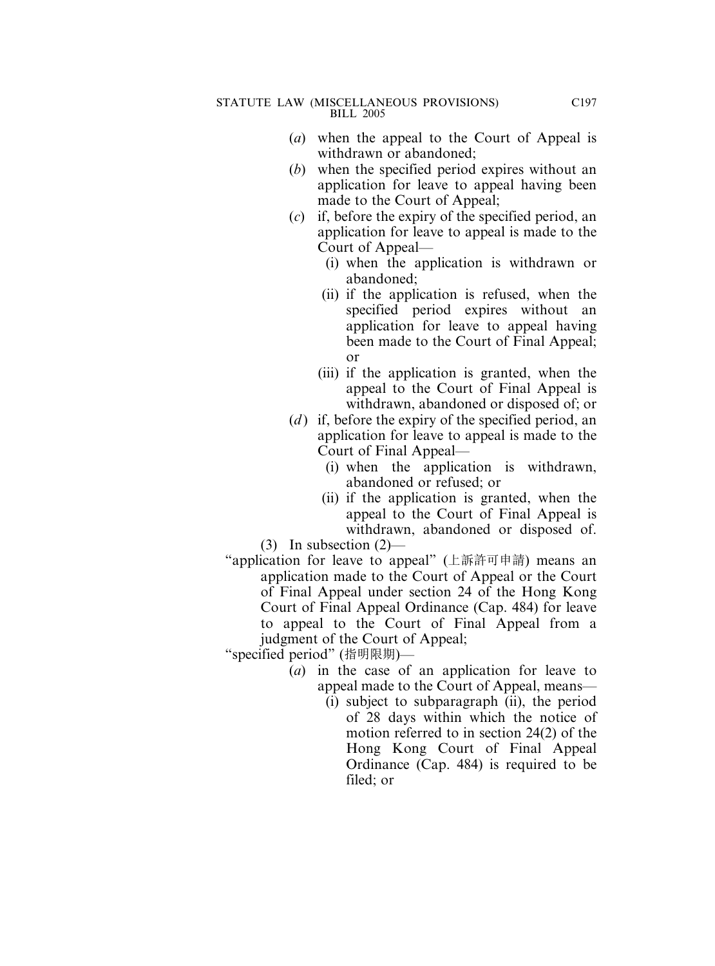- (*a*) when the appeal to the Court of Appeal is withdrawn or abandoned;
- (*b*) when the specified period expires without an application for leave to appeal having been made to the Court of Appeal;
- (*c*) if, before the expiry of the specified period, an application for leave to appeal is made to the Court of Appeal—
	- (i) when the application is withdrawn or abandoned;
	- (ii) if the application is refused, when the specified period expires without an application for leave to appeal having been made to the Court of Final Appeal; or
	- (iii) if the application is granted, when the appeal to the Court of Final Appeal is withdrawn, abandoned or disposed of; or
- (*d*) if, before the expiry of the specified period, an application for leave to appeal is made to the Court of Final Appeal—
	- (i) when the application is withdrawn, abandoned or refused; or
	- (ii) if the application is granted, when the appeal to the Court of Final Appeal is withdrawn, abandoned or disposed of.
- (3) In subsection (2)—
- "application for leave to appeal" (上訴許可申請) means an application made to the Court of Appeal or the Court of Final Appeal under section 24 of the Hong Kong Court of Final Appeal Ordinance (Cap. 484) for leave to appeal to the Court of Final Appeal from a judgment of the Court of Appeal;

"specified period" (指明限期)—

- (*a*) in the case of an application for leave to appeal made to the Court of Appeal, means—
	- (i) subject to subparagraph (ii), the period of 28 days within which the notice of motion referred to in section 24(2) of the Hong Kong Court of Final Appeal Ordinance (Cap. 484) is required to be filed; or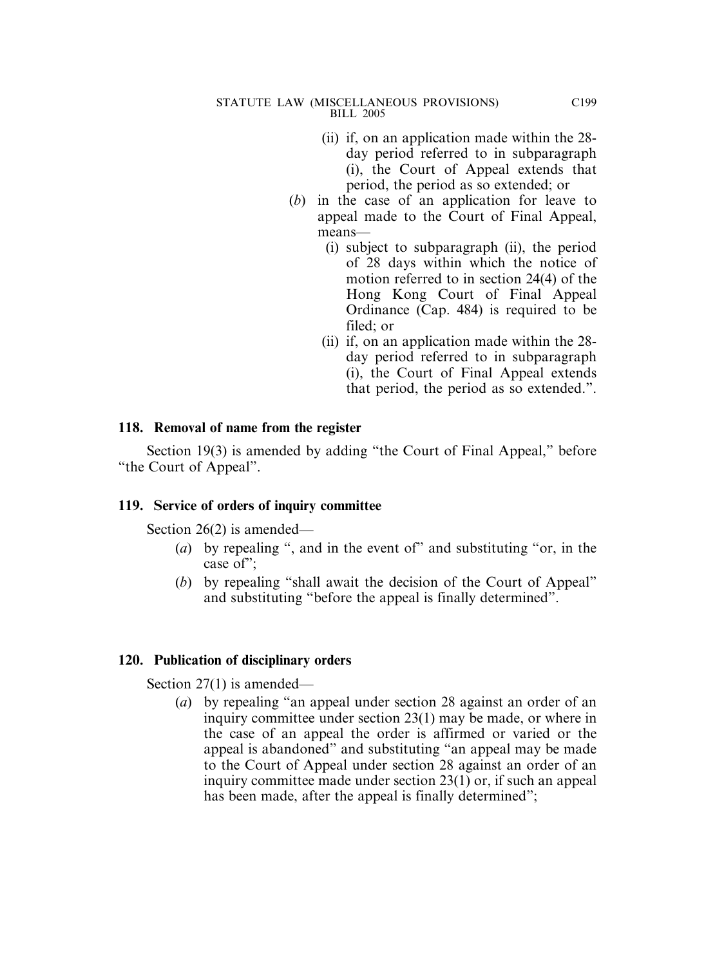- (ii) if, on an application made within the 28 day period referred to in subparagraph (i), the Court of Appeal extends that period, the period as so extended; or
- (*b*) in the case of an application for leave to appeal made to the Court of Final Appeal, means—
	- (i) subject to subparagraph (ii), the period of 28 days within which the notice of motion referred to in section 24(4) of the Hong Kong Court of Final Appeal Ordinance (Cap. 484) is required to be filed; or
	- (ii) if, on an application made within the 28 day period referred to in subparagraph (i), the Court of Final Appeal extends that period, the period as so extended.".

#### **118. Removal of name from the register**

Section 19(3) is amended by adding "the Court of Final Appeal," before "the Court of Appeal".

#### **119. Service of orders of inquiry committee**

Section 26(2) is amended—

- (*a*) by repealing ", and in the event of" and substituting "or, in the case of";
- (*b*) by repealing "shall await the decision of the Court of Appeal" and substituting "before the appeal is finally determined".

#### **120. Publication of disciplinary orders**

Section 27(1) is amended—

(*a*) by repealing "an appeal under section 28 against an order of an inquiry committee under section 23(1) may be made, or where in the case of an appeal the order is affirmed or varied or the appeal is abandoned" and substituting "an appeal may be made to the Court of Appeal under section 28 against an order of an inquiry committee made under section 23(1) or, if such an appeal has been made, after the appeal is finally determined";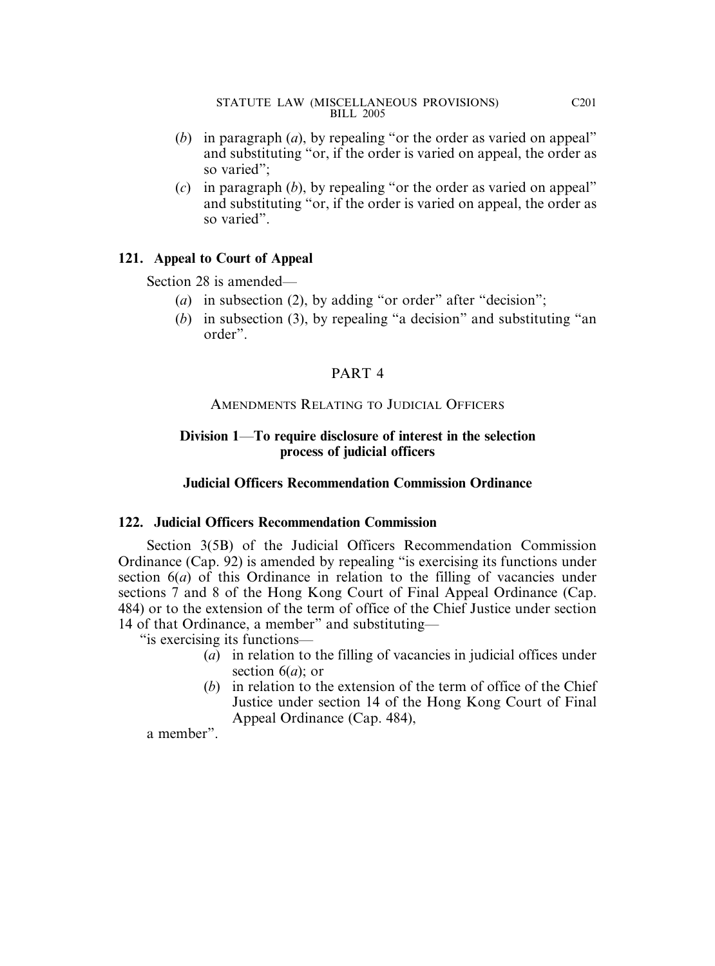- (*b*) in paragraph (*a*), by repealing "or the order as varied on appeal" and substituting "or, if the order is varied on appeal, the order as so varied";
- (*c*) in paragraph (*b*), by repealing "or the order as varied on appeal" and substituting "or, if the order is varied on appeal, the order as so varied".

### **121. Appeal to Court of Appeal**

Section 28 is amended—

- (*a*) in subsection (2), by adding "or order" after "decision";
- (*b*) in subsection (3), by repealing "a decision" and substituting "an order".

# PART 4

### AMENDMENTS RELATING TO JUDICIAL OFFICERS

## **Division 1**—**To require disclosure of interest in the selection process of judicial officers**

## **Judicial Officers Recommendation Commission Ordinance**

### **122. Judicial Officers Recommendation Commission**

Section 3(5B) of the Judicial Officers Recommendation Commission Ordinance (Cap. 92) is amended by repealing "is exercising its functions under section 6(*a*) of this Ordinance in relation to the filling of vacancies under sections 7 and 8 of the Hong Kong Court of Final Appeal Ordinance (Cap. 484) or to the extension of the term of office of the Chief Justice under section 14 of that Ordinance, a member" and substituting—

"is exercising its functions—

- (*a*) in relation to the filling of vacancies in judicial offices under section 6(*a*); or
- (*b*) in relation to the extension of the term of office of the Chief Justice under section 14 of the Hong Kong Court of Final Appeal Ordinance (Cap. 484),

a member".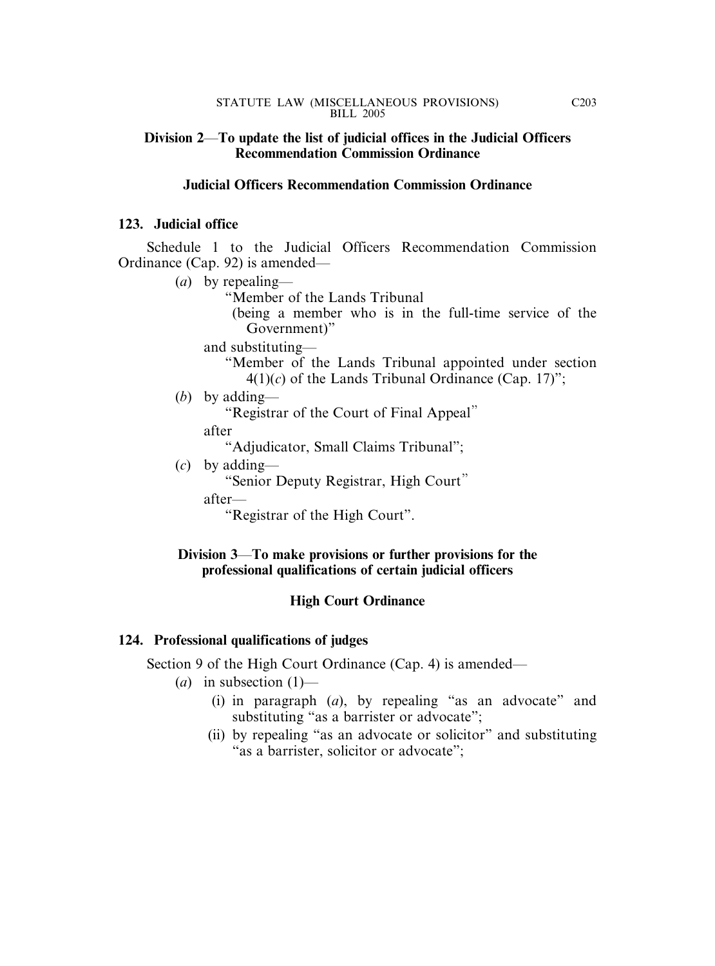### **Division 2**—**To update the list of judicial offices in the Judicial Officers Recommendation Commission Ordinance**

### **Judicial Officers Recommendation Commission Ordinance**

### **123. Judicial office**

Schedule 1 to the Judicial Officers Recommendation Commission Ordinance (Cap. 92) is amended—

(*a*) by repealing— "Member of the Lands Tribunal (being a member who is in the full-time service of the Government)" and substituting— "Member of the Lands Tribunal appointed under section  $4(1)(c)$  of the Lands Tribunal Ordinance (Cap. 17)"; (*b*) by adding— "Registrar of the Court of Final Appeal" after "Adjudicator, Small Claims Tribunal"; (*c*) by adding— "Senior Deputy Registrar, High Court" after— "Registrar of the High Court".

## **Division 3**—**To make provisions or further provisions for the professional qualifications of certain judicial officers**

### **High Court Ordinance**

### **124. Professional qualifications of judges**

Section 9 of the High Court Ordinance (Cap. 4) is amended—

- $(a)$  in subsection  $(1)$ 
	- (i) in paragraph (*a*), by repealing "as an advocate" and substituting "as a barrister or advocate";
	- (ii) by repealing "as an advocate or solicitor" and substituting "as a barrister, solicitor or advocate";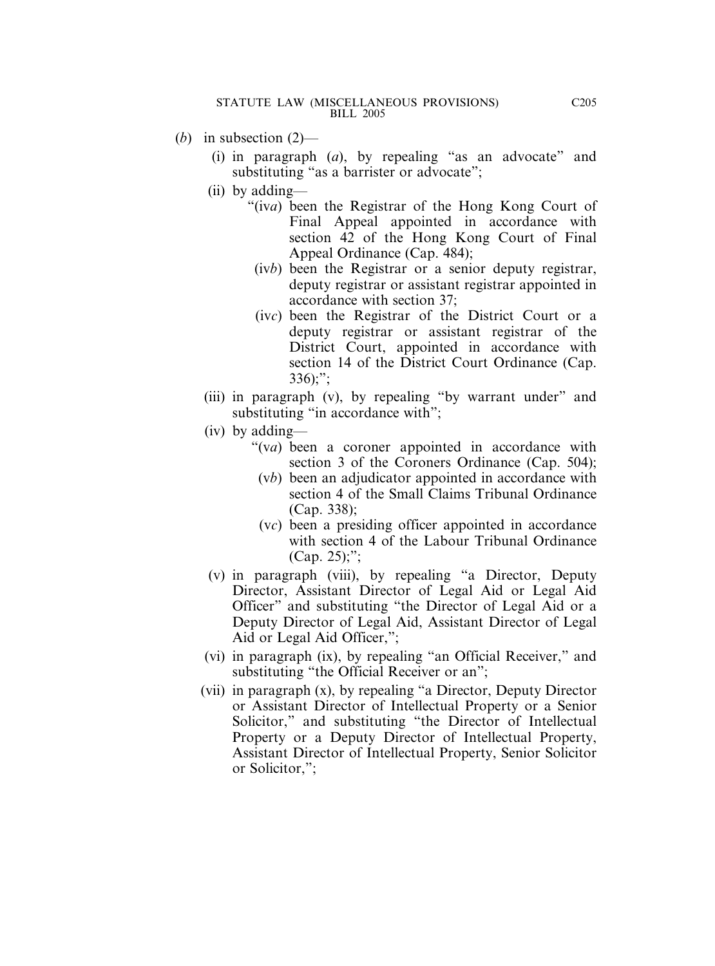- (*b*) in subsection (2)—
	- (i) in paragraph (*a*), by repealing "as an advocate" and substituting "as a barrister or advocate";
	- (ii) by adding—
		- "(iv*a*) been the Registrar of the Hong Kong Court of Final Appeal appointed in accordance with section 42 of the Hong Kong Court of Final Appeal Ordinance (Cap. 484);
			- (iv*b*) been the Registrar or a senior deputy registrar, deputy registrar or assistant registrar appointed in accordance with section 37;
			- (iv*c*) been the Registrar of the District Court or a deputy registrar or assistant registrar of the District Court, appointed in accordance with section 14 of the District Court Ordinance (Cap.  $336$ ;";
	- (iii) in paragraph (v), by repealing "by warrant under" and substituting "in accordance with";
	- (iv) by adding—
		- "(v*a*) been a coroner appointed in accordance with section 3 of the Coroners Ordinance (Cap. 504);
			- (v*b*) been an adjudicator appointed in accordance with section 4 of the Small Claims Tribunal Ordinance (Cap. 338);
			- (v*c*) been a presiding officer appointed in accordance with section 4 of the Labour Tribunal Ordinance (Cap. 25);";
	- (v) in paragraph (viii), by repealing "a Director, Deputy Director, Assistant Director of Legal Aid or Legal Aid Officer" and substituting "the Director of Legal Aid or a Deputy Director of Legal Aid, Assistant Director of Legal Aid or Legal Aid Officer,";
	- (vi) in paragraph (ix), by repealing "an Official Receiver," and substituting "the Official Receiver or an";
	- (vii) in paragraph (x), by repealing "a Director, Deputy Director or Assistant Director of Intellectual Property or a Senior Solicitor," and substituting "the Director of Intellectual Property or a Deputy Director of Intellectual Property, Assistant Director of Intellectual Property, Senior Solicitor or Solicitor,";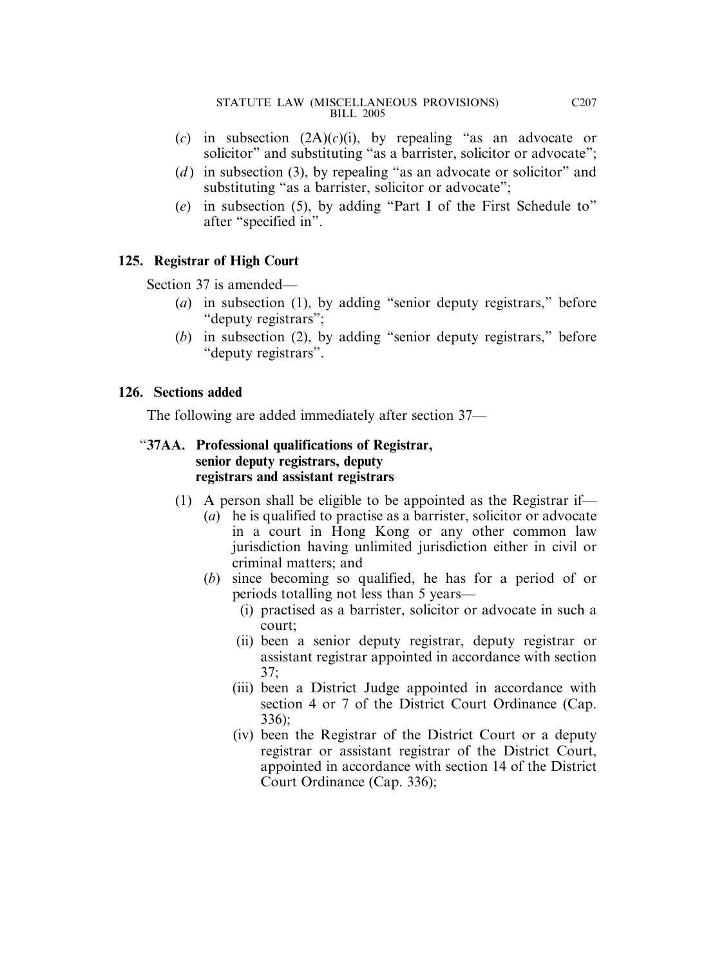- (*c*) in subsection (2A)(*c*)(i), by repealing "as an advocate or solicitor" and substituting "as a barrister, solicitor or advocate";
- (*d*) in subsection (3), by repealing "as an advocate or solicitor" and substituting "as a barrister, solicitor or advocate":
- (*e*) in subsection (5), by adding "Part I of the First Schedule to" after "specified in".

# **125. Registrar of High Court**

Section 37 is amended—

- (*a*) in subsection (1), by adding "senior deputy registrars," before "deputy registrars";
- (*b*) in subsection (2), by adding "senior deputy registrars," before "deputy registrars".

### **126. Sections added**

The following are added immediately after section 37—

### "**37AA. Professional qualifications of Registrar, senior deputy registrars, deputy registrars and assistant registrars**

- (1) A person shall be eligible to be appointed as the Registrar if—
	- (*a*) he is qualified to practise as a barrister, solicitor or advocate in a court in Hong Kong or any other common law jurisdiction having unlimited jurisdiction either in civil or criminal matters; and
	- (*b*) since becoming so qualified, he has for a period of or periods totalling not less than 5 years—
		- (i) practised as a barrister, solicitor or advocate in such a court;
		- (ii) been a senior deputy registrar, deputy registrar or assistant registrar appointed in accordance with section 37;
		- (iii) been a District Judge appointed in accordance with section 4 or 7 of the District Court Ordinance (Cap. 336);
		- (iv) been the Registrar of the District Court or a deputy registrar or assistant registrar of the District Court, appointed in accordance with section 14 of the District Court Ordinance (Cap. 336);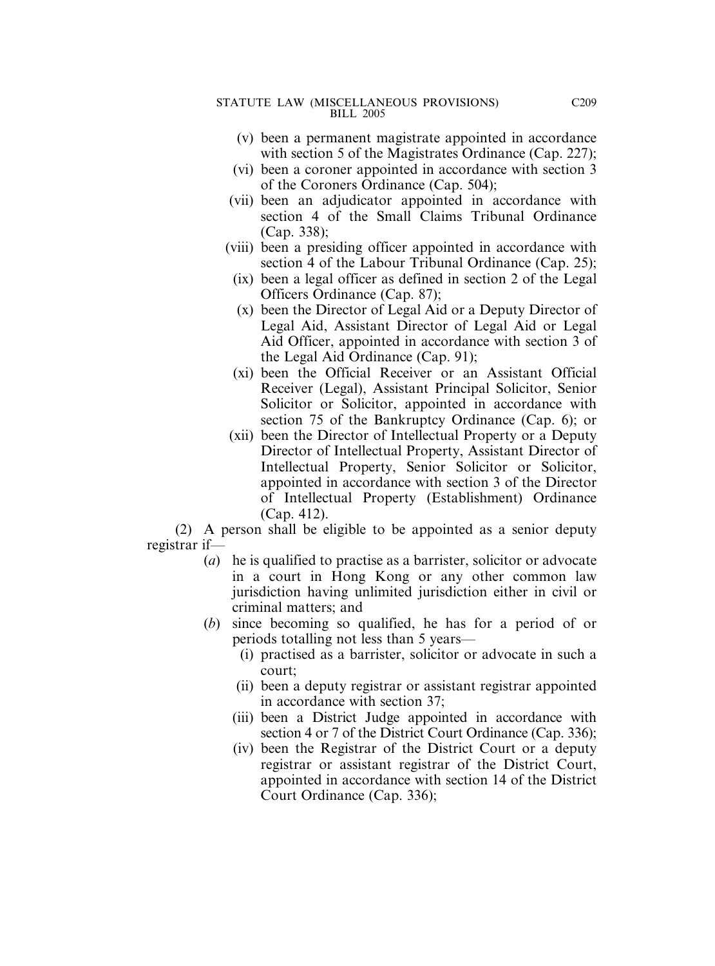- (v) been a permanent magistrate appointed in accordance with section 5 of the Magistrates Ordinance (Cap. 227);
- (vi) been a coroner appointed in accordance with section 3 of the Coroners Ordinance (Cap. 504);
- (vii) been an adjudicator appointed in accordance with section 4 of the Small Claims Tribunal Ordinance (Cap. 338);
- (viii) been a presiding officer appointed in accordance with section 4 of the Labour Tribunal Ordinance (Cap. 25);
	- (ix) been a legal officer as defined in section 2 of the Legal Officers Ordinance (Cap. 87);
	- (x) been the Director of Legal Aid or a Deputy Director of Legal Aid, Assistant Director of Legal Aid or Legal Aid Officer, appointed in accordance with section 3 of the Legal Aid Ordinance (Cap. 91);
	- (xi) been the Official Receiver or an Assistant Official Receiver (Legal), Assistant Principal Solicitor, Senior Solicitor or Solicitor, appointed in accordance with section 75 of the Bankruptcy Ordinance (Cap. 6); or
- (xii) been the Director of Intellectual Property or a Deputy Director of Intellectual Property, Assistant Director of Intellectual Property, Senior Solicitor or Solicitor, appointed in accordance with section 3 of the Director of Intellectual Property (Establishment) Ordinance (Cap. 412).

(2) A person shall be eligible to be appointed as a senior deputy registrar if—

- (*a*) he is qualified to practise as a barrister, solicitor or advocate in a court in Hong Kong or any other common law jurisdiction having unlimited jurisdiction either in civil or criminal matters; and
- (*b*) since becoming so qualified, he has for a period of or periods totalling not less than 5 years—
	- (i) practised as a barrister, solicitor or advocate in such a court;
	- (ii) been a deputy registrar or assistant registrar appointed in accordance with section 37;
	- (iii) been a District Judge appointed in accordance with section 4 or 7 of the District Court Ordinance (Cap. 336);
	- (iv) been the Registrar of the District Court or a deputy registrar or assistant registrar of the District Court, appointed in accordance with section 14 of the District Court Ordinance (Cap. 336);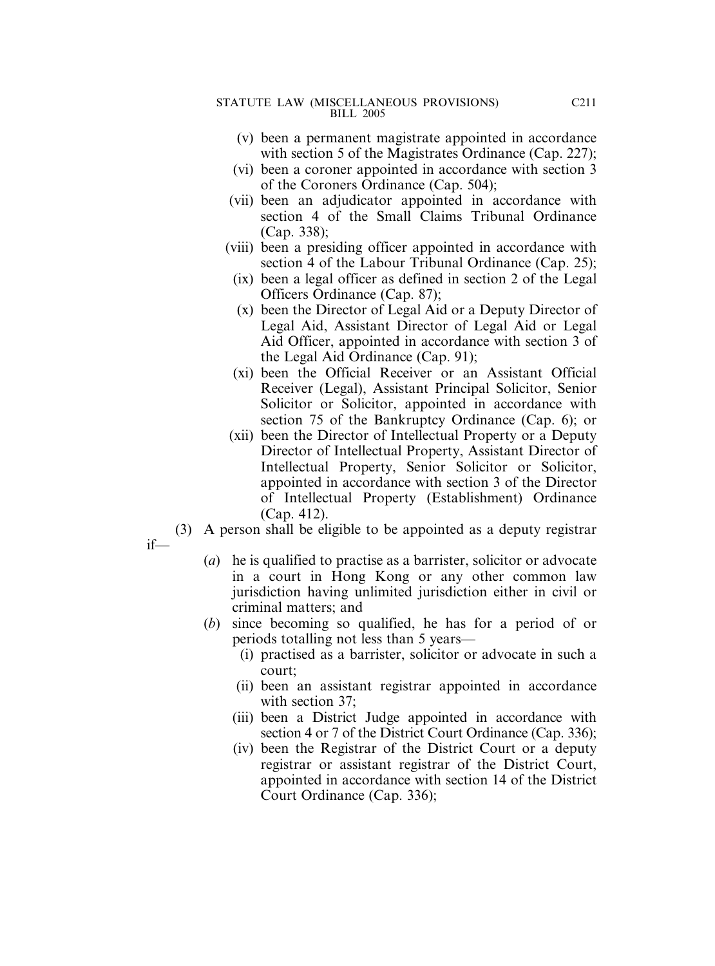- (v) been a permanent magistrate appointed in accordance with section 5 of the Magistrates Ordinance (Cap. 227);
- (vi) been a coroner appointed in accordance with section 3 of the Coroners Ordinance (Cap. 504);
- (vii) been an adjudicator appointed in accordance with section 4 of the Small Claims Tribunal Ordinance (Cap. 338);
- (viii) been a presiding officer appointed in accordance with section 4 of the Labour Tribunal Ordinance (Cap. 25);
	- (ix) been a legal officer as defined in section 2 of the Legal Officers Ordinance (Cap. 87);
	- (x) been the Director of Legal Aid or a Deputy Director of Legal Aid, Assistant Director of Legal Aid or Legal Aid Officer, appointed in accordance with section 3 of the Legal Aid Ordinance (Cap. 91);
	- (xi) been the Official Receiver or an Assistant Official Receiver (Legal), Assistant Principal Solicitor, Senior Solicitor or Solicitor, appointed in accordance with section 75 of the Bankruptcy Ordinance (Cap. 6); or
- (xii) been the Director of Intellectual Property or a Deputy Director of Intellectual Property, Assistant Director of Intellectual Property, Senior Solicitor or Solicitor, appointed in accordance with section 3 of the Director of Intellectual Property (Establishment) Ordinance (Cap. 412).
- (3) A person shall be eligible to be appointed as a deputy registrar

if—

- (*a*) he is qualified to practise as a barrister, solicitor or advocate in a court in Hong Kong or any other common law jurisdiction having unlimited jurisdiction either in civil or criminal matters; and
- (*b*) since becoming so qualified, he has for a period of or periods totalling not less than 5 years—
	- (i) practised as a barrister, solicitor or advocate in such a court;
	- (ii) been an assistant registrar appointed in accordance with section 37;
	- (iii) been a District Judge appointed in accordance with section 4 or 7 of the District Court Ordinance (Cap. 336);
	- (iv) been the Registrar of the District Court or a deputy registrar or assistant registrar of the District Court, appointed in accordance with section 14 of the District Court Ordinance (Cap. 336);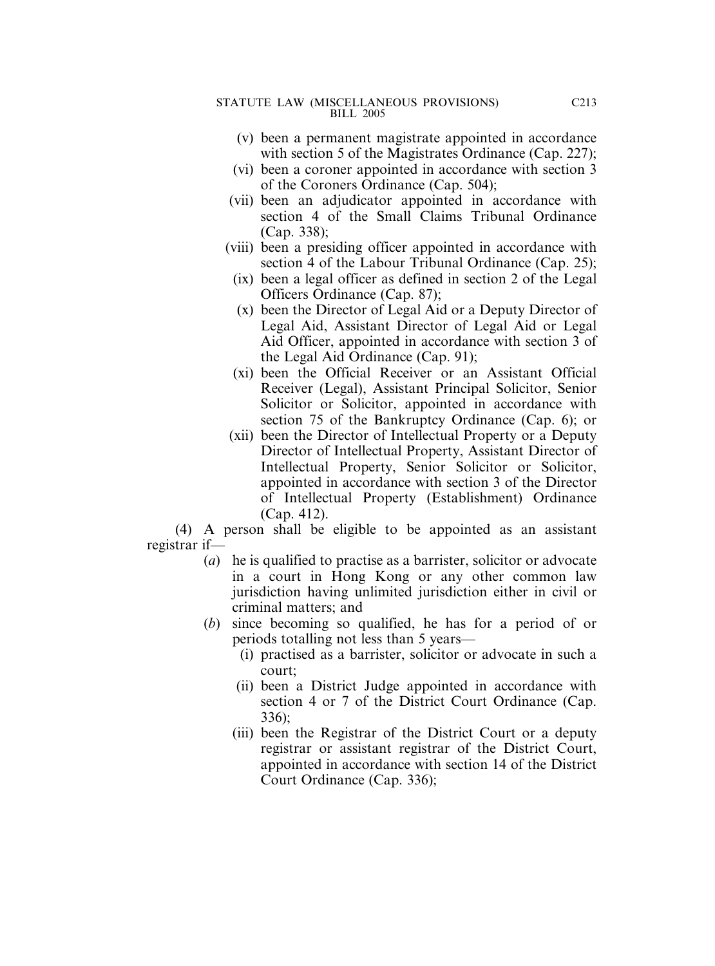- (v) been a permanent magistrate appointed in accordance with section 5 of the Magistrates Ordinance (Cap. 227);
- (vi) been a coroner appointed in accordance with section 3 of the Coroners Ordinance (Cap. 504);
- (vii) been an adjudicator appointed in accordance with section 4 of the Small Claims Tribunal Ordinance (Cap. 338);
- (viii) been a presiding officer appointed in accordance with section 4 of the Labour Tribunal Ordinance (Cap. 25);
	- (ix) been a legal officer as defined in section 2 of the Legal Officers Ordinance (Cap. 87);
	- (x) been the Director of Legal Aid or a Deputy Director of Legal Aid, Assistant Director of Legal Aid or Legal Aid Officer, appointed in accordance with section 3 of the Legal Aid Ordinance (Cap. 91);
	- (xi) been the Official Receiver or an Assistant Official Receiver (Legal), Assistant Principal Solicitor, Senior Solicitor or Solicitor, appointed in accordance with section 75 of the Bankruptcy Ordinance (Cap. 6); or
- (xii) been the Director of Intellectual Property or a Deputy Director of Intellectual Property, Assistant Director of Intellectual Property, Senior Solicitor or Solicitor, appointed in accordance with section 3 of the Director of Intellectual Property (Establishment) Ordinance (Cap. 412).

(4) A person shall be eligible to be appointed as an assistant registrar if—

- (*a*) he is qualified to practise as a barrister, solicitor or advocate in a court in Hong Kong or any other common law jurisdiction having unlimited jurisdiction either in civil or criminal matters; and
- (*b*) since becoming so qualified, he has for a period of or periods totalling not less than 5 years—
	- (i) practised as a barrister, solicitor or advocate in such a court;
	- (ii) been a District Judge appointed in accordance with section 4 or 7 of the District Court Ordinance (Cap. 336);
	- (iii) been the Registrar of the District Court or a deputy registrar or assistant registrar of the District Court, appointed in accordance with section 14 of the District Court Ordinance (Cap. 336);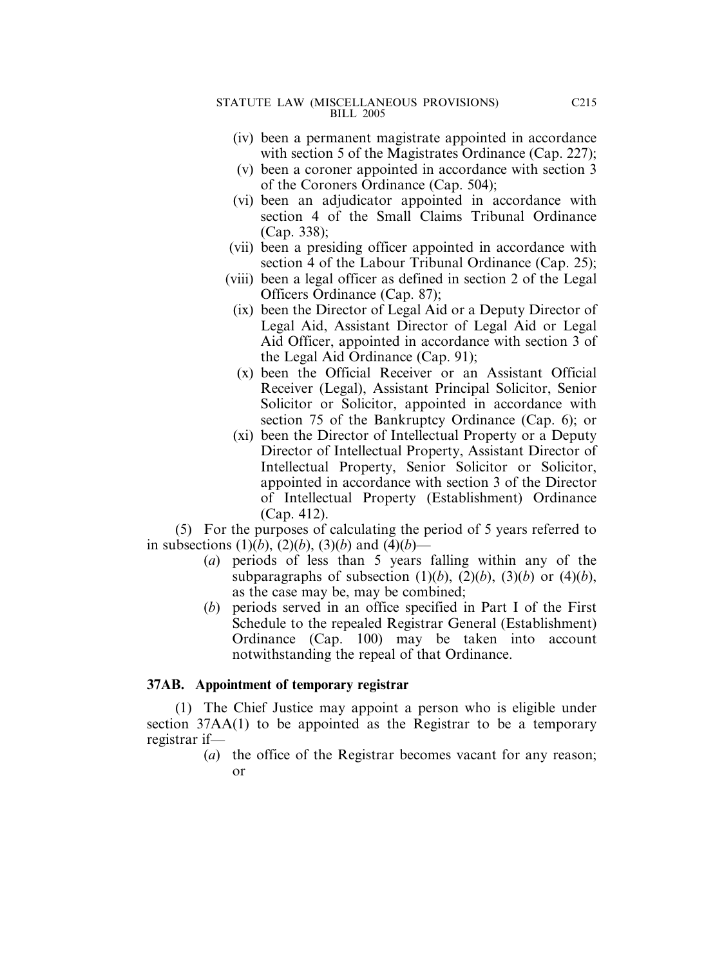- (iv) been a permanent magistrate appointed in accordance with section 5 of the Magistrates Ordinance (Cap. 227);
- (v) been a coroner appointed in accordance with section 3 of the Coroners Ordinance (Cap. 504);
- (vi) been an adjudicator appointed in accordance with section 4 of the Small Claims Tribunal Ordinance (Cap. 338);
- (vii) been a presiding officer appointed in accordance with section 4 of the Labour Tribunal Ordinance (Cap. 25);
- (viii) been a legal officer as defined in section 2 of the Legal Officers Ordinance (Cap. 87);
	- (ix) been the Director of Legal Aid or a Deputy Director of Legal Aid, Assistant Director of Legal Aid or Legal Aid Officer, appointed in accordance with section 3 of the Legal Aid Ordinance (Cap. 91);
	- (x) been the Official Receiver or an Assistant Official Receiver (Legal), Assistant Principal Solicitor, Senior Solicitor or Solicitor, appointed in accordance with section 75 of the Bankruptcy Ordinance (Cap. 6); or
	- (xi) been the Director of Intellectual Property or a Deputy Director of Intellectual Property, Assistant Director of Intellectual Property, Senior Solicitor or Solicitor, appointed in accordance with section 3 of the Director of Intellectual Property (Establishment) Ordinance (Cap. 412).

(5) For the purposes of calculating the period of 5 years referred to in subsections  $(1)(b)$ ,  $(2)(b)$ ,  $(3)(b)$  and  $(4)(b)$ —

- (*a*) periods of less than 5 years falling within any of the subparagraphs of subsection  $(1)(b)$ ,  $(2)(b)$ ,  $(3)(b)$  or  $(4)(b)$ , as the case may be, may be combined;
- (*b*) periods served in an office specified in Part I of the First Schedule to the repealed Registrar General (Establishment) Ordinance (Cap. 100) may be taken into account notwithstanding the repeal of that Ordinance.

### **37AB. Appointment of temporary registrar**

(1) The Chief Justice may appoint a person who is eligible under section 37AA(1) to be appointed as the Registrar to be a temporary registrar if—

(*a*) the office of the Registrar becomes vacant for any reason; or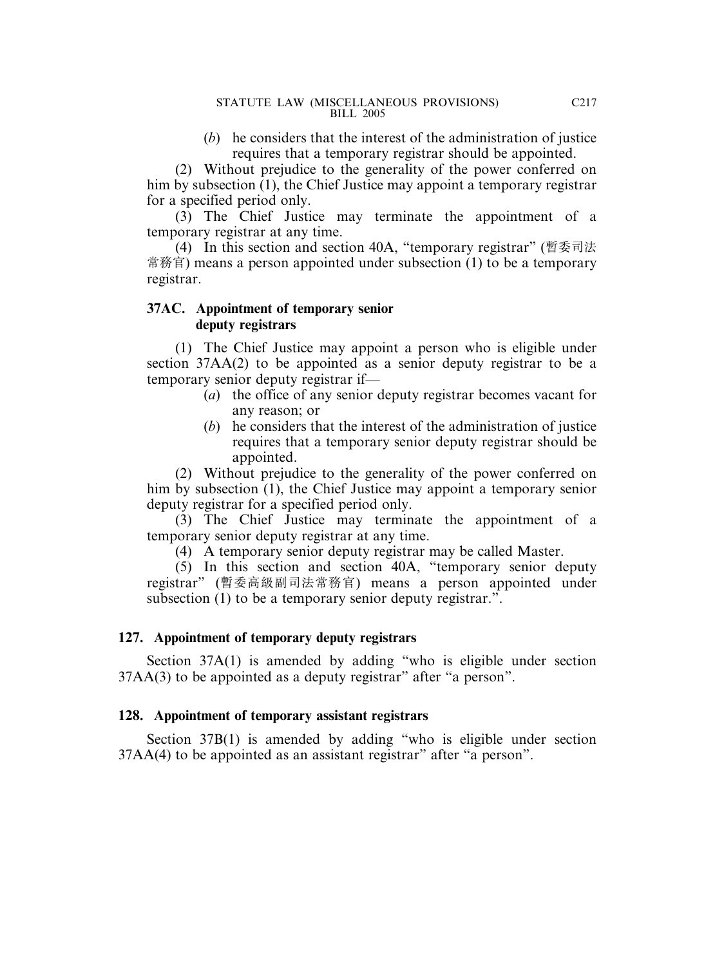(*b*) he considers that the interest of the administration of justice requires that a temporary registrar should be appointed.

(2) Without prejudice to the generality of the power conferred on him by subsection (1), the Chief Justice may appoint a temporary registrar for a specified period only.

(3) The Chief Justice may terminate the appointment of a temporary registrar at any time.

(4) In this section and section 40A, "temporary registrar" (暫委司法 常務官) means a person appointed under subsection (1) to be a temporary registrar.

### **37AC. Appointment of temporary senior deputy registrars**

(1) The Chief Justice may appoint a person who is eligible under section 37AA(2) to be appointed as a senior deputy registrar to be a temporary senior deputy registrar if—

- (*a*) the office of any senior deputy registrar becomes vacant for any reason; or
- (*b*) he considers that the interest of the administration of justice requires that a temporary senior deputy registrar should be appointed.

(2) Without prejudice to the generality of the power conferred on him by subsection (1), the Chief Justice may appoint a temporary senior deputy registrar for a specified period only.

(3) The Chief Justice may terminate the appointment of a temporary senior deputy registrar at any time.

(4) A temporary senior deputy registrar may be called Master.

(5) In this section and section 40A, "temporary senior deputy registrar" (暫委高級副司法常務官) means a person appointed under subsection (1) to be a temporary senior deputy registrar.".

# **127. Appointment of temporary deputy registrars**

Section 37A(1) is amended by adding "who is eligible under section 37AA(3) to be appointed as a deputy registrar" after "a person".

# **128. Appointment of temporary assistant registrars**

Section 37B(1) is amended by adding "who is eligible under section 37AA(4) to be appointed as an assistant registrar" after "a person".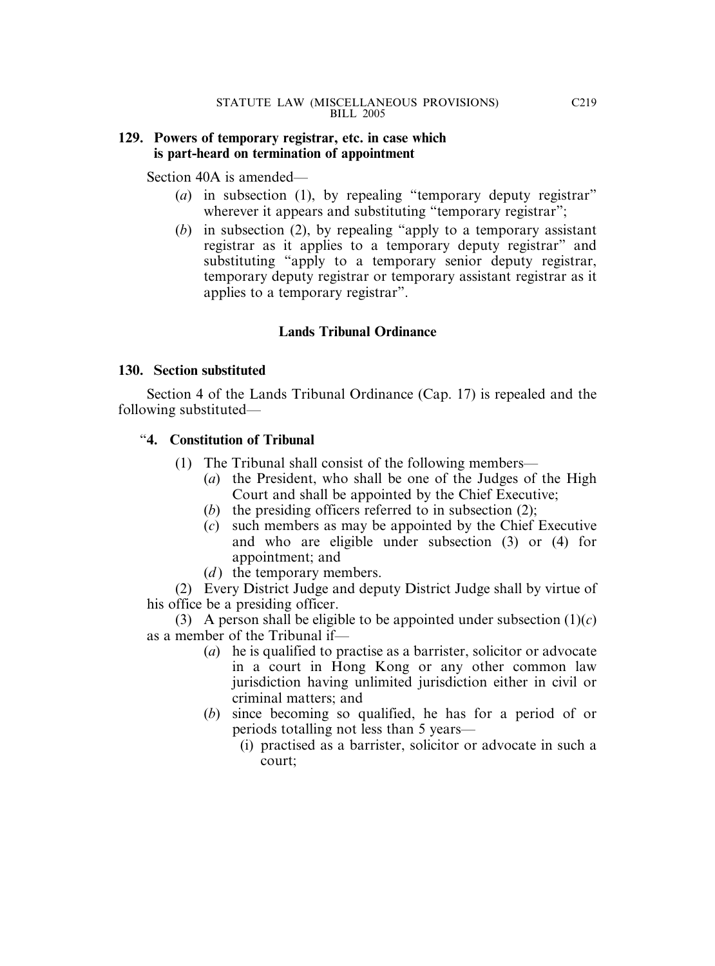### **129. Powers of temporary registrar, etc. in case which is part-heard on termination of appointment**

Section 40A is amended—

- (*a*) in subsection (1), by repealing "temporary deputy registrar" wherever it appears and substituting "temporary registrar";
- (*b*) in subsection (2), by repealing "apply to a temporary assistant registrar as it applies to a temporary deputy registrar" and substituting "apply to a temporary senior deputy registrar, temporary deputy registrar or temporary assistant registrar as it applies to a temporary registrar".

# **Lands Tribunal Ordinance**

### **130. Section substituted**

Section 4 of the Lands Tribunal Ordinance (Cap. 17) is repealed and the following substituted—

## "**4. Constitution of Tribunal**

- (1) The Tribunal shall consist of the following members—
	- (*a*) the President, who shall be one of the Judges of the High Court and shall be appointed by the Chief Executive;
	- (*b*) the presiding officers referred to in subsection (2);
	- (*c*) such members as may be appointed by the Chief Executive and who are eligible under subsection (3) or (4) for appointment; and
	- (*d*) the temporary members.

(2) Every District Judge and deputy District Judge shall by virtue of his office be a presiding officer.

(3) A person shall be eligible to be appointed under subsection  $(1)(c)$ as a member of the Tribunal if—

- (*a*) he is qualified to practise as a barrister, solicitor or advocate in a court in Hong Kong or any other common law jurisdiction having unlimited jurisdiction either in civil or criminal matters; and
- (*b*) since becoming so qualified, he has for a period of or periods totalling not less than 5 years—
	- (i) practised as a barrister, solicitor or advocate in such a court;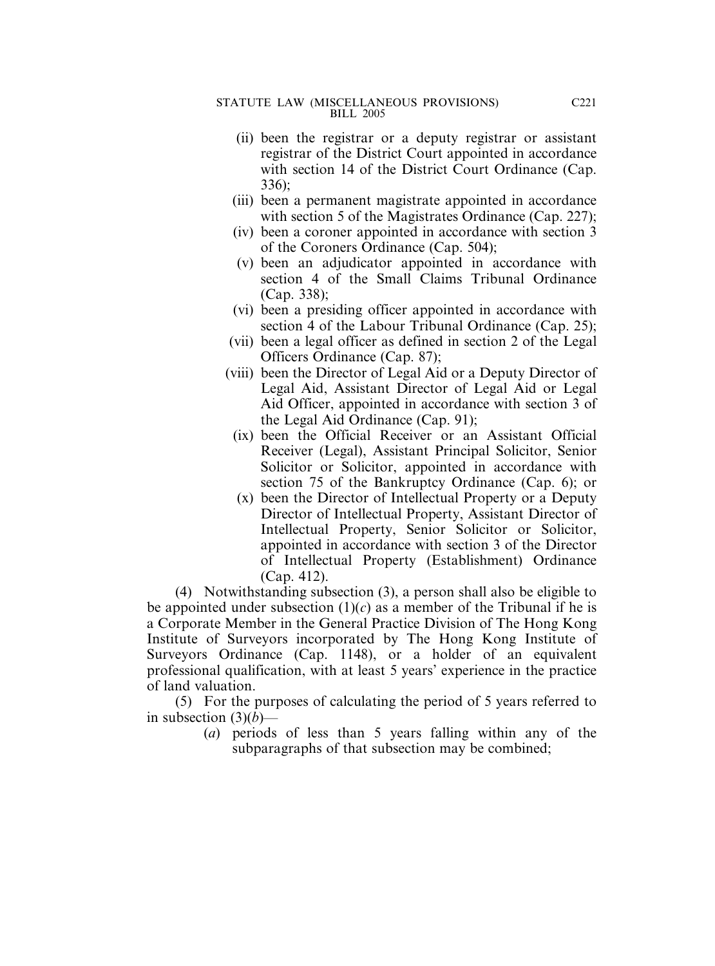- (ii) been the registrar or a deputy registrar or assistant registrar of the District Court appointed in accordance with section 14 of the District Court Ordinance (Cap. 336);
- (iii) been a permanent magistrate appointed in accordance with section 5 of the Magistrates Ordinance (Cap. 227);
- (iv) been a coroner appointed in accordance with section 3 of the Coroners Ordinance (Cap. 504);
- (v) been an adjudicator appointed in accordance with section 4 of the Small Claims Tribunal Ordinance (Cap. 338);
- (vi) been a presiding officer appointed in accordance with section 4 of the Labour Tribunal Ordinance (Cap. 25);
- (vii) been a legal officer as defined in section 2 of the Legal Officers Ordinance (Cap. 87);
- (viii) been the Director of Legal Aid or a Deputy Director of Legal Aid, Assistant Director of Legal Aid or Legal Aid Officer, appointed in accordance with section 3 of the Legal Aid Ordinance (Cap. 91);
	- (ix) been the Official Receiver or an Assistant Official Receiver (Legal), Assistant Principal Solicitor, Senior Solicitor or Solicitor, appointed in accordance with section 75 of the Bankruptcy Ordinance (Cap. 6); or
	- (x) been the Director of Intellectual Property or a Deputy Director of Intellectual Property, Assistant Director of Intellectual Property, Senior Solicitor or Solicitor, appointed in accordance with section 3 of the Director of Intellectual Property (Establishment) Ordinance (Cap. 412).

(4) Notwithstanding subsection (3), a person shall also be eligible to be appointed under subsection  $(1)(c)$  as a member of the Tribunal if he is a Corporate Member in the General Practice Division of The Hong Kong Institute of Surveyors incorporated by The Hong Kong Institute of Surveyors Ordinance (Cap. 1148), or a holder of an equivalent professional qualification, with at least 5 years' experience in the practice of land valuation.

(5) For the purposes of calculating the period of 5 years referred to in subsection  $(3)(b)$ —

> (*a*) periods of less than 5 years falling within any of the subparagraphs of that subsection may be combined;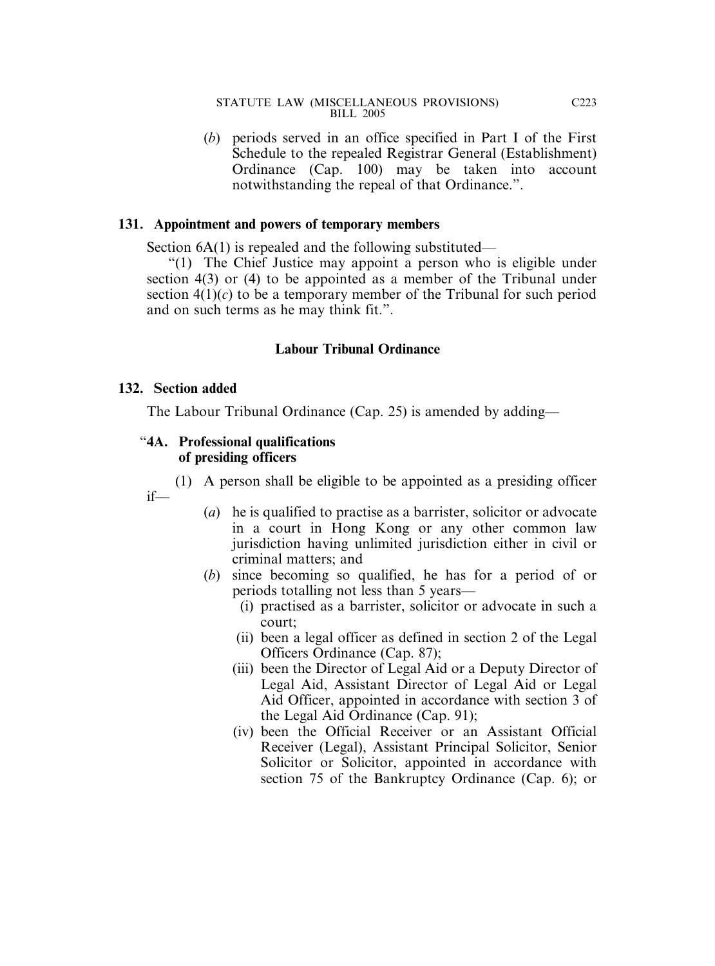(*b*) periods served in an office specified in Part I of the First Schedule to the repealed Registrar General (Establishment) Ordinance (Cap. 100) may be taken into account notwithstanding the repeal of that Ordinance.".

### **131. Appointment and powers of temporary members**

Section 6A(1) is repealed and the following substituted—

"(1) The Chief Justice may appoint a person who is eligible under section 4(3) or (4) to be appointed as a member of the Tribunal under section  $4(1)(c)$  to be a temporary member of the Tribunal for such period and on such terms as he may think fit.".

### **Labour Tribunal Ordinance**

#### **132. Section added**

if—

The Labour Tribunal Ordinance (Cap. 25) is amended by adding—

#### "**4A. Professional qualifications of presiding officers**

(1) A person shall be eligible to be appointed as a presiding officer

- (*a*) he is qualified to practise as a barrister, solicitor or advocate in a court in Hong Kong or any other common law jurisdiction having unlimited jurisdiction either in civil or criminal matters; and
	- (*b*) since becoming so qualified, he has for a period of or periods totalling not less than 5 years—
		- (i) practised as a barrister, solicitor or advocate in such a court;
		- (ii) been a legal officer as defined in section 2 of the Legal Officers Ordinance (Cap. 87);
		- (iii) been the Director of Legal Aid or a Deputy Director of Legal Aid, Assistant Director of Legal Aid or Legal Aid Officer, appointed in accordance with section 3 of the Legal Aid Ordinance (Cap. 91);
		- (iv) been the Official Receiver or an Assistant Official Receiver (Legal), Assistant Principal Solicitor, Senior Solicitor or Solicitor, appointed in accordance with section 75 of the Bankruptcy Ordinance (Cap. 6); or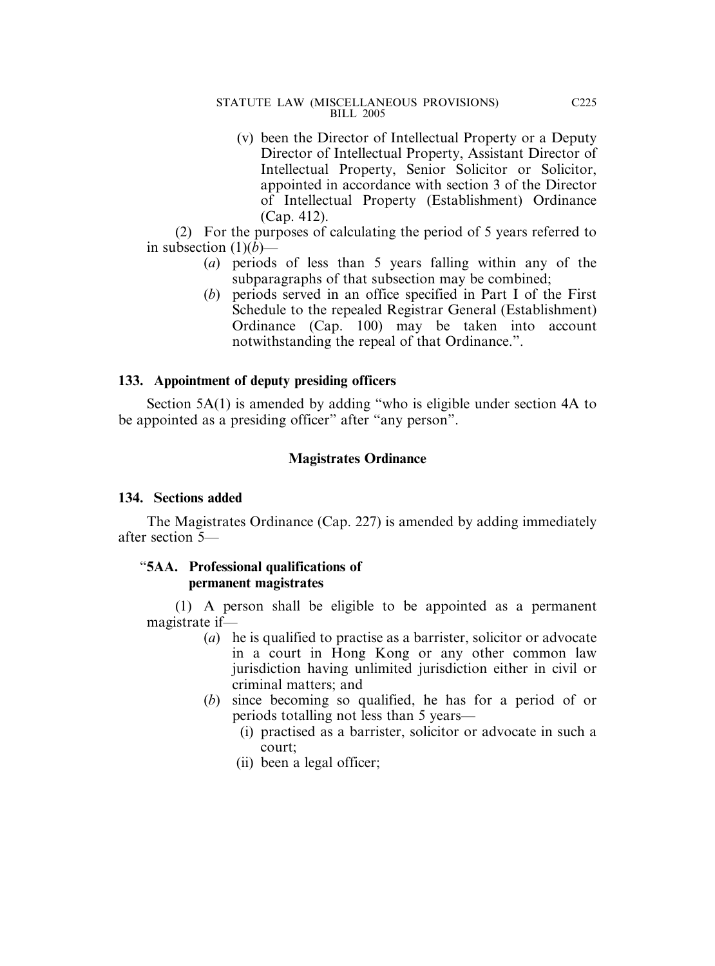(v) been the Director of Intellectual Property or a Deputy Director of Intellectual Property, Assistant Director of Intellectual Property, Senior Solicitor or Solicitor, appointed in accordance with section 3 of the Director of Intellectual Property (Establishment) Ordinance (Cap. 412).

(2) For the purposes of calculating the period of 5 years referred to in subsection  $(1)(b)$ —

- (*a*) periods of less than 5 years falling within any of the subparagraphs of that subsection may be combined;
- (*b*) periods served in an office specified in Part I of the First Schedule to the repealed Registrar General (Establishment) Ordinance (Cap. 100) may be taken into account notwithstanding the repeal of that Ordinance.".

### **133. Appointment of deputy presiding officers**

Section 5A(1) is amended by adding "who is eligible under section 4A to be appointed as a presiding officer" after "any person".

## **Magistrates Ordinance**

### **134. Sections added**

The Magistrates Ordinance (Cap. 227) is amended by adding immediately after section 5—

### "**5AA. Professional qualifications of permanent magistrates**

(1) A person shall be eligible to be appointed as a permanent magistrate if—

- (*a*) he is qualified to practise as a barrister, solicitor or advocate in a court in Hong Kong or any other common law jurisdiction having unlimited jurisdiction either in civil or criminal matters; and
- (*b*) since becoming so qualified, he has for a period of or periods totalling not less than 5 years—
	- (i) practised as a barrister, solicitor or advocate in such a court;
	- (ii) been a legal officer;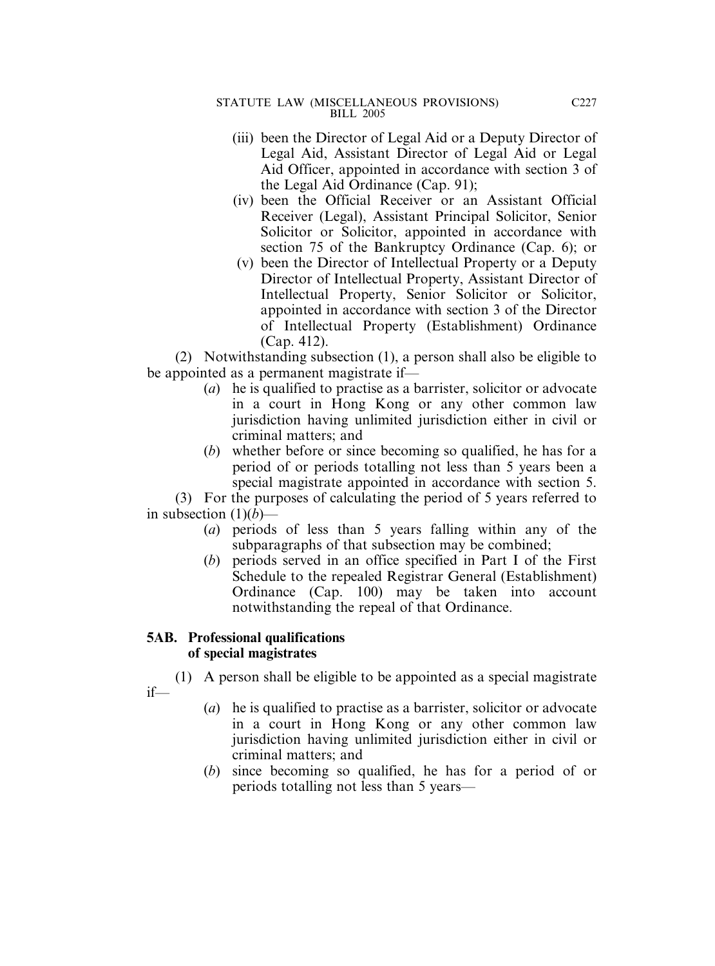- (iii) been the Director of Legal Aid or a Deputy Director of Legal Aid, Assistant Director of Legal Aid or Legal Aid Officer, appointed in accordance with section 3 of the Legal Aid Ordinance (Cap. 91);
- (iv) been the Official Receiver or an Assistant Official Receiver (Legal), Assistant Principal Solicitor, Senior Solicitor or Solicitor, appointed in accordance with section 75 of the Bankruptcy Ordinance (Cap. 6); or
- (v) been the Director of Intellectual Property or a Deputy Director of Intellectual Property, Assistant Director of Intellectual Property, Senior Solicitor or Solicitor, appointed in accordance with section 3 of the Director of Intellectual Property (Establishment) Ordinance (Cap. 412).

(2) Notwithstanding subsection (1), a person shall also be eligible to be appointed as a permanent magistrate if—

- (*a*) he is qualified to practise as a barrister, solicitor or advocate in a court in Hong Kong or any other common law jurisdiction having unlimited jurisdiction either in civil or criminal matters; and
- (*b*) whether before or since becoming so qualified, he has for a period of or periods totalling not less than 5 years been a special magistrate appointed in accordance with section 5.

(3) For the purposes of calculating the period of 5 years referred to in subsection  $(1)(b)$ —

- (*a*) periods of less than 5 years falling within any of the subparagraphs of that subsection may be combined;
- (*b*) periods served in an office specified in Part I of the First Schedule to the repealed Registrar General (Establishment) Ordinance (Cap. 100) may be taken into account notwithstanding the repeal of that Ordinance.

## **5AB. Professional qualifications of special magistrates**

(1) A person shall be eligible to be appointed as a special magistrate if—

- (*a*) he is qualified to practise as a barrister, solicitor or advocate in a court in Hong Kong or any other common law jurisdiction having unlimited jurisdiction either in civil or criminal matters; and
- (*b*) since becoming so qualified, he has for a period of or periods totalling not less than 5 years—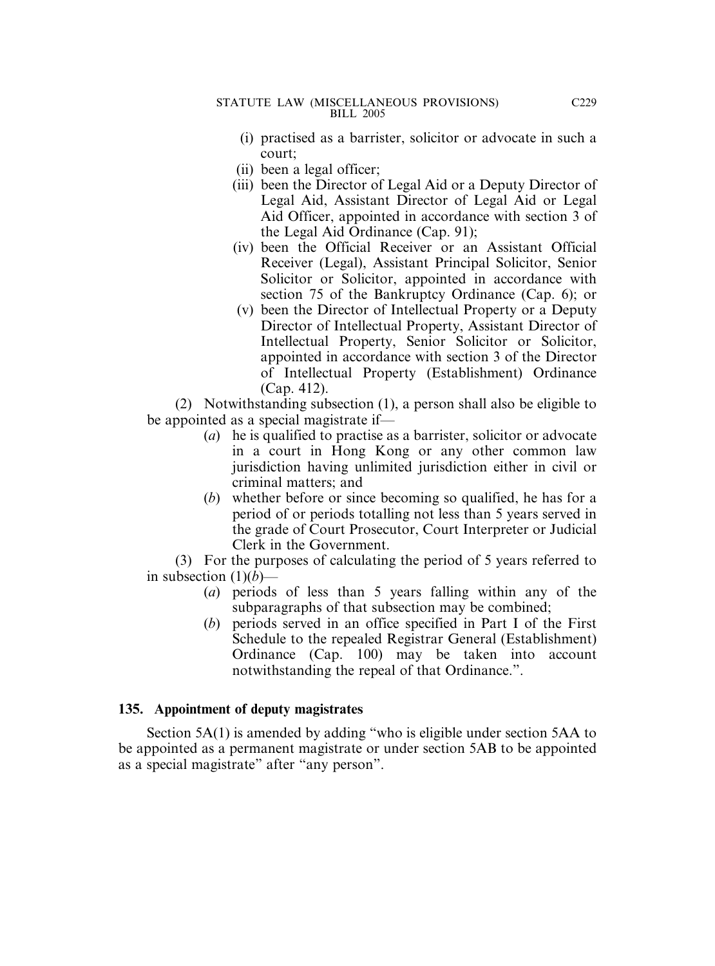- (i) practised as a barrister, solicitor or advocate in such a court;
- (ii) been a legal officer;
- (iii) been the Director of Legal Aid or a Deputy Director of Legal Aid, Assistant Director of Legal Aid or Legal Aid Officer, appointed in accordance with section 3 of the Legal Aid Ordinance (Cap. 91);
- (iv) been the Official Receiver or an Assistant Official Receiver (Legal), Assistant Principal Solicitor, Senior Solicitor or Solicitor, appointed in accordance with section 75 of the Bankruptcy Ordinance (Cap. 6); or
- (v) been the Director of Intellectual Property or a Deputy Director of Intellectual Property, Assistant Director of Intellectual Property, Senior Solicitor or Solicitor, appointed in accordance with section 3 of the Director of Intellectual Property (Establishment) Ordinance (Cap. 412).

(2) Notwithstanding subsection (1), a person shall also be eligible to be appointed as a special magistrate if—

- (*a*) he is qualified to practise as a barrister, solicitor or advocate in a court in Hong Kong or any other common law jurisdiction having unlimited jurisdiction either in civil or criminal matters; and
- (*b*) whether before or since becoming so qualified, he has for a period of or periods totalling not less than 5 years served in the grade of Court Prosecutor, Court Interpreter or Judicial Clerk in the Government.

(3) For the purposes of calculating the period of 5 years referred to in subsection  $(1)(b)$ —

- (*a*) periods of less than 5 years falling within any of the subparagraphs of that subsection may be combined;
- (*b*) periods served in an office specified in Part I of the First Schedule to the repealed Registrar General (Establishment) Ordinance (Cap. 100) may be taken into account notwithstanding the repeal of that Ordinance.".

### **135. Appointment of deputy magistrates**

Section 5A(1) is amended by adding "who is eligible under section 5AA to be appointed as a permanent magistrate or under section 5AB to be appointed as a special magistrate" after "any person".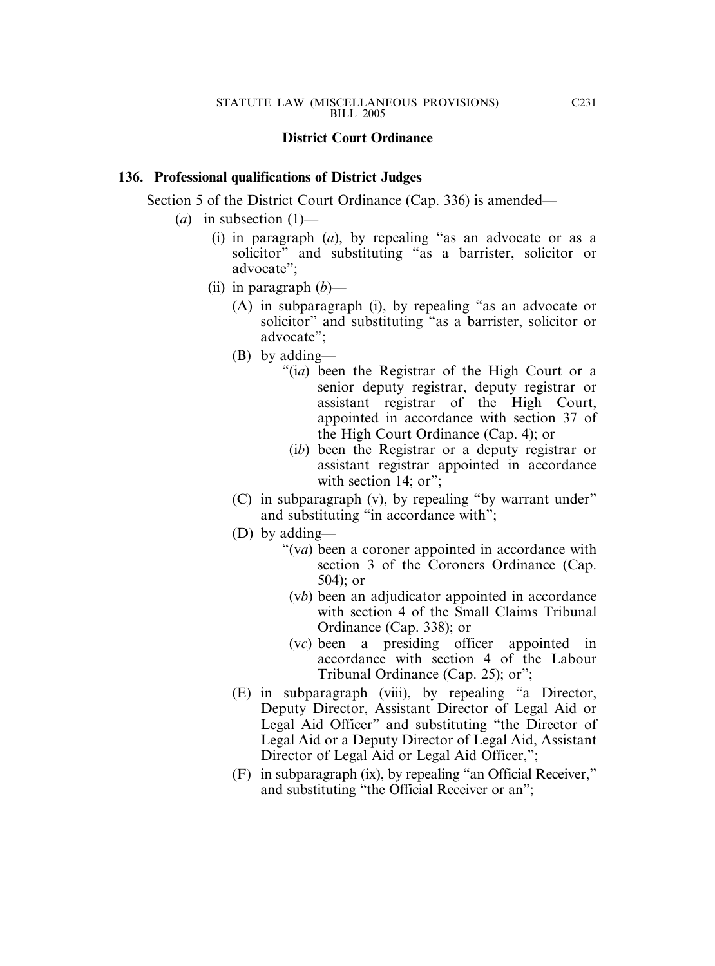### **District Court Ordinance**

### **136. Professional qualifications of District Judges**

Section 5 of the District Court Ordinance (Cap. 336) is amended—

- (*a*) in subsection (1)—
	- (i) in paragraph (*a*), by repealing "as an advocate or as a solicitor" and substituting "as a barrister, solicitor or advocate";
	- (ii) in paragraph (*b*)—
		- (A) in subparagraph (i), by repealing "as an advocate or solicitor" and substituting "as a barrister, solicitor or advocate";
		- (B) by adding—
			- "(i*a*) been the Registrar of the High Court or a senior deputy registrar, deputy registrar or assistant registrar of the High Court, appointed in accordance with section 37 of the High Court Ordinance (Cap. 4); or
				- (i*b*) been the Registrar or a deputy registrar or assistant registrar appointed in accordance with section  $14$ ; or";
		- (C) in subparagraph (v), by repealing "by warrant under" and substituting "in accordance with";
		- (D) by adding—
			- "(v*a*) been a coroner appointed in accordance with section 3 of the Coroners Ordinance (Cap. 504); or
				- (v*b*) been an adjudicator appointed in accordance with section 4 of the Small Claims Tribunal Ordinance (Cap. 338); or
				- (v*c*) been a presiding officer appointed in accordance with section 4 of the Labour Tribunal Ordinance (Cap. 25); or";
		- (E) in subparagraph (viii), by repealing "a Director, Deputy Director, Assistant Director of Legal Aid or Legal Aid Officer" and substituting "the Director of Legal Aid or a Deputy Director of Legal Aid, Assistant Director of Legal Aid or Legal Aid Officer,";
		- (F) in subparagraph (ix), by repealing "an Official Receiver," and substituting "the Official Receiver or an";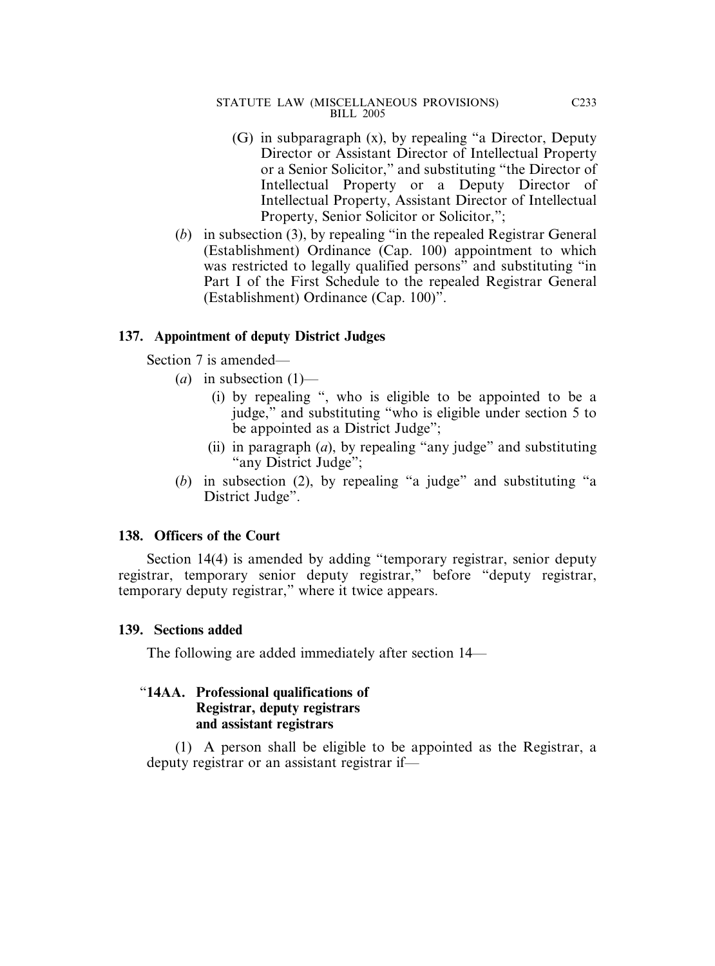- (G) in subparagraph (x), by repealing "a Director, Deputy Director or Assistant Director of Intellectual Property or a Senior Solicitor," and substituting "the Director of Intellectual Property or a Deputy Director of Intellectual Property, Assistant Director of Intellectual Property, Senior Solicitor or Solicitor,";
- (*b*) in subsection (3), by repealing "in the repealed Registrar General (Establishment) Ordinance (Cap. 100) appointment to which was restricted to legally qualified persons" and substituting "in Part I of the First Schedule to the repealed Registrar General (Establishment) Ordinance (Cap. 100)".

### **137. Appointment of deputy District Judges**

Section 7 is amended—

- $(a)$  in subsection  $(1)$ 
	- (i) by repealing ", who is eligible to be appointed to be a judge," and substituting "who is eligible under section 5 to be appointed as a District Judge";
	- (ii) in paragraph (*a*), by repealing "any judge" and substituting "any District Judge";
- (*b*) in subsection (2), by repealing "a judge" and substituting "a District Judge".

### **138. Officers of the Court**

Section 14(4) is amended by adding "temporary registrar, senior deputy registrar, temporary senior deputy registrar," before "deputy registrar, temporary deputy registrar," where it twice appears.

### **139. Sections added**

The following are added immediately after section 14—

### "**14AA. Professional qualifications of Registrar, deputy registrars and assistant registrars**

(1) A person shall be eligible to be appointed as the Registrar, a deputy registrar or an assistant registrar if—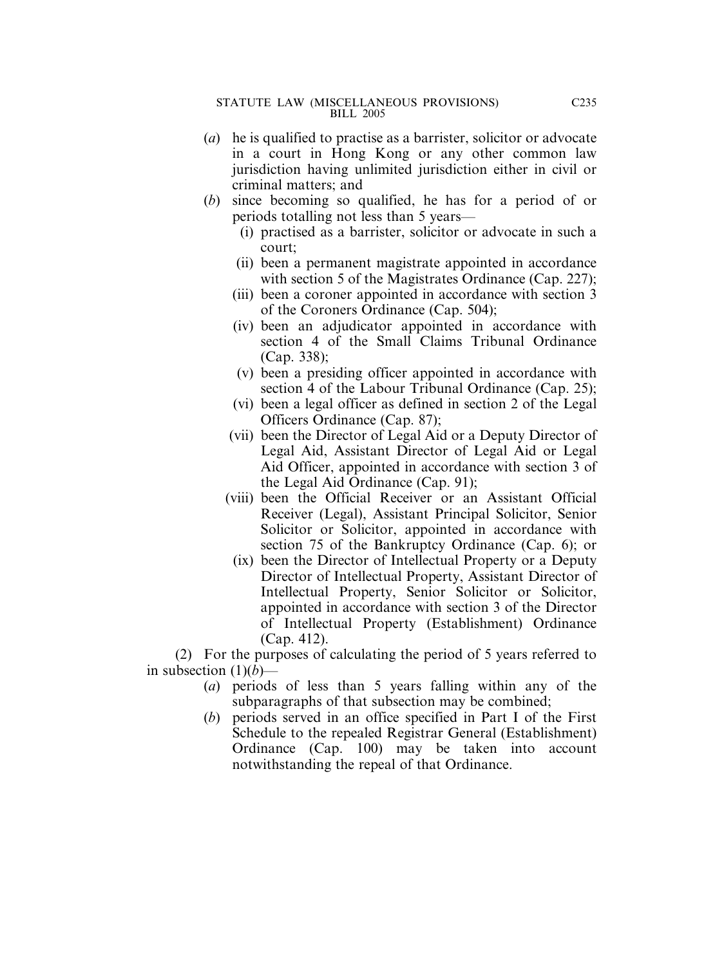- (*a*) he is qualified to practise as a barrister, solicitor or advocate in a court in Hong Kong or any other common law jurisdiction having unlimited jurisdiction either in civil or criminal matters; and
- (*b*) since becoming so qualified, he has for a period of or periods totalling not less than 5 years—
	- (i) practised as a barrister, solicitor or advocate in such a court;
	- (ii) been a permanent magistrate appointed in accordance with section 5 of the Magistrates Ordinance (Cap. 227);
	- (iii) been a coroner appointed in accordance with section 3 of the Coroners Ordinance (Cap. 504);
	- (iv) been an adjudicator appointed in accordance with section 4 of the Small Claims Tribunal Ordinance (Cap. 338);
	- (v) been a presiding officer appointed in accordance with section 4 of the Labour Tribunal Ordinance (Cap. 25);
	- (vi) been a legal officer as defined in section 2 of the Legal Officers Ordinance (Cap. 87);
	- (vii) been the Director of Legal Aid or a Deputy Director of Legal Aid, Assistant Director of Legal Aid or Legal Aid Officer, appointed in accordance with section 3 of the Legal Aid Ordinance (Cap. 91);
	- (viii) been the Official Receiver or an Assistant Official Receiver (Legal), Assistant Principal Solicitor, Senior Solicitor or Solicitor, appointed in accordance with section 75 of the Bankruptcy Ordinance (Cap. 6); or
		- (ix) been the Director of Intellectual Property or a Deputy Director of Intellectual Property, Assistant Director of Intellectual Property, Senior Solicitor or Solicitor, appointed in accordance with section 3 of the Director of Intellectual Property (Establishment) Ordinance (Cap. 412).

(2) For the purposes of calculating the period of 5 years referred to in subsection  $(1)(b)$ —

- (*a*) periods of less than 5 years falling within any of the subparagraphs of that subsection may be combined;
- (*b*) periods served in an office specified in Part I of the First Schedule to the repealed Registrar General (Establishment) Ordinance (Cap. 100) may be taken into account notwithstanding the repeal of that Ordinance.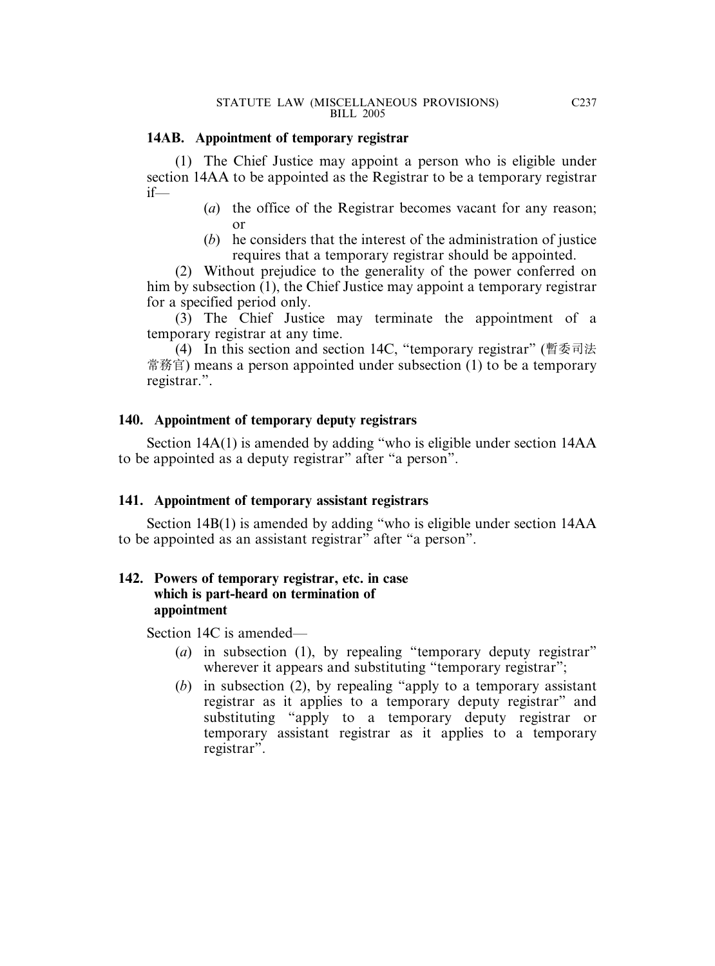### **14AB. Appointment of temporary registrar**

(1) The Chief Justice may appoint a person who is eligible under section 14AA to be appointed as the Registrar to be a temporary registrar if—

- (*a*) the office of the Registrar becomes vacant for any reason; or
- (*b*) he considers that the interest of the administration of justice requires that a temporary registrar should be appointed.

(2) Without prejudice to the generality of the power conferred on him by subsection (1), the Chief Justice may appoint a temporary registrar for a specified period only.

(3) The Chief Justice may terminate the appointment of a temporary registrar at any time.

(4) In this section and section 14C, "temporary registrar" (暫委司法 常務官) means a person appointed under subsection (1) to be a temporary registrar.".

### **140. Appointment of temporary deputy registrars**

Section 14A(1) is amended by adding "who is eligible under section 14AA to be appointed as a deputy registrar" after "a person".

### **141. Appointment of temporary assistant registrars**

Section 14B(1) is amended by adding "who is eligible under section 14AA to be appointed as an assistant registrar" after "a person".

### **142. Powers of temporary registrar, etc. in case which is part-heard on termination of appointment**

Section 14C is amended—

- (*a*) in subsection (1), by repealing "temporary deputy registrar" wherever it appears and substituting "temporary registrar";
- (*b*) in subsection (2), by repealing "apply to a temporary assistant registrar as it applies to a temporary deputy registrar" and substituting "apply to a temporary deputy registrar or temporary assistant registrar as it applies to a temporary registrar".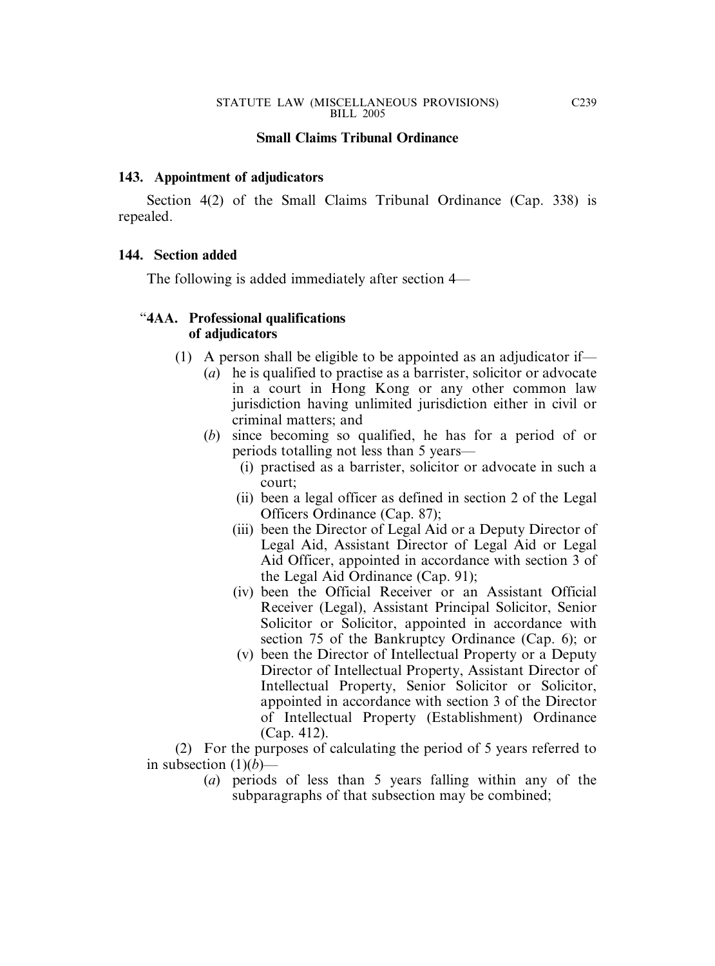#### **Small Claims Tribunal Ordinance**

#### **143. Appointment of adjudicators**

Section 4(2) of the Small Claims Tribunal Ordinance (Cap. 338) is repealed.

#### **144. Section added**

The following is added immediately after section 4—

### "**4AA. Professional qualifications of adjudicators**

- (1) A person shall be eligible to be appointed as an adjudicator if—
	- (*a*) he is qualified to practise as a barrister, solicitor or advocate in a court in Hong Kong or any other common law jurisdiction having unlimited jurisdiction either in civil or criminal matters; and
	- (*b*) since becoming so qualified, he has for a period of or periods totalling not less than 5 years—
		- (i) practised as a barrister, solicitor or advocate in such a court;
		- (ii) been a legal officer as defined in section 2 of the Legal Officers Ordinance (Cap. 87);
		- (iii) been the Director of Legal Aid or a Deputy Director of Legal Aid, Assistant Director of Legal Aid or Legal Aid Officer, appointed in accordance with section 3 of the Legal Aid Ordinance (Cap. 91);
		- (iv) been the Official Receiver or an Assistant Official Receiver (Legal), Assistant Principal Solicitor, Senior Solicitor or Solicitor, appointed in accordance with section 75 of the Bankruptcy Ordinance (Cap. 6); or
		- (v) been the Director of Intellectual Property or a Deputy Director of Intellectual Property, Assistant Director of Intellectual Property, Senior Solicitor or Solicitor, appointed in accordance with section 3 of the Director of Intellectual Property (Establishment) Ordinance (Cap. 412).

(2) For the purposes of calculating the period of 5 years referred to in subsection  $(1)(b)$ —

(*a*) periods of less than 5 years falling within any of the subparagraphs of that subsection may be combined;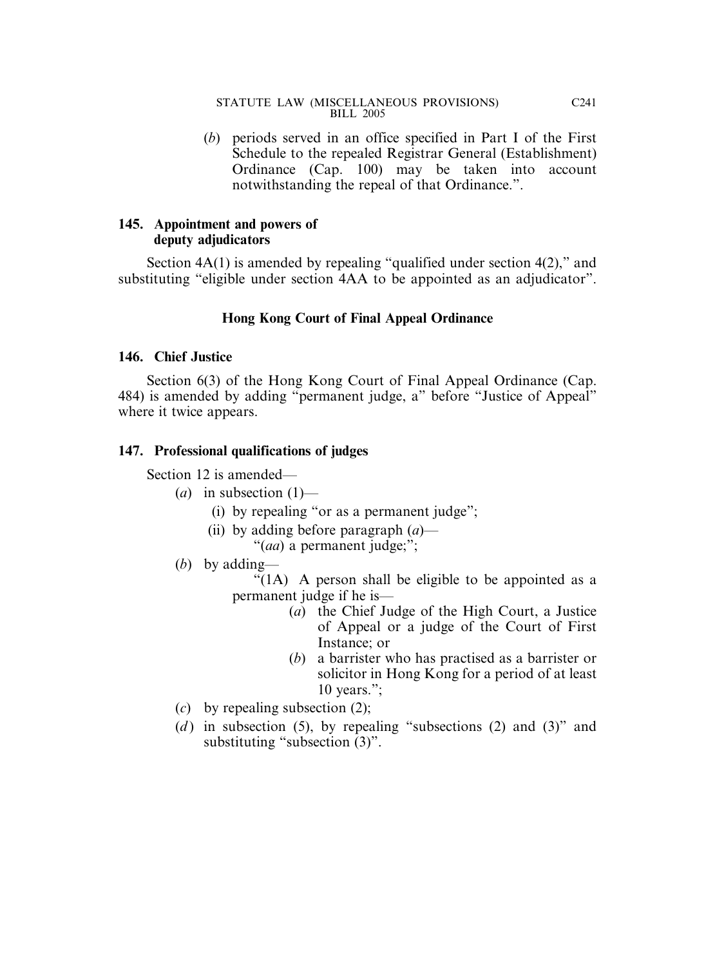(*b*) periods served in an office specified in Part I of the First Schedule to the repealed Registrar General (Establishment) Ordinance (Cap. 100) may be taken into account notwithstanding the repeal of that Ordinance.".

## **145. Appointment and powers of deputy adjudicators**

Section 4A(1) is amended by repealing "qualified under section 4(2)," and substituting "eligible under section 4AA to be appointed as an adjudicator".

## **Hong Kong Court of Final Appeal Ordinance**

### **146. Chief Justice**

Section 6(3) of the Hong Kong Court of Final Appeal Ordinance (Cap. 484) is amended by adding "permanent judge, a" before "Justice of Appeal" where it twice appears.

## **147. Professional qualifications of judges**

Section 12 is amended—

- $(a)$  in subsection  $(1)$ 
	- (i) by repealing "or as a permanent judge";
	- (ii) by adding before paragraph (*a*)—

"(*aa*) a permanent judge;";

(*b*) by adding—

"(1A) A person shall be eligible to be appointed as a permanent judge if he is—

- (*a*) the Chief Judge of the High Court, a Justice of Appeal or a judge of the Court of First Instance; or
- (*b*) a barrister who has practised as a barrister or solicitor in Hong Kong for a period of at least 10 years.";
- (*c*) by repealing subsection (2);
- (*d*) in subsection (5), by repealing "subsections (2) and (3)" and substituting "subsection (3)".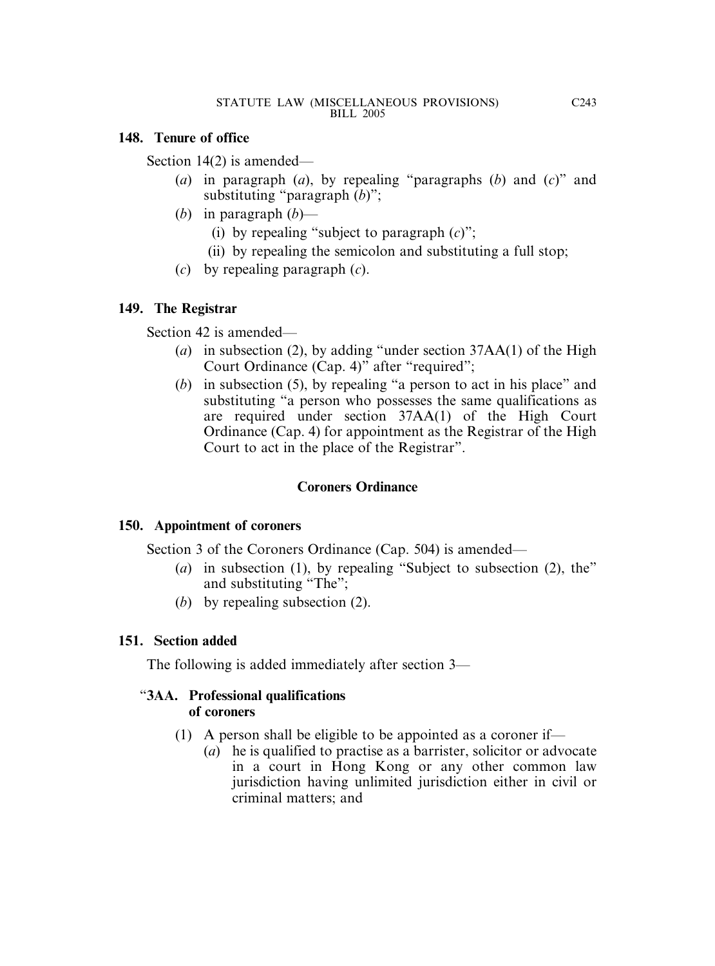## **148. Tenure of office**

Section 14(2) is amended—

- (*a*) in paragraph (*a*), by repealing "paragraphs (*b*) and (*c*)" and substituting "paragraph (*b*)";
- (*b*) in paragraph (*b*)—
	- (i) by repealing "subject to paragraph (*c*)";
	- (ii) by repealing the semicolon and substituting a full stop;
- (*c*) by repealing paragraph (*c*).

# **149. The Registrar**

Section 42 is amended—

- (*a*) in subsection (2), by adding "under section 37AA(1) of the High Court Ordinance (Cap. 4)" after "required";
- (*b*) in subsection (5), by repealing "a person to act in his place" and substituting "a person who possesses the same qualifications as are required under section 37AA(1) of the High Court Ordinance (Cap. 4) for appointment as the Registrar of the High Court to act in the place of the Registrar".

# **Coroners Ordinance**

# **150. Appointment of coroners**

Section 3 of the Coroners Ordinance (Cap. 504) is amended—

- (*a*) in subsection (1), by repealing "Subject to subsection (2), the" and substituting "The";
- (*b*) by repealing subsection (2).

# **151. Section added**

The following is added immediately after section 3—

## "**3AA. Professional qualifications of coroners**

- (1) A person shall be eligible to be appointed as a coroner if—
	- (*a*) he is qualified to practise as a barrister, solicitor or advocate in a court in Hong Kong or any other common law jurisdiction having unlimited jurisdiction either in civil or criminal matters; and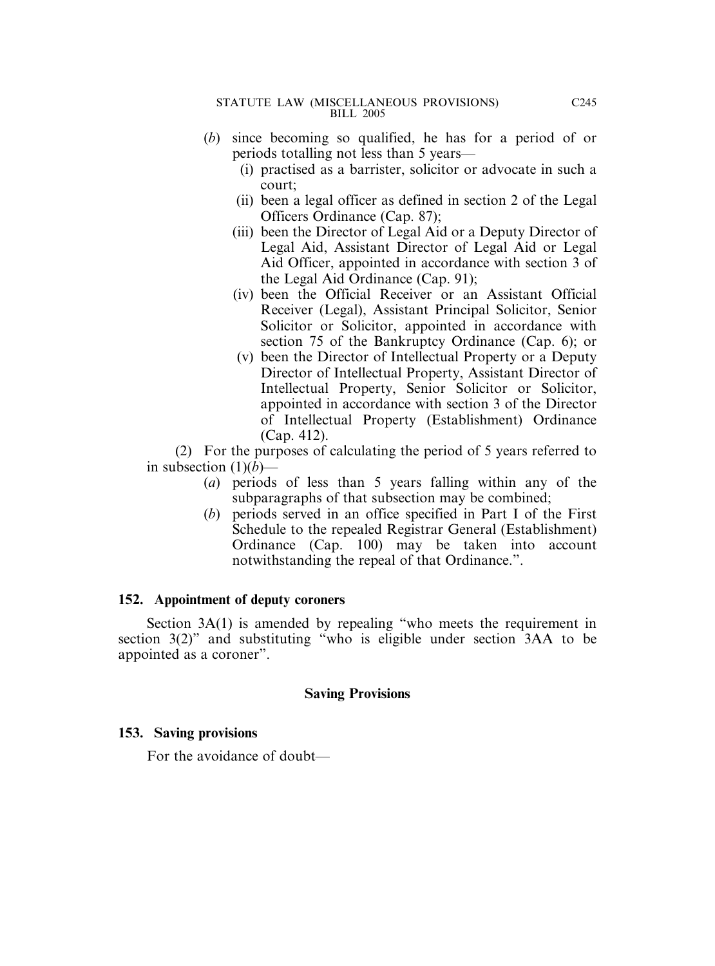- (*b*) since becoming so qualified, he has for a period of or periods totalling not less than 5 years—
	- (i) practised as a barrister, solicitor or advocate in such a court;
	- (ii) been a legal officer as defined in section 2 of the Legal Officers Ordinance (Cap. 87);
	- (iii) been the Director of Legal Aid or a Deputy Director of Legal Aid, Assistant Director of Legal Aid or Legal Aid Officer, appointed in accordance with section 3 of the Legal Aid Ordinance (Cap. 91);
	- (iv) been the Official Receiver or an Assistant Official Receiver (Legal), Assistant Principal Solicitor, Senior Solicitor or Solicitor, appointed in accordance with section 75 of the Bankruptcy Ordinance (Cap. 6); or
	- (v) been the Director of Intellectual Property or a Deputy Director of Intellectual Property, Assistant Director of Intellectual Property, Senior Solicitor or Solicitor, appointed in accordance with section 3 of the Director of Intellectual Property (Establishment) Ordinance (Cap. 412).

(2) For the purposes of calculating the period of 5 years referred to in subsection  $(1)(b)$ —

- (*a*) periods of less than 5 years falling within any of the subparagraphs of that subsection may be combined;
- (*b*) periods served in an office specified in Part I of the First Schedule to the repealed Registrar General (Establishment) Ordinance (Cap. 100) may be taken into account notwithstanding the repeal of that Ordinance.".

### **152. Appointment of deputy coroners**

Section 3A(1) is amended by repealing "who meets the requirement in section 3(2)" and substituting "who is eligible under section 3AA to be appointed as a coroner".

### **Saving Provisions**

### **153. Saving provisions**

For the avoidance of doubt—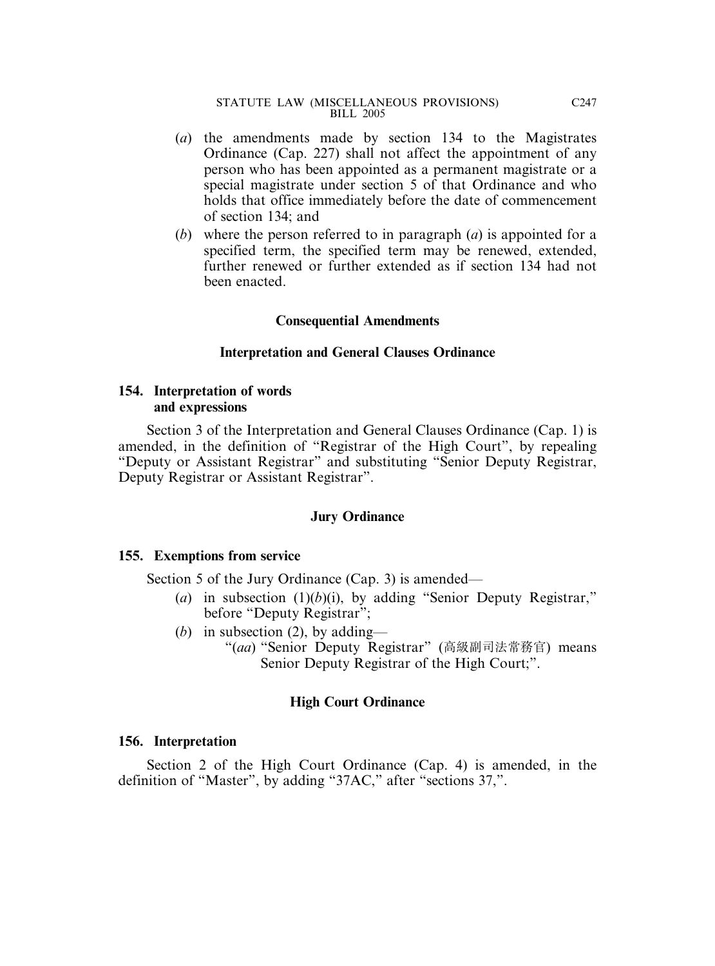- (*a*) the amendments made by section 134 to the Magistrates Ordinance (Cap. 227) shall not affect the appointment of any person who has been appointed as a permanent magistrate or a special magistrate under section 5 of that Ordinance and who holds that office immediately before the date of commencement of section 134; and
- (*b*) where the person referred to in paragraph (*a*) is appointed for a specified term, the specified term may be renewed, extended, further renewed or further extended as if section 134 had not been enacted.

### **Consequential Amendments**

#### **Interpretation and General Clauses Ordinance**

### **154. Interpretation of words and expressions**

Section 3 of the Interpretation and General Clauses Ordinance (Cap. 1) is amended, in the definition of "Registrar of the High Court", by repealing "Deputy or Assistant Registrar" and substituting "Senior Deputy Registrar, Deputy Registrar or Assistant Registrar".

#### **Jury Ordinance**

### **155. Exemptions from service**

Section 5 of the Jury Ordinance (Cap. 3) is amended—

- (*a*) in subsection  $(1)(b)(i)$ , by adding "Senior Deputy Registrar," before "Deputy Registrar";
- (*b*) in subsection (2), by adding—
	- "(*aa*) "Senior Deputy Registrar" (高級副司法常務官) means Senior Deputy Registrar of the High Court;".

### **High Court Ordinance**

### **156. Interpretation**

Section 2 of the High Court Ordinance (Cap. 4) is amended, in the definition of "Master", by adding "37AC," after "sections 37,".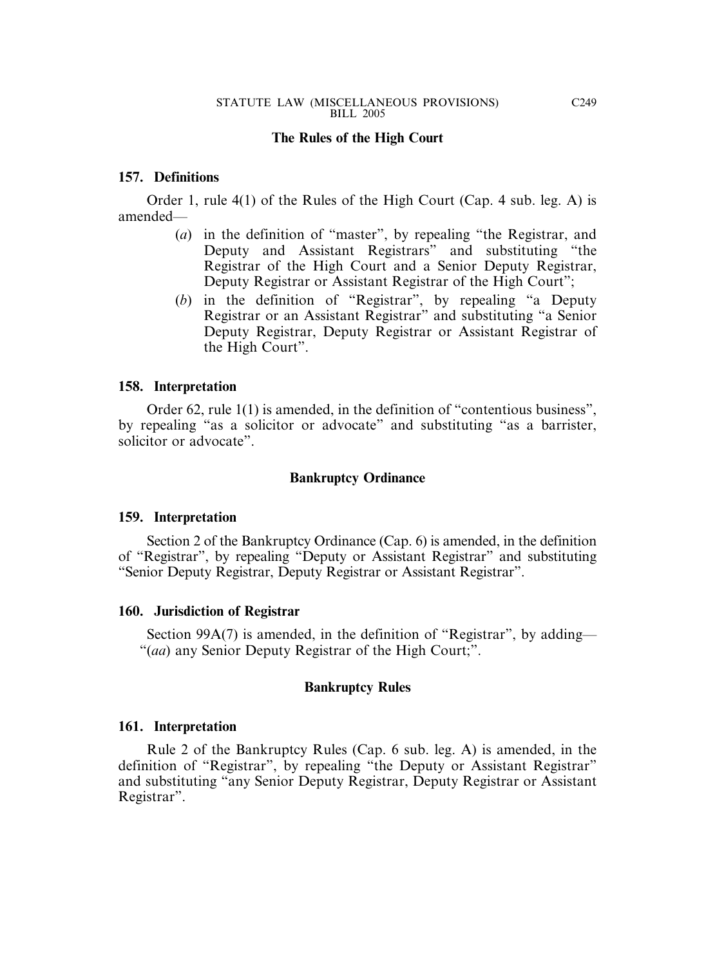### **The Rules of the High Court**

#### **157. Definitions**

Order 1, rule 4(1) of the Rules of the High Court (Cap. 4 sub. leg. A) is amended—

- (*a*) in the definition of "master", by repealing "the Registrar, and Deputy and Assistant Registrars" and substituting "the Registrar of the High Court and a Senior Deputy Registrar, Deputy Registrar or Assistant Registrar of the High Court";
- (*b*) in the definition of "Registrar", by repealing "a Deputy Registrar or an Assistant Registrar" and substituting "a Senior Deputy Registrar, Deputy Registrar or Assistant Registrar of the High Court".

#### **158. Interpretation**

Order 62, rule 1(1) is amended, in the definition of "contentious business", by repealing "as a solicitor or advocate" and substituting "as a barrister, solicitor or advocate".

#### **Bankruptcy Ordinance**

#### **159. Interpretation**

Section 2 of the Bankruptcy Ordinance (Cap. 6) is amended, in the definition of "Registrar", by repealing "Deputy or Assistant Registrar" and substituting "Senior Deputy Registrar, Deputy Registrar or Assistant Registrar".

#### **160. Jurisdiction of Registrar**

Section 99A(7) is amended, in the definition of "Registrar", by adding— "(*aa*) any Senior Deputy Registrar of the High Court;".

#### **Bankruptcy Rules**

#### **161. Interpretation**

Rule 2 of the Bankruptcy Rules (Cap. 6 sub. leg. A) is amended, in the definition of "Registrar", by repealing "the Deputy or Assistant Registrar" and substituting "any Senior Deputy Registrar, Deputy Registrar or Assistant Registrar".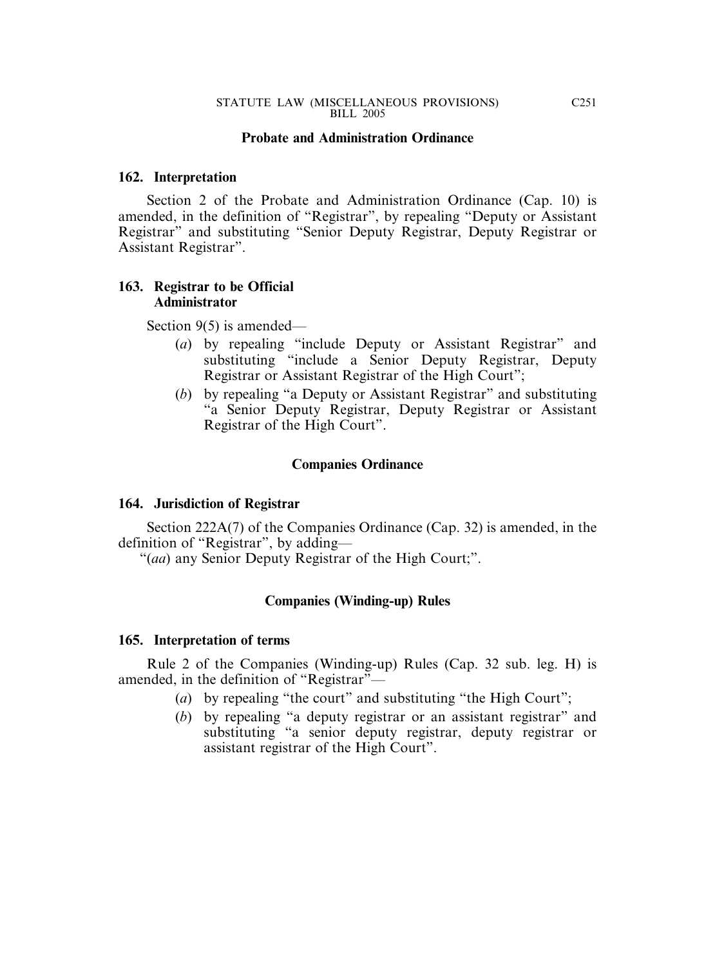### **Probate and Administration Ordinance**

#### **162. Interpretation**

Section 2 of the Probate and Administration Ordinance (Cap. 10) is amended, in the definition of "Registrar", by repealing "Deputy or Assistant Registrar" and substituting "Senior Deputy Registrar, Deputy Registrar or Assistant Registrar".

### **163. Registrar to be Official Administrator**

Section 9(5) is amended—

- (*a*) by repealing "include Deputy or Assistant Registrar" and substituting "include a Senior Deputy Registrar, Deputy Registrar or Assistant Registrar of the High Court";
- (*b*) by repealing "a Deputy or Assistant Registrar" and substituting "a Senior Deputy Registrar, Deputy Registrar or Assistant Registrar of the High Court".

### **Companies Ordinance**

### **164. Jurisdiction of Registrar**

Section 222A(7) of the Companies Ordinance (Cap. 32) is amended, in the definition of "Registrar", by adding—

"(*aa*) any Senior Deputy Registrar of the High Court;".

### **Companies (Winding-up) Rules**

#### **165. Interpretation of terms**

Rule 2 of the Companies (Winding-up) Rules (Cap. 32 sub. leg. H) is amended, in the definition of "Registrar"-

- (*a*) by repealing "the court" and substituting "the High Court";
- (*b*) by repealing "a deputy registrar or an assistant registrar" and substituting "a senior deputy registrar, deputy registrar or assistant registrar of the High Court".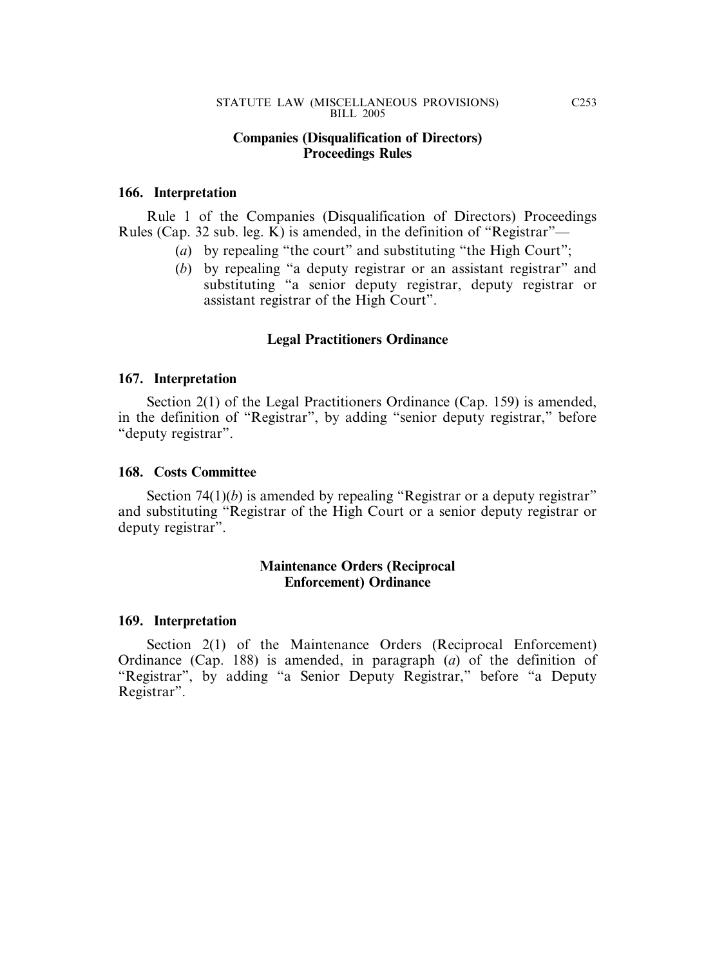#### **Companies (Disqualification of Directors) Proceedings Rules**

#### **166. Interpretation**

Rule 1 of the Companies (Disqualification of Directors) Proceedings Rules (Cap. 32 sub. leg. K) is amended, in the definition of "Registrar"—

- (*a*) by repealing "the court" and substituting "the High Court";
- (*b*) by repealing "a deputy registrar or an assistant registrar" and substituting "a senior deputy registrar, deputy registrar or assistant registrar of the High Court".

### **Legal Practitioners Ordinance**

#### **167. Interpretation**

Section 2(1) of the Legal Practitioners Ordinance (Cap. 159) is amended, in the definition of "Registrar", by adding "senior deputy registrar," before "deputy registrar".

#### **168. Costs Committee**

Section 74(1)(*b*) is amended by repealing "Registrar or a deputy registrar" and substituting "Registrar of the High Court or a senior deputy registrar or deputy registrar".

### **Maintenance Orders (Reciprocal Enforcement) Ordinance**

#### **169. Interpretation**

Section 2(1) of the Maintenance Orders (Reciprocal Enforcement) Ordinance (Cap. 188) is amended, in paragraph (*a*) of the definition of "Registrar", by adding "a Senior Deputy Registrar," before "a Deputy Registrar".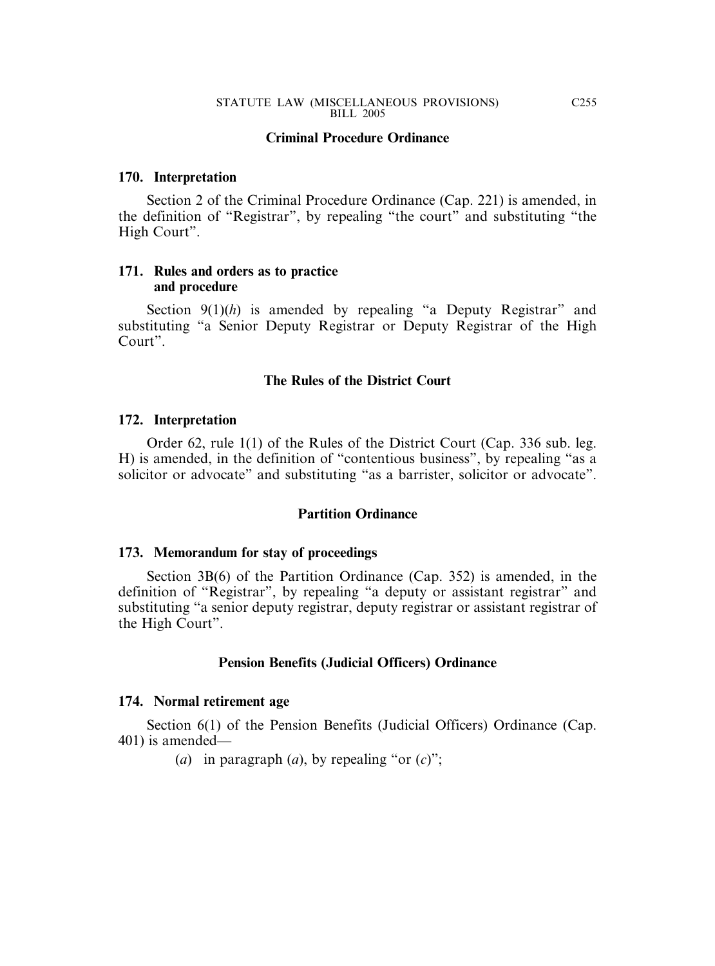#### **Criminal Procedure Ordinance**

#### **170. Interpretation**

Section 2 of the Criminal Procedure Ordinance (Cap. 221) is amended, in the definition of "Registrar", by repealing "the court" and substituting "the High Court".

#### **171. Rules and orders as to practice and procedure**

Section 9(1)(h) is amended by repealing "a Deputy Registrar" and substituting "a Senior Deputy Registrar or Deputy Registrar of the High Court".

#### **The Rules of the District Court**

#### **172. Interpretation**

Order 62, rule 1(1) of the Rules of the District Court (Cap. 336 sub. leg. H) is amended, in the definition of "contentious business", by repealing "as a solicitor or advocate" and substituting "as a barrister, solicitor or advocate".

#### **Partition Ordinance**

#### **173. Memorandum for stay of proceedings**

Section 3B(6) of the Partition Ordinance (Cap. 352) is amended, in the definition of "Registrar", by repealing "a deputy or assistant registrar" and substituting "a senior deputy registrar, deputy registrar or assistant registrar of the High Court".

#### **Pension Benefits (Judicial Officers) Ordinance**

#### **174. Normal retirement age**

Section 6(1) of the Pension Benefits (Judicial Officers) Ordinance (Cap. 401) is amended—

(*a*) in paragraph (*a*), by repealing "or  $(c)$ ";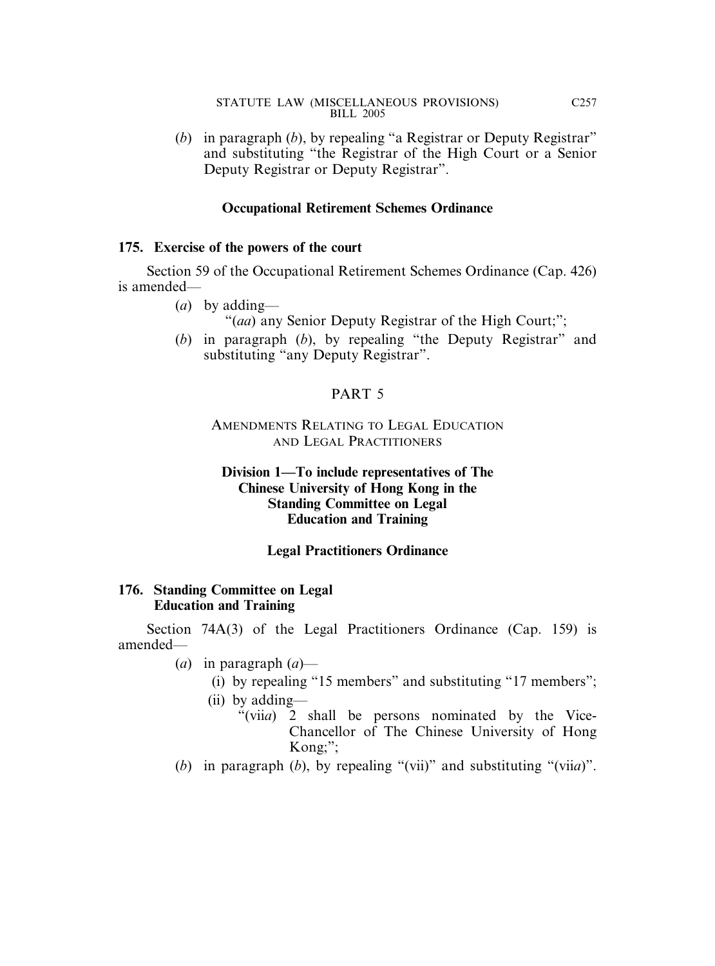(*b*) in paragraph (*b*), by repealing "a Registrar or Deputy Registrar" and substituting "the Registrar of the High Court or a Senior Deputy Registrar or Deputy Registrar".

### **Occupational Retirement Schemes Ordinance**

#### **175. Exercise of the powers of the court**

Section 59 of the Occupational Retirement Schemes Ordinance (Cap. 426) is amended—

- (*a*) by adding—
	- "(*aa*) any Senior Deputy Registrar of the High Court;";
- (*b*) in paragraph (*b*), by repealing "the Deputy Registrar" and substituting "any Deputy Registrar".

### PART 5

### AMENDMENTS RELATING TO LEGAL EDUCATION AND LEGAL PRACTITIONERS

### **Division 1—To include representatives of The Chinese University of Hong Kong in the Standing Committee on Legal Education and Training**

### **Legal Practitioners Ordinance**

### **176. Standing Committee on Legal Education and Training**

Section 74A(3) of the Legal Practitioners Ordinance (Cap. 159) is amended—

- (*a*) in paragraph (*a*)—
	- (i) by repealing "15 members" and substituting "17 members";
	- (ii) by adding—
		- "(vii*a*) 2 shall be persons nominated by the Vice-Chancellor of The Chinese University of Hong Kong;";
- (*b*) in paragraph (*b*), by repealing "(vii)" and substituting "(vii*a*)".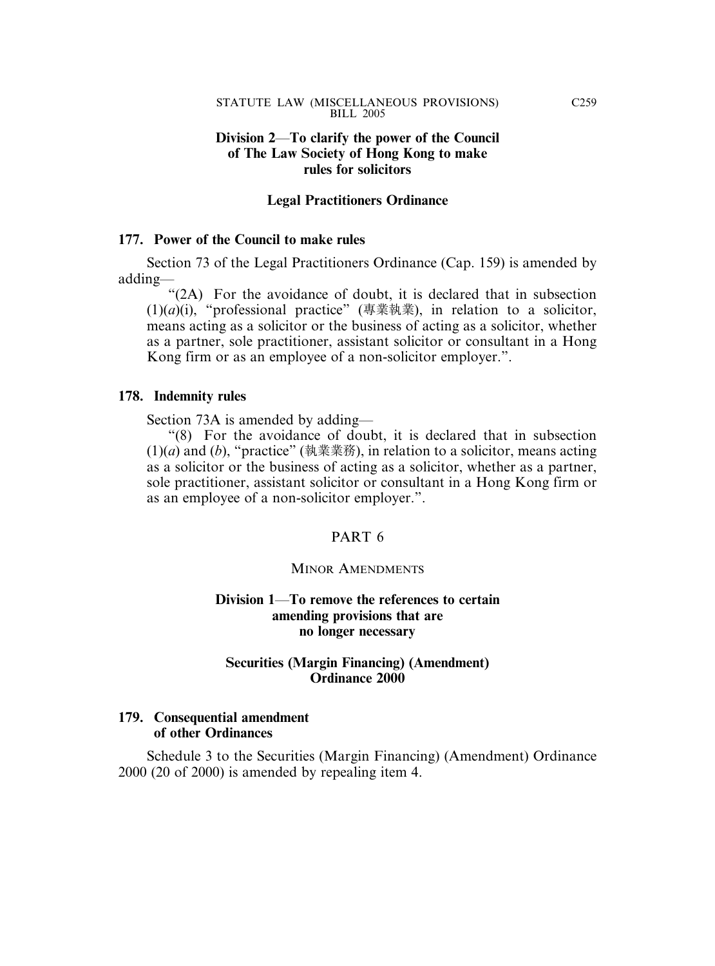### **Division 2**—**To clarify the power of the Council of The Law Society of Hong Kong to make rules for solicitors**

#### **Legal Practitioners Ordinance**

#### **177. Power of the Council to make rules**

Section 73 of the Legal Practitioners Ordinance (Cap. 159) is amended by adding—

"(2A) For the avoidance of doubt, it is declared that in subsection (1)(*a*)(i), "professional practice" (專業執業), in relation to a solicitor, means acting as a solicitor or the business of acting as a solicitor, whether as a partner, sole practitioner, assistant solicitor or consultant in a Hong Kong firm or as an employee of a non-solicitor employer.".

#### **178. Indemnity rules**

Section 73A is amended by adding—

"(8) For the avoidance of doubt, it is declared that in subsection (1)(*a*) and (*b*), "practice" (執業業務), in relation to a solicitor, means acting as a solicitor or the business of acting as a solicitor, whether as a partner, sole practitioner, assistant solicitor or consultant in a Hong Kong firm or as an employee of a non-solicitor employer.".

### PART 6

#### MINOR AMENDMENTS

### **Division 1**—**To remove the references to certain amending provisions that are no longer necessary**

#### **Securities (Margin Financing) (Amendment) Ordinance 2000**

### **179. Consequential amendment of other Ordinances**

Schedule 3 to the Securities (Margin Financing) (Amendment) Ordinance 2000 (20 of 2000) is amended by repealing item 4.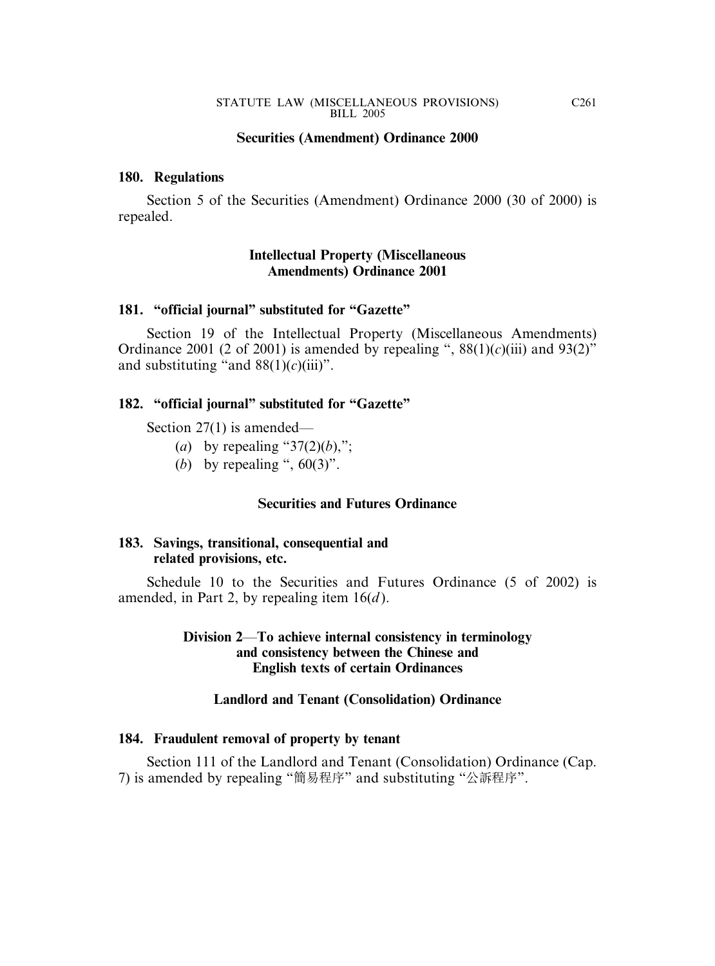#### **Securities (Amendment) Ordinance 2000**

#### **180. Regulations**

Section 5 of the Securities (Amendment) Ordinance 2000 (30 of 2000) is repealed.

### **Intellectual Property (Miscellaneous Amendments) Ordinance 2001**

#### **181. "official journal" substituted for "Gazette"**

Section 19 of the Intellectual Property (Miscellaneous Amendments) Ordinance 2001 (2 of 2001) is amended by repealing ",  $88(1)(c)(iii)$  and  $93(2)$ " and substituting "and  $88(1)(c)(iii)$ ".

#### **182. "official journal" substituted for "Gazette"**

Section 27(1) is amended—

- (*a*) by repealing " $37(2)(b)$ ,";
- (*b*) by repealing ",  $60(3)$ ".

#### **Securities and Futures Ordinance**

#### **183. Savings, transitional, consequential and related provisions, etc.**

Schedule 10 to the Securities and Futures Ordinance (5 of 2002) is amended, in Part 2, by repealing item 16(*d* ).

### **Division 2**—**To achieve internal consistency in terminology and consistency between the Chinese and English texts of certain Ordinances**

#### **Landlord and Tenant (Consolidation) Ordinance**

#### **184. Fraudulent removal of property by tenant**

Section 111 of the Landlord and Tenant (Consolidation) Ordinance (Cap. 7) is amended by repealing "簡易程序" and substituting "公訴程序".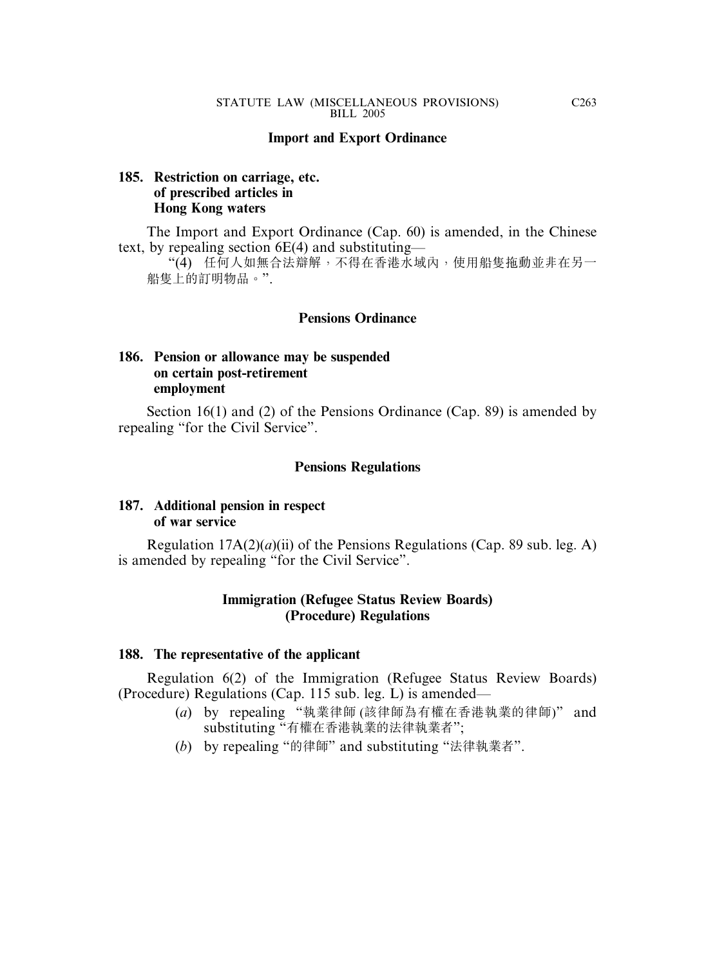#### **Import and Export Ordinance**

### **185. Restriction on carriage, etc. of prescribed articles in Hong Kong waters**

The Import and Export Ordinance (Cap. 60) is amended, in the Chinese text, by repealing section 6E(4) and substituting—

"(4) 任何人如無合法辯解,不得在香港水域內,使用船隻拖動並非在另一 船隻上的訂明物品。".

#### **Pensions Ordinance**

### **186. Pension or allowance may be suspended on certain post-retirement employment**

Section 16(1) and (2) of the Pensions Ordinance (Cap. 89) is amended by repealing "for the Civil Service".

#### **Pensions Regulations**

### **187. Additional pension in respect of war service**

Regulation 17A(2)(*a*)(ii) of the Pensions Regulations (Cap. 89 sub. leg. A) is amended by repealing "for the Civil Service".

#### **Immigration (Refugee Status Review Boards) (Procedure) Regulations**

#### **188. The representative of the applicant**

Regulation 6(2) of the Immigration (Refugee Status Review Boards) (Procedure) Regulations (Cap. 115 sub. leg. L) is amended—

- (*a*) by repealing "執業律師 (該律師為有權在香港執業的律師)" and substituting "有權在香港執業的法律執業者";
- (*b*) by repealing "的律師" and substituting "法律執業者".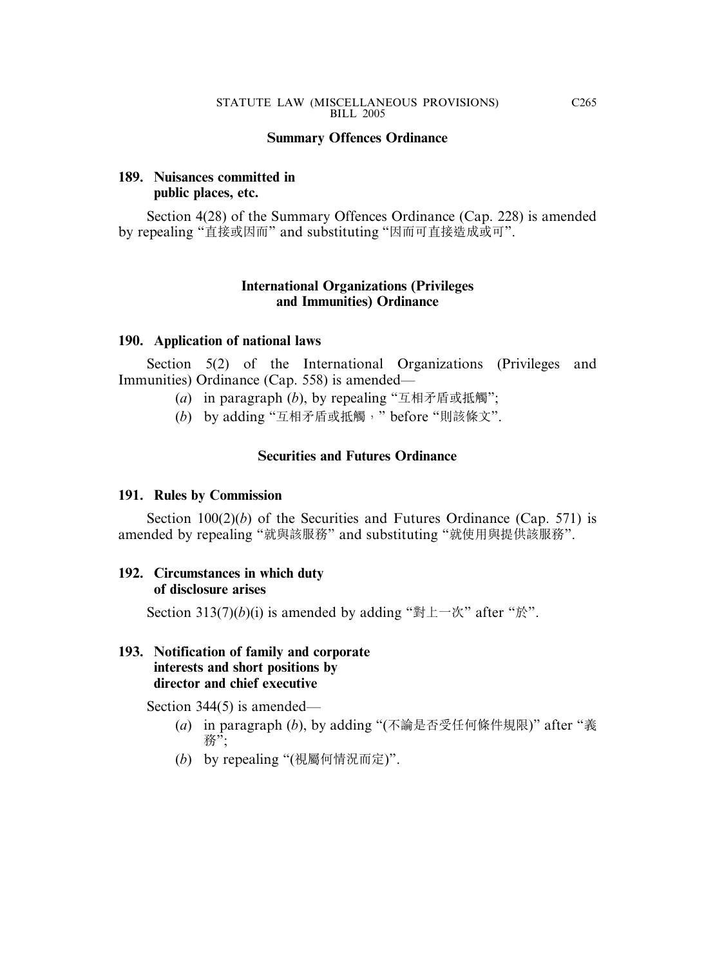### **Summary Offences Ordinance**

# **189. Nuisances committed in public places, etc.**

Section 4(28) of the Summary Offences Ordinance (Cap. 228) is amended by repealing "直接或因而" and substituting "因而可直接造成或可".

# **International Organizations (Privileges and Immunities) Ordinance**

### **190. Application of national laws**

Section 5(2) of the International Organizations (Privileges and Immunities) Ordinance (Cap. 558) is amended—

- (*a*) in paragraph (*b*), by repealing "互相矛盾或抵觸";
- (*b*) by adding "互相矛盾或抵觸," before "則該條文".

# **Securities and Futures Ordinance**

### **191. Rules by Commission**

Section 100(2)(*b*) of the Securities and Futures Ordinance (Cap. 571) is amended by repealing "就與該服務" and substituting "就使用與提供該服務".

### **192. Circumstances in which duty of disclosure arises**

Section 313(7)(*b*)(i) is amended by adding "對上一次" after "於".

### **193. Notification of family and corporate interests and short positions by director and chief executive**

Section 344(5) is amended—

- (*a*) in paragraph (*b*), by adding "(不論是否受任何條件規限)" after "義 務";
- (*b*) by repealing "(視屬何情況而定)".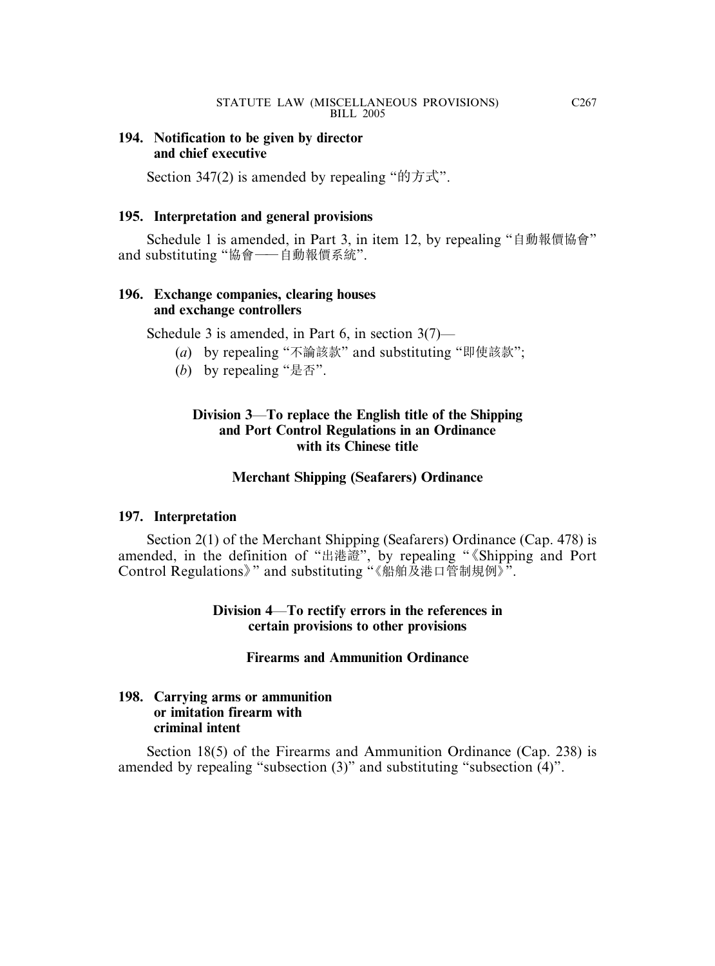## **194. Notification to be given by director and chief executive**

Section 347(2) is amended by repealing "的方式".

# **195. Interpretation and general provisions**

Schedule 1 is amended, in Part 3, in item 12, by repealing "自動報價協會" and substituting "協會——自動報價系統".

# **196. Exchange companies, clearing houses and exchange controllers**

Schedule 3 is amended, in Part 6, in section 3(7)—

- (*a*) by repealing "不論該款" and substituting "即使該款";
- (*b*) by repealing "是否".

# **Division 3**—**To replace the English title of the Shipping and Port Control Regulations in an Ordinance with its Chinese title**

# **Merchant Shipping (Seafarers) Ordinance**

# **197. Interpretation**

Section 2(1) of the Merchant Shipping (Seafarers) Ordinance (Cap. 478) is amended, in the definition of "出港證", by repealing " 《Shipping and Port Control Regulations》" and substituting "《船舶及港口管制規例》".

> **Division 4**—**To rectify errors in the references in certain provisions to other provisions**

# **Firearms and Ammunition Ordinance**

# **198. Carrying arms or ammunition or imitation firearm with criminal intent**

Section 18(5) of the Firearms and Ammunition Ordinance (Cap. 238) is amended by repealing "subsection (3)" and substituting "subsection (4)".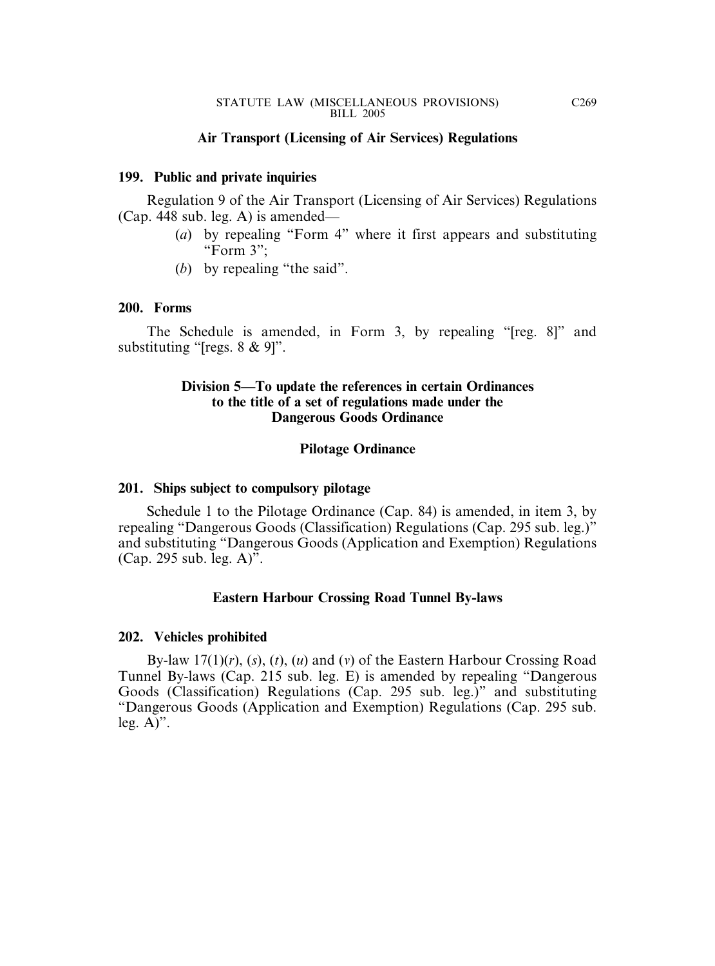#### **Air Transport (Licensing of Air Services) Regulations**

#### **199. Public and private inquiries**

Regulation 9 of the Air Transport (Licensing of Air Services) Regulations (Cap. 448 sub. leg. A) is amended—

- (*a*) by repealing "Form 4" where it first appears and substituting "Form 3";
- (*b*) by repealing "the said".

#### **200. Forms**

The Schedule is amended, in Form 3, by repealing "[reg. 8]" and substituting "[regs. 8 & 9]".

### **Division 5—To update the references in certain Ordinances to the title of a set of regulations made under the Dangerous Goods Ordinance**

#### **Pilotage Ordinance**

#### **201. Ships subject to compulsory pilotage**

Schedule 1 to the Pilotage Ordinance (Cap. 84) is amended, in item 3, by repealing "Dangerous Goods (Classification) Regulations (Cap. 295 sub. leg.)" and substituting "Dangerous Goods (Application and Exemption) Regulations (Cap. 295 sub. leg. A)".

### **Eastern Harbour Crossing Road Tunnel By-laws**

#### **202. Vehicles prohibited**

By-law 17(1)(*r*), (*s*), (*t*), (*u*) and (*v*) of the Eastern Harbour Crossing Road Tunnel By-laws (Cap. 215 sub. leg. E) is amended by repealing "Dangerous Goods (Classification) Regulations (Cap. 295 sub. leg.)" and substituting "Dangerous Goods (Application and Exemption) Regulations (Cap. 295 sub. leg.  $A$ )".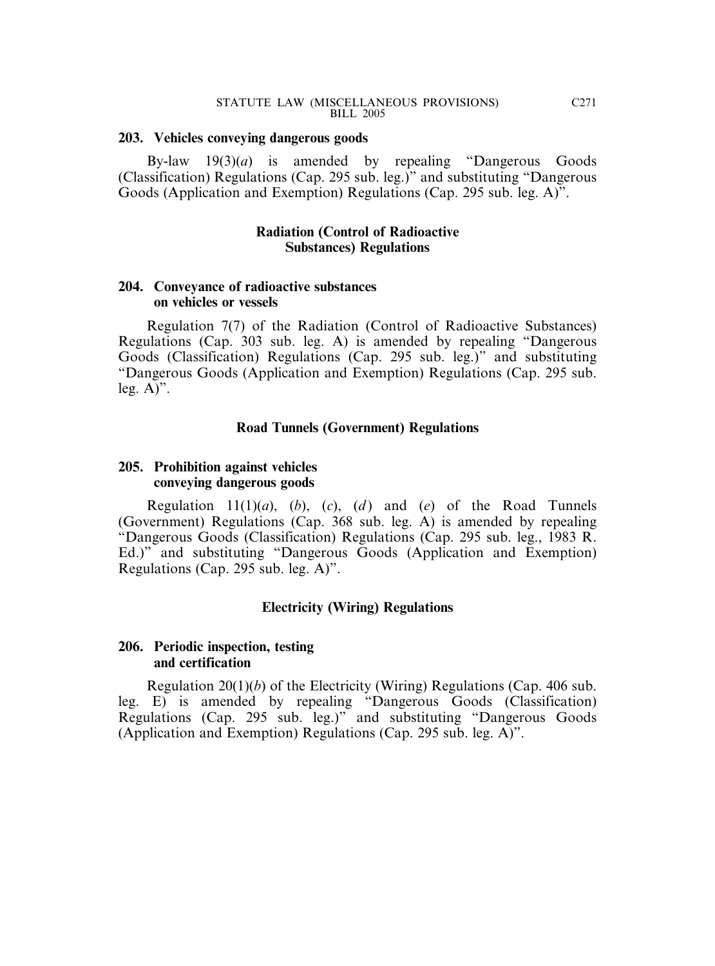#### **203. Vehicles conveying dangerous goods**

By-law 19(3)(*a*) is amended by repealing "Dangerous Goods (Classification) Regulations (Cap. 295 sub. leg.)" and substituting "Dangerous Goods (Application and Exemption) Regulations (Cap. 295 sub. leg. A)".

### **Radiation (Control of Radioactive Substances) Regulations**

### **204. Conveyance of radioactive substances on vehicles or vessels**

Regulation 7(7) of the Radiation (Control of Radioactive Substances) Regulations (Cap. 303 sub. leg. A) is amended by repealing "Dangerous Goods (Classification) Regulations (Cap. 295 sub. leg.)" and substituting "Dangerous Goods (Application and Exemption) Regulations (Cap. 295 sub. leg.  $A$ <sup>"</sup>.

### **Road Tunnels (Government) Regulations**

# **205. Prohibition against vehicles conveying dangerous goods**

Regulation  $11(1)(a)$ ,  $(b)$ ,  $(c)$ ,  $(d)$  and  $(e)$  of the Road Tunnels (Government) Regulations (Cap. 368 sub. leg. A) is amended by repealing "Dangerous Goods (Classification) Regulations (Cap. 295 sub. leg., 1983 R. Ed.)" and substituting "Dangerous Goods (Application and Exemption) Regulations (Cap. 295 sub. leg. A)".

### **Electricity (Wiring) Regulations**

### **206. Periodic inspection, testing and certification**

Regulation 20(1)(*b*) of the Electricity (Wiring) Regulations (Cap. 406 sub. leg. E) is amended by repealing "Dangerous Goods (Classification) Regulations (Cap. 295 sub. leg.)" and substituting "Dangerous Goods (Application and Exemption) Regulations (Cap. 295 sub. leg. A)".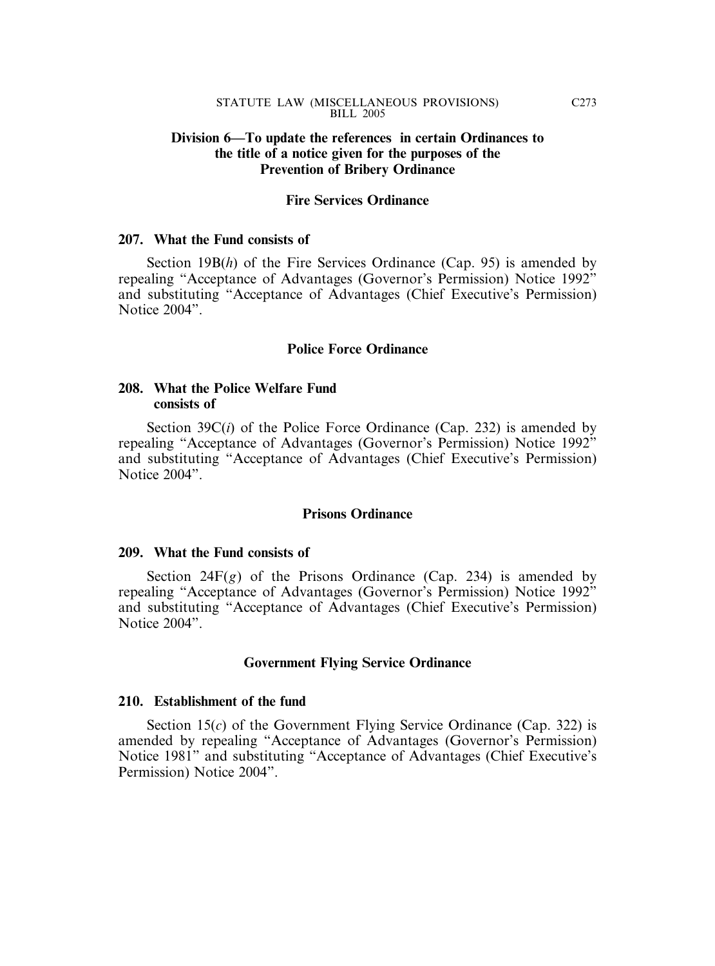### **Division 6—To update the references in certain Ordinances to the title of a notice given for the purposes of the Prevention of Bribery Ordinance**

### **Fire Services Ordinance**

#### **207. What the Fund consists of**

Section 19B(*h*) of the Fire Services Ordinance (Cap. 95) is amended by repealing "Acceptance of Advantages (Governor's Permission) Notice 1992" and substituting "Acceptance of Advantages (Chief Executive's Permission) Notice 2004".

#### **Police Force Ordinance**

### **208. What the Police Welfare Fund consists of**

Section 39C(*i*) of the Police Force Ordinance (Cap. 232) is amended by repealing "Acceptance of Advantages (Governor's Permission) Notice 1992" and substituting "Acceptance of Advantages (Chief Executive's Permission) Notice 2004".

#### **Prisons Ordinance**

#### **209. What the Fund consists of**

Section  $24F(g)$  of the Prisons Ordinance (Cap. 234) is amended by repealing "Acceptance of Advantages (Governor's Permission) Notice 1992" and substituting "Acceptance of Advantages (Chief Executive's Permission) Notice 2004".

#### **Government Flying Service Ordinance**

#### **210. Establishment of the fund**

Section 15(*c*) of the Government Flying Service Ordinance (Cap. 322) is amended by repealing "Acceptance of Advantages (Governor's Permission) Notice 1981" and substituting "Acceptance of Advantages (Chief Executive's Permission) Notice 2004".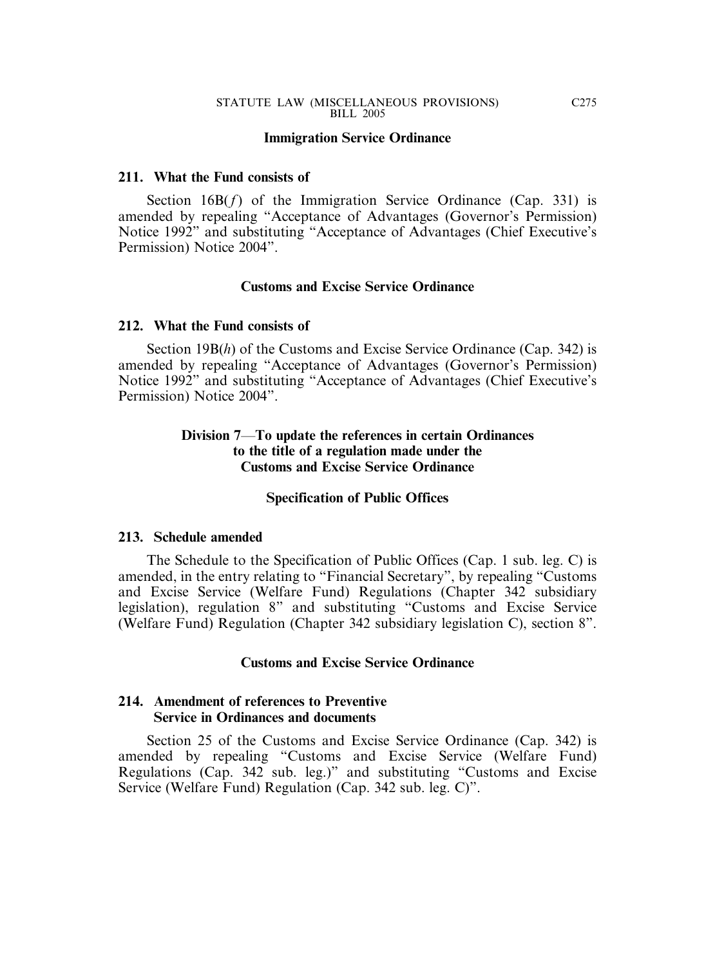#### **Immigration Service Ordinance**

#### **211. What the Fund consists of**

Section 16B(f) of the Immigration Service Ordinance (Cap. 331) is amended by repealing "Acceptance of Advantages (Governor's Permission) Notice 1992" and substituting "Acceptance of Advantages (Chief Executive's Permission) Notice 2004".

#### **Customs and Excise Service Ordinance**

#### **212. What the Fund consists of**

Section 19B(*h*) of the Customs and Excise Service Ordinance (Cap. 342) is amended by repealing "Acceptance of Advantages (Governor's Permission) Notice 1992" and substituting "Acceptance of Advantages (Chief Executive's Permission) Notice 2004".

### **Division 7**—**To update the references in certain Ordinances to the title of a regulation made under the Customs and Excise Service Ordinance**

#### **Specification of Public Offices**

#### **213. Schedule amended**

The Schedule to the Specification of Public Offices (Cap. 1 sub. leg. C) is amended, in the entry relating to "Financial Secretary", by repealing "Customs and Excise Service (Welfare Fund) Regulations (Chapter 342 subsidiary legislation), regulation 8" and substituting "Customs and Excise Service (Welfare Fund) Regulation (Chapter 342 subsidiary legislation C), section 8".

### **Customs and Excise Service Ordinance**

### **214. Amendment of references to Preventive Service in Ordinances and documents**

Section 25 of the Customs and Excise Service Ordinance (Cap. 342) is amended by repealing "Customs and Excise Service (Welfare Fund) Regulations (Cap. 342 sub. leg.)" and substituting "Customs and Excise Service (Welfare Fund) Regulation (Cap. 342 sub. leg. C)".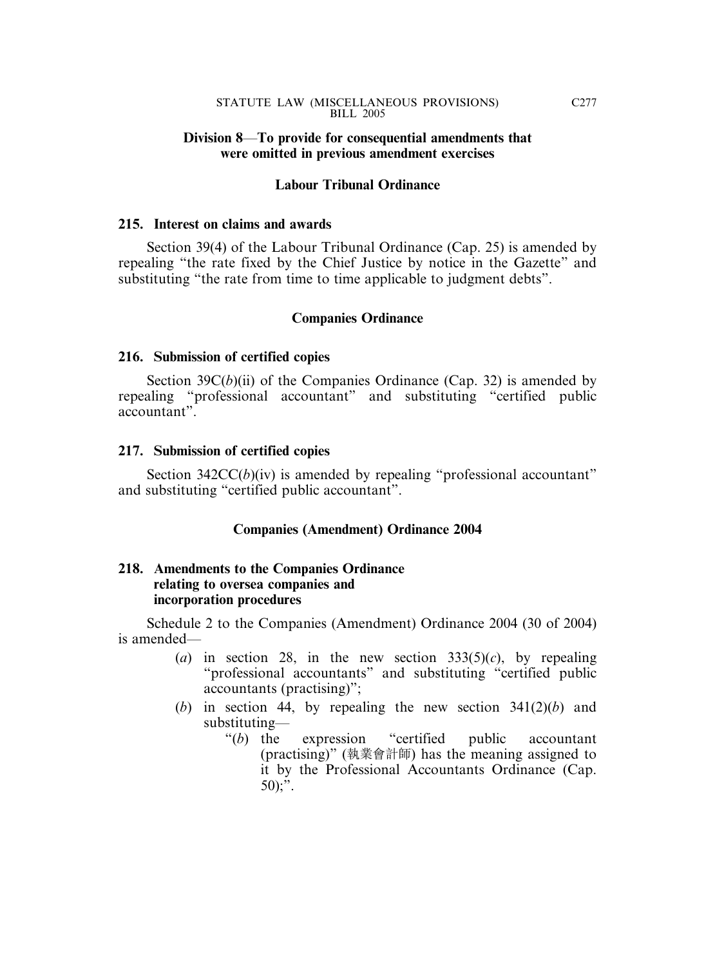### **Division 8**—**To provide for consequential amendments that were omitted in previous amendment exercises**

### **Labour Tribunal Ordinance**

### **215. Interest on claims and awards**

Section 39(4) of the Labour Tribunal Ordinance (Cap. 25) is amended by repealing "the rate fixed by the Chief Justice by notice in the Gazette" and substituting "the rate from time to time applicable to judgment debts".

### **Companies Ordinance**

### **216. Submission of certified copies**

Section  $39C(b)(ii)$  of the Companies Ordinance (Cap. 32) is amended by repealing "professional accountant" and substituting "certified public accountant".

### **217. Submission of certified copies**

Section 342CC(*b*)(iv) is amended by repealing "professional accountant" and substituting "certified public accountant".

### **Companies (Amendment) Ordinance 2004**

### **218. Amendments to the Companies Ordinance relating to oversea companies and incorporation procedures**

Schedule 2 to the Companies (Amendment) Ordinance 2004 (30 of 2004) is amended—

- (*a*) in section 28, in the new section  $333(5)(c)$ , by repealing "professional accountants" and substituting "certified public accountants (practising)";
- (*b*) in section 44, by repealing the new section 341(2)(*b*) and substituting—
	- "(*b*) the expression "certified public accountant (practising)" (執業會計師) has the meaning assigned to it by the Professional Accountants Ordinance (Cap.  $50$ ;".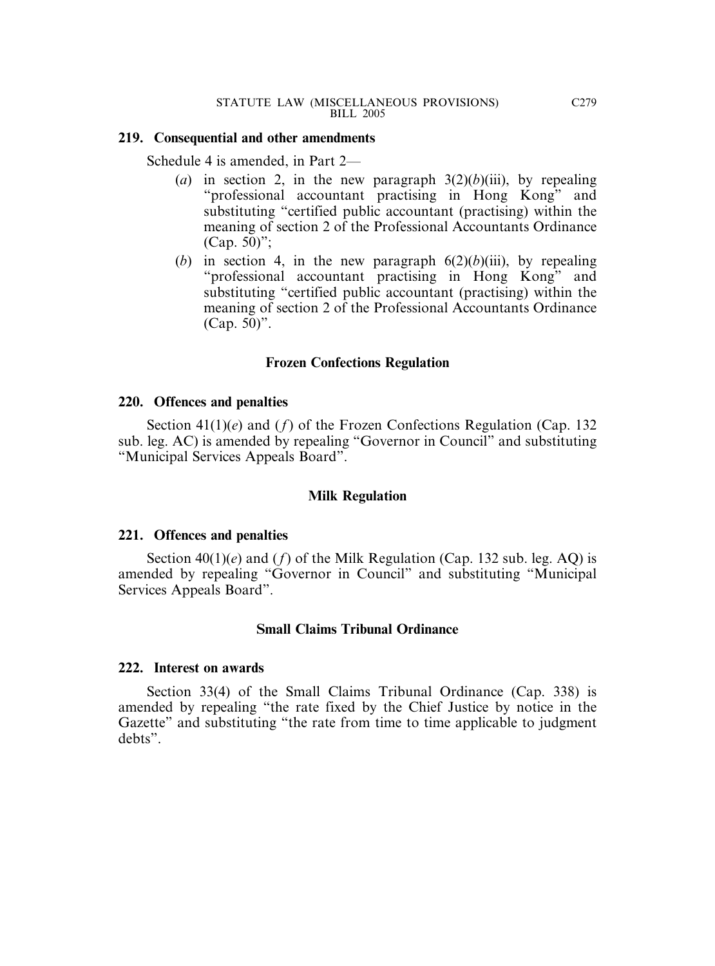#### **219. Consequential and other amendments**

Schedule 4 is amended, in Part 2—

- (*a*) in section 2, in the new paragraph  $3(2)(b)(iii)$ , by repealing "professional accountant practising in Hong Kong" and substituting "certified public accountant (practising) within the meaning of section 2 of the Professional Accountants Ordinance (Cap. 50)";
- (*b*) in section 4, in the new paragraph  $6(2)(b)(iii)$ , by repealing "professional accountant practising in Hong Kong" and substituting "certified public accountant (practising) within the meaning of section 2 of the Professional Accountants Ordinance (Cap. 50)".

# **Frozen Confections Regulation**

### **220. Offences and penalties**

Section 41(1)(*e*) and (*f*) of the Frozen Confections Regulation (Cap. 132 sub. leg. AC) is amended by repealing "Governor in Council" and substituting "Municipal Services Appeals Board".

### **Milk Regulation**

#### **221. Offences and penalties**

Section  $40(1)(e)$  and  $(f)$  of the Milk Regulation (Cap. 132 sub. leg. AQ) is amended by repealing "Governor in Council" and substituting "Municipal Services Appeals Board".

#### **Small Claims Tribunal Ordinance**

#### **222. Interest on awards**

Section 33(4) of the Small Claims Tribunal Ordinance (Cap. 338) is amended by repealing "the rate fixed by the Chief Justice by notice in the Gazette" and substituting "the rate from time to time applicable to judgment debts".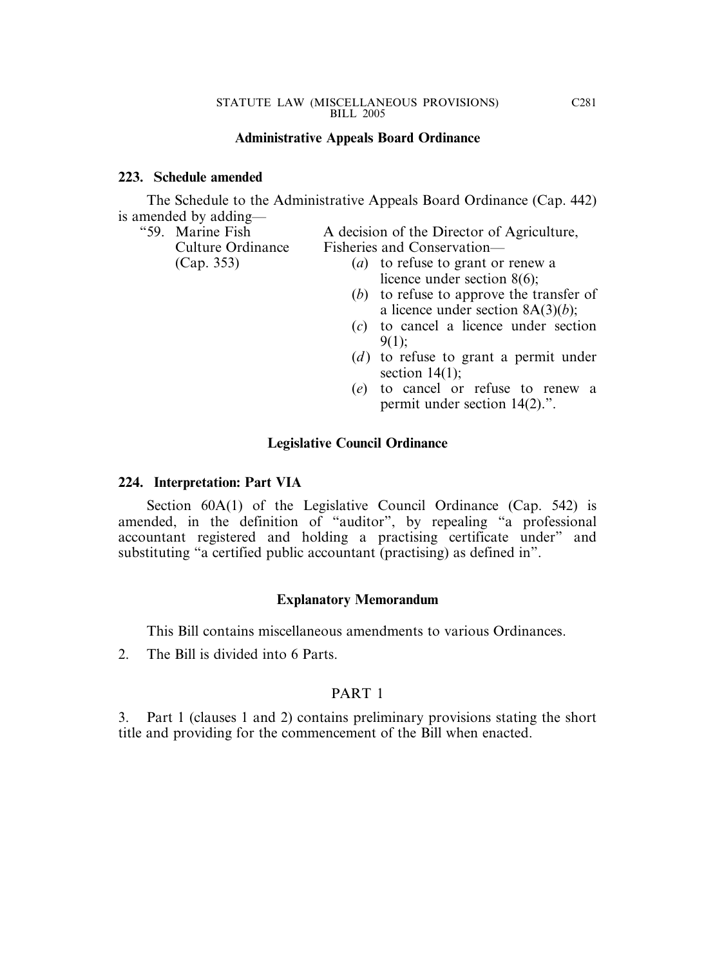### **Administrative Appeals Board Ordinance**

### **223. Schedule amended**

The Schedule to the Administrative Appeals Board Ordinance (Cap. 442) is amended by adding—

"59. Marine Fish A decision of the Director of Agriculture, Culture Ordinance Fisheries and Conservation—

- (Cap. 353) (*a*) to refuse to grant or renew a licence under section 8(6);
	- (*b*) to refuse to approve the transfer of a licence under section 8A(3)(*b*);
	- (*c*) to cancel a licence under section 9(1);
	- (*d*) to refuse to grant a permit under section  $14(1)$ ;
	- (*e*) to cancel or refuse to renew a permit under section 14(2).".

### **Legislative Council Ordinance**

#### **224. Interpretation: Part VIA**

Section 60A(1) of the Legislative Council Ordinance (Cap. 542) is amended, in the definition of "auditor", by repealing "a professional accountant registered and holding a practising certificate under" and substituting "a certified public accountant (practising) as defined in".

#### **Explanatory Memorandum**

This Bill contains miscellaneous amendments to various Ordinances.

2. The Bill is divided into 6 Parts.

#### PART 1

3. Part 1 (clauses 1 and 2) contains preliminary provisions stating the short title and providing for the commencement of the Bill when enacted.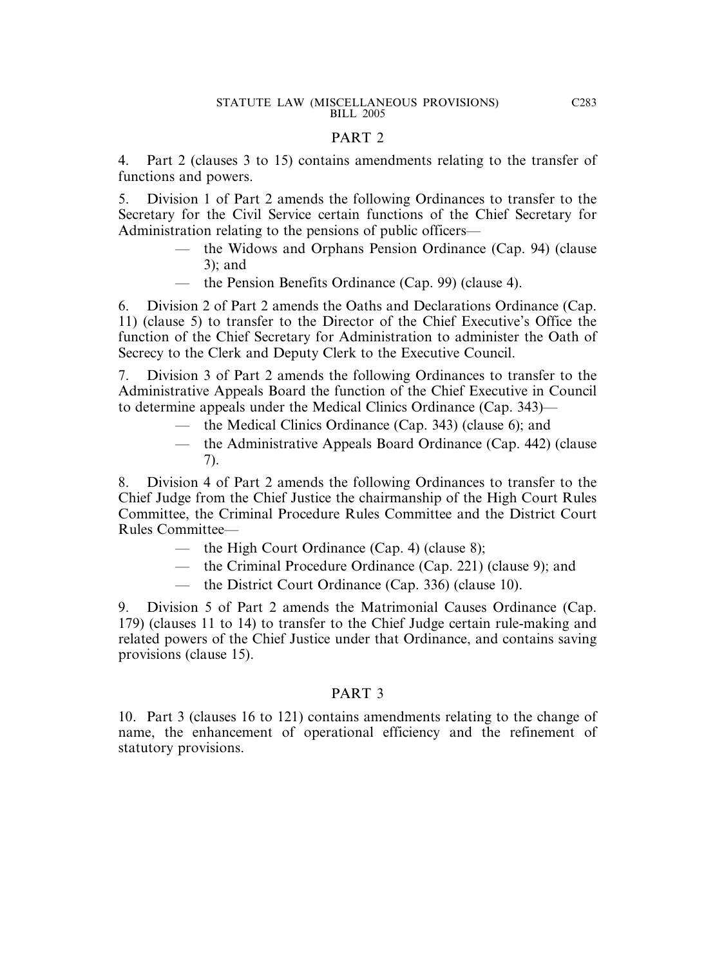### PART 2

4. Part 2 (clauses 3 to 15) contains amendments relating to the transfer of functions and powers.

5. Division 1 of Part 2 amends the following Ordinances to transfer to the Secretary for the Civil Service certain functions of the Chief Secretary for Administration relating to the pensions of public officers—

- the Widows and Orphans Pension Ordinance (Cap. 94) (clause 3); and
- the Pension Benefits Ordinance (Cap. 99) (clause 4).

6. Division 2 of Part 2 amends the Oaths and Declarations Ordinance (Cap. 11) (clause 5) to transfer to the Director of the Chief Executive's Office the function of the Chief Secretary for Administration to administer the Oath of Secrecy to the Clerk and Deputy Clerk to the Executive Council.

7. Division 3 of Part 2 amends the following Ordinances to transfer to the Administrative Appeals Board the function of the Chief Executive in Council to determine appeals under the Medical Clinics Ordinance (Cap. 343)—

- the Medical Clinics Ordinance (Cap. 343) (clause 6); and
- the Administrative Appeals Board Ordinance (Cap. 442) (clause 7).

8. Division 4 of Part 2 amends the following Ordinances to transfer to the Chief Judge from the Chief Justice the chairmanship of the High Court Rules Committee, the Criminal Procedure Rules Committee and the District Court Rules Committee—

- the High Court Ordinance (Cap. 4) (clause 8);
- the Criminal Procedure Ordinance (Cap. 221) (clause 9); and
- the District Court Ordinance (Cap. 336) (clause 10).

9. Division 5 of Part 2 amends the Matrimonial Causes Ordinance (Cap. 179) (clauses 11 to 14) to transfer to the Chief Judge certain rule-making and related powers of the Chief Justice under that Ordinance, and contains saving provisions (clause 15).

# PART 3

10. Part 3 (clauses 16 to 121) contains amendments relating to the change of name, the enhancement of operational efficiency and the refinement of statutory provisions.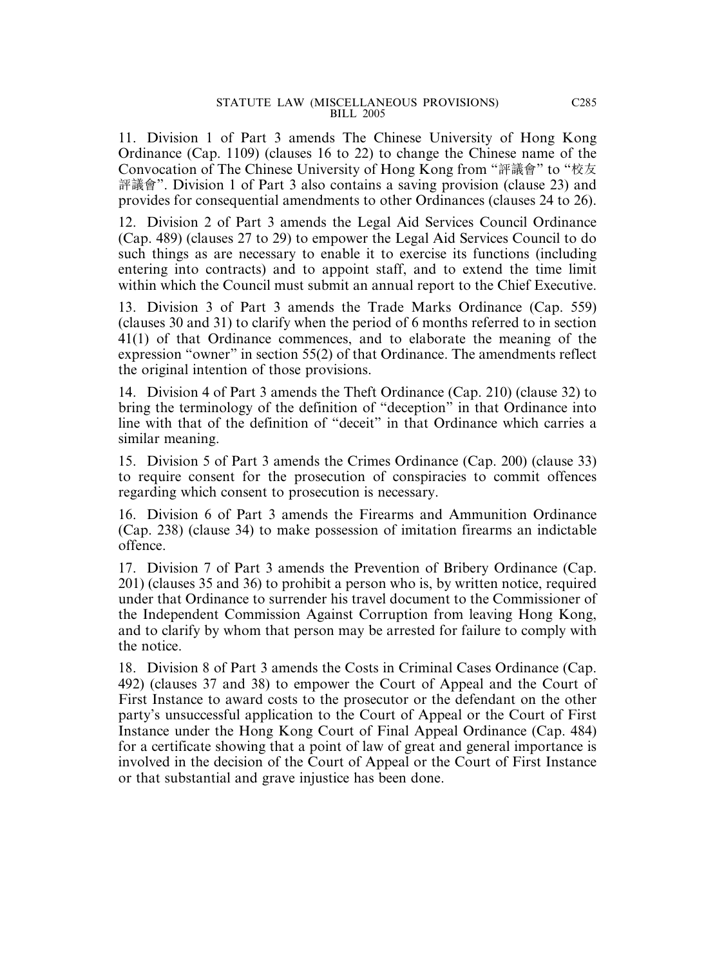11. Division 1 of Part 3 amends The Chinese University of Hong Kong Ordinance (Cap. 1109) (clauses 16 to 22) to change the Chinese name of the Convocation of The Chinese University of Hong Kong from "評議會" to "校友 評議會". Division 1 of Part 3 also contains a saving provision (clause 23) and provides for consequential amendments to other Ordinances (clauses 24 to 26).

12. Division 2 of Part 3 amends the Legal Aid Services Council Ordinance (Cap. 489) (clauses 27 to 29) to empower the Legal Aid Services Council to do such things as are necessary to enable it to exercise its functions (including entering into contracts) and to appoint staff, and to extend the time limit within which the Council must submit an annual report to the Chief Executive.

13. Division 3 of Part 3 amends the Trade Marks Ordinance (Cap. 559) (clauses 30 and 31) to clarify when the period of 6 months referred to in section 41(1) of that Ordinance commences, and to elaborate the meaning of the expression "owner" in section 55(2) of that Ordinance. The amendments reflect the original intention of those provisions.

14. Division 4 of Part 3 amends the Theft Ordinance (Cap. 210) (clause 32) to bring the terminology of the definition of "deception" in that Ordinance into line with that of the definition of "deceit" in that Ordinance which carries a similar meaning.

15. Division 5 of Part 3 amends the Crimes Ordinance (Cap. 200) (clause 33) to require consent for the prosecution of conspiracies to commit offences regarding which consent to prosecution is necessary.

16. Division 6 of Part 3 amends the Firearms and Ammunition Ordinance (Cap. 238) (clause 34) to make possession of imitation firearms an indictable offence.

17. Division 7 of Part 3 amends the Prevention of Bribery Ordinance (Cap. 201) (clauses 35 and 36) to prohibit a person who is, by written notice, required under that Ordinance to surrender his travel document to the Commissioner of the Independent Commission Against Corruption from leaving Hong Kong, and to clarify by whom that person may be arrested for failure to comply with the notice.

18. Division 8 of Part 3 amends the Costs in Criminal Cases Ordinance (Cap. 492) (clauses 37 and 38) to empower the Court of Appeal and the Court of First Instance to award costs to the prosecutor or the defendant on the other party's unsuccessful application to the Court of Appeal or the Court of First Instance under the Hong Kong Court of Final Appeal Ordinance (Cap. 484) for a certificate showing that a point of law of great and general importance is involved in the decision of the Court of Appeal or the Court of First Instance or that substantial and grave injustice has been done.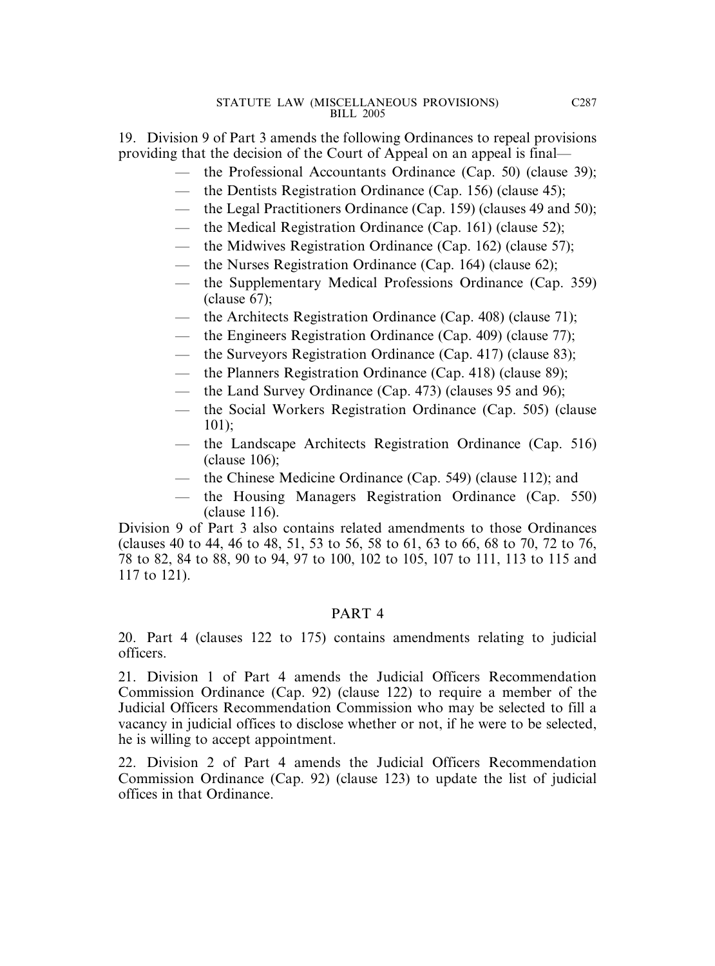19. Division 9 of Part 3 amends the following Ordinances to repeal provisions providing that the decision of the Court of Appeal on an appeal is final—

- the Professional Accountants Ordinance (Cap. 50) (clause 39);
- the Dentists Registration Ordinance (Cap. 156) (clause 45);
- the Legal Practitioners Ordinance (Cap. 159) (clauses 49 and 50);
- the Medical Registration Ordinance (Cap. 161) (clause 52);
- the Midwives Registration Ordinance (Cap. 162) (clause 57);
- the Nurses Registration Ordinance (Cap. 164) (clause 62);
- the Supplementary Medical Professions Ordinance (Cap. 359) (clause 67);
- the Architects Registration Ordinance (Cap. 408) (clause 71);
- the Engineers Registration Ordinance (Cap. 409) (clause 77);
- the Surveyors Registration Ordinance (Cap. 417) (clause 83);
- the Planners Registration Ordinance (Cap. 418) (clause 89);
- the Land Survey Ordinance (Cap. 473) (clauses 95 and 96);
- the Social Workers Registration Ordinance (Cap. 505) (clause 101);
- the Landscape Architects Registration Ordinance (Cap. 516) (clause 106);
- the Chinese Medicine Ordinance (Cap. 549) (clause 112); and
- the Housing Managers Registration Ordinance (Cap. 550) (clause 116).

Division 9 of Part 3 also contains related amendments to those Ordinances (clauses 40 to 44, 46 to 48, 51, 53 to 56, 58 to 61, 63 to 66, 68 to 70, 72 to 76, 78 to 82, 84 to 88, 90 to 94, 97 to 100, 102 to 105, 107 to 111, 113 to 115 and 117 to 121).

# PART 4

20. Part 4 (clauses 122 to 175) contains amendments relating to judicial officers.

21. Division 1 of Part 4 amends the Judicial Officers Recommendation Commission Ordinance (Cap. 92) (clause 122) to require a member of the Judicial Officers Recommendation Commission who may be selected to fill a vacancy in judicial offices to disclose whether or not, if he were to be selected, he is willing to accept appointment.

22. Division 2 of Part 4 amends the Judicial Officers Recommendation Commission Ordinance (Cap. 92) (clause 123) to update the list of judicial offices in that Ordinance.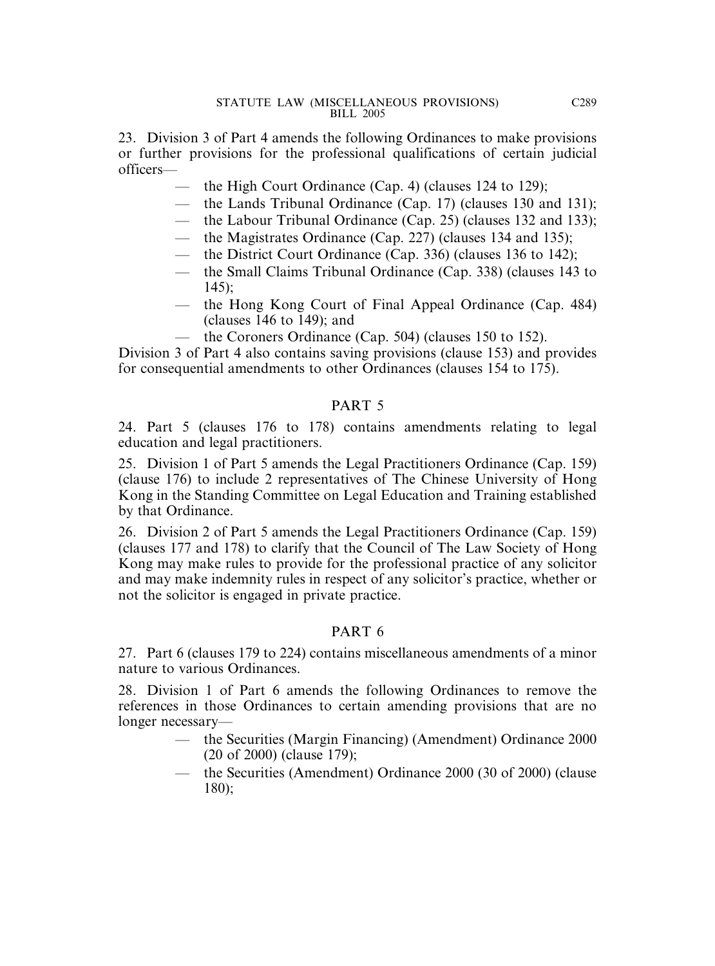23. Division 3 of Part 4 amends the following Ordinances to make provisions or further provisions for the professional qualifications of certain judicial officers—

- the High Court Ordinance (Cap. 4) (clauses 124 to 129);
- the Lands Tribunal Ordinance (Cap. 17) (clauses 130 and 131);
- the Labour Tribunal Ordinance (Cap. 25) (clauses 132 and 133);
- the Magistrates Ordinance (Cap. 227) (clauses 134 and 135);
- the District Court Ordinance (Cap. 336) (clauses 136 to 142);
- the Small Claims Tribunal Ordinance (Cap. 338) (clauses 143 to 145);
- the Hong Kong Court of Final Appeal Ordinance (Cap. 484) (clauses 146 to 149); and
	- the Coroners Ordinance (Cap. 504) (clauses  $150$  to  $152$ ).

Division 3 of Part 4 also contains saving provisions (clause 153) and provides for consequential amendments to other Ordinances (clauses 154 to 175).

# PART 5

24. Part 5 (clauses 176 to 178) contains amendments relating to legal education and legal practitioners.

25. Division 1 of Part 5 amends the Legal Practitioners Ordinance (Cap. 159) (clause 176) to include 2 representatives of The Chinese University of Hong Kong in the Standing Committee on Legal Education and Training established by that Ordinance.

26. Division 2 of Part 5 amends the Legal Practitioners Ordinance (Cap. 159) (clauses 177 and 178) to clarify that the Council of The Law Society of Hong Kong may make rules to provide for the professional practice of any solicitor and may make indemnity rules in respect of any solicitor's practice, whether or not the solicitor is engaged in private practice.

# PART 6

27. Part 6 (clauses 179 to 224) contains miscellaneous amendments of a minor nature to various Ordinances.

28. Division 1 of Part 6 amends the following Ordinances to remove the references in those Ordinances to certain amending provisions that are no longer necessary—

- the Securities (Margin Financing) (Amendment) Ordinance 2000 (20 of 2000) (clause 179);
- the Securities (Amendment) Ordinance 2000 (30 of 2000) (clause 180);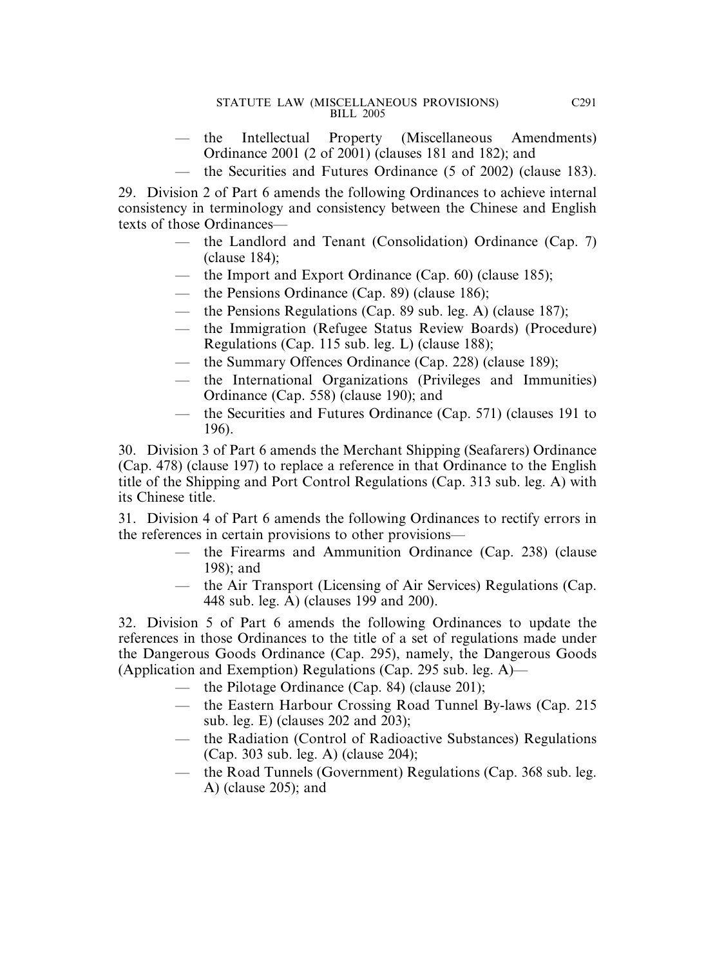- the Intellectual Property (Miscellaneous Amendments) Ordinance 2001 (2 of 2001) (clauses 181 and 182); and
- the Securities and Futures Ordinance (5 of 2002) (clause 183).

29. Division 2 of Part 6 amends the following Ordinances to achieve internal consistency in terminology and consistency between the Chinese and English texts of those Ordinances—

- the Landlord and Tenant (Consolidation) Ordinance (Cap. 7) (clause 184);
- the Import and Export Ordinance (Cap. 60) (clause 185);
- the Pensions Ordinance (Cap. 89) (clause 186);
- the Pensions Regulations (Cap. 89 sub. leg. A) (clause 187);
- the Immigration (Refugee Status Review Boards) (Procedure) Regulations (Cap. 115 sub. leg. L) (clause 188);
- the Summary Offences Ordinance (Cap. 228) (clause 189);
- the International Organizations (Privileges and Immunities) Ordinance (Cap. 558) (clause 190); and
- the Securities and Futures Ordinance (Cap. 571) (clauses 191 to 196).

30. Division 3 of Part 6 amends the Merchant Shipping (Seafarers) Ordinance (Cap. 478) (clause 197) to replace a reference in that Ordinance to the English title of the Shipping and Port Control Regulations (Cap. 313 sub. leg. A) with its Chinese title.

31. Division 4 of Part 6 amends the following Ordinances to rectify errors in the references in certain provisions to other provisions—

- the Firearms and Ammunition Ordinance (Cap. 238) (clause 198); and
- the Air Transport (Licensing of Air Services) Regulations (Cap. 448 sub. leg. A) (clauses 199 and 200).

32. Division 5 of Part 6 amends the following Ordinances to update the references in those Ordinances to the title of a set of regulations made under the Dangerous Goods Ordinance (Cap. 295), namely, the Dangerous Goods (Application and Exemption) Regulations (Cap. 295 sub. leg. A)—

- the Pilotage Ordinance (Cap. 84) (clause 201);
- the Eastern Harbour Crossing Road Tunnel By-laws (Cap. 215 sub. leg. E) (clauses 202 and 203);
- the Radiation (Control of Radioactive Substances) Regulations (Cap. 303 sub. leg. A) (clause 204);
- the Road Tunnels (Government) Regulations (Cap. 368 sub. leg. A) (clause 205); and